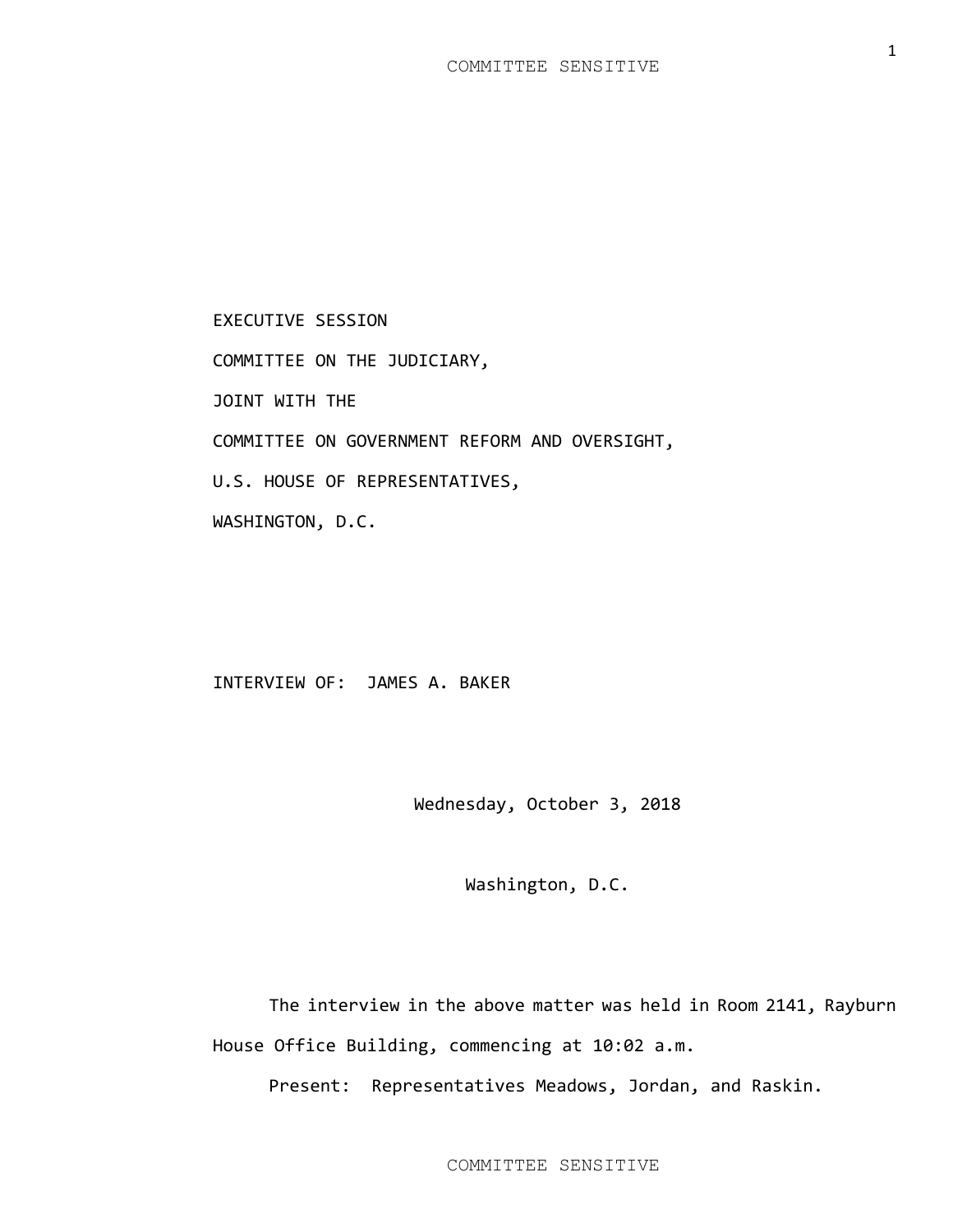EXECUTIVE SESSION COMMITTEE ON THE JUDICIARY, JOINT WITH THE COMMITTEE ON GOVERNMENT REFORM AND OVERSIGHT, U.S. HOUSE OF REPRESENTATIVES, WASHINGTON, D.C.

## INTERVIEW OF: JAMES A. BAKER

Wednesday, October 3, 2018

Washington, D.C.

The interview in the above matter was held in Room 2141, Rayburn House Office Building, commencing at 10:02 a.m.

Present: Representatives Meadows, Jordan, and Raskin.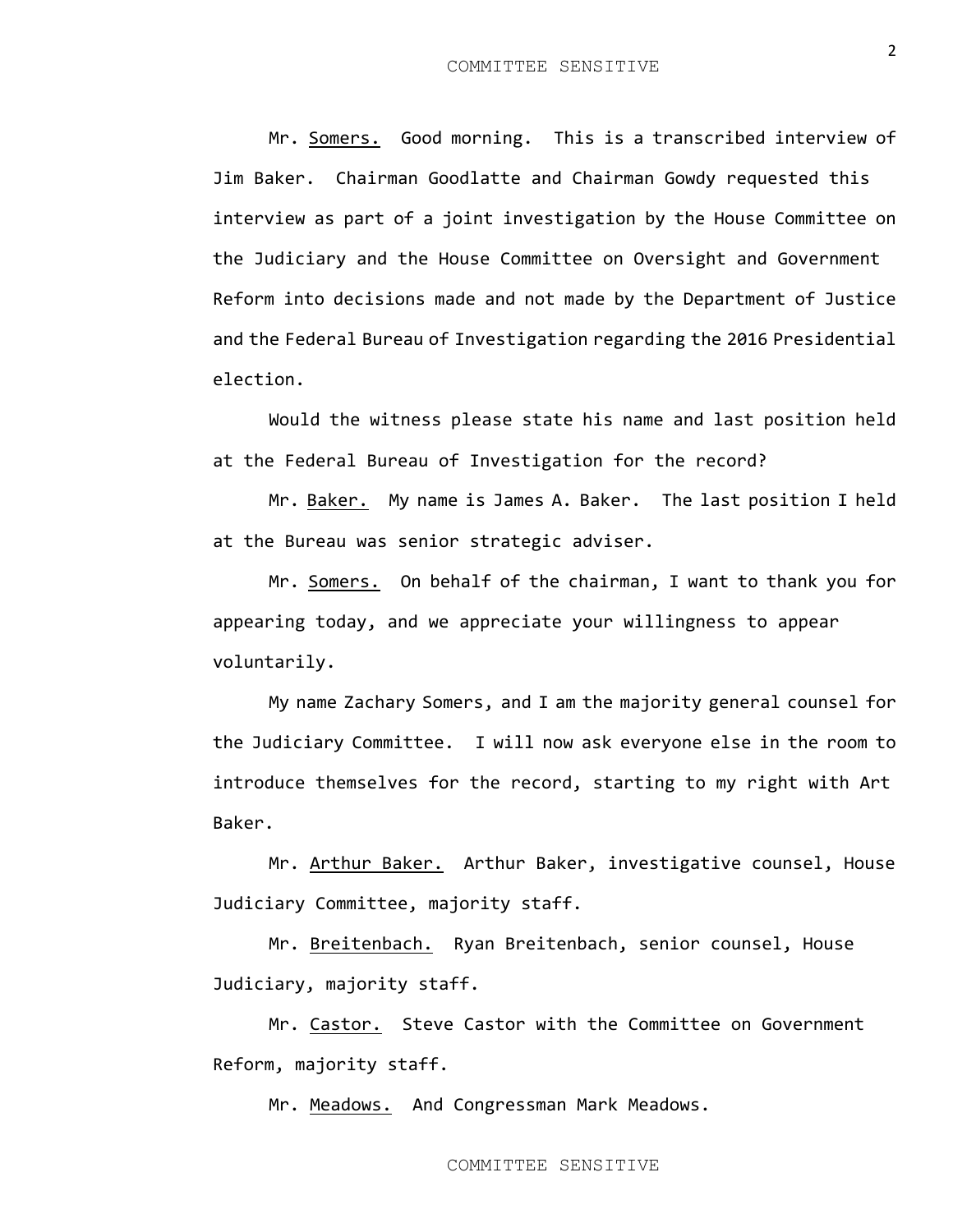Mr. Somers. Good morning. This is a transcribed interview of Jim Baker. Chairman Goodlatte and Chairman Gowdy requested this interview as part of a joint investigation by the House Committee on the Judiciary and the House Committee on Oversight and Government Reform into decisions made and not made by the Department of Justice and the Federal Bureau of Investigation regarding the 2016 Presidential election.

Would the witness please state his name and last position held at the Federal Bureau of Investigation for the record?

Mr. Baker. My name is James A. Baker. The last position I held at the Bureau was senior strategic adviser.

Mr. Somers. On behalf of the chairman, I want to thank you for appearing today, and we appreciate your willingness to appear voluntarily.

My name Zachary Somers, and I am the majority general counsel for the Judiciary Committee. I will now ask everyone else in the room to introduce themselves for the record, starting to my right with Art Baker.

Mr. Arthur Baker. Arthur Baker, investigative counsel, House Judiciary Committee, majority staff.

Mr. Breitenbach. Ryan Breitenbach, senior counsel, House Judiciary, majority staff.

Mr. Castor. Steve Castor with the Committee on Government Reform, majority staff.

Mr. Meadows. And Congressman Mark Meadows.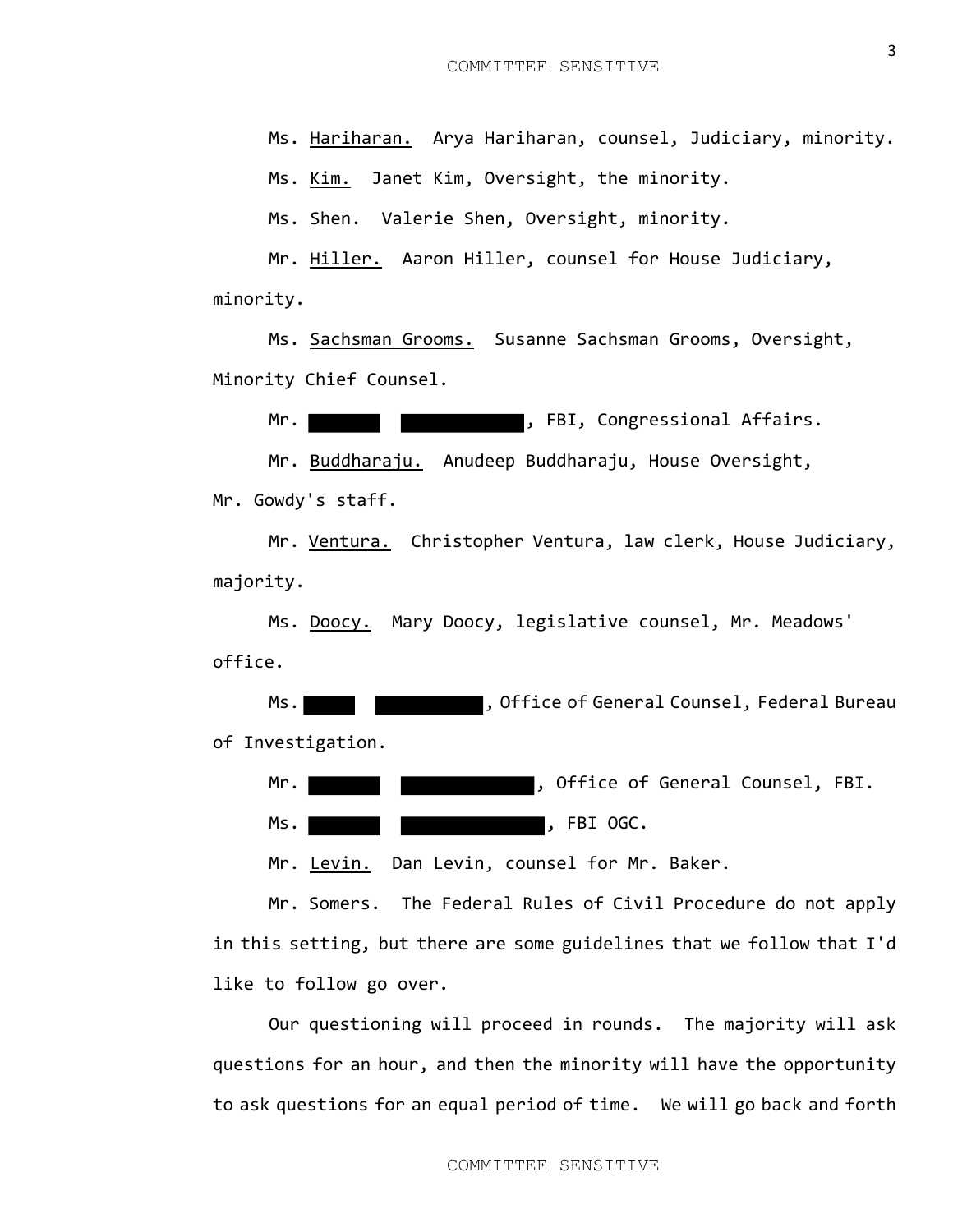Ms. Hariharan. Arya Hariharan, counsel, Judiciary, minority.

Ms. Kim. Janet Kim, Oversight, the minority.

Ms. Shen. Valerie Shen, Oversight, minority.

Mr. Hiller. Aaron Hiller, counsel for House Judiciary, minority.

Ms. Sachsman Grooms. Susanne Sachsman Grooms, Oversight, Minority Chief Counsel.

Mr. When  $\blacksquare$  , FBI, Congressional Affairs.

Mr. Buddharaju. Anudeep Buddharaju, House Oversight, Mr. Gowdy's staff.

Mr. Ventura. Christopher Ventura, law clerk, House Judiciary, majority.

Ms. Doocy. Mary Doocy, legislative counsel, Mr. Meadows' office.

Ms. **We are set of Senarity Counsel**, Federal Bureau of Investigation.

Mr. **Whene Mr. Counsel**, Office of General Counsel, FBI.

Ms. Month of the set of the set of the set of the set of the set of the set of the set of the set of the set of the set of the set of the set of the set of the set of the set of the set of the set of the set of the set of

Mr. Levin. Dan Levin, counsel for Mr. Baker.

Mr. Somers. The Federal Rules of Civil Procedure do not apply in this setting, but there are some guidelines that we follow that I'd like to follow go over.

Our questioning will proceed in rounds. The majority will ask questions for an hour, and then the minority will have the opportunity to ask questions for an equal period of time. We will go back and forth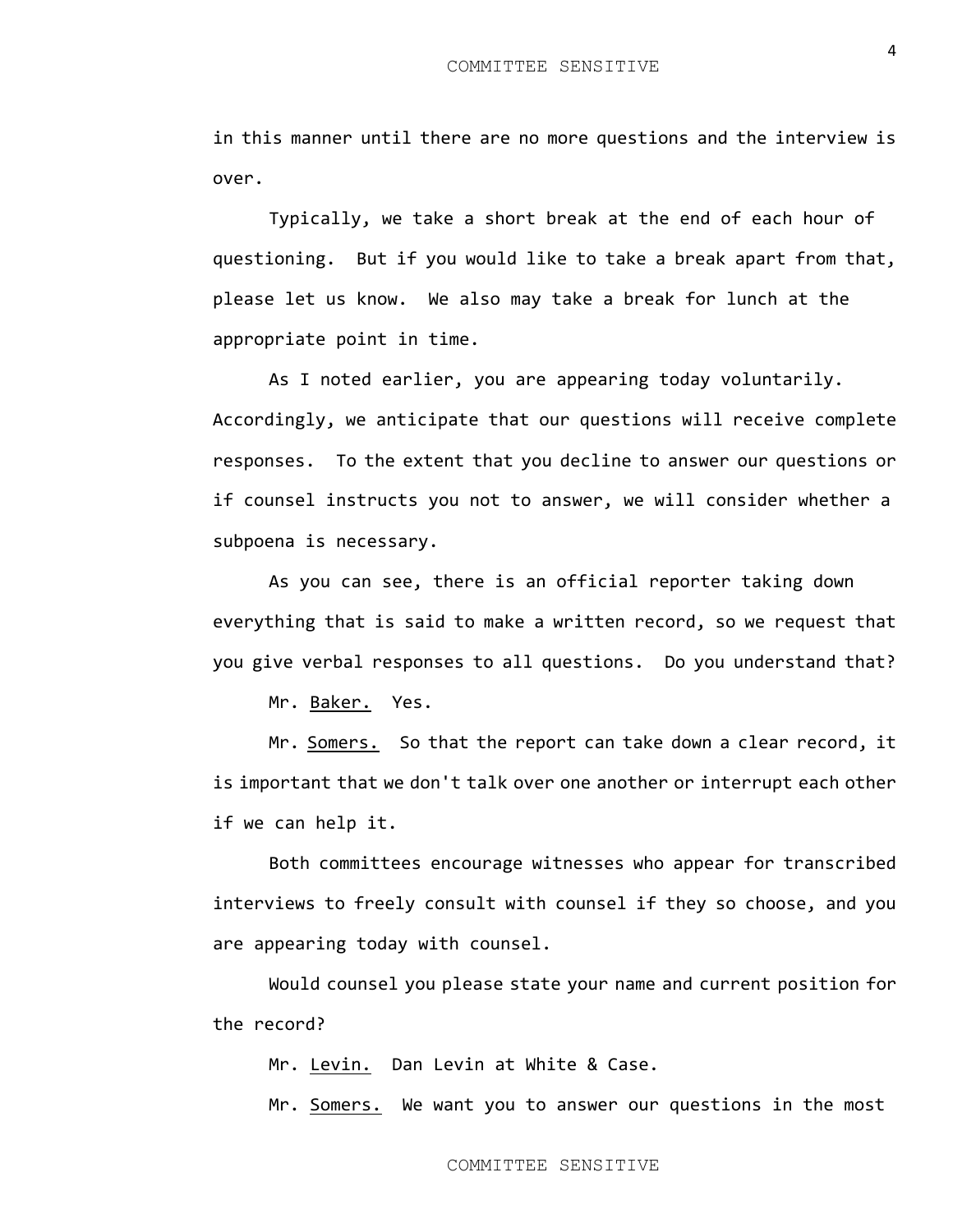in this manner until there are no more questions and the interview is over.

Typically, we take a short break at the end of each hour of questioning. But if you would like to take a break apart from that, please let us know. We also may take a break for lunch at the appropriate point in time.

As I noted earlier, you are appearing today voluntarily. Accordingly, we anticipate that our questions will receive complete responses. To the extent that you decline to answer our questions or if counsel instructs you not to answer, we will consider whether a subpoena is necessary.

As you can see, there is an official reporter taking down everything that is said to make a written record, so we request that you give verbal responses to all questions. Do you understand that?

Mr. Baker. Yes.

Mr. Somers. So that the report can take down a clear record, it is important that we don't talk over one another or interrupt each other if we can help it.

Both committees encourage witnesses who appear for transcribed interviews to freely consult with counsel if they so choose, and you are appearing today with counsel.

Would counsel you please state your name and current position for the record?

Mr. Levin. Dan Levin at White & Case.

Mr. Somers. We want you to answer our questions in the most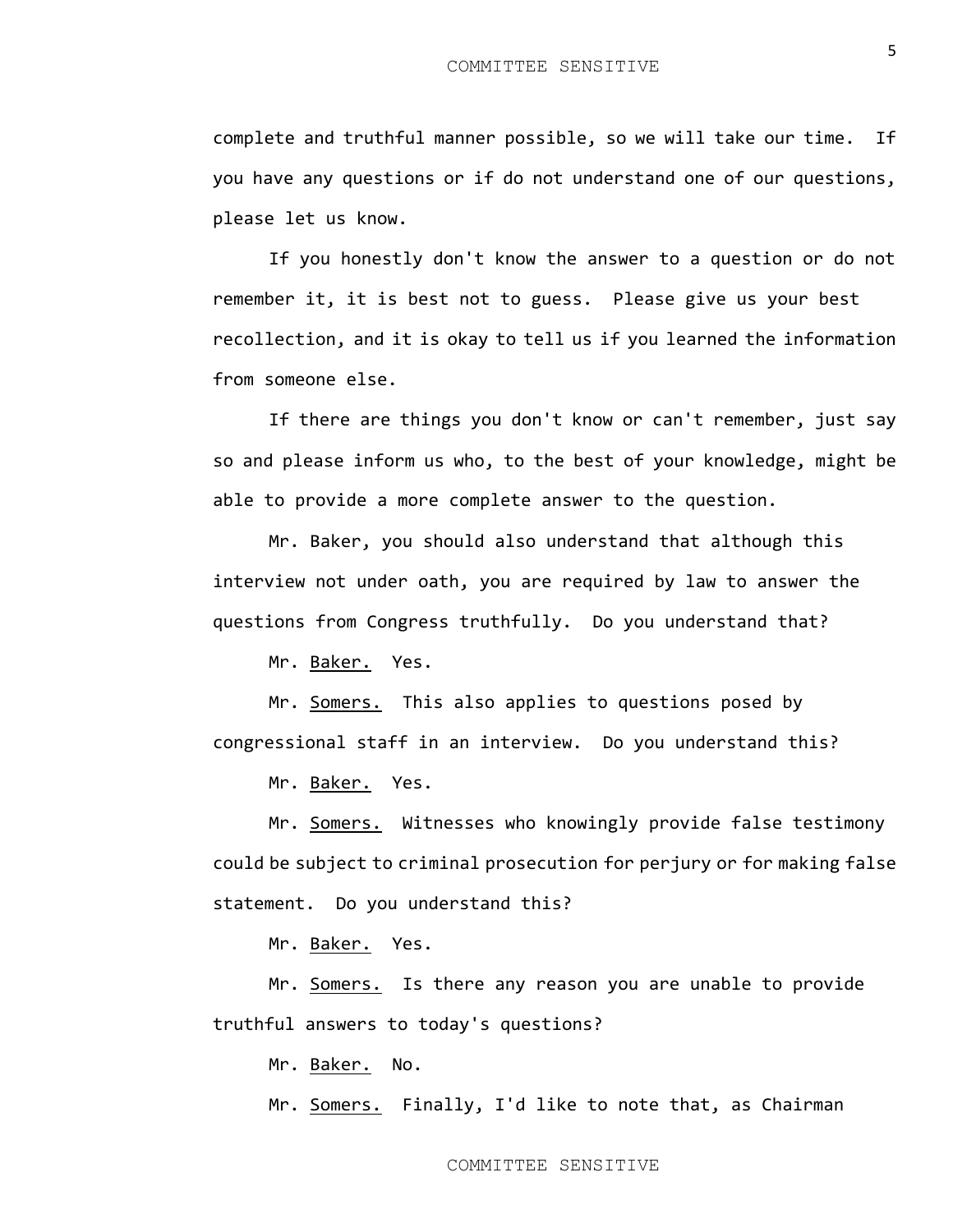complete and truthful manner possible, so we will take our time. If you have any questions or if do not understand one of our questions, please let us know.

If you honestly don't know the answer to a question or do not remember it, it is best not to guess. Please give us your best recollection, and it is okay to tell us if you learned the information from someone else.

If there are things you don't know or can't remember, just say so and please inform us who, to the best of your knowledge, might be able to provide a more complete answer to the question.

Mr. Baker, you should also understand that although this interview not under oath, you are required by law to answer the questions from Congress truthfully. Do you understand that?

Mr. Baker. Yes.

Mr. Somers. This also applies to questions posed by congressional staff in an interview. Do you understand this?

Mr. Baker. Yes.

Mr. Somers. Witnesses who knowingly provide false testimony could be subject to criminal prosecution for perjury or for making false statement. Do you understand this?

Mr. Baker. Yes.

Mr. Somers. Is there any reason you are unable to provide truthful answers to today's questions?

Mr. Baker. No.

Mr. Somers. Finally, I'd like to note that, as Chairman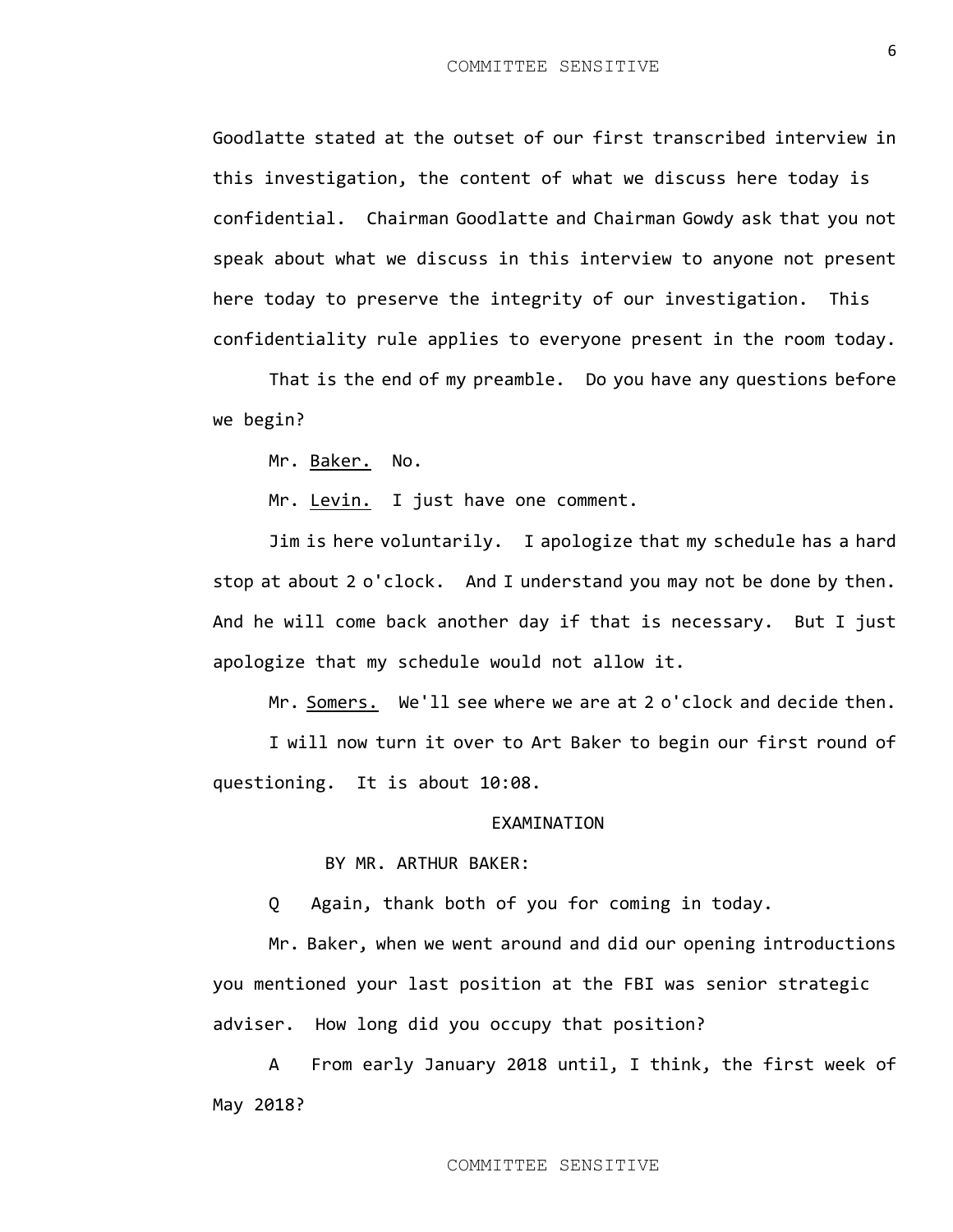Goodlatte stated at the outset of our first transcribed interview in this investigation, the content of what we discuss here today is confidential. Chairman Goodlatte and Chairman Gowdy ask that you not speak about what we discuss in this interview to anyone not present here today to preserve the integrity of our investigation. This confidentiality rule applies to everyone present in the room today.

That is the end of my preamble. Do you have any questions before we begin?

Mr. Baker. No.

Mr. Levin. I just have one comment.

Jim is here voluntarily. I apologize that my schedule has a hard stop at about 2 o'clock. And I understand you may not be done by then. And he will come back another day if that is necessary. But I just apologize that my schedule would not allow it.

Mr. Somers. We'll see where we are at 2 o'clock and decide then.

I will now turn it over to Art Baker to begin our first round of questioning. It is about 10:08.

## EXAMINATION

BY MR. ARTHUR BAKER:

Q Again, thank both of you for coming in today.

Mr. Baker, when we went around and did our opening introductions you mentioned your last position at the FBI was senior strategic adviser. How long did you occupy that position?

A From early January 2018 until, I think, the first week of May 2018?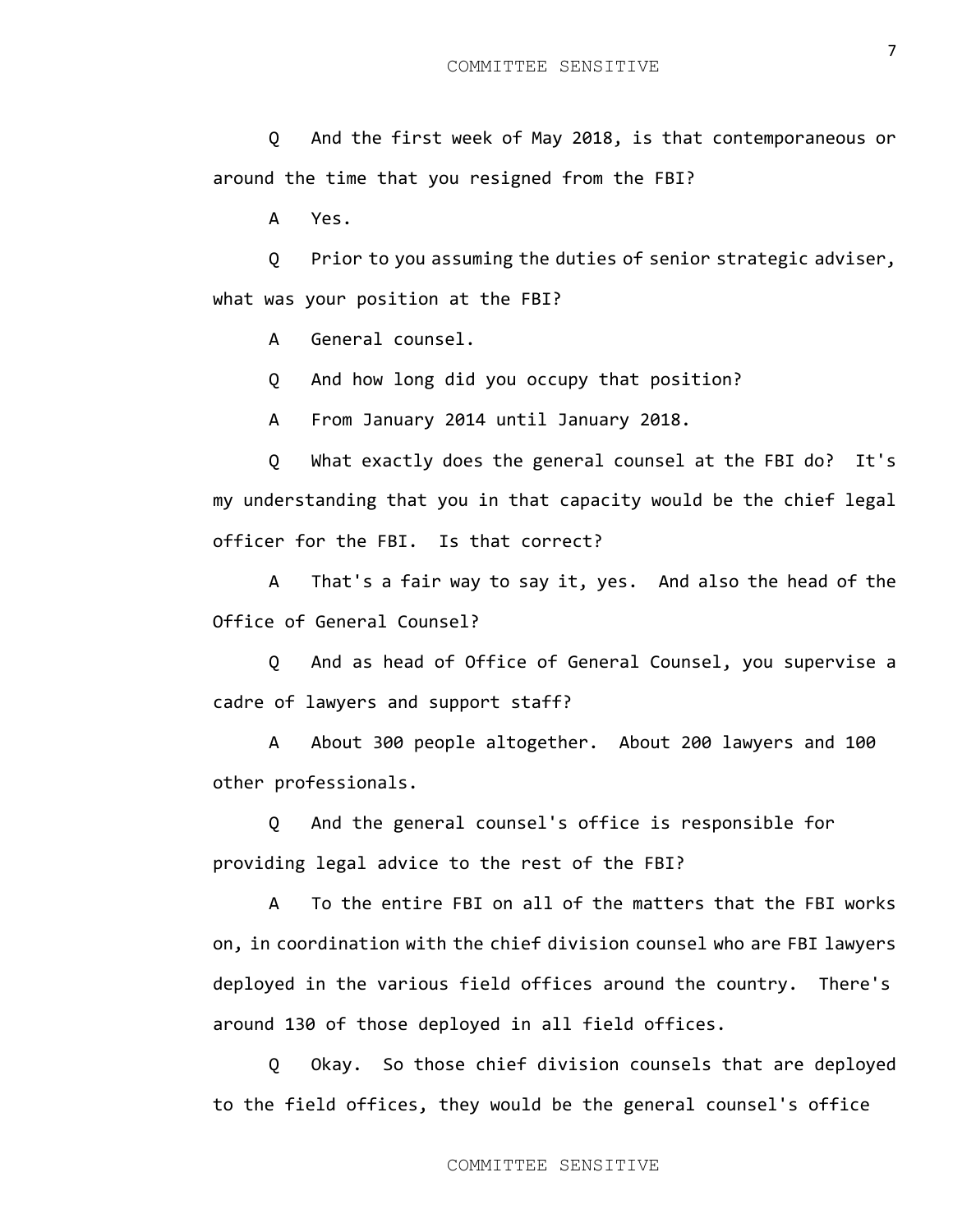Q And the first week of May 2018, is that contemporaneous or around the time that you resigned from the FBI?

A Yes.

Q Prior to you assuming the duties of senior strategic adviser, what was your position at the FBI?

A General counsel.

Q And how long did you occupy that position?

A From January 2014 until January 2018.

Q What exactly does the general counsel at the FBI do? It's my understanding that you in that capacity would be the chief legal officer for the FBI. Is that correct?

A That's a fair way to say it, yes. And also the head of the Office of General Counsel?

Q And as head of Office of General Counsel, you supervise a cadre of lawyers and support staff?

A About 300 people altogether. About 200 lawyers and 100 other professionals.

Q And the general counsel's office is responsible for providing legal advice to the rest of the FBI?

A To the entire FBI on all of the matters that the FBI works on, in coordination with the chief division counsel who are FBI lawyers deployed in the various field offices around the country. There's around 130 of those deployed in all field offices.

Q Okay. So those chief division counsels that are deployed to the field offices, they would be the general counsel's office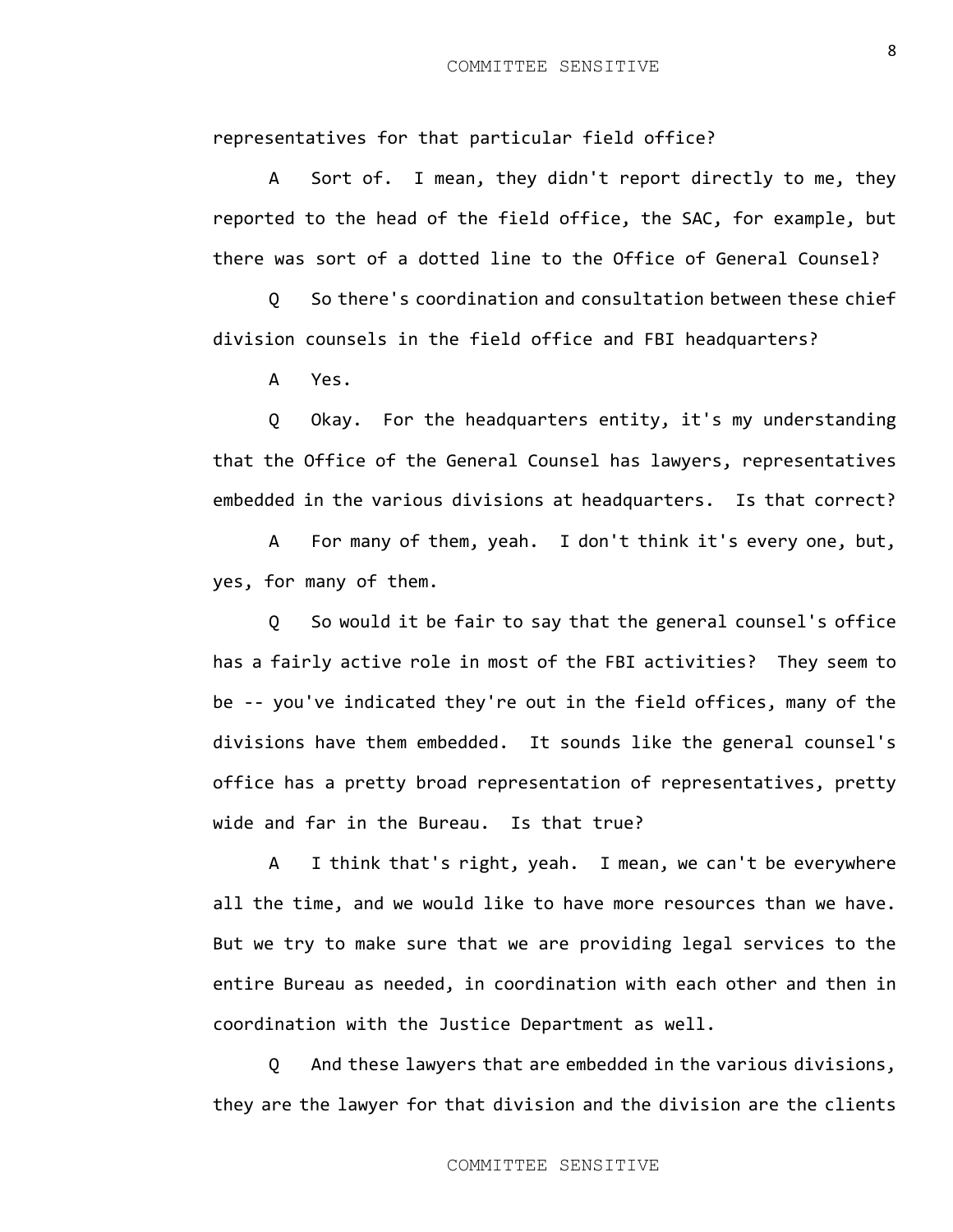representatives for that particular field office?

A Sort of. I mean, they didn't report directly to me, they reported to the head of the field office, the SAC, for example, but there was sort of a dotted line to the Office of General Counsel?

Q So there's coordination and consultation between these chief division counsels in the field office and FBI headquarters?

A Yes.

Q Okay. For the headquarters entity, it's my understanding that the Office of the General Counsel has lawyers, representatives embedded in the various divisions at headquarters. Is that correct?

A For many of them, yeah. I don't think it's every one, but, yes, for many of them.

Q So would it be fair to say that the general counsel's office has a fairly active role in most of the FBI activities? They seem to be -- you've indicated they're out in the field offices, many of the divisions have them embedded. It sounds like the general counsel's office has a pretty broad representation of representatives, pretty wide and far in the Bureau. Is that true?

A I think that's right, yeah. I mean, we can't be everywhere all the time, and we would like to have more resources than we have. But we try to make sure that we are providing legal services to the entire Bureau as needed, in coordination with each other and then in coordination with the Justice Department as well.

Q And these lawyers that are embedded in the various divisions, they are the lawyer for that division and the division are the clients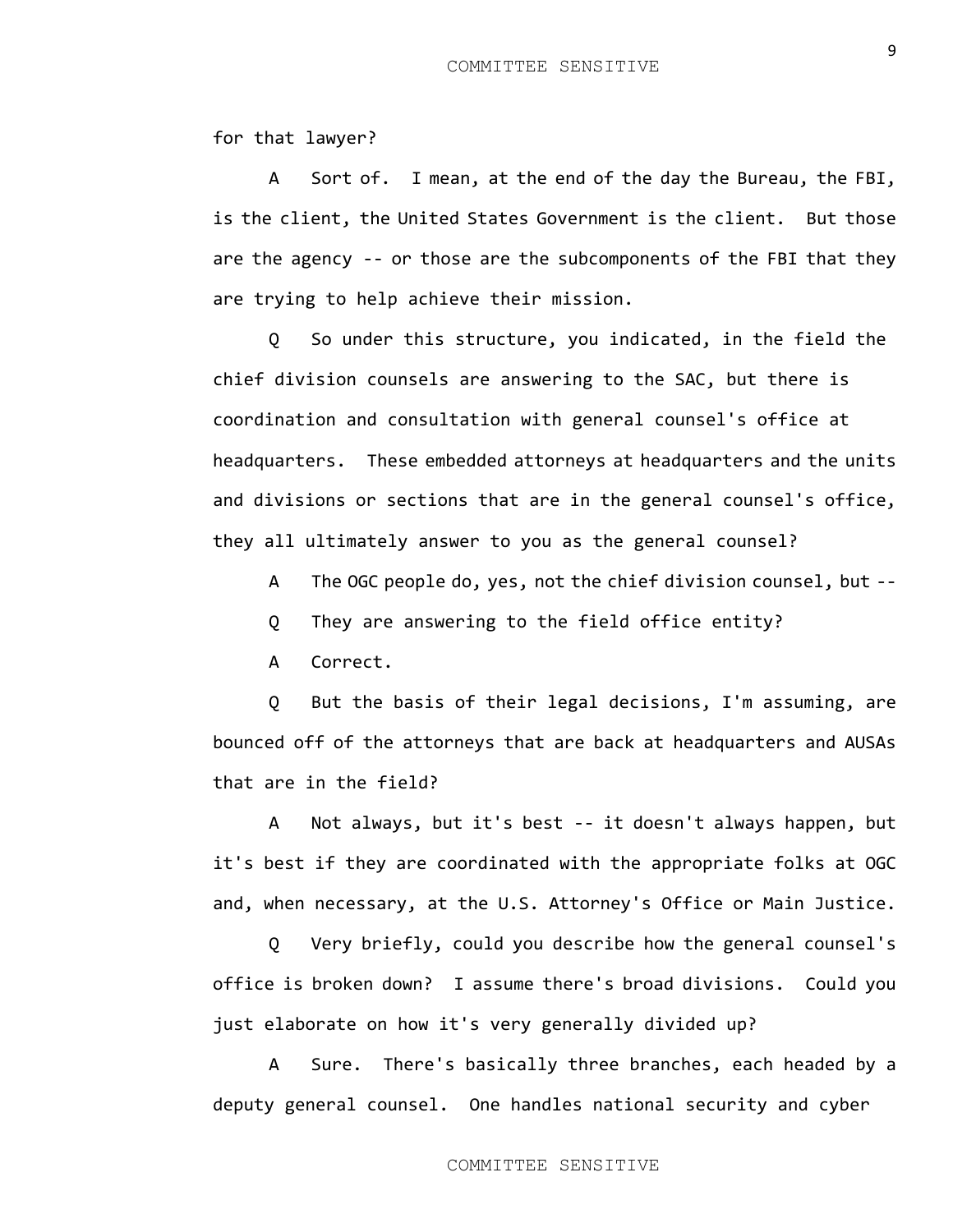for that lawyer?

A Sort of. I mean, at the end of the day the Bureau, the FBI, is the client, the United States Government is the client. But those are the agency -- or those are the subcomponents of the FBI that they are trying to help achieve their mission.

Q So under this structure, you indicated, in the field the chief division counsels are answering to the SAC, but there is coordination and consultation with general counsel's office at headquarters. These embedded attorneys at headquarters and the units and divisions or sections that are in the general counsel's office, they all ultimately answer to you as the general counsel?

A The OGC people do, yes, not the chief division counsel, but --

- Q They are answering to the field office entity?
- A Correct.

Q But the basis of their legal decisions, I'm assuming, are bounced off of the attorneys that are back at headquarters and AUSAs that are in the field?

A Not always, but it's best -- it doesn't always happen, but it's best if they are coordinated with the appropriate folks at OGC and, when necessary, at the U.S. Attorney's Office or Main Justice.

Q Very briefly, could you describe how the general counsel's office is broken down? I assume there's broad divisions. Could you just elaborate on how it's very generally divided up?

A Sure. There's basically three branches, each headed by a deputy general counsel. One handles national security and cyber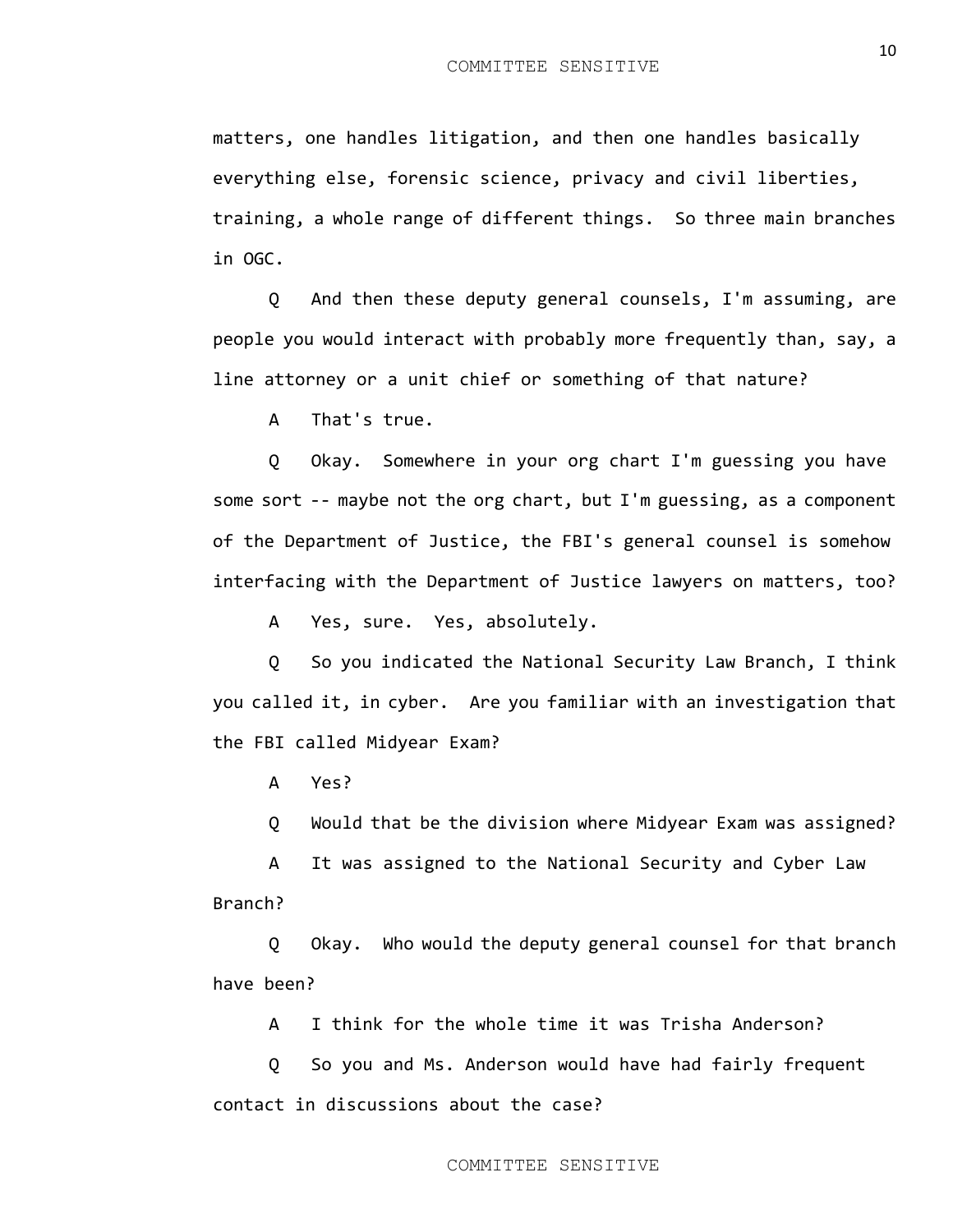matters, one handles litigation, and then one handles basically everything else, forensic science, privacy and civil liberties, training, a whole range of different things. So three main branches in OGC.

Q And then these deputy general counsels, I'm assuming, are people you would interact with probably more frequently than, say, a line attorney or a unit chief or something of that nature?

A That's true.

Q Okay. Somewhere in your org chart I'm guessing you have some sort -- maybe not the org chart, but I'm guessing, as a component of the Department of Justice, the FBI's general counsel is somehow interfacing with the Department of Justice lawyers on matters, too?

A Yes, sure. Yes, absolutely.

Q So you indicated the National Security Law Branch, I think you called it, in cyber. Are you familiar with an investigation that the FBI called Midyear Exam?

A Yes?

Q Would that be the division where Midyear Exam was assigned?

A It was assigned to the National Security and Cyber Law Branch?

Q Okay. Who would the deputy general counsel for that branch have been?

A I think for the whole time it was Trisha Anderson?

Q So you and Ms. Anderson would have had fairly frequent contact in discussions about the case?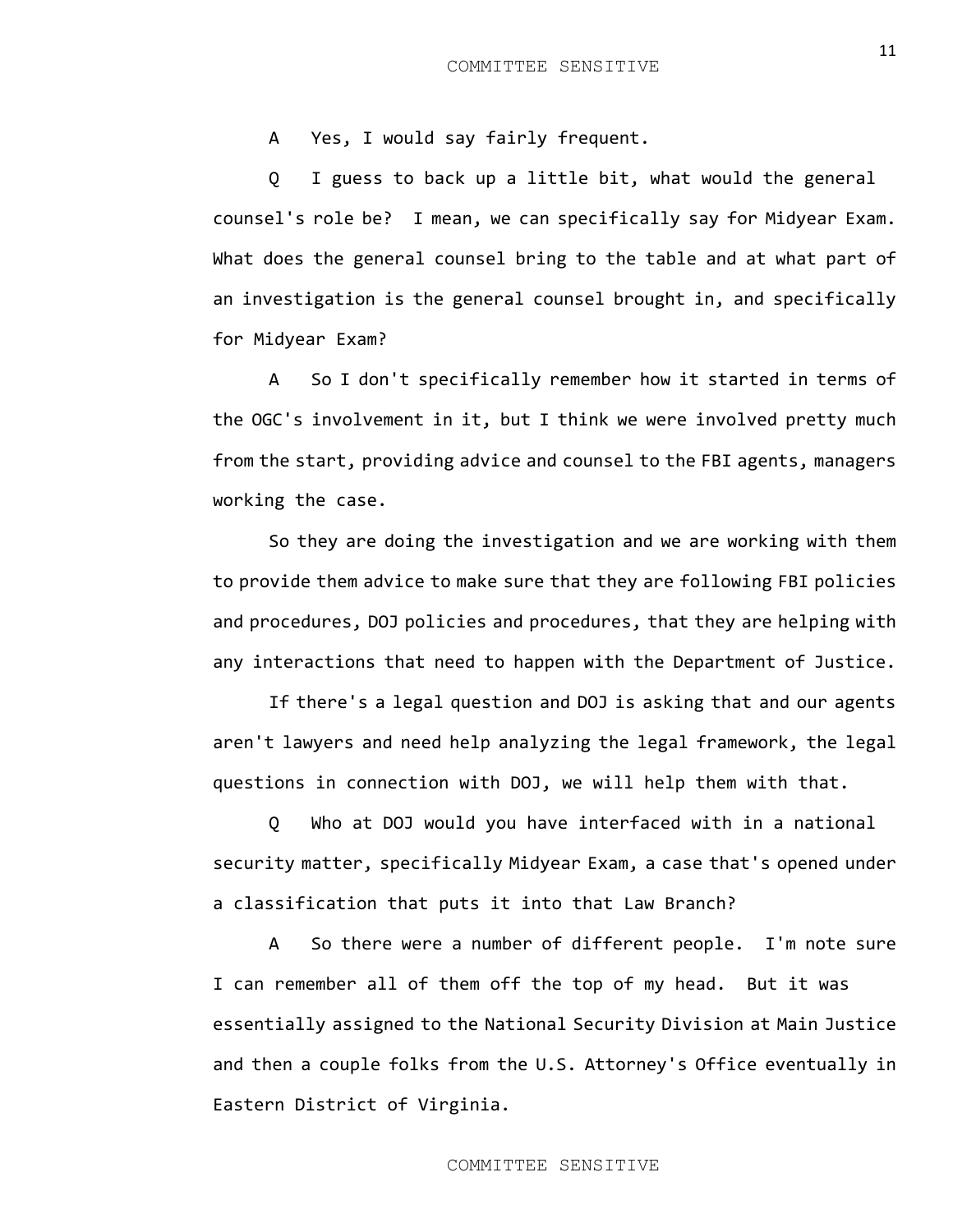A Yes, I would say fairly frequent.

Q I guess to back up a little bit, what would the general counsel's role be? I mean, we can specifically say for Midyear Exam. What does the general counsel bring to the table and at what part of an investigation is the general counsel brought in, and specifically for Midyear Exam?

A So I don't specifically remember how it started in terms of the OGC's involvement in it, but I think we were involved pretty much from the start, providing advice and counsel to the FBI agents, managers working the case.

So they are doing the investigation and we are working with them to provide them advice to make sure that they are following FBI policies and procedures, DOJ policies and procedures, that they are helping with any interactions that need to happen with the Department of Justice.

If there's a legal question and DOJ is asking that and our agents aren't lawyers and need help analyzing the legal framework, the legal questions in connection with DOJ, we will help them with that.

Q Who at DOJ would you have interfaced with in a national security matter, specifically Midyear Exam, a case that's opened under a classification that puts it into that Law Branch?

A So there were a number of different people. I'm note sure I can remember all of them off the top of my head. But it was essentially assigned to the National Security Division at Main Justice and then a couple folks from the U.S. Attorney's Office eventually in Eastern District of Virginia.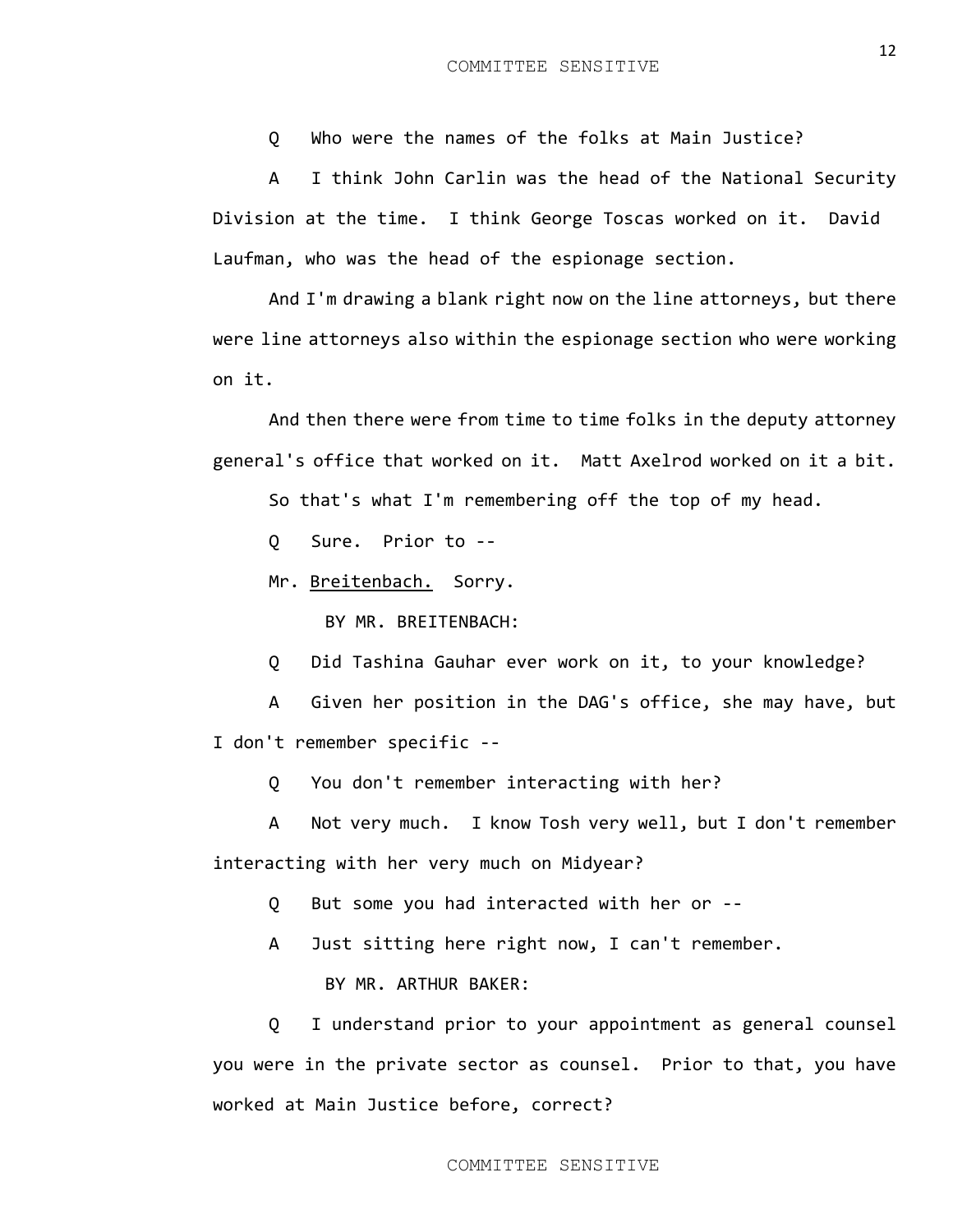Q Who were the names of the folks at Main Justice?

A I think John Carlin was the head of the National Security Division at the time. I think George Toscas worked on it. David Laufman, who was the head of the espionage section.

And I'm drawing a blank right now on the line attorneys, but there were line attorneys also within the espionage section who were working on it.

And then there were from time to time folks in the deputy attorney general's office that worked on it. Matt Axelrod worked on it a bit.

So that's what I'm remembering off the top of my head.

Q Sure. Prior to --

Mr. Breitenbach. Sorry.

BY MR. BREITENBACH:

Q Did Tashina Gauhar ever work on it, to your knowledge?

A Given her position in the DAG's office, she may have, but I don't remember specific --

Q You don't remember interacting with her?

A Not very much. I know Tosh very well, but I don't remember interacting with her very much on Midyear?

Q But some you had interacted with her or --

A Just sitting here right now, I can't remember.

BY MR. ARTHUR BAKER:

Q I understand prior to your appointment as general counsel you were in the private sector as counsel. Prior to that, you have worked at Main Justice before, correct?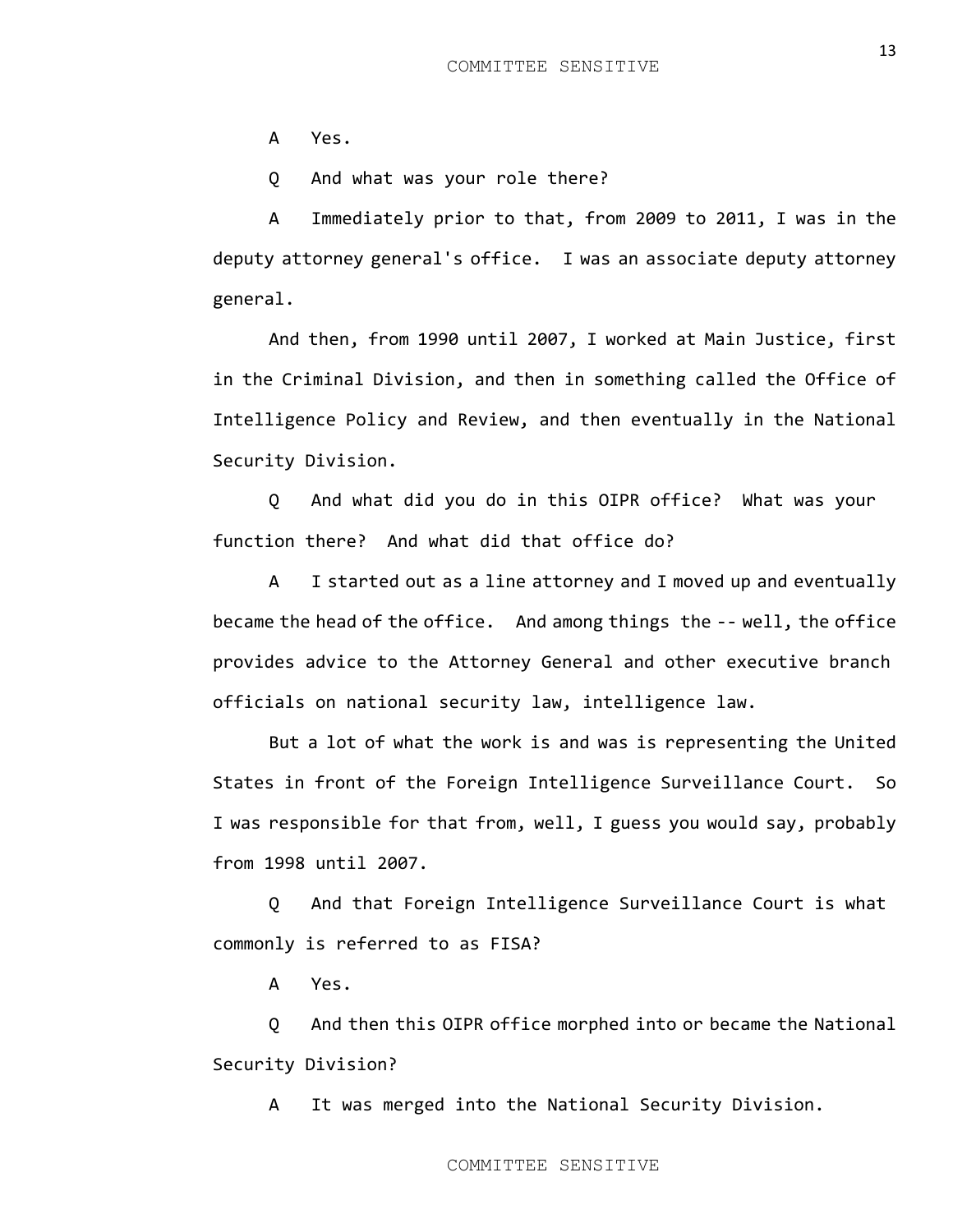A Yes.

Q And what was your role there?

A Immediately prior to that, from 2009 to 2011, I was in the deputy attorney general's office. I was an associate deputy attorney general.

And then, from 1990 until 2007, I worked at Main Justice, first in the Criminal Division, and then in something called the Office of Intelligence Policy and Review, and then eventually in the National Security Division.

Q And what did you do in this OIPR office? What was your function there? And what did that office do?

A I started out as a line attorney and I moved up and eventually became the head of the office. And among things the -- well, the office provides advice to the Attorney General and other executive branch officials on national security law, intelligence law.

But a lot of what the work is and was is representing the United States in front of the Foreign Intelligence Surveillance Court. So I was responsible for that from, well, I guess you would say, probably from 1998 until 2007.

Q And that Foreign Intelligence Surveillance Court is what commonly is referred to as FISA?

A Yes.

Q And then this OIPR office morphed into or became the National Security Division?

A It was merged into the National Security Division.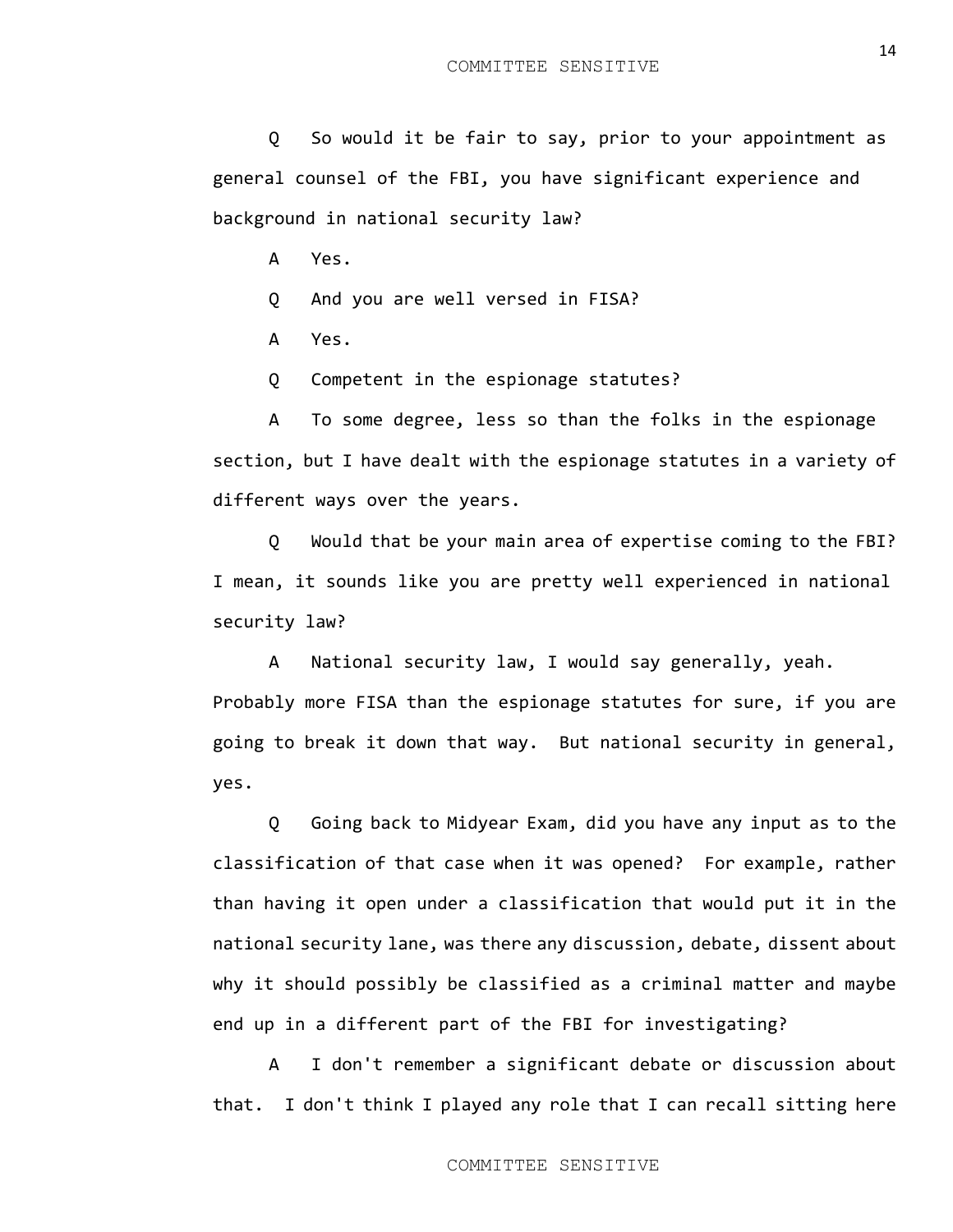Q So would it be fair to say, prior to your appointment as general counsel of the FBI, you have significant experience and background in national security law?

A Yes.

Q And you are well versed in FISA?

A Yes.

Q Competent in the espionage statutes?

A To some degree, less so than the folks in the espionage section, but I have dealt with the espionage statutes in a variety of different ways over the years.

Q Would that be your main area of expertise coming to the FBI? I mean, it sounds like you are pretty well experienced in national security law?

A National security law, I would say generally, yeah. Probably more FISA than the espionage statutes for sure, if you are going to break it down that way. But national security in general, yes.

Q Going back to Midyear Exam, did you have any input as to the classification of that case when it was opened? For example, rather than having it open under a classification that would put it in the national security lane, was there any discussion, debate, dissent about why it should possibly be classified as a criminal matter and maybe end up in a different part of the FBI for investigating?

A I don't remember a significant debate or discussion about that. I don't think I played any role that I can recall sitting here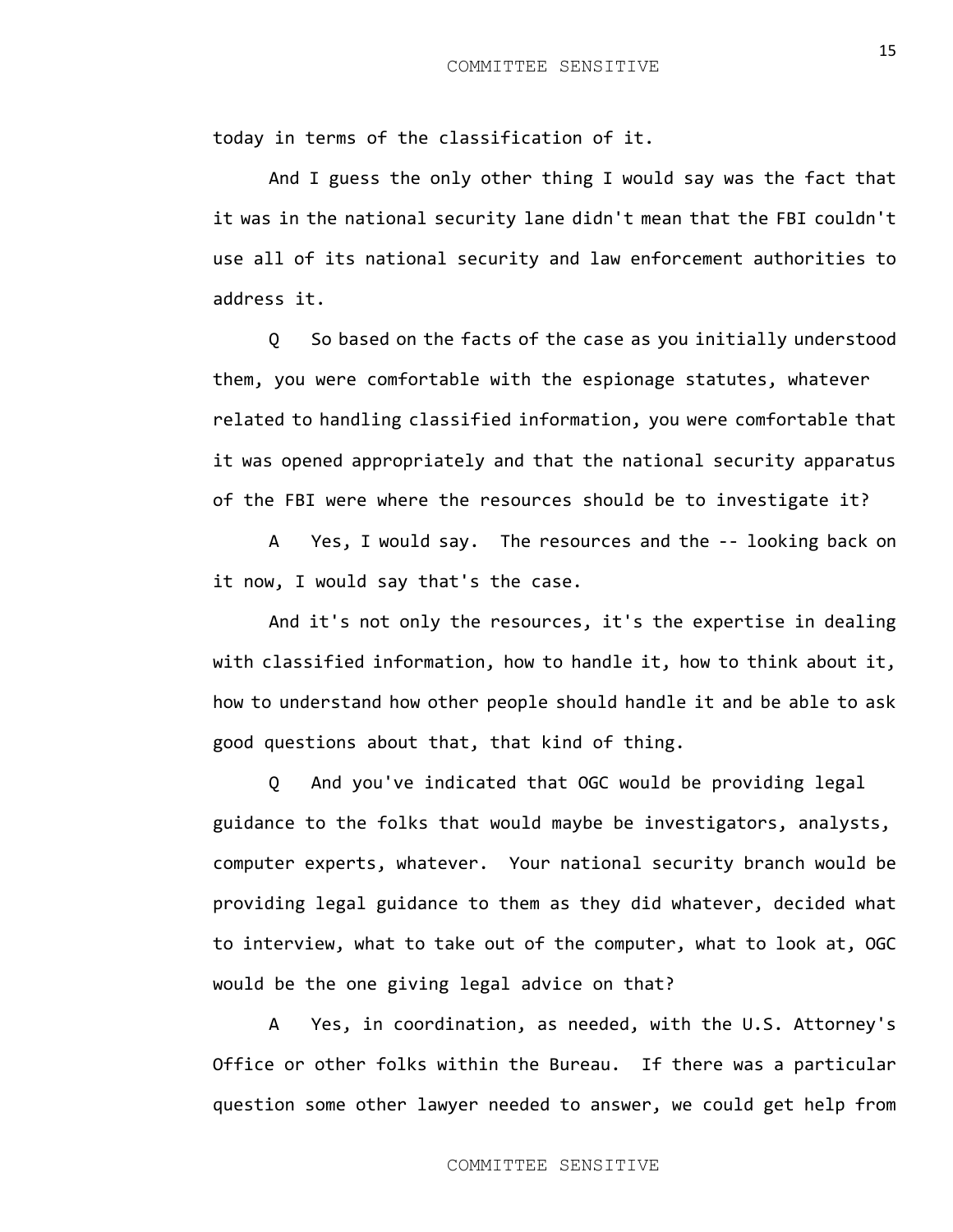today in terms of the classification of it.

And I guess the only other thing I would say was the fact that it was in the national security lane didn't mean that the FBI couldn't use all of its national security and law enforcement authorities to address it.

Q So based on the facts of the case as you initially understood them, you were comfortable with the espionage statutes, whatever related to handling classified information, you were comfortable that it was opened appropriately and that the national security apparatus of the FBI were where the resources should be to investigate it?

A Yes, I would say. The resources and the -- looking back on it now, I would say that's the case.

And it's not only the resources, it's the expertise in dealing with classified information, how to handle it, how to think about it, how to understand how other people should handle it and be able to ask good questions about that, that kind of thing.

Q And you've indicated that OGC would be providing legal guidance to the folks that would maybe be investigators, analysts, computer experts, whatever. Your national security branch would be providing legal guidance to them as they did whatever, decided what to interview, what to take out of the computer, what to look at, OGC would be the one giving legal advice on that?

A Yes, in coordination, as needed, with the U.S. Attorney's Office or other folks within the Bureau. If there was a particular question some other lawyer needed to answer, we could get help from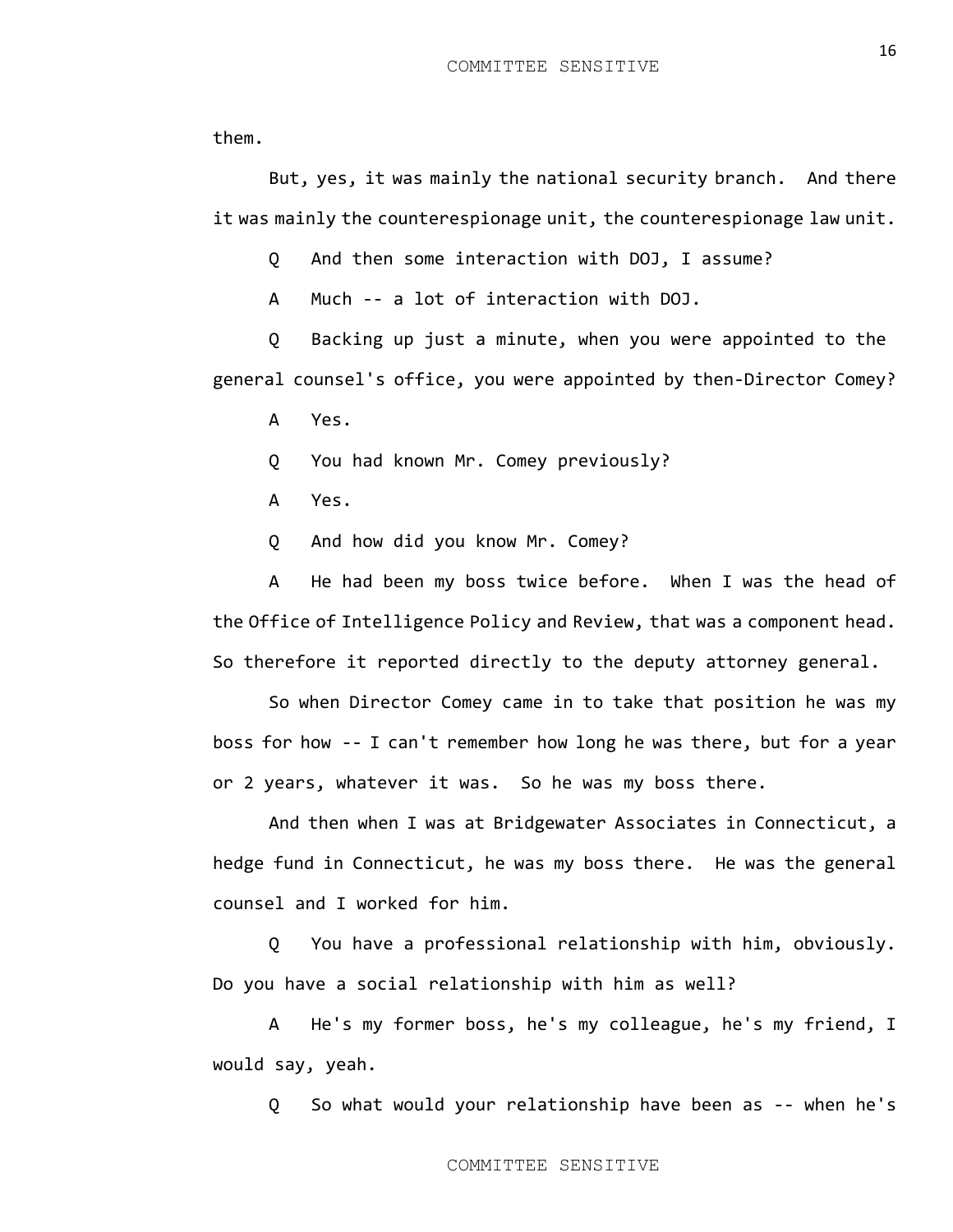them.

But, yes, it was mainly the national security branch. And there it was mainly the counterespionage unit, the counterespionage law unit.

Q And then some interaction with DOJ, I assume?

A Much -- a lot of interaction with DOJ.

Q Backing up just a minute, when you were appointed to the general counsel's office, you were appointed by then-Director Comey?

A Yes.

Q You had known Mr. Comey previously?

A Yes.

Q And how did you know Mr. Comey?

A He had been my boss twice before. When I was the head of the Office of Intelligence Policy and Review, that was a component head. So therefore it reported directly to the deputy attorney general.

So when Director Comey came in to take that position he was my boss for how -- I can't remember how long he was there, but for a year or 2 years, whatever it was. So he was my boss there.

And then when I was at Bridgewater Associates in Connecticut, a hedge fund in Connecticut, he was my boss there. He was the general counsel and I worked for him.

Q You have a professional relationship with him, obviously. Do you have a social relationship with him as well?

A He's my former boss, he's my colleague, he's my friend, I would say, yeah.

Q So what would your relationship have been as -- when he's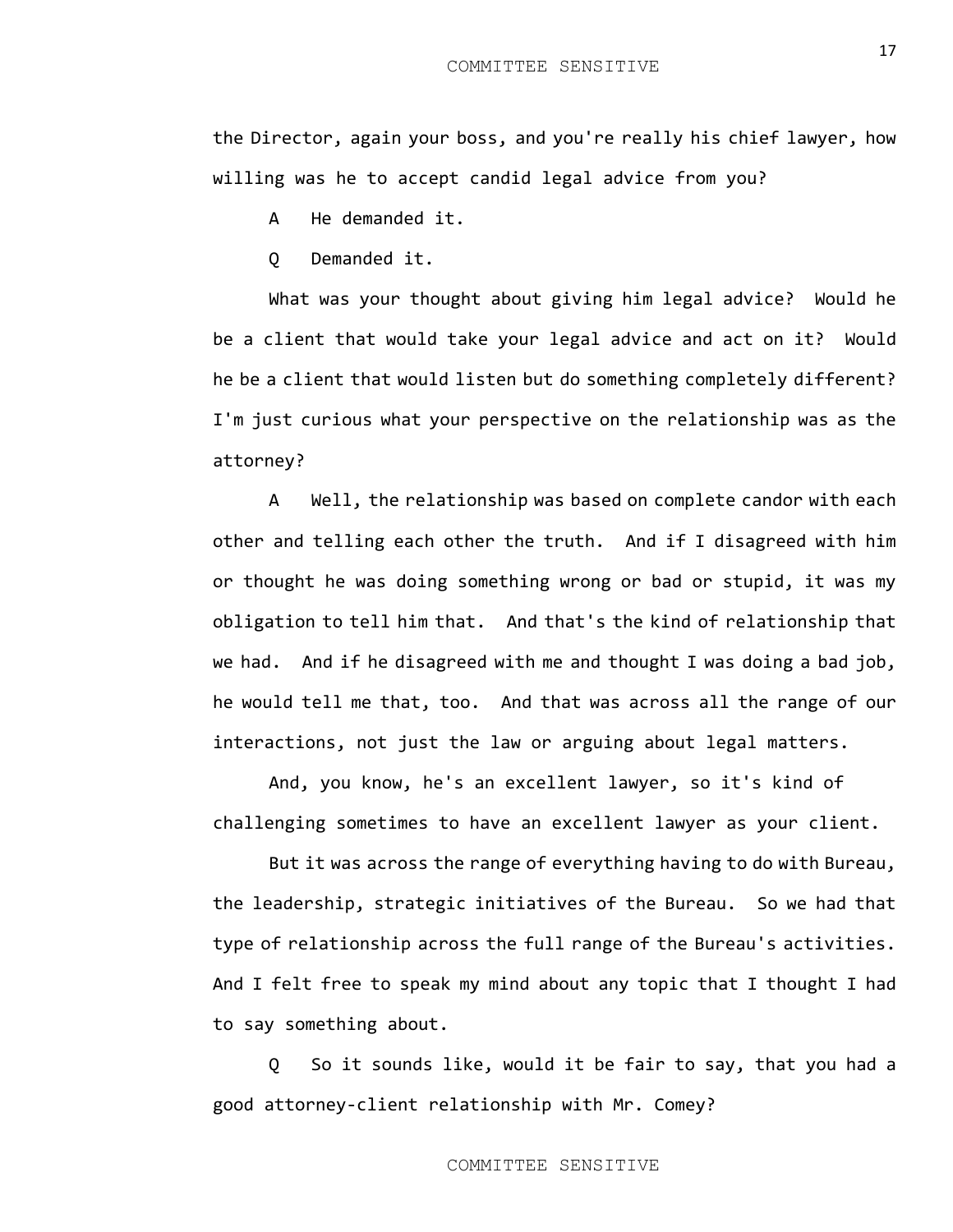the Director, again your boss, and you're really his chief lawyer, how willing was he to accept candid legal advice from you?

A He demanded it.

Q Demanded it.

What was your thought about giving him legal advice? Would he be a client that would take your legal advice and act on it? Would he be a client that would listen but do something completely different? I'm just curious what your perspective on the relationship was as the attorney?

A Well, the relationship was based on complete candor with each other and telling each other the truth. And if I disagreed with him or thought he was doing something wrong or bad or stupid, it was my obligation to tell him that. And that's the kind of relationship that we had. And if he disagreed with me and thought I was doing a bad job, he would tell me that, too. And that was across all the range of our interactions, not just the law or arguing about legal matters.

And, you know, he's an excellent lawyer, so it's kind of challenging sometimes to have an excellent lawyer as your client.

But it was across the range of everything having to do with Bureau, the leadership, strategic initiatives of the Bureau. So we had that type of relationship across the full range of the Bureau's activities. And I felt free to speak my mind about any topic that I thought I had to say something about.

Q So it sounds like, would it be fair to say, that you had a good attorney-client relationship with Mr. Comey?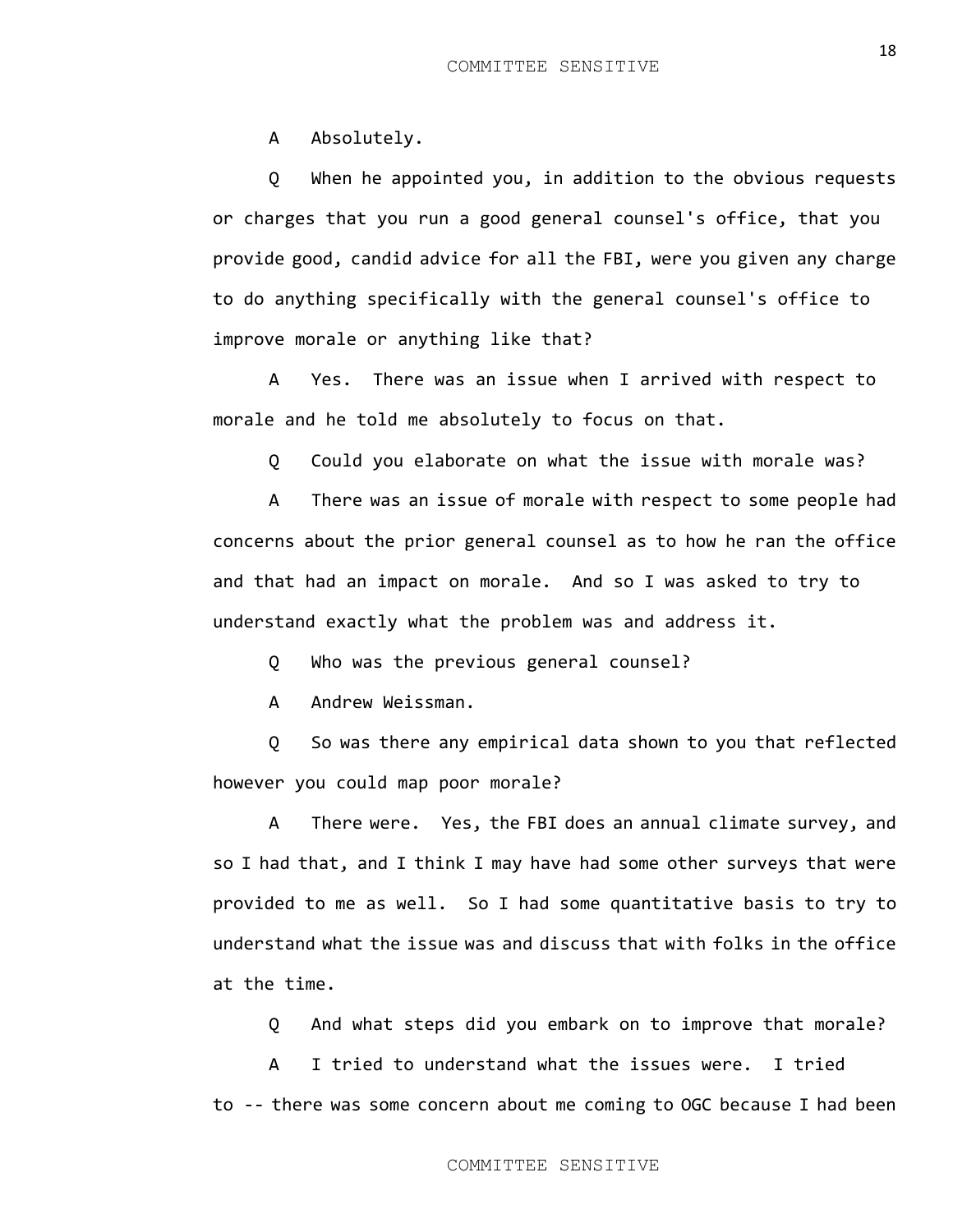A Absolutely.

Q When he appointed you, in addition to the obvious requests or charges that you run a good general counsel's office, that you provide good, candid advice for all the FBI, were you given any charge to do anything specifically with the general counsel's office to improve morale or anything like that?

A Yes. There was an issue when I arrived with respect to morale and he told me absolutely to focus on that.

Q Could you elaborate on what the issue with morale was?

A There was an issue of morale with respect to some people had concerns about the prior general counsel as to how he ran the office and that had an impact on morale. And so I was asked to try to understand exactly what the problem was and address it.

Q Who was the previous general counsel?

A Andrew Weissman.

Q So was there any empirical data shown to you that reflected however you could map poor morale?

A There were. Yes, the FBI does an annual climate survey, and so I had that, and I think I may have had some other surveys that were provided to me as well. So I had some quantitative basis to try to understand what the issue was and discuss that with folks in the office at the time.

Q And what steps did you embark on to improve that morale?

A I tried to understand what the issues were. I tried to -- there was some concern about me coming to OGC because I had been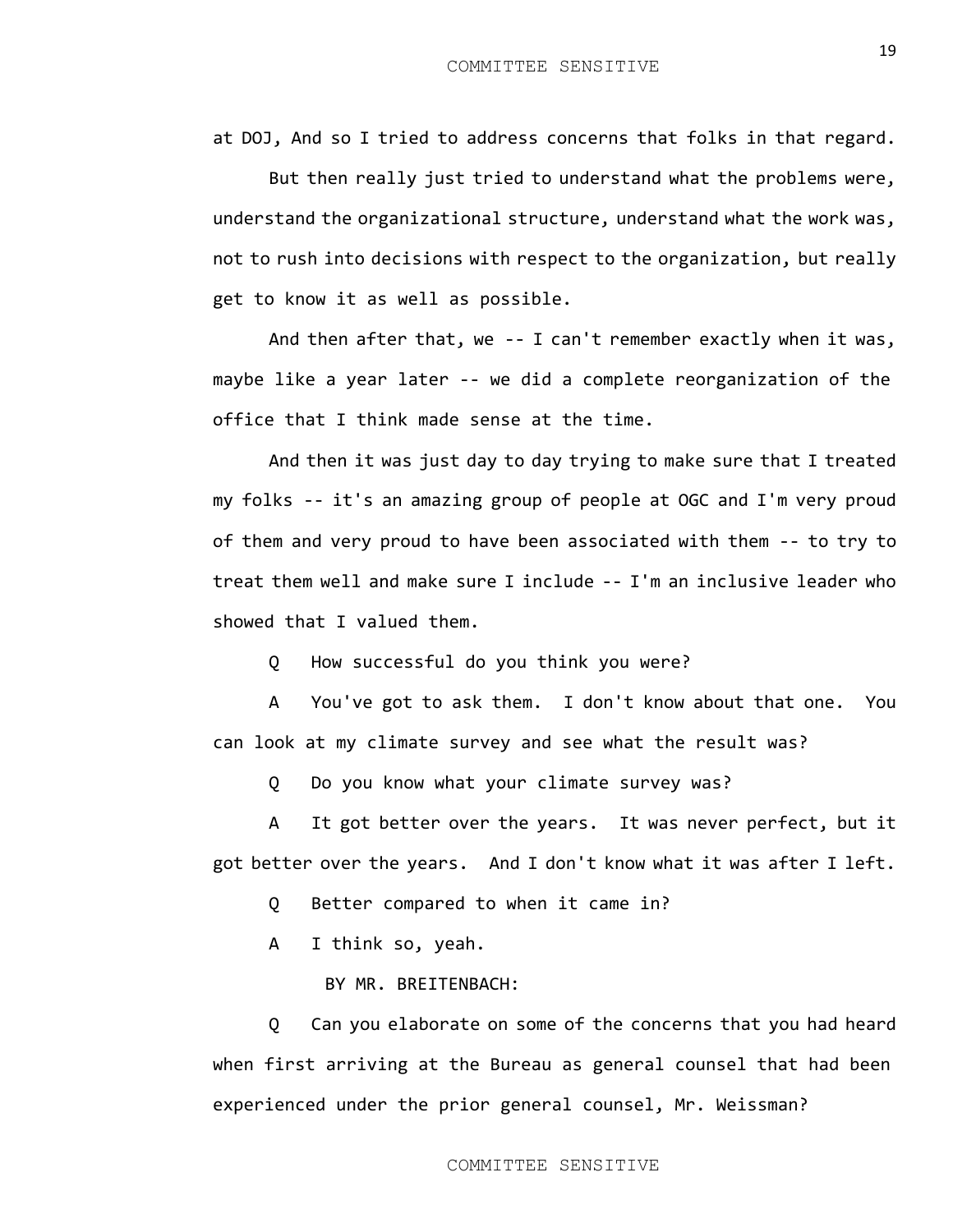at DOJ, And so I tried to address concerns that folks in that regard.

But then really just tried to understand what the problems were, understand the organizational structure, understand what the work was, not to rush into decisions with respect to the organization, but really get to know it as well as possible.

And then after that, we -- I can't remember exactly when it was, maybe like a year later -- we did a complete reorganization of the office that I think made sense at the time.

And then it was just day to day trying to make sure that I treated my folks -- it's an amazing group of people at OGC and I'm very proud of them and very proud to have been associated with them -- to try to treat them well and make sure I include -- I'm an inclusive leader who showed that I valued them.

Q How successful do you think you were?

A You've got to ask them. I don't know about that one. You can look at my climate survey and see what the result was?

Q Do you know what your climate survey was?

A It got better over the years. It was never perfect, but it got better over the years. And I don't know what it was after I left.

Q Better compared to when it came in?

A I think so, yeah.

BY MR. BREITENBACH:

Q Can you elaborate on some of the concerns that you had heard when first arriving at the Bureau as general counsel that had been experienced under the prior general counsel, Mr. Weissman?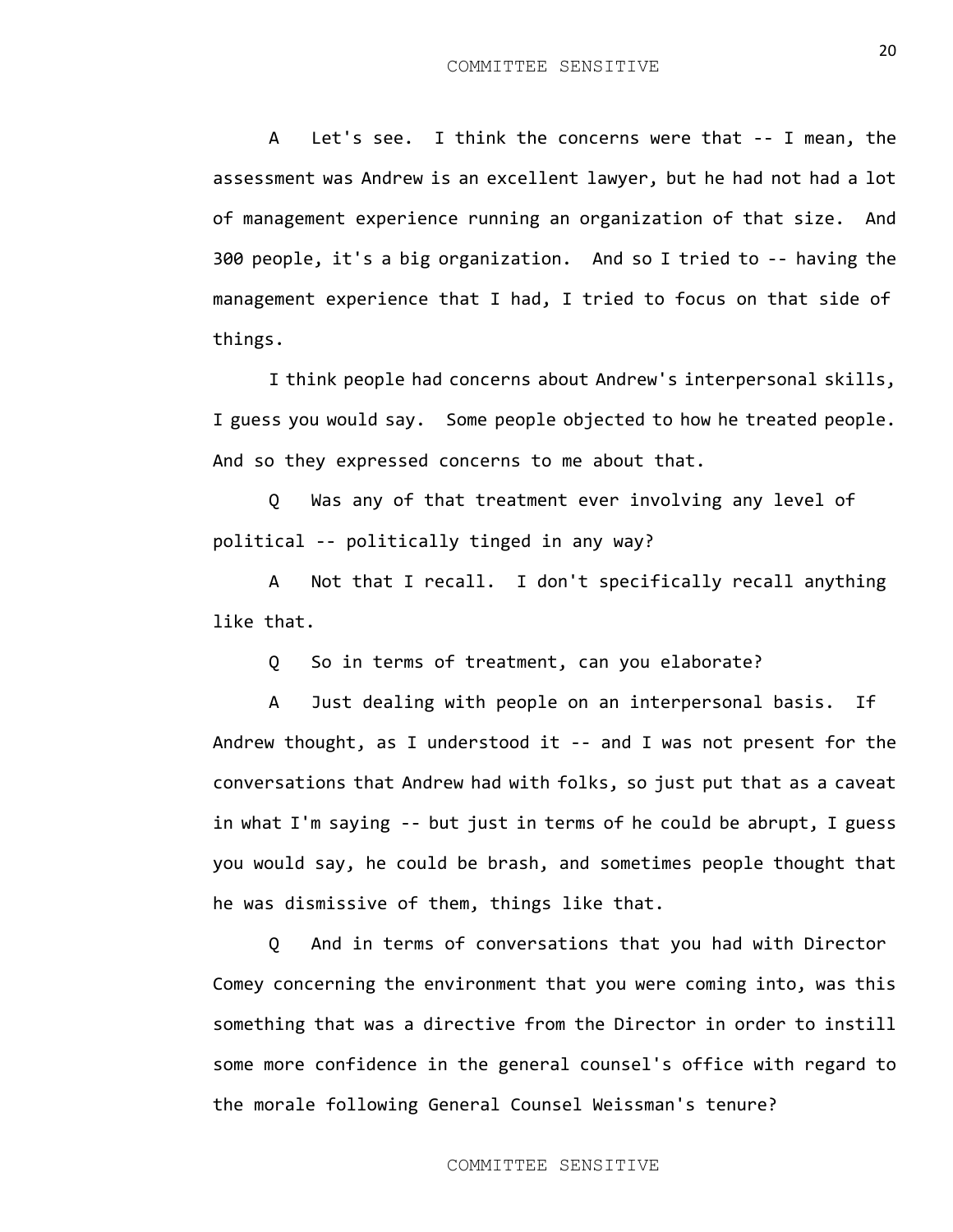A Let's see. I think the concerns were that -- I mean, the assessment was Andrew is an excellent lawyer, but he had not had a lot of management experience running an organization of that size. And 300 people, it's a big organization. And so I tried to -- having the management experience that I had, I tried to focus on that side of things.

I think people had concerns about Andrew's interpersonal skills, I guess you would say. Some people objected to how he treated people. And so they expressed concerns to me about that.

Q Was any of that treatment ever involving any level of political -- politically tinged in any way?

A Not that I recall. I don't specifically recall anything like that.

Q So in terms of treatment, can you elaborate?

A Just dealing with people on an interpersonal basis. If Andrew thought, as I understood it -- and I was not present for the conversations that Andrew had with folks, so just put that as a caveat in what I'm saying -- but just in terms of he could be abrupt, I guess you would say, he could be brash, and sometimes people thought that he was dismissive of them, things like that.

Q And in terms of conversations that you had with Director Comey concerning the environment that you were coming into, was this something that was a directive from the Director in order to instill some more confidence in the general counsel's office with regard to the morale following General Counsel Weissman's tenure?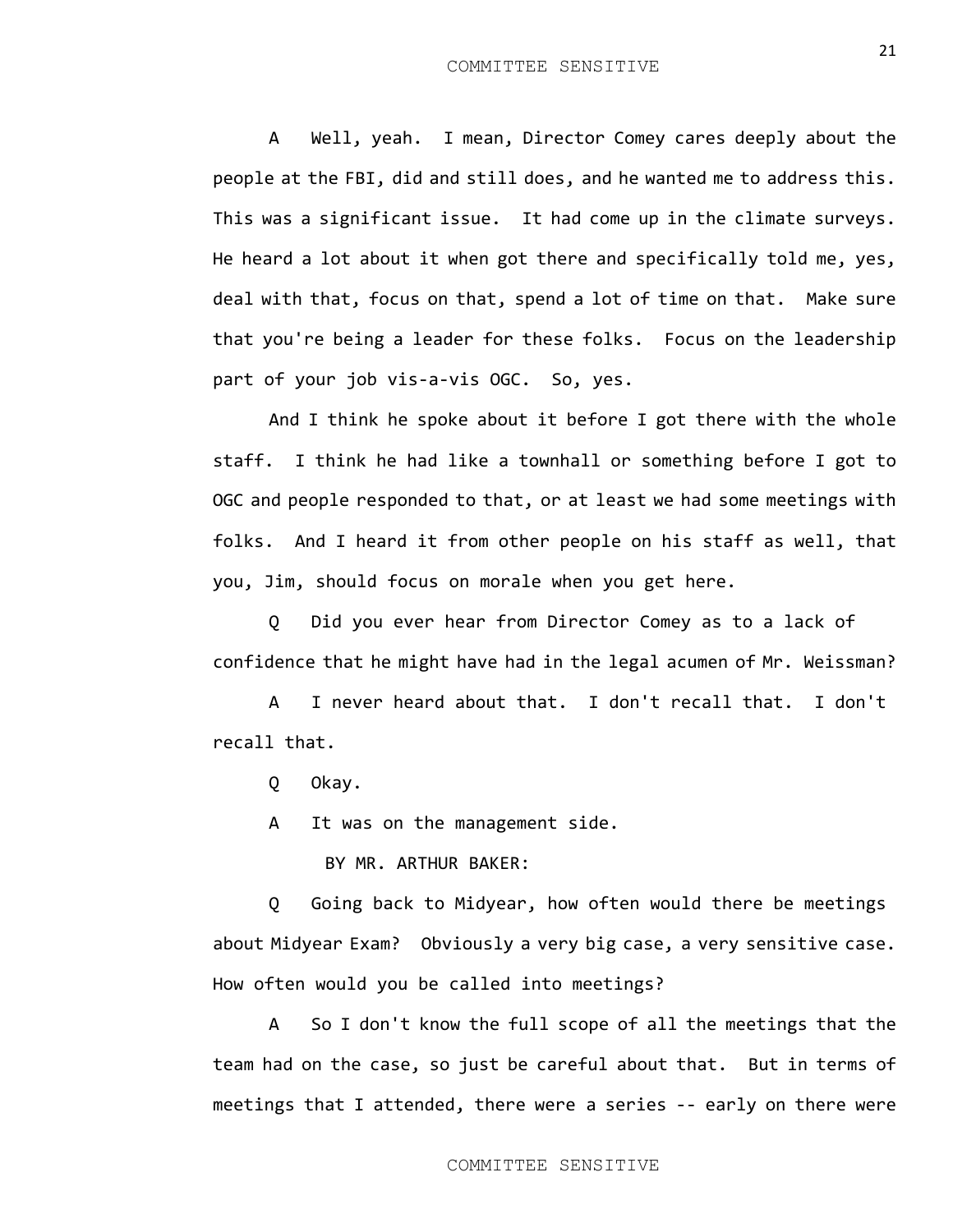A Well, yeah. I mean, Director Comey cares deeply about the people at the FBI, did and still does, and he wanted me to address this. This was a significant issue. It had come up in the climate surveys. He heard a lot about it when got there and specifically told me, yes, deal with that, focus on that, spend a lot of time on that. Make sure that you're being a leader for these folks. Focus on the leadership part of your job vis-a-vis OGC. So, yes.

And I think he spoke about it before I got there with the whole staff. I think he had like a townhall or something before I got to OGC and people responded to that, or at least we had some meetings with folks. And I heard it from other people on his staff as well, that you, Jim, should focus on morale when you get here.

Q Did you ever hear from Director Comey as to a lack of confidence that he might have had in the legal acumen of Mr. Weissman?

A I never heard about that. I don't recall that. I don't recall that.

Q Okay.

A It was on the management side.

BY MR. ARTHUR BAKER:

Q Going back to Midyear, how often would there be meetings about Midyear Exam? Obviously a very big case, a very sensitive case. How often would you be called into meetings?

A So I don't know the full scope of all the meetings that the team had on the case, so just be careful about that. But in terms of meetings that I attended, there were a series -- early on there were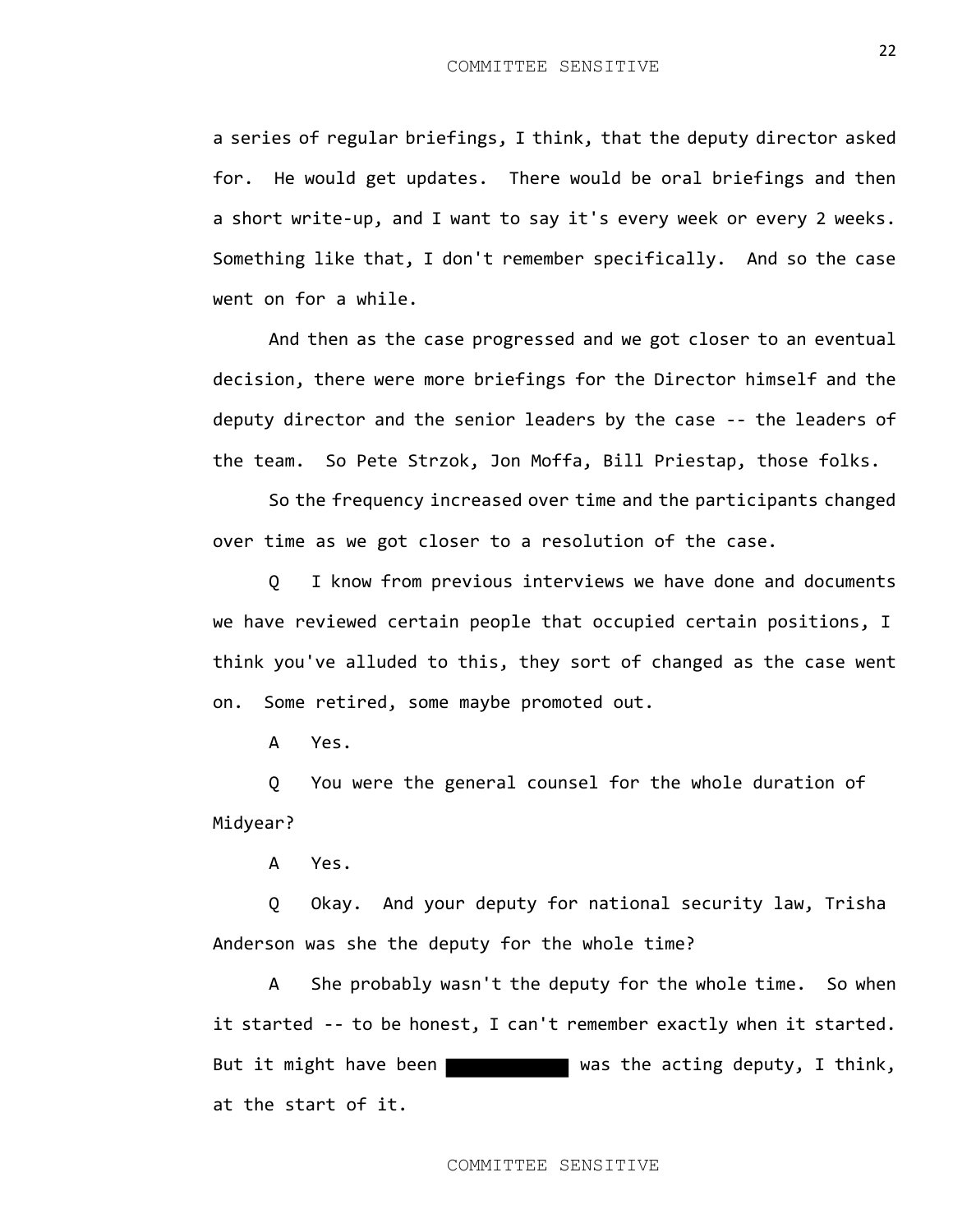a series of regular briefings, I think, that the deputy director asked for. He would get updates. There would be oral briefings and then a short write-up, and I want to say it's every week or every 2 weeks. Something like that, I don't remember specifically. And so the case went on for a while.

And then as the case progressed and we got closer to an eventual decision, there were more briefings for the Director himself and the deputy director and the senior leaders by the case -- the leaders of the team. So Pete Strzok, Jon Moffa, Bill Priestap, those folks.

So the frequency increased over time and the participants changed over time as we got closer to a resolution of the case.

Q I know from previous interviews we have done and documents we have reviewed certain people that occupied certain positions, I think you've alluded to this, they sort of changed as the case went on. Some retired, some maybe promoted out.

A Yes.

Q You were the general counsel for the whole duration of Midyear?

A Yes.

Q Okay. And your deputy for national security law, Trisha Anderson was she the deputy for the whole time?

A She probably wasn't the deputy for the whole time. So when it started -- to be honest, I can't remember exactly when it started. But it might have been **was the acting deputy, I think**, at the start of it.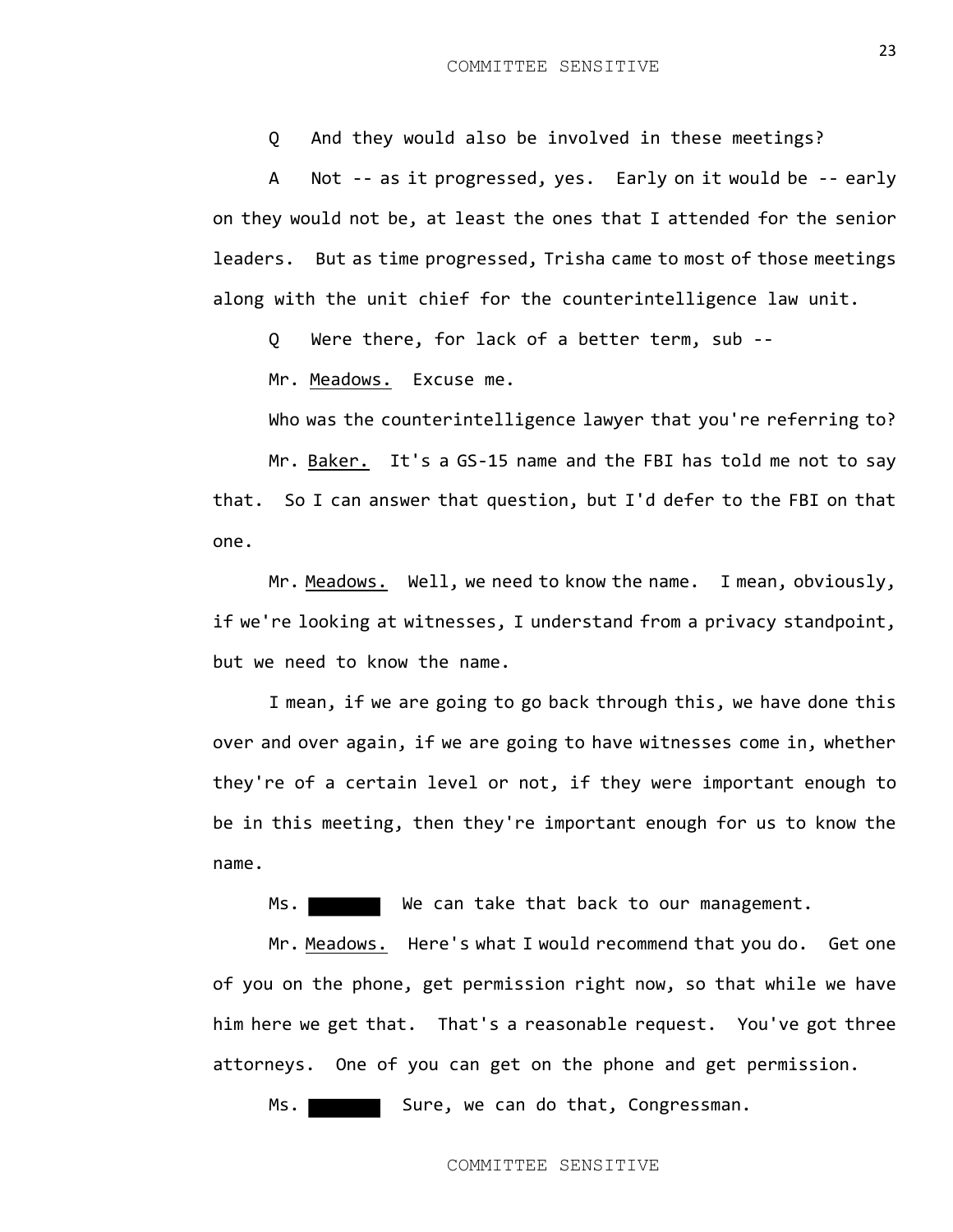Q And they would also be involved in these meetings?

A Not -- as it progressed, yes. Early on it would be -- early on they would not be, at least the ones that I attended for the senior leaders. But as time progressed, Trisha came to most of those meetings along with the unit chief for the counterintelligence law unit.

Q Were there, for lack of a better term, sub --

Mr. Meadows. Excuse me.

Who was the counterintelligence lawyer that you're referring to?

Mr. Baker. It's a GS-15 name and the FBI has told me not to say that. So I can answer that question, but I'd defer to the FBI on that one.

Mr. Meadows. Well, we need to know the name. I mean, obviously, if we're looking at witnesses, I understand from a privacy standpoint, but we need to know the name.

I mean, if we are going to go back through this, we have done this over and over again, if we are going to have witnesses come in, whether they're of a certain level or not, if they were important enough to be in this meeting, then they're important enough for us to know the name.

Ms. We can take that back to our management.

Mr. Meadows. Here's what I would recommend that you do. Get one of you on the phone, get permission right now, so that while we have him here we get that. That's a reasonable request. You've got three attorneys. One of you can get on the phone and get permission.

Ms. Sure, we can do that, Congressman.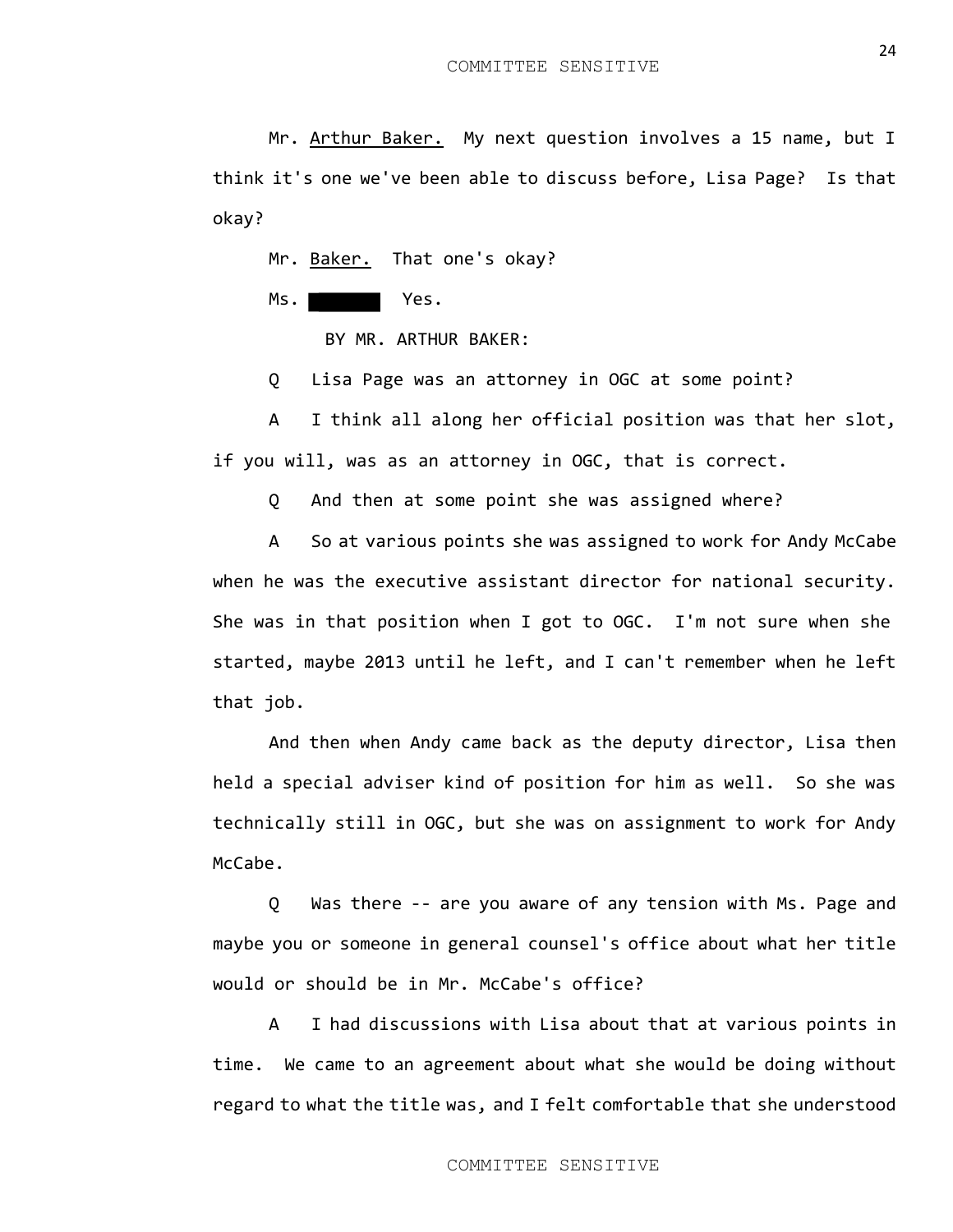Mr. Arthur Baker. My next question involves a 15 name, but I think it's one we've been able to discuss before, Lisa Page? Is that okay?

Mr. Baker. That one's okay?

Ms. Yes.

BY MR. ARTHUR BAKER:

Q Lisa Page was an attorney in OGC at some point?

A I think all along her official position was that her slot, if you will, was as an attorney in OGC, that is correct.

Q And then at some point she was assigned where?

A So at various points she was assigned to work for Andy McCabe when he was the executive assistant director for national security. She was in that position when I got to OGC. I'm not sure when she started, maybe 2013 until he left, and I can't remember when he left that job.

And then when Andy came back as the deputy director, Lisa then held a special adviser kind of position for him as well. So she was technically still in OGC, but she was on assignment to work for Andy McCabe.

Q Was there -- are you aware of any tension with Ms. Page and maybe you or someone in general counsel's office about what her title would or should be in Mr. McCabe's office?

A I had discussions with Lisa about that at various points in time. We came to an agreement about what she would be doing without regard to what the title was, and I felt comfortable that she understood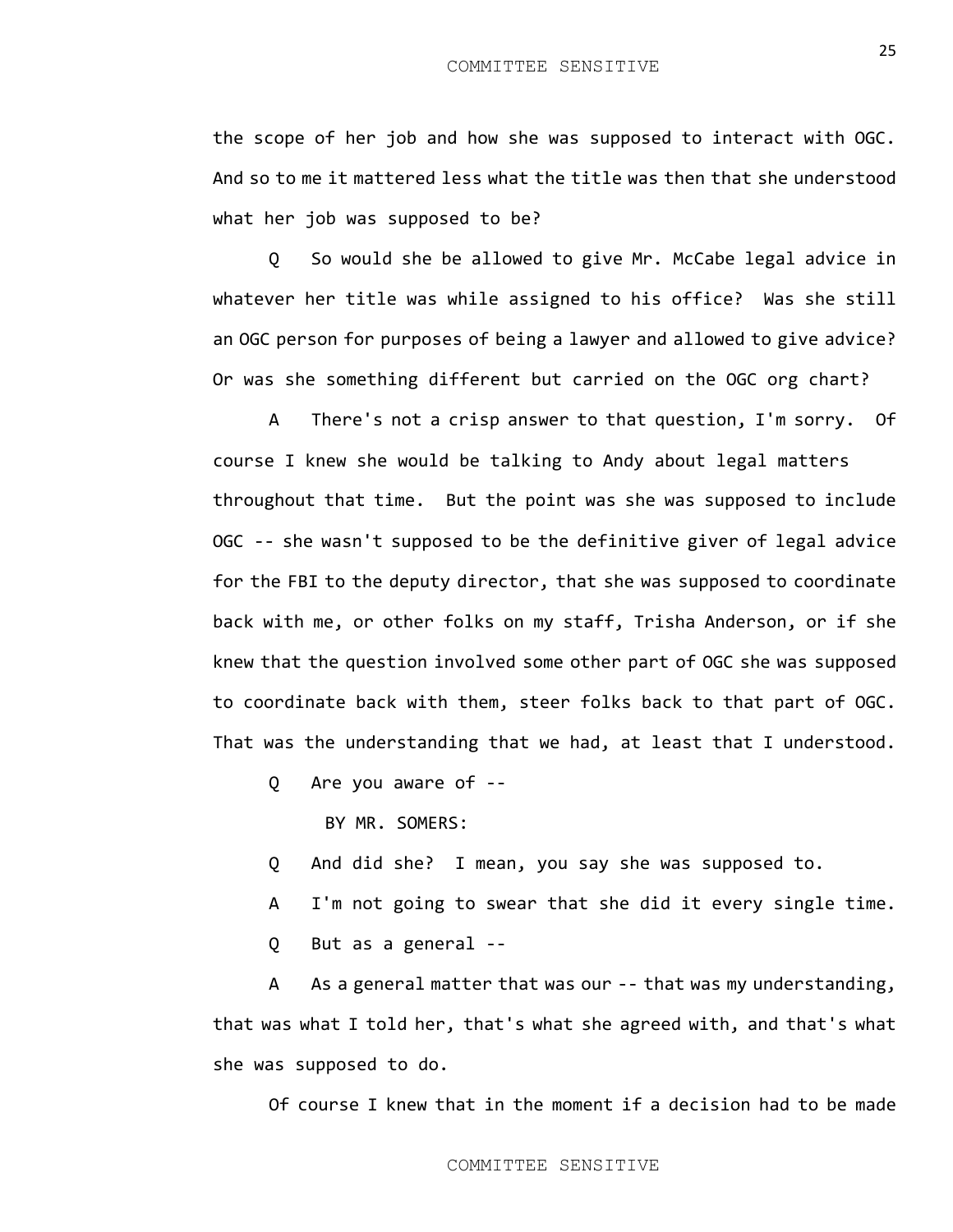the scope of her job and how she was supposed to interact with OGC. And so to me it mattered less what the title was then that she understood what her job was supposed to be?

Q So would she be allowed to give Mr. McCabe legal advice in whatever her title was while assigned to his office? Was she still an OGC person for purposes of being a lawyer and allowed to give advice? Or was she something different but carried on the OGC org chart?

A There's not a crisp answer to that question, I'm sorry. Of course I knew she would be talking to Andy about legal matters throughout that time. But the point was she was supposed to include OGC -- she wasn't supposed to be the definitive giver of legal advice for the FBI to the deputy director, that she was supposed to coordinate back with me, or other folks on my staff, Trisha Anderson, or if she knew that the question involved some other part of OGC she was supposed to coordinate back with them, steer folks back to that part of OGC. That was the understanding that we had, at least that I understood.

Q Are you aware of --

BY MR. SOMERS:

Q And did she? I mean, you say she was supposed to.

A I'm not going to swear that she did it every single time.

Q But as a general --

A As a general matter that was our -- that was my understanding, that was what I told her, that's what she agreed with, and that's what she was supposed to do.

Of course I knew that in the moment if a decision had to be made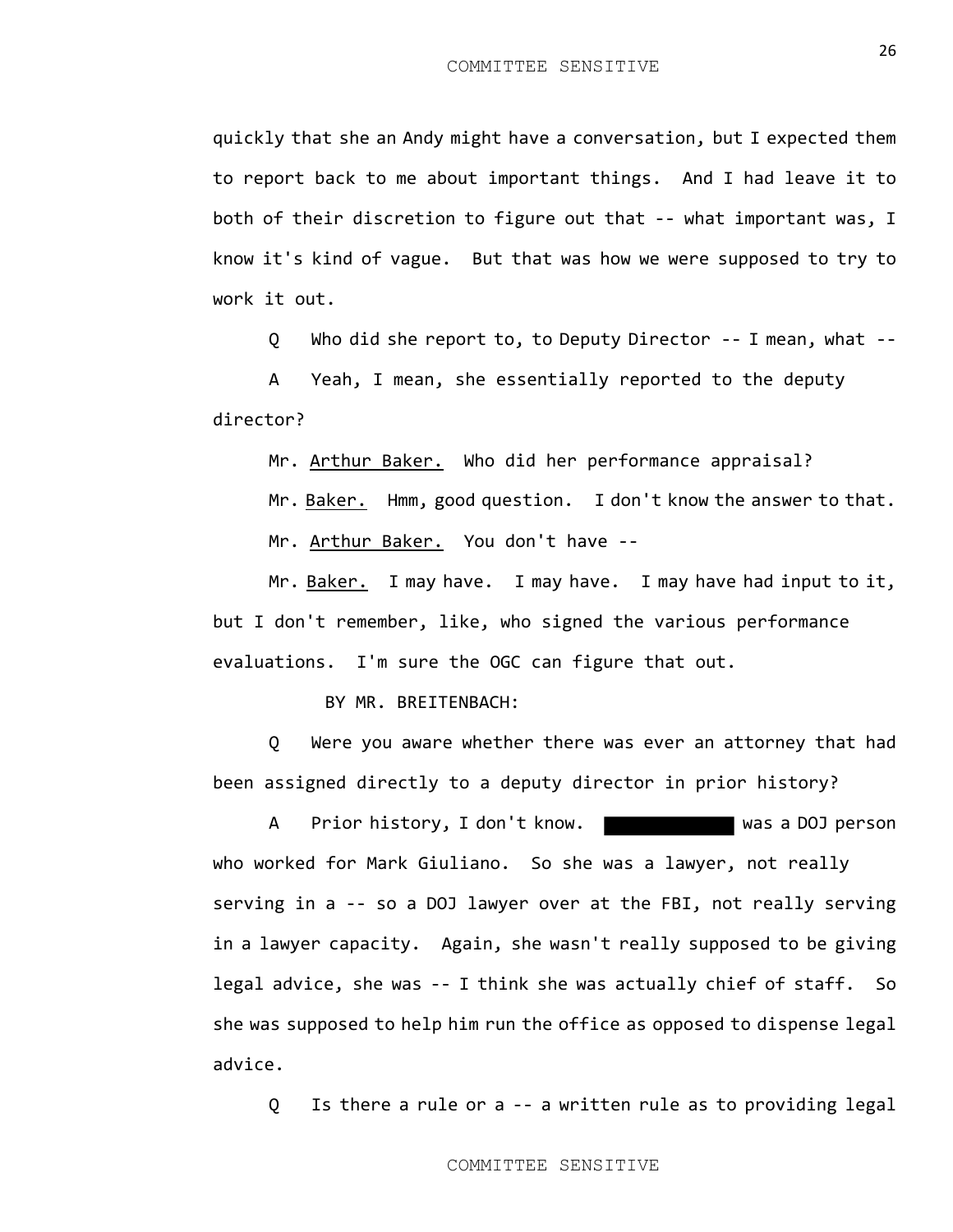quickly that she an Andy might have a conversation, but I expected them to report back to me about important things. And I had leave it to both of their discretion to figure out that -- what important was, I know it's kind of vague. But that was how we were supposed to try to work it out.

Q Who did she report to, to Deputy Director -- I mean, what --

A Yeah, I mean, she essentially reported to the deputy director?

Mr. Arthur Baker. Who did her performance appraisal?

Mr. Baker. Hmm, good question. I don't know the answer to that.

Mr. Arthur Baker. You don't have --

Mr. Baker. I may have. I may have. I may have had input to it, but I don't remember, like, who signed the various performance evaluations. I'm sure the OGC can figure that out.

BY MR. BREITENBACH:

Q Were you aware whether there was ever an attorney that had been assigned directly to a deputy director in prior history?

A Prior history, I don't know. who worked for Mark Giuliano. So she was a lawyer, not really serving in a -- so a DOJ lawyer over at the FBI, not really serving in a lawyer capacity. Again, she wasn't really supposed to be giving legal advice, she was -- I think she was actually chief of staff. So she was supposed to help him run the office as opposed to dispense legal advice.

Q Is there a rule or a -- a written rule as to providing legal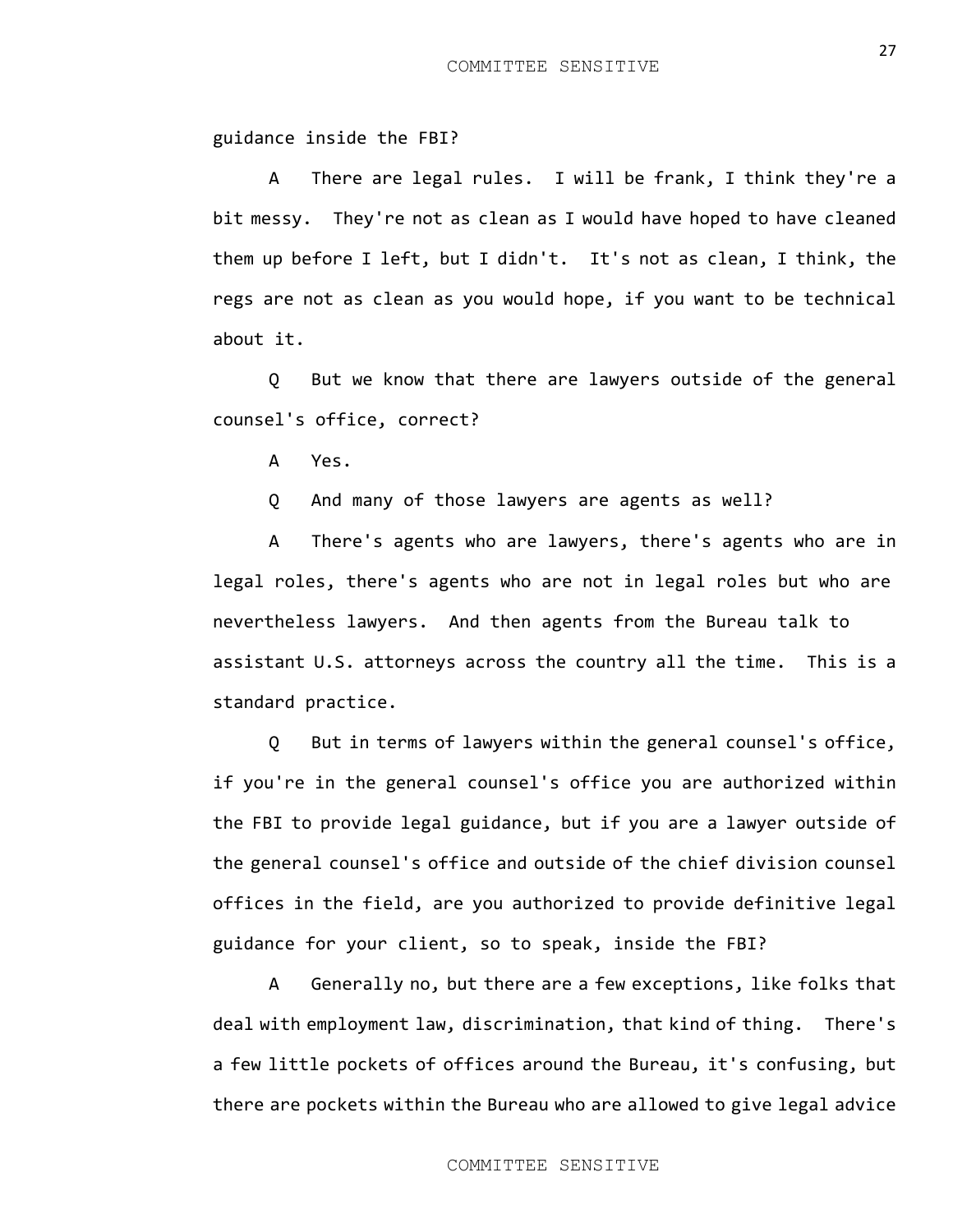guidance inside the FBI?

A There are legal rules. I will be frank, I think they're a bit messy. They're not as clean as I would have hoped to have cleaned them up before I left, but I didn't. It's not as clean, I think, the regs are not as clean as you would hope, if you want to be technical about it.

Q But we know that there are lawyers outside of the general counsel's office, correct?

A Yes.

Q And many of those lawyers are agents as well?

A There's agents who are lawyers, there's agents who are in legal roles, there's agents who are not in legal roles but who are nevertheless lawyers. And then agents from the Bureau talk to assistant U.S. attorneys across the country all the time. This is a standard practice.

Q But in terms of lawyers within the general counsel's office, if you're in the general counsel's office you are authorized within the FBI to provide legal guidance, but if you are a lawyer outside of the general counsel's office and outside of the chief division counsel offices in the field, are you authorized to provide definitive legal guidance for your client, so to speak, inside the FBI?

A Generally no, but there are a few exceptions, like folks that deal with employment law, discrimination, that kind of thing. There's a few little pockets of offices around the Bureau, it's confusing, but there are pockets within the Bureau who are allowed to give legal advice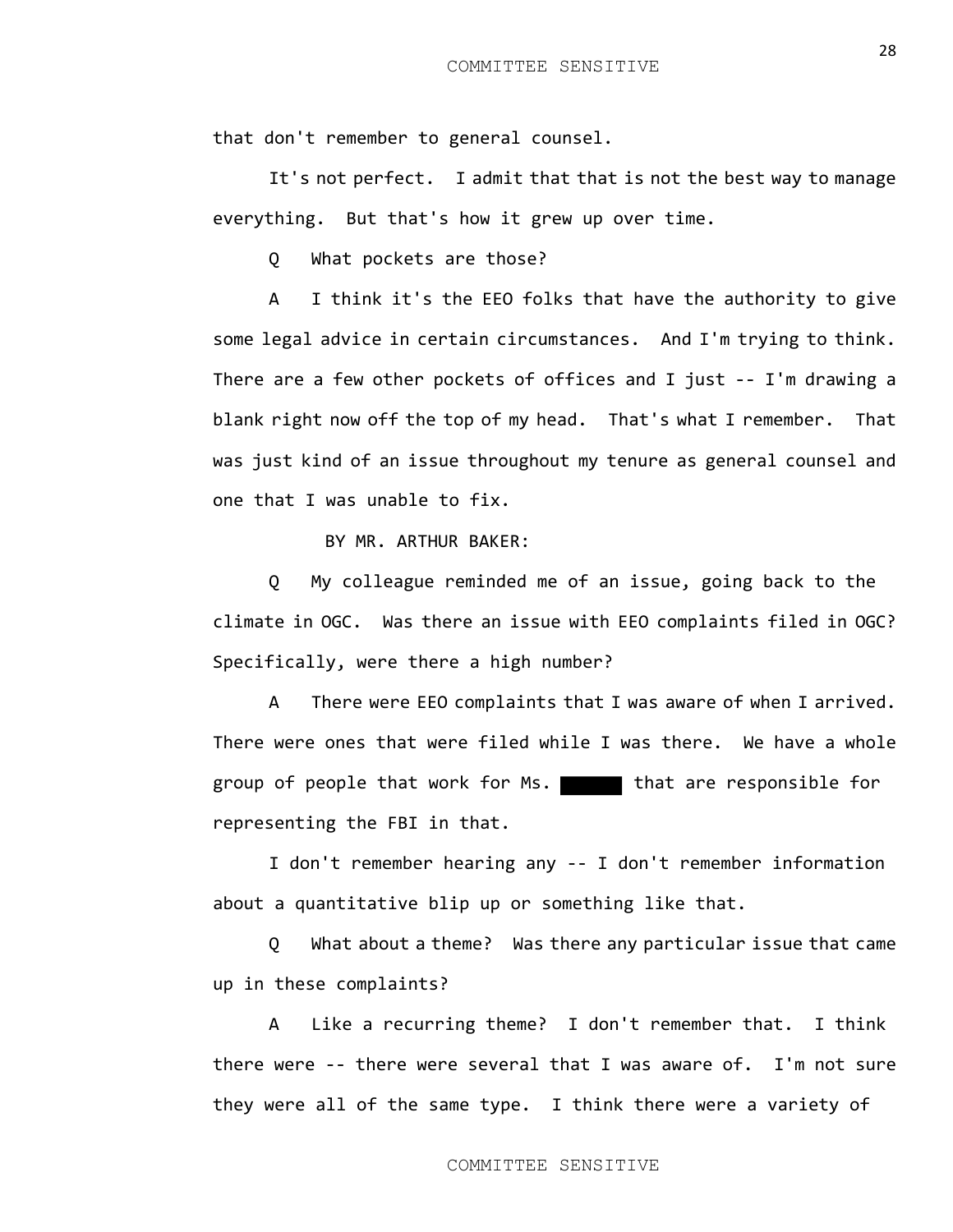that don't remember to general counsel.

It's not perfect. I admit that that is not the best way to manage everything. But that's how it grew up over time.

Q What pockets are those?

A I think it's the EEO folks that have the authority to give some legal advice in certain circumstances. And I'm trying to think. There are a few other pockets of offices and I just -- I'm drawing a blank right now off the top of my head. That's what I remember. That was just kind of an issue throughout my tenure as general counsel and one that I was unable to fix.

BY MR. ARTHUR BAKER:

Q My colleague reminded me of an issue, going back to the climate in OGC. Was there an issue with EEO complaints filed in OGC? Specifically, were there a high number?

A There were EEO complaints that I was aware of when I arrived. There were ones that were filed while I was there. We have a whole group of people that work for Ms. that are responsible for representing the FBI in that.

I don't remember hearing any -- I don't remember information about a quantitative blip up or something like that.

Q What about a theme? Was there any particular issue that came up in these complaints?

A Like a recurring theme? I don't remember that. I think there were -- there were several that I was aware of. I'm not sure they were all of the same type. I think there were a variety of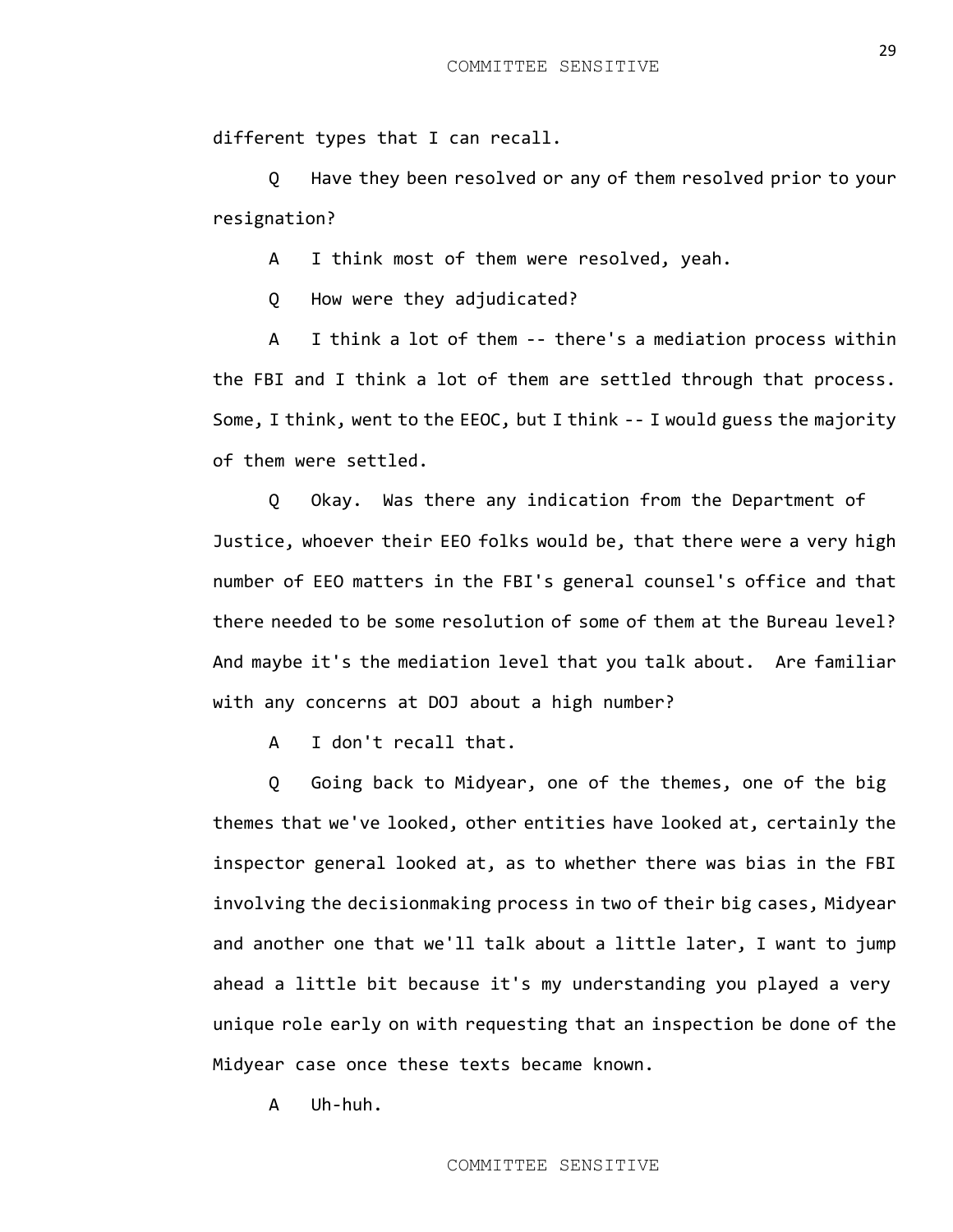different types that I can recall.

Q Have they been resolved or any of them resolved prior to your resignation?

A I think most of them were resolved, yeah.

Q How were they adjudicated?

A I think a lot of them -- there's a mediation process within the FBI and I think a lot of them are settled through that process. Some, I think, went to the EEOC, but I think -- I would guess the majority of them were settled.

Q Okay. Was there any indication from the Department of Justice, whoever their EEO folks would be, that there were a very high number of EEO matters in the FBI's general counsel's office and that there needed to be some resolution of some of them at the Bureau level? And maybe it's the mediation level that you talk about. Are familiar with any concerns at DOJ about a high number?

A I don't recall that.

Q Going back to Midyear, one of the themes, one of the big themes that we've looked, other entities have looked at, certainly the inspector general looked at, as to whether there was bias in the FBI involving the decisionmaking process in two of their big cases, Midyear and another one that we'll talk about a little later, I want to jump ahead a little bit because it's my understanding you played a very unique role early on with requesting that an inspection be done of the Midyear case once these texts became known.

A Uh-huh.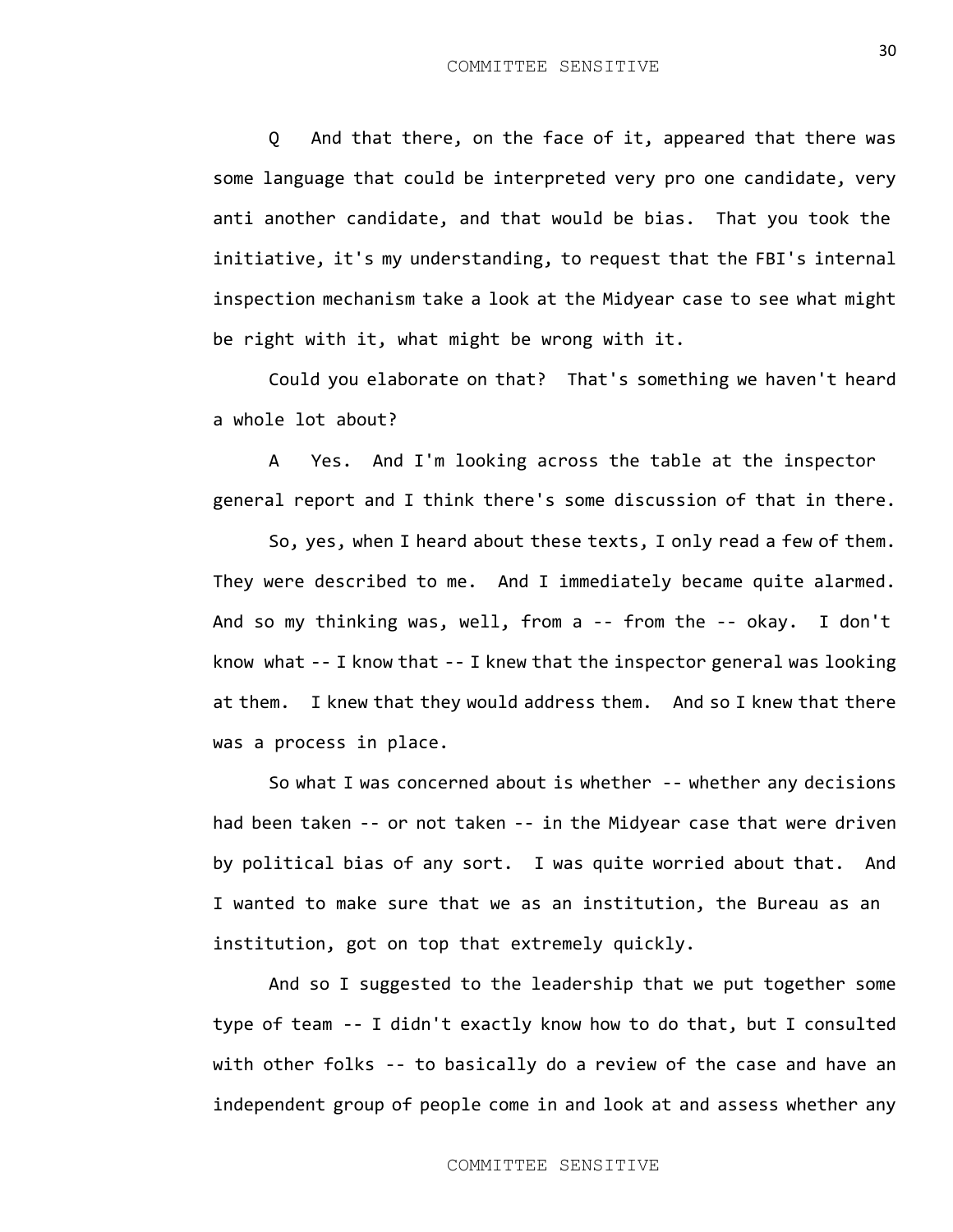Q And that there, on the face of it, appeared that there was some language that could be interpreted very pro one candidate, very anti another candidate, and that would be bias. That you took the initiative, it's my understanding, to request that the FBI's internal inspection mechanism take a look at the Midyear case to see what might be right with it, what might be wrong with it.

Could you elaborate on that? That's something we haven't heard a whole lot about?

A Yes. And I'm looking across the table at the inspector general report and I think there's some discussion of that in there.

So, yes, when I heard about these texts, I only read a few of them. They were described to me. And I immediately became quite alarmed. And so my thinking was, well, from a -- from the -- okay. I don't know what -- I know that -- I knew that the inspector general was looking at them. I knew that they would address them. And so I knew that there was a process in place.

So what I was concerned about is whether -- whether any decisions had been taken -- or not taken -- in the Midyear case that were driven by political bias of any sort. I was quite worried about that. And I wanted to make sure that we as an institution, the Bureau as an institution, got on top that extremely quickly.

And so I suggested to the leadership that we put together some type of team -- I didn't exactly know how to do that, but I consulted with other folks -- to basically do a review of the case and have an independent group of people come in and look at and assess whether any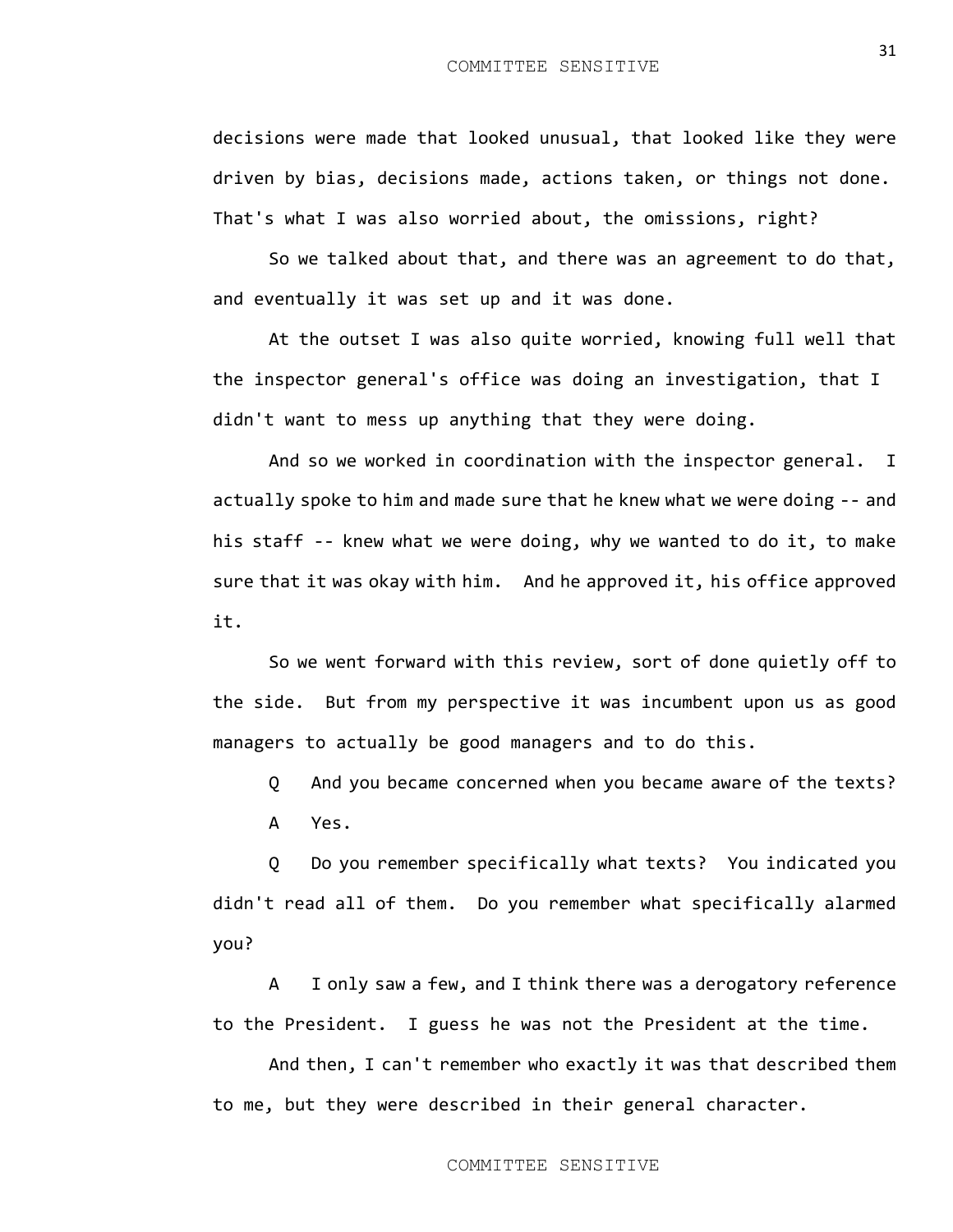decisions were made that looked unusual, that looked like they were driven by bias, decisions made, actions taken, or things not done. That's what I was also worried about, the omissions, right?

So we talked about that, and there was an agreement to do that, and eventually it was set up and it was done.

At the outset I was also quite worried, knowing full well that the inspector general's office was doing an investigation, that I didn't want to mess up anything that they were doing.

And so we worked in coordination with the inspector general. I actually spoke to him and made sure that he knew what we were doing -- and his staff -- knew what we were doing, why we wanted to do it, to make sure that it was okay with him. And he approved it, his office approved it.

So we went forward with this review, sort of done quietly off to the side. But from my perspective it was incumbent upon us as good managers to actually be good managers and to do this.

Q And you became concerned when you became aware of the texts? A Yes.

Q Do you remember specifically what texts? You indicated you didn't read all of them. Do you remember what specifically alarmed you?

A I only saw a few, and I think there was a derogatory reference to the President. I guess he was not the President at the time.

And then, I can't remember who exactly it was that described them to me, but they were described in their general character.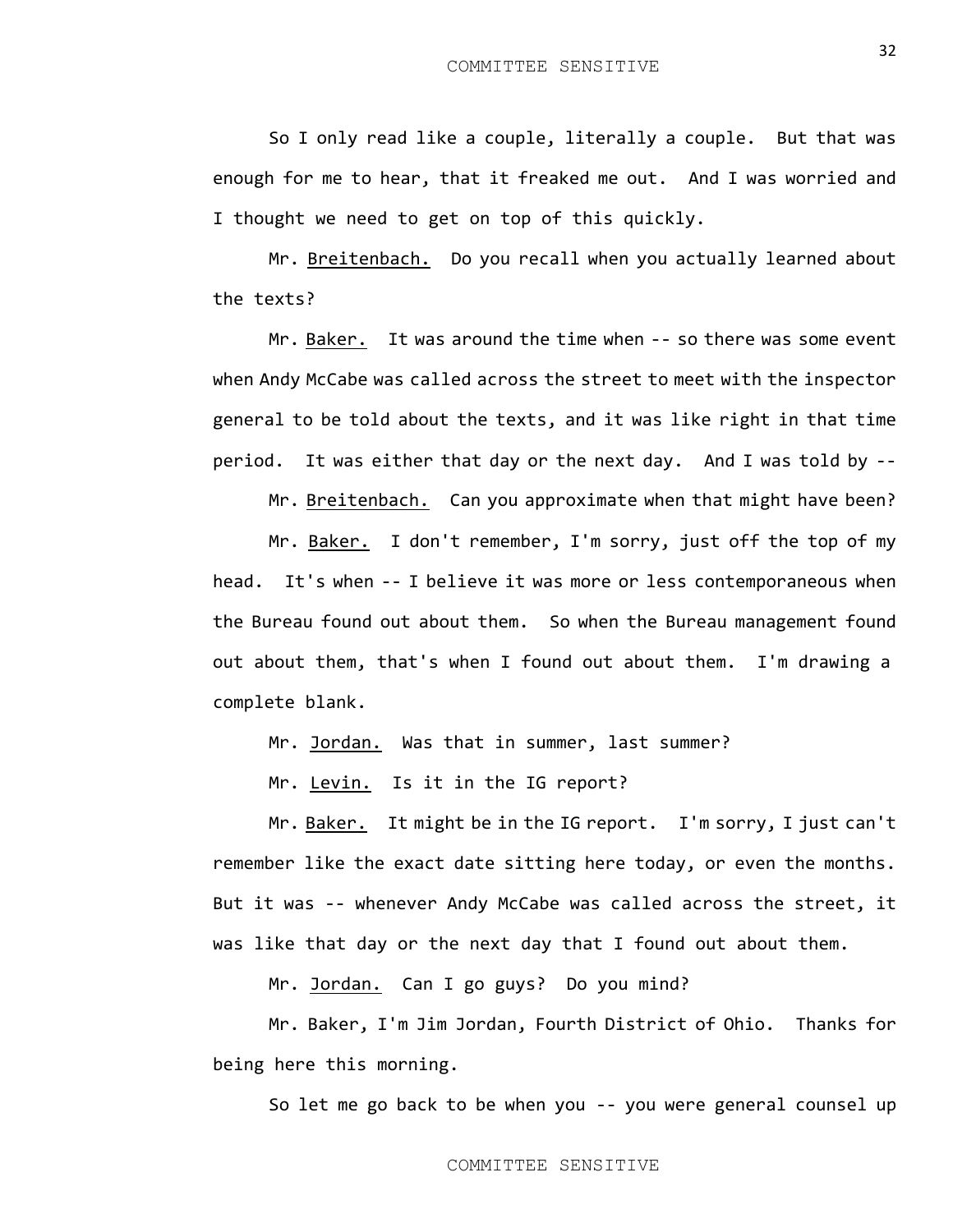So I only read like a couple, literally a couple. But that was enough for me to hear, that it freaked me out. And I was worried and I thought we need to get on top of this quickly.

Mr. Breitenbach. Do you recall when you actually learned about the texts?

Mr. Baker. It was around the time when -- so there was some event when Andy McCabe was called across the street to meet with the inspector general to be told about the texts, and it was like right in that time period. It was either that day or the next day. And I was told by --

Mr. Breitenbach. Can you approximate when that might have been?

Mr. Baker. I don't remember, I'm sorry, just off the top of my head. It's when -- I believe it was more or less contemporaneous when the Bureau found out about them. So when the Bureau management found out about them, that's when I found out about them. I'm drawing a complete blank.

Mr. Jordan. Was that in summer, last summer?

Mr. Levin. Is it in the IG report?

Mr. Baker. It might be in the IG report. I'm sorry, I just can't remember like the exact date sitting here today, or even the months. But it was -- whenever Andy McCabe was called across the street, it was like that day or the next day that I found out about them.

Mr. Jordan. Can I go guys? Do you mind?

Mr. Baker, I'm Jim Jordan, Fourth District of Ohio. Thanks for being here this morning.

So let me go back to be when you -- you were general counsel up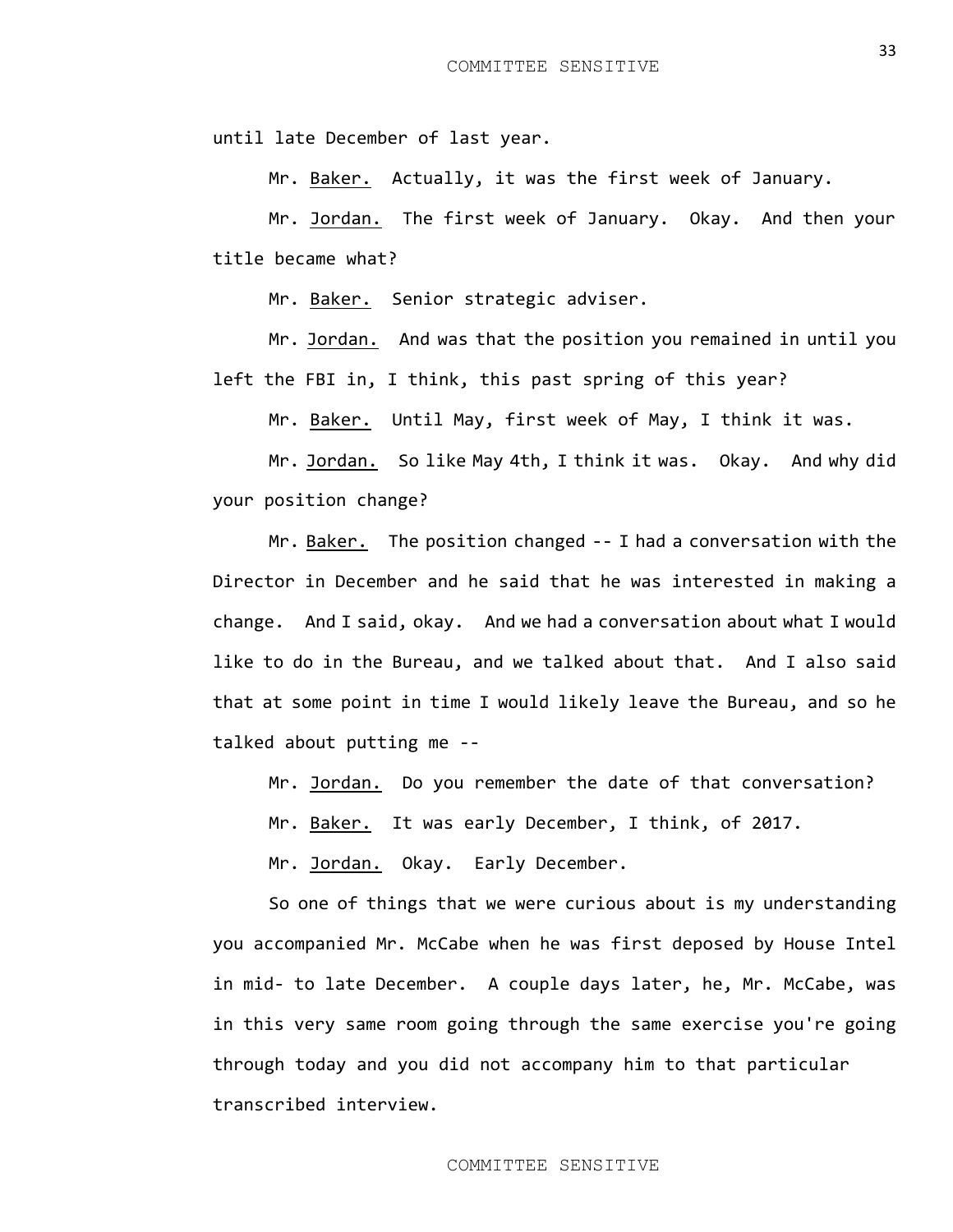until late December of last year.

Mr. Baker. Actually, it was the first week of January.

Mr. Jordan. The first week of January. Okay. And then your title became what?

Mr. Baker. Senior strategic adviser.

Mr. Jordan. And was that the position you remained in until you left the FBI in, I think, this past spring of this year?

Mr. Baker. Until May, first week of May, I think it was.

Mr. Jordan. So like May 4th, I think it was. Okay. And why did your position change?

Mr. Baker. The position changed -- I had a conversation with the Director in December and he said that he was interested in making a change. And I said, okay. And we had a conversation about what I would like to do in the Bureau, and we talked about that. And I also said that at some point in time I would likely leave the Bureau, and so he talked about putting me --

Mr. Jordan. Do you remember the date of that conversation?

Mr. Baker. It was early December, I think, of 2017.

Mr. Jordan. Okay. Early December.

So one of things that we were curious about is my understanding you accompanied Mr. McCabe when he was first deposed by House Intel in mid- to late December. A couple days later, he, Mr. McCabe, was in this very same room going through the same exercise you're going through today and you did not accompany him to that particular transcribed interview.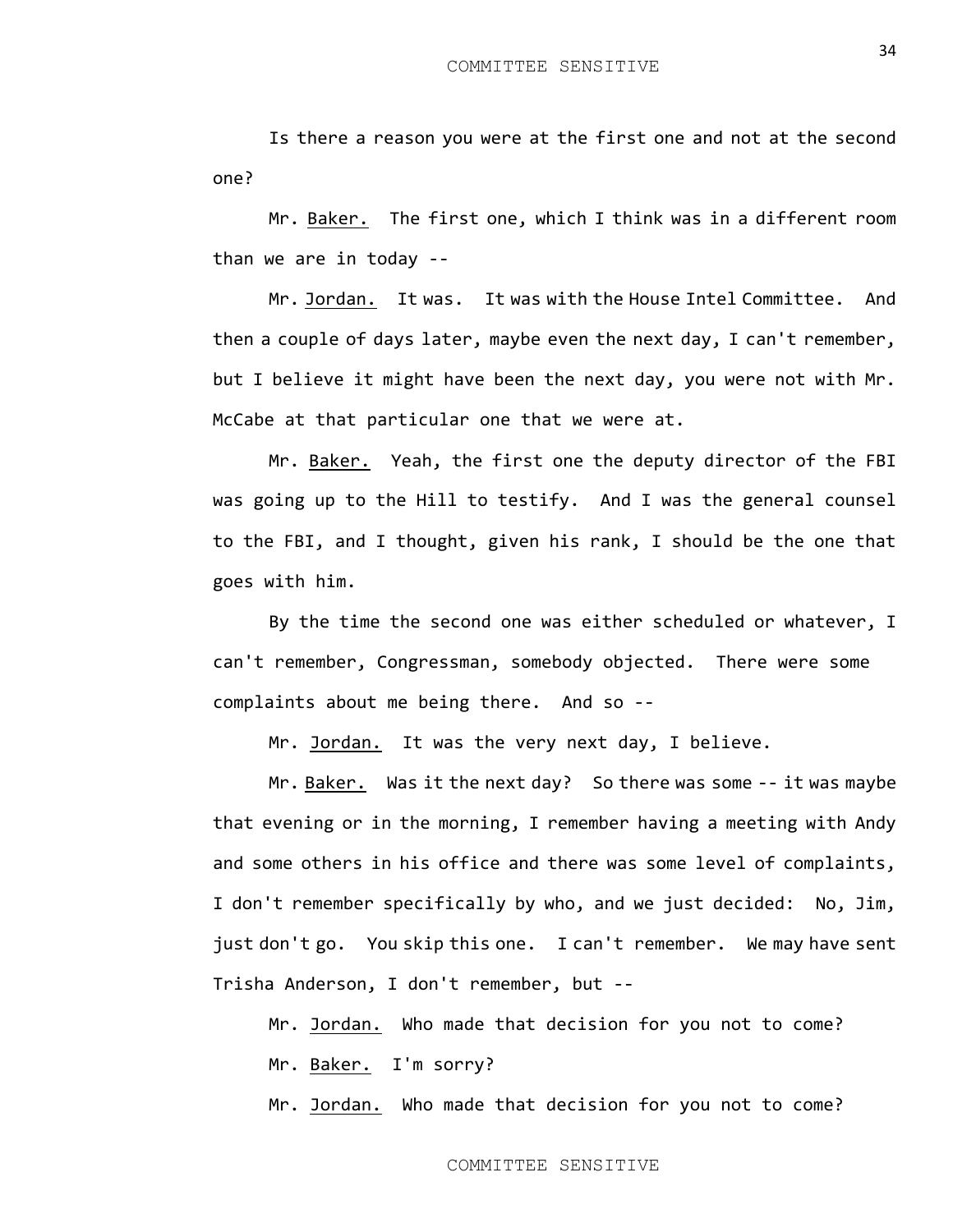Is there a reason you were at the first one and not at the second one?

Mr. Baker. The first one, which I think was in a different room than we are in today --

Mr. Jordan. It was. It was with the House Intel Committee. And then a couple of days later, maybe even the next day, I can't remember, but I believe it might have been the next day, you were not with Mr. McCabe at that particular one that we were at.

Mr. Baker. Yeah, the first one the deputy director of the FBI was going up to the Hill to testify. And I was the general counsel to the FBI, and I thought, given his rank, I should be the one that goes with him.

By the time the second one was either scheduled or whatever, I can't remember, Congressman, somebody objected. There were some complaints about me being there. And so --

Mr. Jordan. It was the very next day, I believe.

Mr. Baker. Was it the next day? So there was some -- it was maybe that evening or in the morning, I remember having a meeting with Andy and some others in his office and there was some level of complaints, I don't remember specifically by who, and we just decided: No, Jim, just don't go. You skip this one. I can't remember. We may have sent Trisha Anderson, I don't remember, but --

Mr. Jordan. Who made that decision for you not to come? Mr. Baker. I'm sorry?

Mr. Jordan. Who made that decision for you not to come?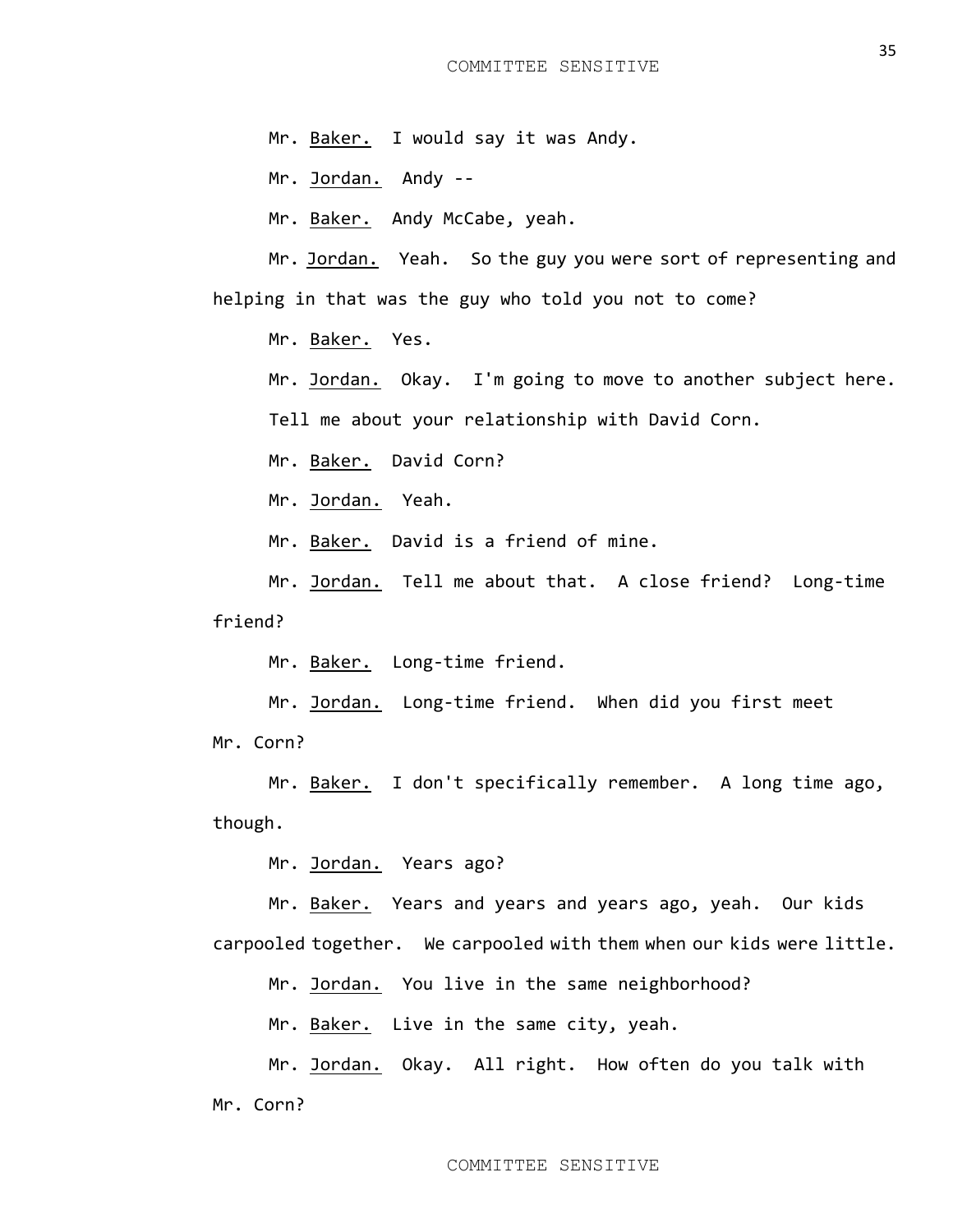Mr. Baker. I would say it was Andy.

Mr. Jordan. Andy --

Mr. Baker. Andy McCabe, yeah.

Mr. Jordan. Yeah. So the guy you were sort of representing and helping in that was the guy who told you not to come?

Mr. Baker. Yes.

Mr. Jordan. Okay. I'm going to move to another subject here.

Tell me about your relationship with David Corn.

Mr. Baker. David Corn?

Mr. Jordan. Yeah.

Mr. Baker. David is a friend of mine.

Mr. Jordan. Tell me about that. A close friend? Long-time friend?

Mr. Baker. Long-time friend.

Mr. Jordan. Long-time friend. When did you first meet Mr. Corn?

Mr. Baker. I don't specifically remember. A long time ago, though.

Mr. Jordan. Years ago?

Mr. Baker. Years and years and years ago, yeah. Our kids carpooled together. We carpooled with them when our kids were little.

Mr. Jordan. You live in the same neighborhood?

Mr. Baker. Live in the same city, yeah.

Mr. Jordan. Okay. All right. How often do you talk with Mr. Corn?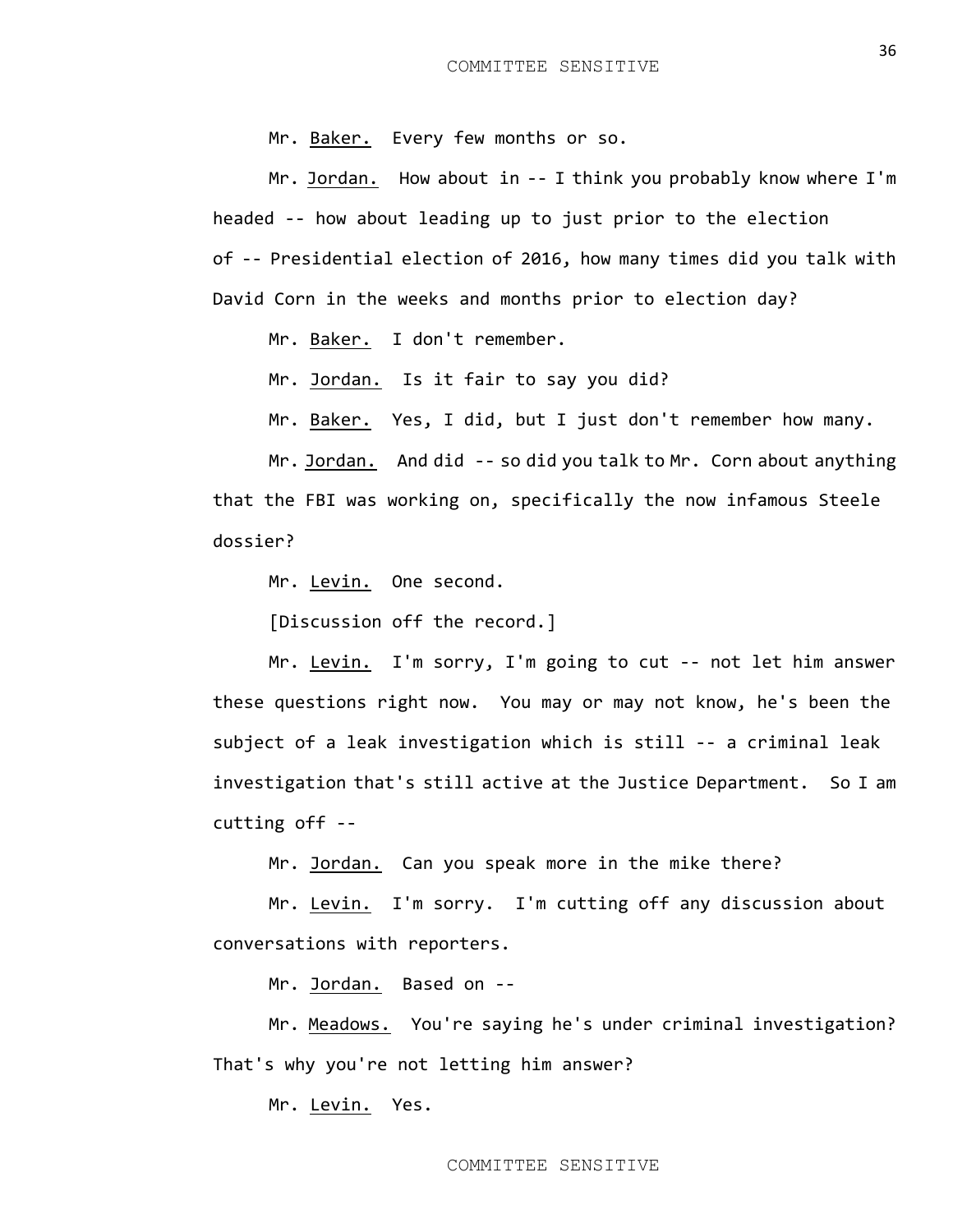Mr. Baker. Every few months or so.

Mr. Jordan. How about in -- I think you probably know where I'm headed -- how about leading up to just prior to the election of -- Presidential election of 2016, how many times did you talk with David Corn in the weeks and months prior to election day?

Mr. Baker. I don't remember.

Mr. Jordan. Is it fair to say you did?

Mr. Baker. Yes, I did, but I just don't remember how many.

Mr. Jordan. And did -- so did you talk to Mr. Corn about anything that the FBI was working on, specifically the now infamous Steele dossier?

Mr. Levin. One second.

[Discussion off the record.]

Mr. Levin. I'm sorry, I'm going to cut -- not let him answer these questions right now. You may or may not know, he's been the subject of a leak investigation which is still -- a criminal leak investigation that's still active at the Justice Department. So I am cutting off --

Mr. Jordan. Can you speak more in the mike there?

Mr. Levin. I'm sorry. I'm cutting off any discussion about conversations with reporters.

Mr. Jordan. Based on --

Mr. Meadows. You're saying he's under criminal investigation? That's why you're not letting him answer?

Mr. Levin. Yes.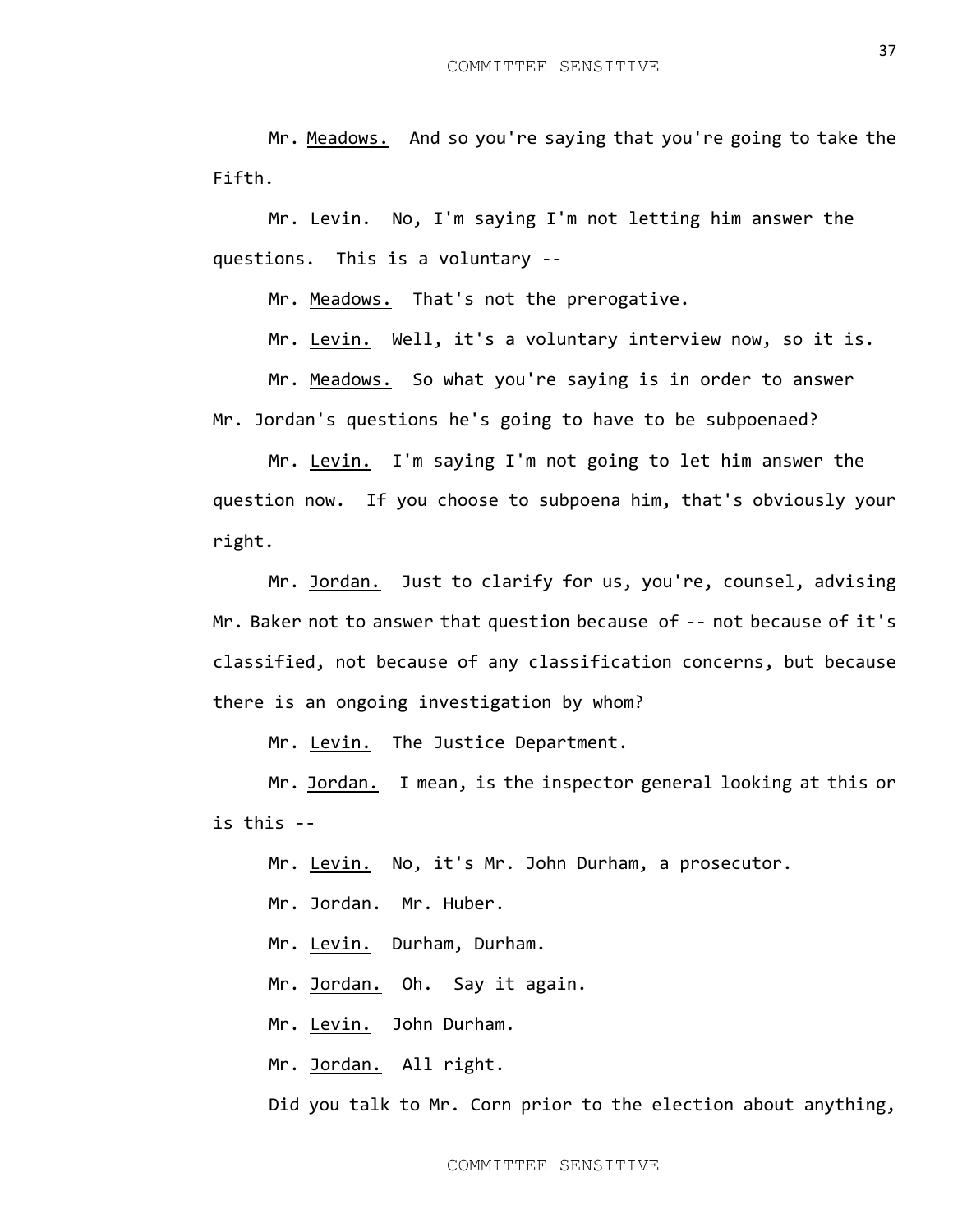Mr. Meadows. And so you're saying that you're going to take the Fifth.

Mr. Levin. No, I'm saying I'm not letting him answer the questions. This is a voluntary --

Mr. Meadows. That's not the prerogative.

Mr. Levin. Well, it's a voluntary interview now, so it is.

Mr. Meadows. So what you're saying is in order to answer Mr. Jordan's questions he's going to have to be subpoenaed?

Mr. Levin. I'm saying I'm not going to let him answer the question now. If you choose to subpoena him, that's obviously your right.

Mr. Jordan. Just to clarify for us, you're, counsel, advising Mr. Baker not to answer that question because of -- not because of it's classified, not because of any classification concerns, but because there is an ongoing investigation by whom?

Mr. Levin. The Justice Department.

Mr. Jordan. I mean, is the inspector general looking at this or is this --

Mr. Levin. No, it's Mr. John Durham, a prosecutor.

Mr. Jordan. Mr. Huber.

Mr. Levin. Durham, Durham.

Mr. Jordan. Oh. Say it again.

Mr. Levin. John Durham.

Mr. Jordan. All right.

Did you talk to Mr. Corn prior to the election about anything,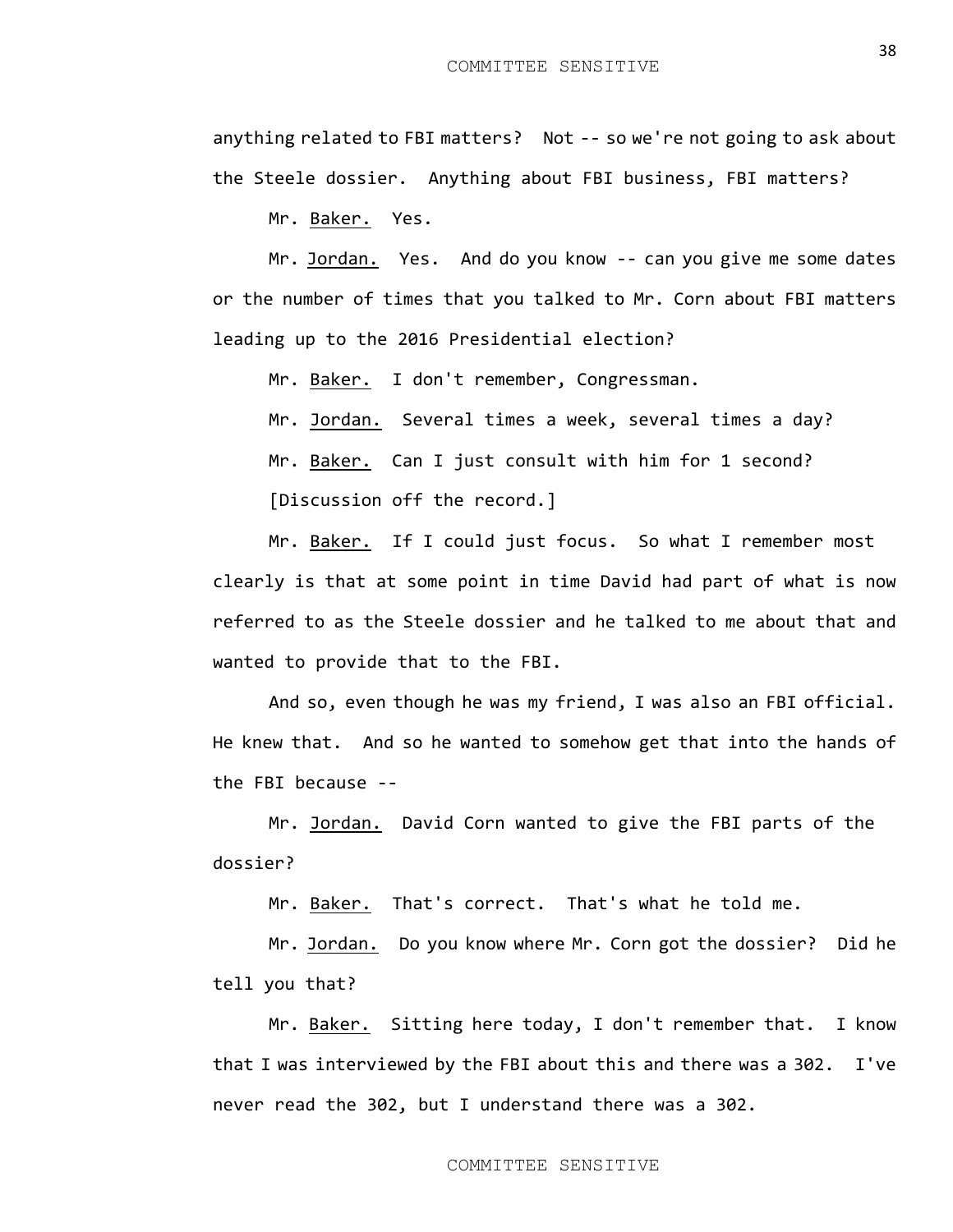anything related to FBI matters? Not -- so we're not going to ask about the Steele dossier. Anything about FBI business, FBI matters?

Mr. Baker. Yes.

Mr. Jordan. Yes. And do you know -- can you give me some dates or the number of times that you talked to Mr. Corn about FBI matters leading up to the 2016 Presidential election?

Mr. Baker. I don't remember, Congressman.

Mr. Jordan. Several times a week, several times a day?

Mr. Baker. Can I just consult with him for 1 second?

[Discussion off the record.]

Mr. Baker. If I could just focus. So what I remember most clearly is that at some point in time David had part of what is now referred to as the Steele dossier and he talked to me about that and wanted to provide that to the FBI.

And so, even though he was my friend, I was also an FBI official. He knew that. And so he wanted to somehow get that into the hands of the FBI because --

Mr. Jordan. David Corn wanted to give the FBI parts of the dossier?

Mr. Baker. That's correct. That's what he told me.

Mr. Jordan. Do you know where Mr. Corn got the dossier? Did he tell you that?

Mr. Baker. Sitting here today, I don't remember that. I know that I was interviewed by the FBI about this and there was a 302. I've never read the 302, but I understand there was a 302.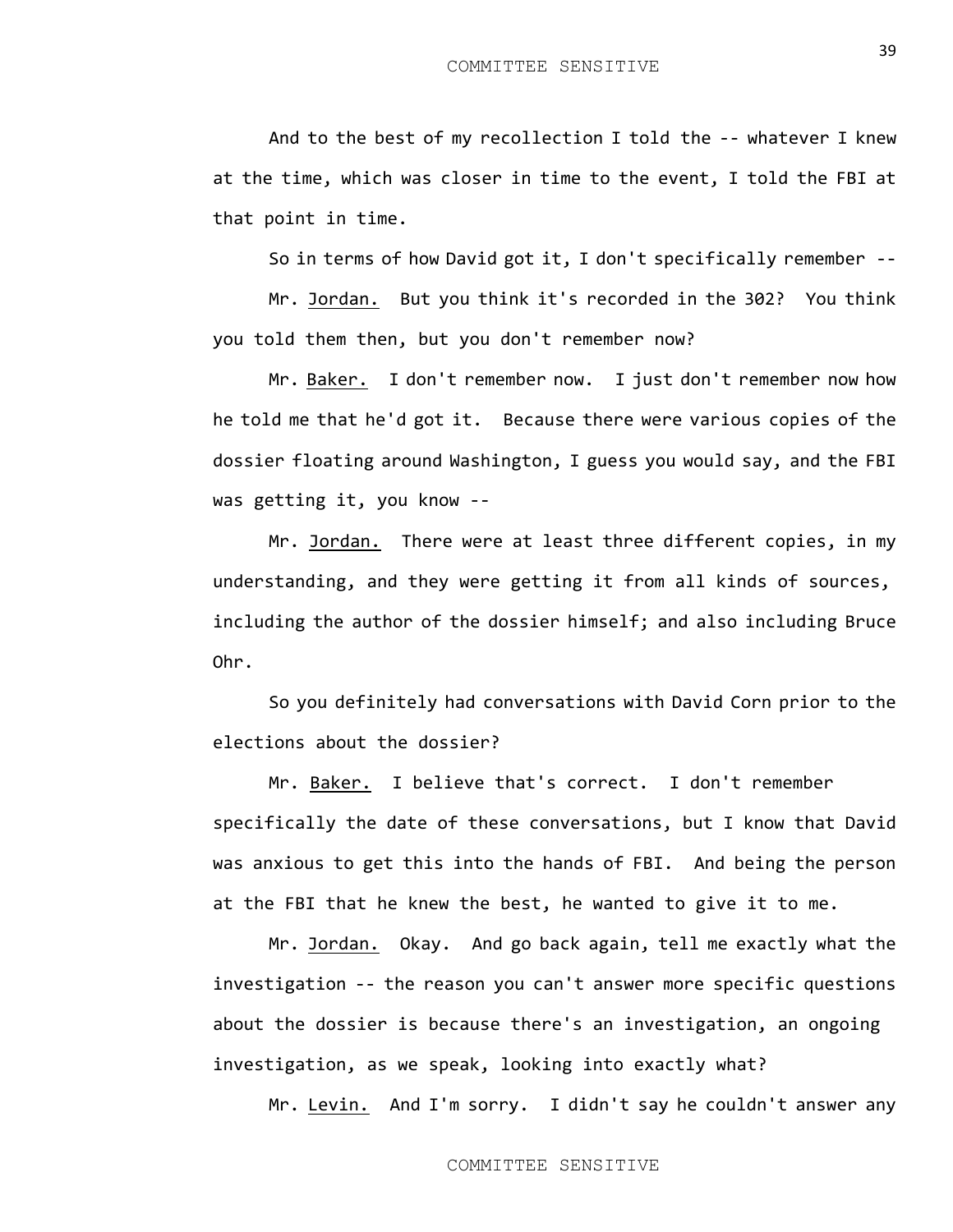And to the best of my recollection I told the -- whatever I knew at the time, which was closer in time to the event, I told the FBI at that point in time.

So in terms of how David got it, I don't specifically remember --

Mr. Jordan. But you think it's recorded in the 302? You think you told them then, but you don't remember now?

Mr. Baker. I don't remember now. I just don't remember now how he told me that he'd got it. Because there were various copies of the dossier floating around Washington, I guess you would say, and the FBI was getting it, you know --

Mr. Jordan. There were at least three different copies, in my understanding, and they were getting it from all kinds of sources, including the author of the dossier himself; and also including Bruce Ohr.

So you definitely had conversations with David Corn prior to the elections about the dossier?

Mr. Baker. I believe that's correct. I don't remember specifically the date of these conversations, but I know that David was anxious to get this into the hands of FBI. And being the person at the FBI that he knew the best, he wanted to give it to me.

Mr. Jordan. Okay. And go back again, tell me exactly what the investigation -- the reason you can't answer more specific questions about the dossier is because there's an investigation, an ongoing investigation, as we speak, looking into exactly what?

Mr. Levin. And I'm sorry. I didn't say he couldn't answer any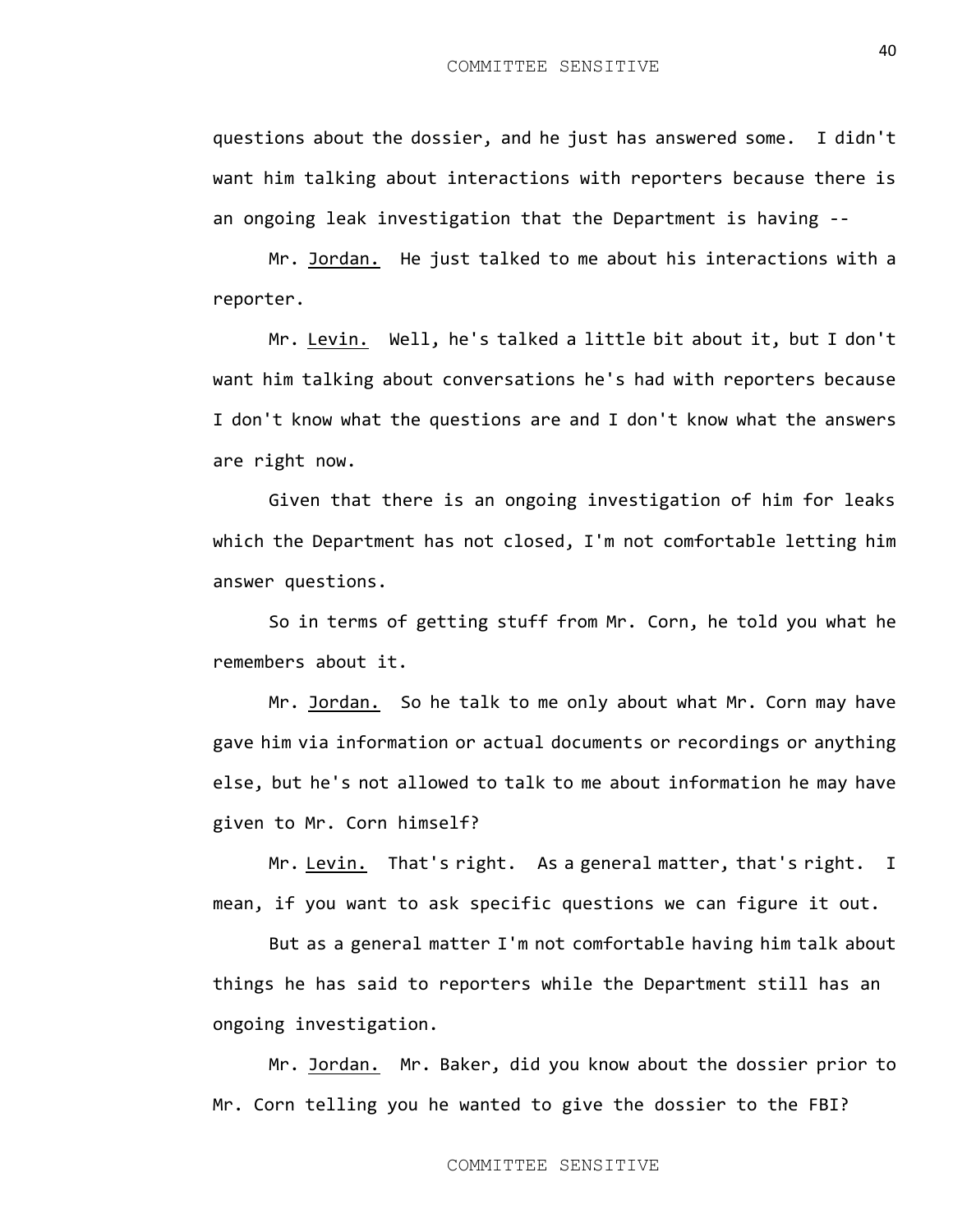questions about the dossier, and he just has answered some. I didn't want him talking about interactions with reporters because there is an ongoing leak investigation that the Department is having --

Mr. Jordan. He just talked to me about his interactions with a reporter.

Mr. Levin. Well, he's talked a little bit about it, but I don't want him talking about conversations he's had with reporters because I don't know what the questions are and I don't know what the answers are right now.

Given that there is an ongoing investigation of him for leaks which the Department has not closed, I'm not comfortable letting him answer questions.

So in terms of getting stuff from Mr. Corn, he told you what he remembers about it.

Mr. Jordan. So he talk to me only about what Mr. Corn may have gave him via information or actual documents or recordings or anything else, but he's not allowed to talk to me about information he may have given to Mr. Corn himself?

Mr. Levin. That's right. As a general matter, that's right. I mean, if you want to ask specific questions we can figure it out.

But as a general matter I'm not comfortable having him talk about things he has said to reporters while the Department still has an ongoing investigation.

Mr. Jordan. Mr. Baker, did you know about the dossier prior to Mr. Corn telling you he wanted to give the dossier to the FBI?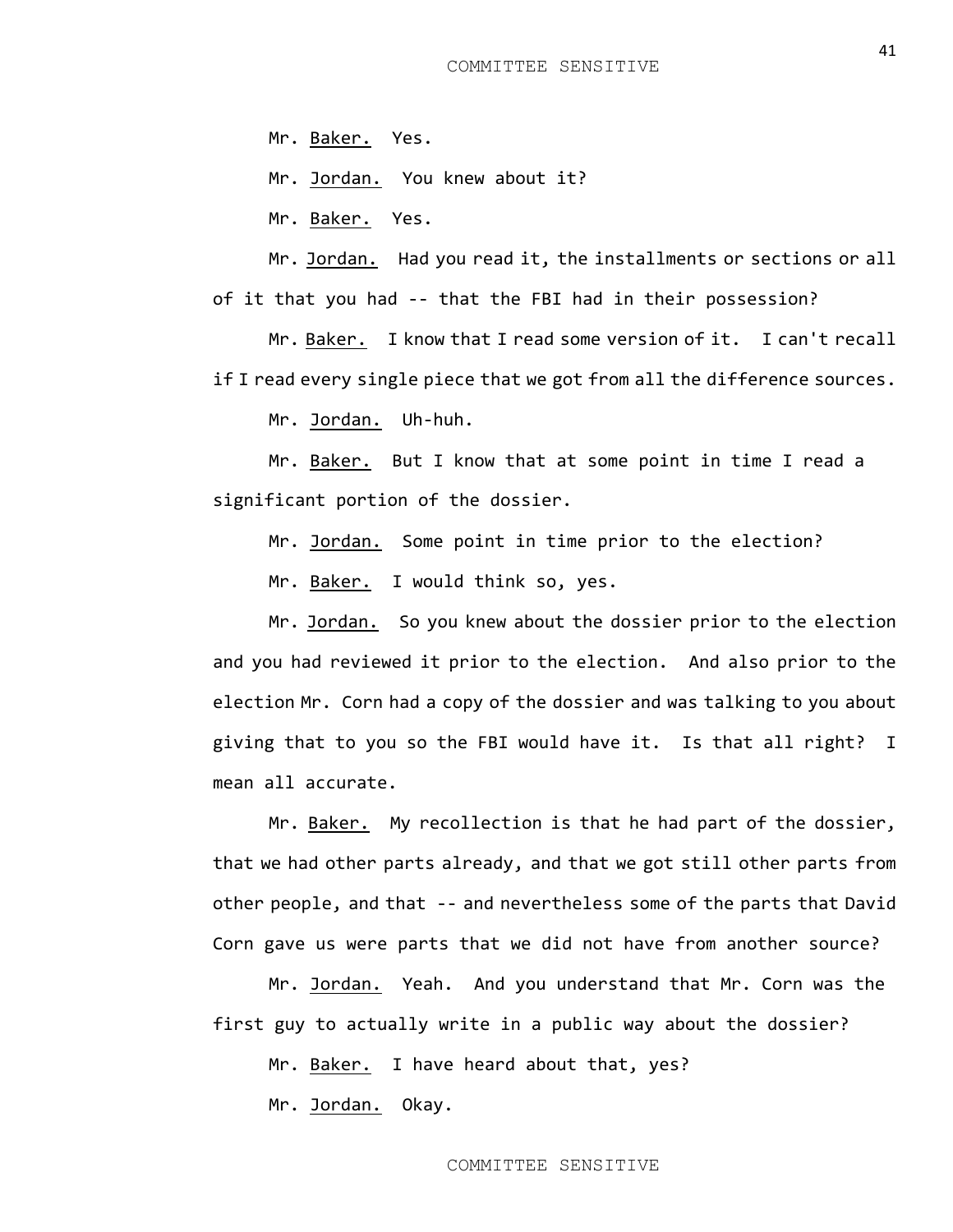Mr. Baker. Yes.

Mr. Jordan. You knew about it?

Mr. Baker. Yes.

Mr. Jordan. Had you read it, the installments or sections or all

of it that you had -- that the FBI had in their possession?

Mr. Baker. I know that I read some version of it. I can't recall if I read every single piece that we got from all the difference sources.

Mr. Jordan. Uh-huh.

Mr. Baker. But I know that at some point in time I read a significant portion of the dossier.

Mr. Jordan. Some point in time prior to the election?

Mr. Baker. I would think so, yes.

Mr. Jordan. So you knew about the dossier prior to the election and you had reviewed it prior to the election. And also prior to the election Mr. Corn had a copy of the dossier and was talking to you about giving that to you so the FBI would have it. Is that all right? I mean all accurate.

Mr. Baker. My recollection is that he had part of the dossier, that we had other parts already, and that we got still other parts from other people, and that -- and nevertheless some of the parts that David Corn gave us were parts that we did not have from another source?

Mr. Jordan. Yeah. And you understand that Mr. Corn was the first guy to actually write in a public way about the dossier?

Mr. Baker. I have heard about that, yes?

Mr. Jordan. Okay.

COMMITTEE SENSITIVE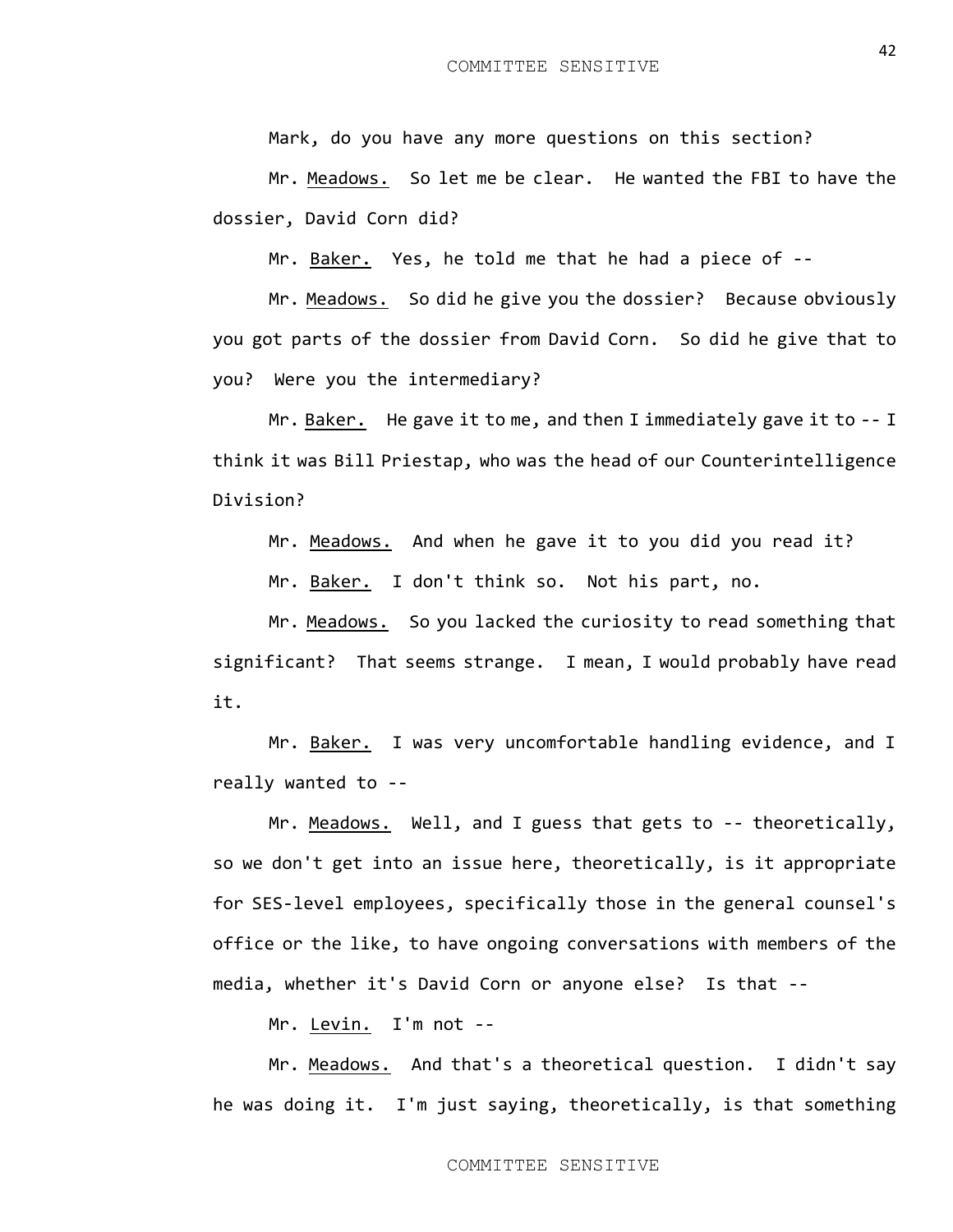Mark, do you have any more questions on this section?

Mr. Meadows. So let me be clear. He wanted the FBI to have the dossier, David Corn did?

Mr. Baker. Yes, he told me that he had a piece of --

Mr. Meadows. So did he give you the dossier? Because obviously you got parts of the dossier from David Corn. So did he give that to you? Were you the intermediary?

Mr. Baker. He gave it to me, and then I immediately gave it to -- I think it was Bill Priestap, who was the head of our Counterintelligence Division?

Mr. Meadows. And when he gave it to you did you read it?

Mr. Baker. I don't think so. Not his part, no.

Mr. Meadows. So you lacked the curiosity to read something that significant? That seems strange. I mean, I would probably have read it.

Mr. Baker. I was very uncomfortable handling evidence, and I really wanted to --

Mr. Meadows. Well, and I guess that gets to -- theoretically, so we don't get into an issue here, theoretically, is it appropriate for SES-level employees, specifically those in the general counsel's office or the like, to have ongoing conversations with members of the media, whether it's David Corn or anyone else? Is that --

Mr. Levin. I'm not --

Mr. Meadows. And that's a theoretical question. I didn't say he was doing it. I'm just saying, theoretically, is that something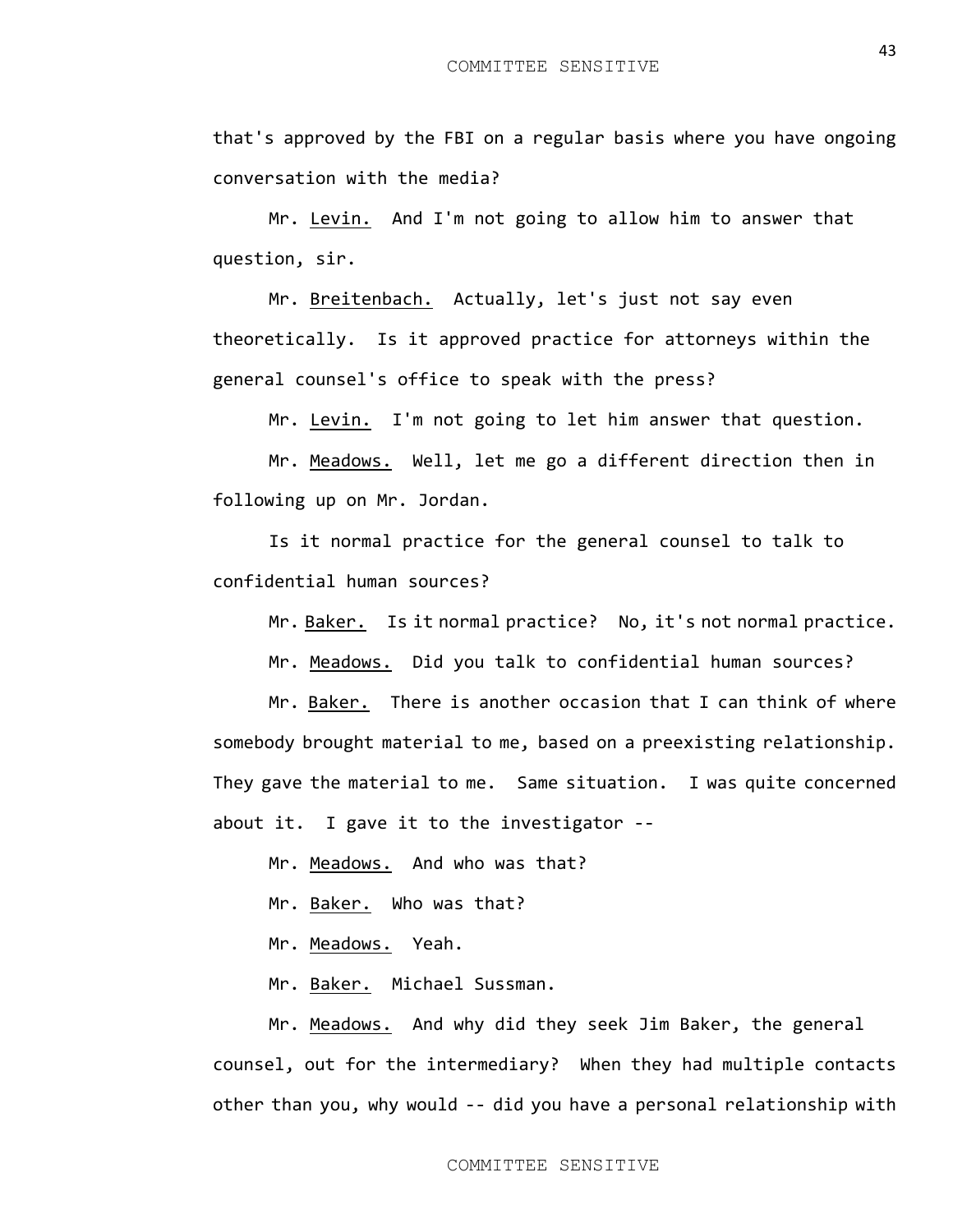that's approved by the FBI on a regular basis where you have ongoing conversation with the media?

Mr. Levin. And I'm not going to allow him to answer that question, sir.

Mr. Breitenbach. Actually, let's just not say even theoretically. Is it approved practice for attorneys within the general counsel's office to speak with the press?

Mr. Levin. I'm not going to let him answer that question.

Mr. Meadows. Well, let me go a different direction then in following up on Mr. Jordan.

Is it normal practice for the general counsel to talk to confidential human sources?

Mr. Baker. Is it normal practice? No, it's not normal practice.

Mr. Meadows. Did you talk to confidential human sources?

Mr. Baker. There is another occasion that I can think of where somebody brought material to me, based on a preexisting relationship. They gave the material to me. Same situation. I was quite concerned about it. I gave it to the investigator --

Mr. Meadows. And who was that?

Mr. Baker. Who was that?

Mr. Meadows. Yeah.

Mr. Baker. Michael Sussman.

Mr. Meadows. And why did they seek Jim Baker, the general counsel, out for the intermediary? When they had multiple contacts other than you, why would -- did you have a personal relationship with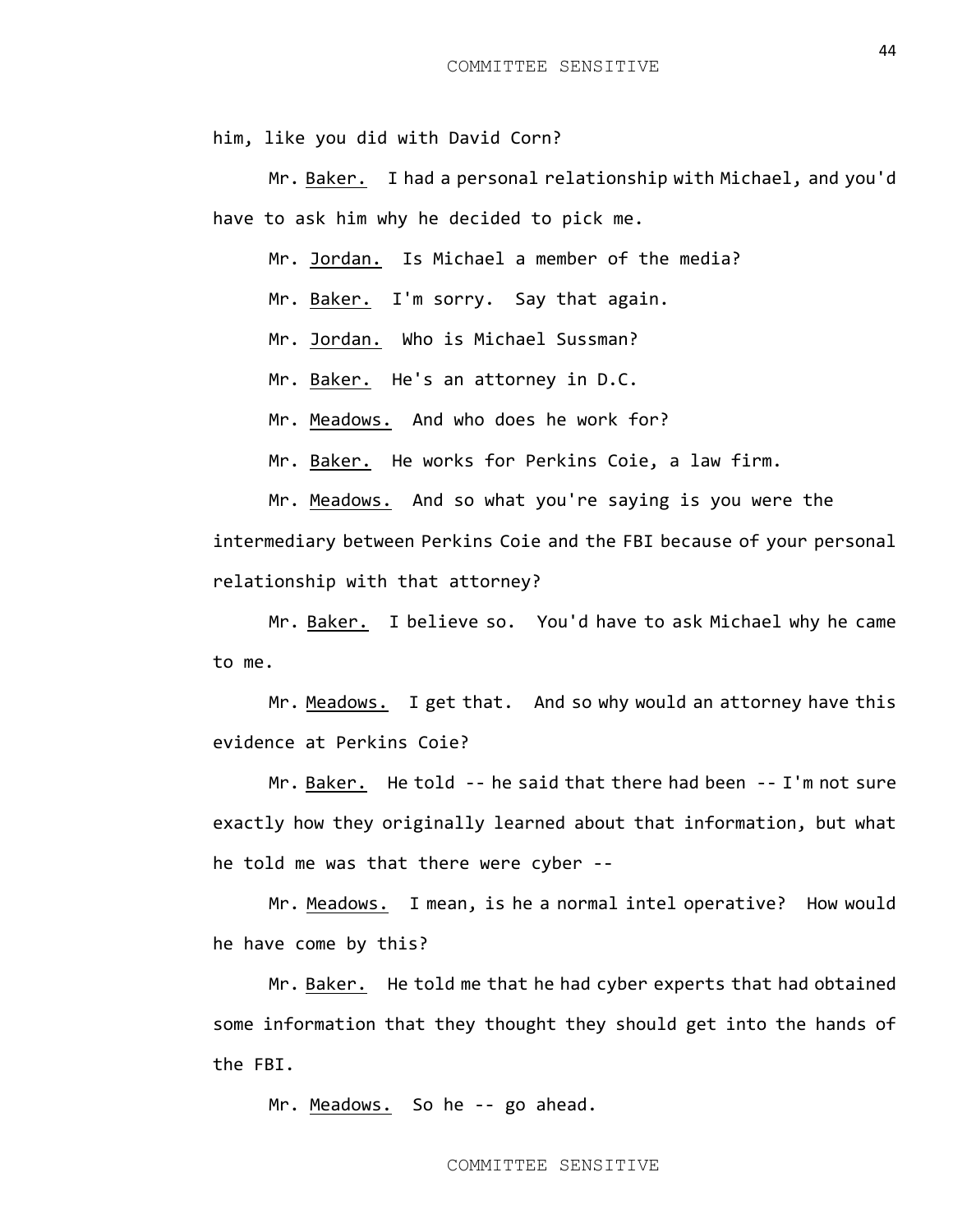him, like you did with David Corn?

Mr. Baker. I had a personal relationship with Michael, and you'd have to ask him why he decided to pick me.

Mr. Jordan. Is Michael a member of the media?

Mr. Baker. I'm sorry. Say that again.

Mr. Jordan. Who is Michael Sussman?

Mr. Baker. He's an attorney in D.C.

Mr. Meadows. And who does he work for?

Mr. Baker. He works for Perkins Coie, a law firm.

Mr. Meadows. And so what you're saying is you were the intermediary between Perkins Coie and the FBI because of your personal relationship with that attorney?

Mr. Baker. I believe so. You'd have to ask Michael why he came to me.

Mr. Meadows. I get that. And so why would an attorney have this evidence at Perkins Coie?

Mr. Baker. He told -- he said that there had been -- I'm not sure exactly how they originally learned about that information, but what he told me was that there were cyber --

Mr. Meadows. I mean, is he a normal intel operative? How would he have come by this?

Mr. Baker. He told me that he had cyber experts that had obtained some information that they thought they should get into the hands of the FBI.

Mr. Meadows. So he -- go ahead.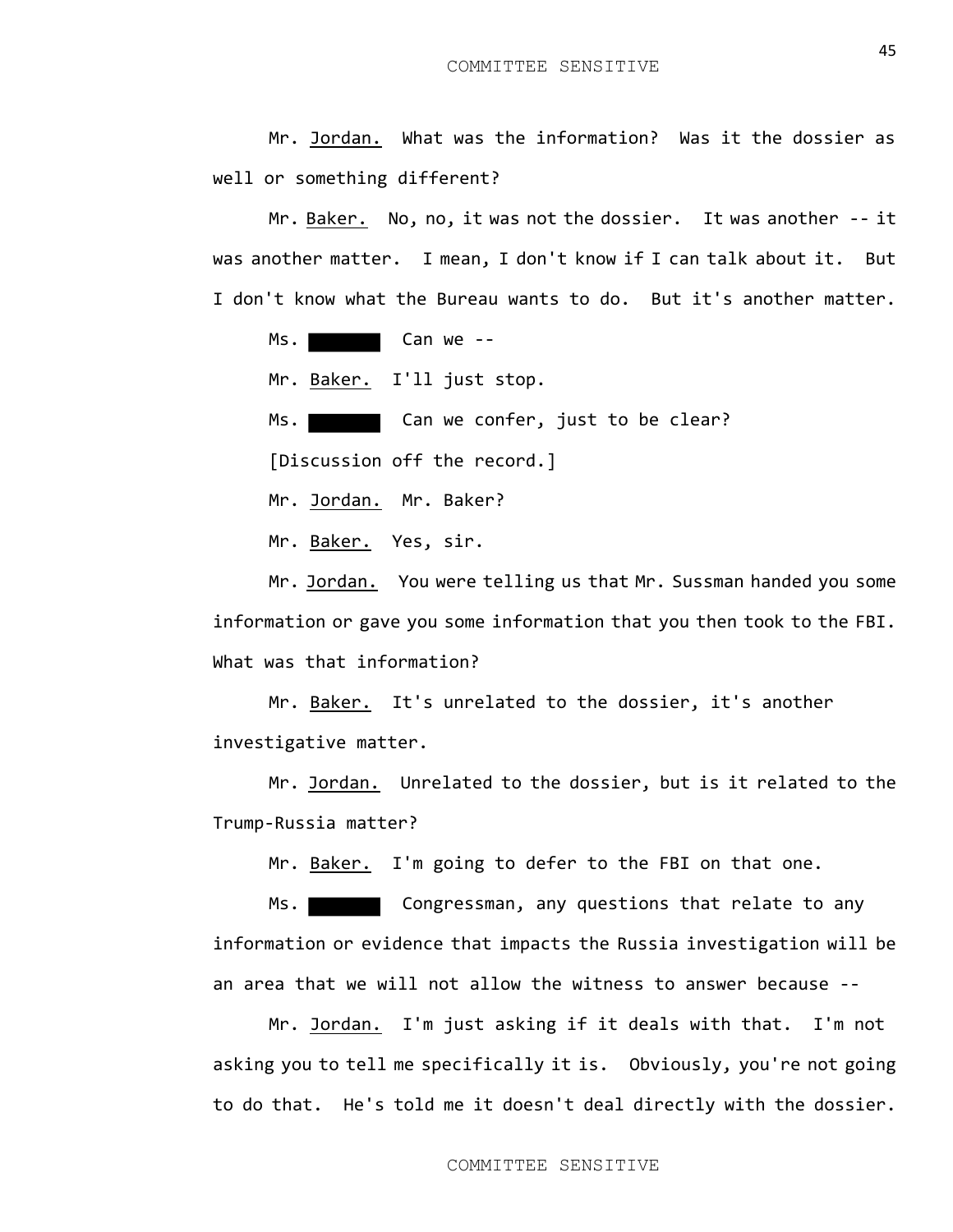Mr. Jordan. What was the information? Was it the dossier as well or something different?

Mr. Baker. No, no, it was not the dossier. It was another -- it was another matter. I mean, I don't know if I can talk about it. But I don't know what the Bureau wants to do. But it's another matter.

Ms.

Mr. Baker. I'll just stop.

Ms. Can we confer, just to be clear?

[Discussion off the record.]

Mr. Jordan. Mr. Baker?

Mr. Baker. Yes, sir.

Mr. Jordan. You were telling us that Mr. Sussman handed you some information or gave you some information that you then took to the FBI. What was that information?

Mr. Baker. It's unrelated to the dossier, it's another investigative matter.

Mr. Jordan. Unrelated to the dossier, but is it related to the Trump-Russia matter?

Mr. Baker. I'm going to defer to the FBI on that one.

Ms. Congressman, any questions that relate to any information or evidence that impacts the Russia investigation will be an area that we will not allow the witness to answer because --

Mr. Jordan. I'm just asking if it deals with that. I'm not asking you to tell me specifically it is. Obviously, you're not going to do that. He's told me it doesn't deal directly with the dossier.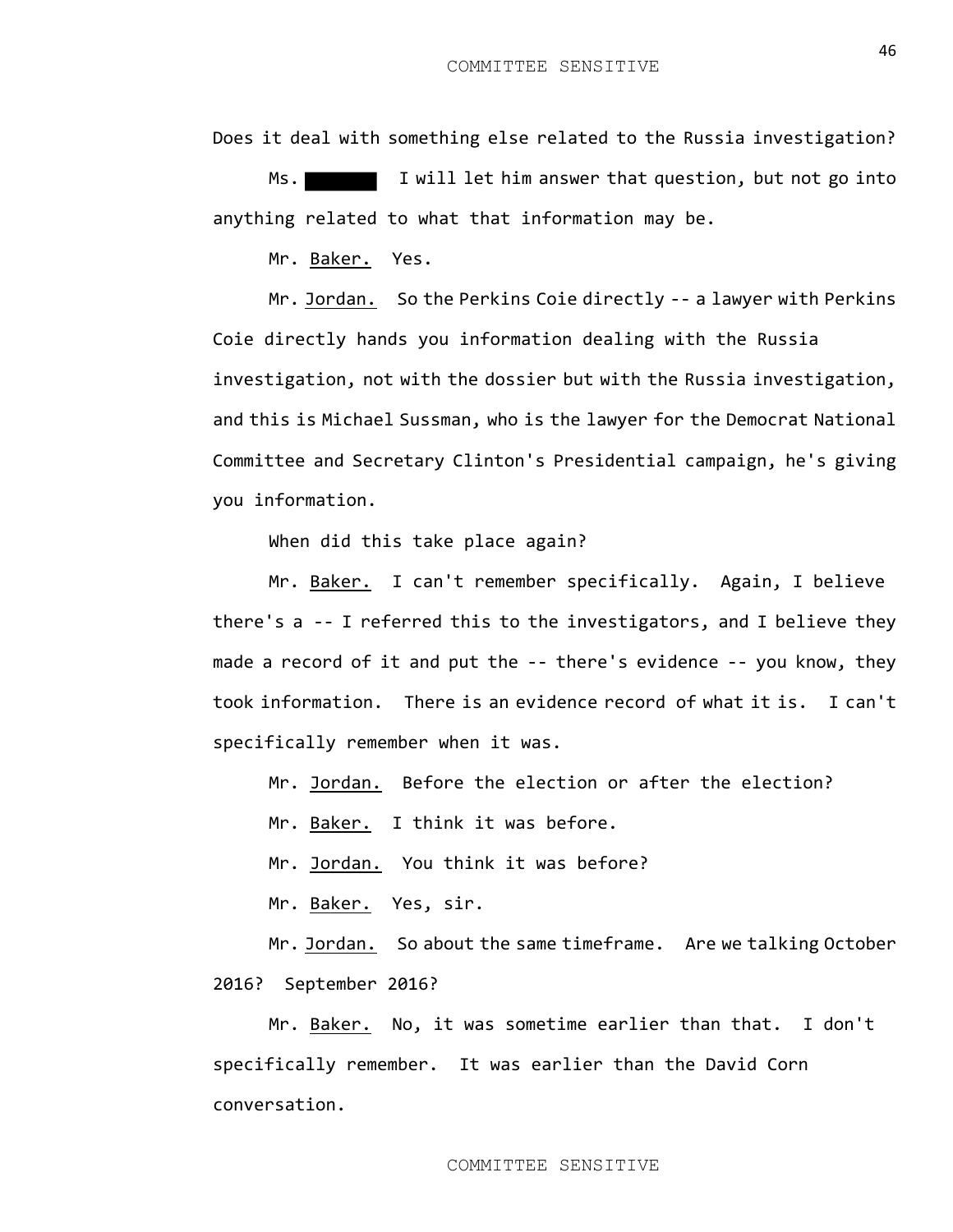Does it deal with something else related to the Russia investigation?

Ms. I will let him answer that question, but not go into anything related to what that information may be.

Mr. Baker. Yes.

Mr. Jordan. So the Perkins Coie directly -- a lawyer with Perkins Coie directly hands you information dealing with the Russia investigation, not with the dossier but with the Russia investigation, and this is Michael Sussman, who is the lawyer for the Democrat National Committee and Secretary Clinton's Presidential campaign, he's giving you information.

When did this take place again?

Mr. Baker. I can't remember specifically. Again, I believe there's a -- I referred this to the investigators, and I believe they made a record of it and put the -- there's evidence -- you know, they took information. There is an evidence record of what it is. I can't specifically remember when it was.

Mr. Jordan. Before the election or after the election?

Mr. Baker. I think it was before.

Mr. Jordan. You think it was before?

Mr. Baker. Yes, sir.

Mr. Jordan. So about the same timeframe. Are we talking October 2016? September 2016?

Mr. Baker. No, it was sometime earlier than that. I don't specifically remember. It was earlier than the David Corn conversation.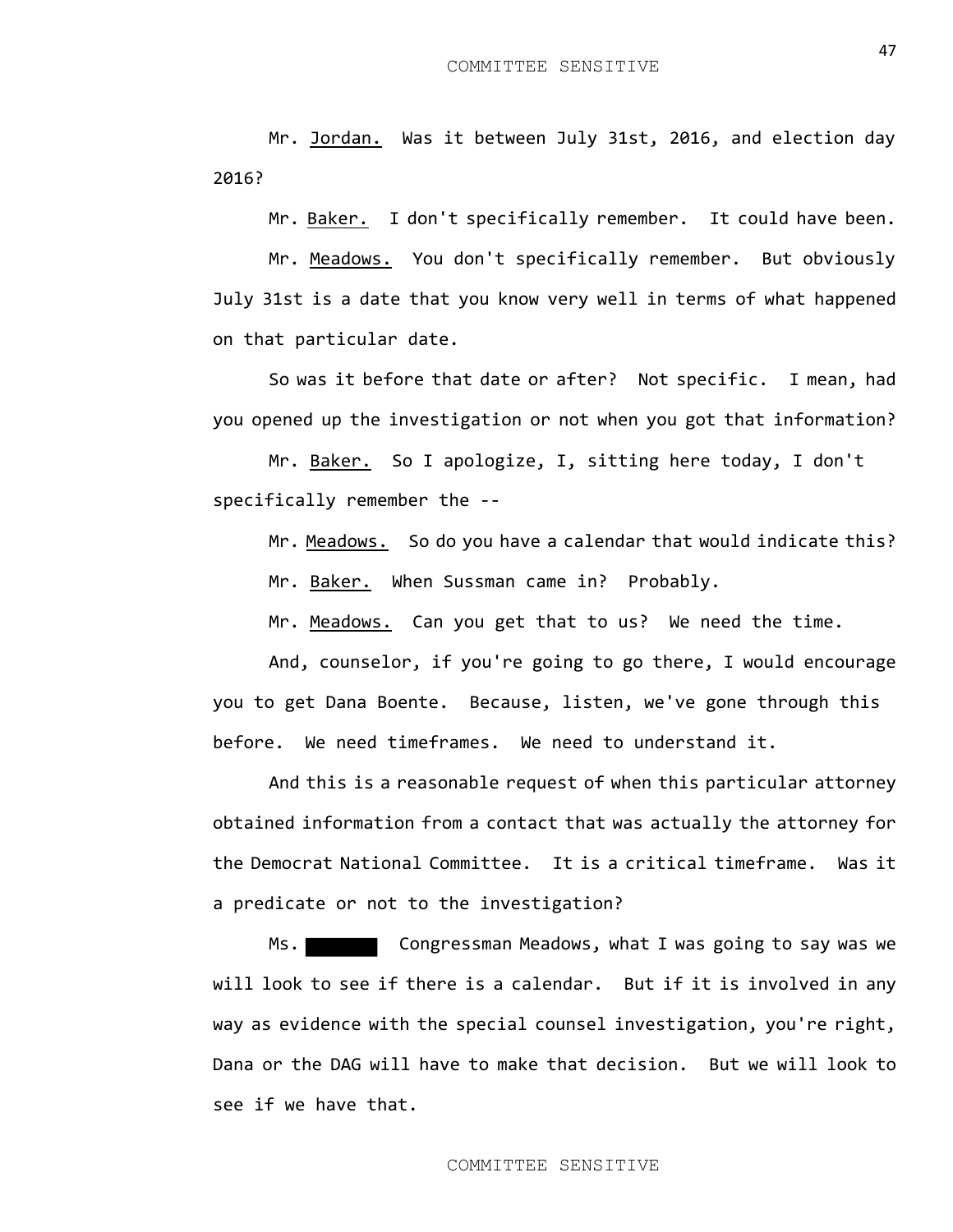Mr. Jordan. Was it between July 31st, 2016, and election day 2016?

Mr. Baker. I don't specifically remember. It could have been.

Mr. Meadows. You don't specifically remember. But obviously July 31st is a date that you know very well in terms of what happened on that particular date.

So was it before that date or after? Not specific. I mean, had you opened up the investigation or not when you got that information?

Mr. Baker. So I apologize, I, sitting here today, I don't specifically remember the --

Mr. Meadows. So do you have a calendar that would indicate this? Mr. Baker. When Sussman came in? Probably.

Mr. Meadows. Can you get that to us? We need the time.

And, counselor, if you're going to go there, I would encourage you to get Dana Boente. Because, listen, we've gone through this before. We need timeframes. We need to understand it.

And this is a reasonable request of when this particular attorney obtained information from a contact that was actually the attorney for the Democrat National Committee. It is a critical timeframe. Was it a predicate or not to the investigation?

Ms. Congressman Meadows, what I was going to say was we will look to see if there is a calendar. But if it is involved in any way as evidence with the special counsel investigation, you're right, Dana or the DAG will have to make that decision. But we will look to see if we have that.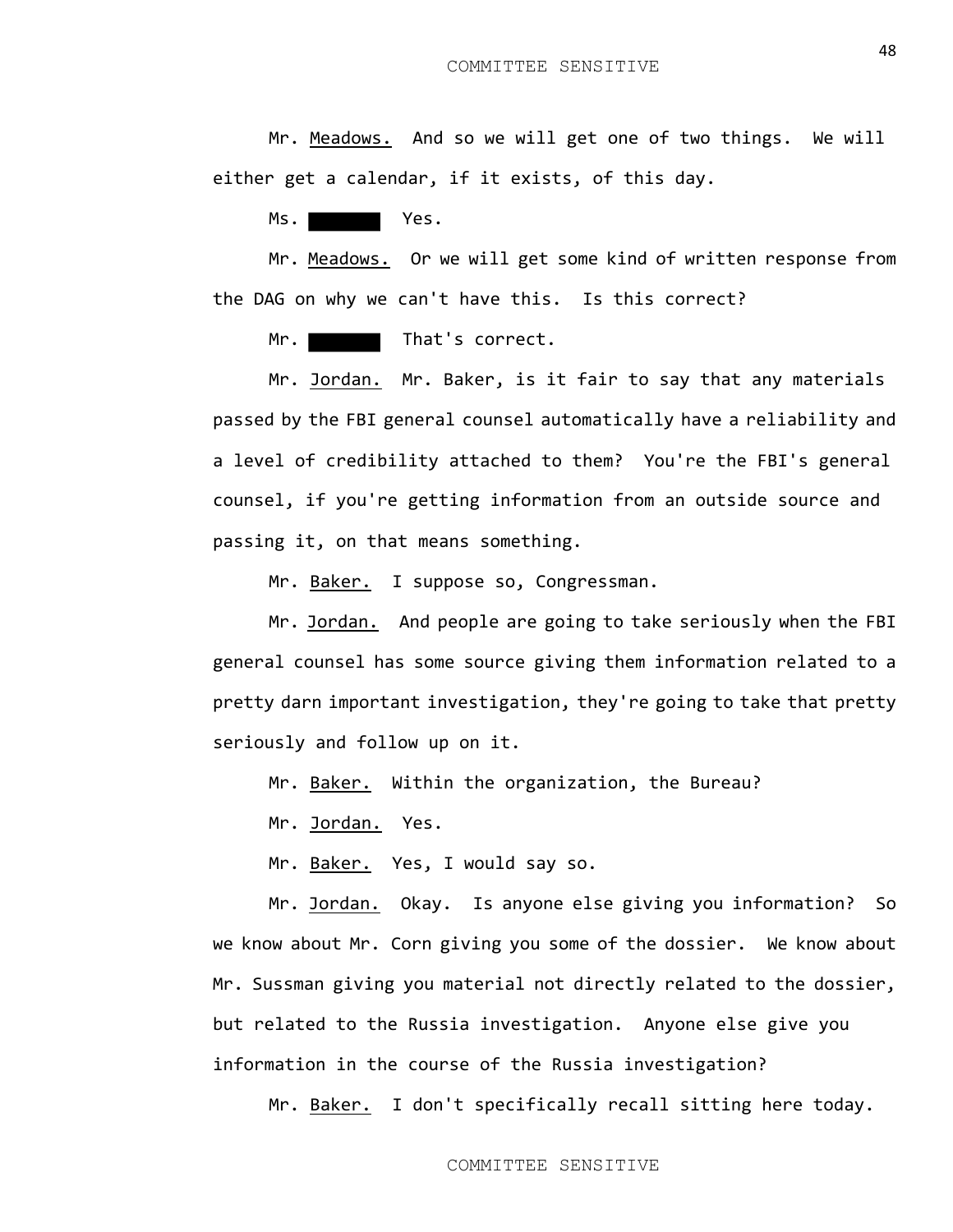Mr. Meadows. And so we will get one of two things. We will either get a calendar, if it exists, of this day.

Ms.

Mr. Meadows. Or we will get some kind of written response from the DAG on why we can't have this. Is this correct?

Mr. That's correct.

Mr. Jordan. Mr. Baker, is it fair to say that any materials passed by the FBI general counsel automatically have a reliability and a level of credibility attached to them? You're the FBI's general counsel, if you're getting information from an outside source and passing it, on that means something.

Mr. Baker. I suppose so, Congressman.

Mr. Jordan. And people are going to take seriously when the FBI general counsel has some source giving them information related to a pretty darn important investigation, they're going to take that pretty seriously and follow up on it.

Mr. Baker. Within the organization, the Bureau?

Mr. Jordan. Yes.

Mr. Baker. Yes, I would say so.

Mr. Jordan. Okay. Is anyone else giving you information? So we know about Mr. Corn giving you some of the dossier. We know about Mr. Sussman giving you material not directly related to the dossier, but related to the Russia investigation. Anyone else give you information in the course of the Russia investigation?

Mr. Baker. I don't specifically recall sitting here today.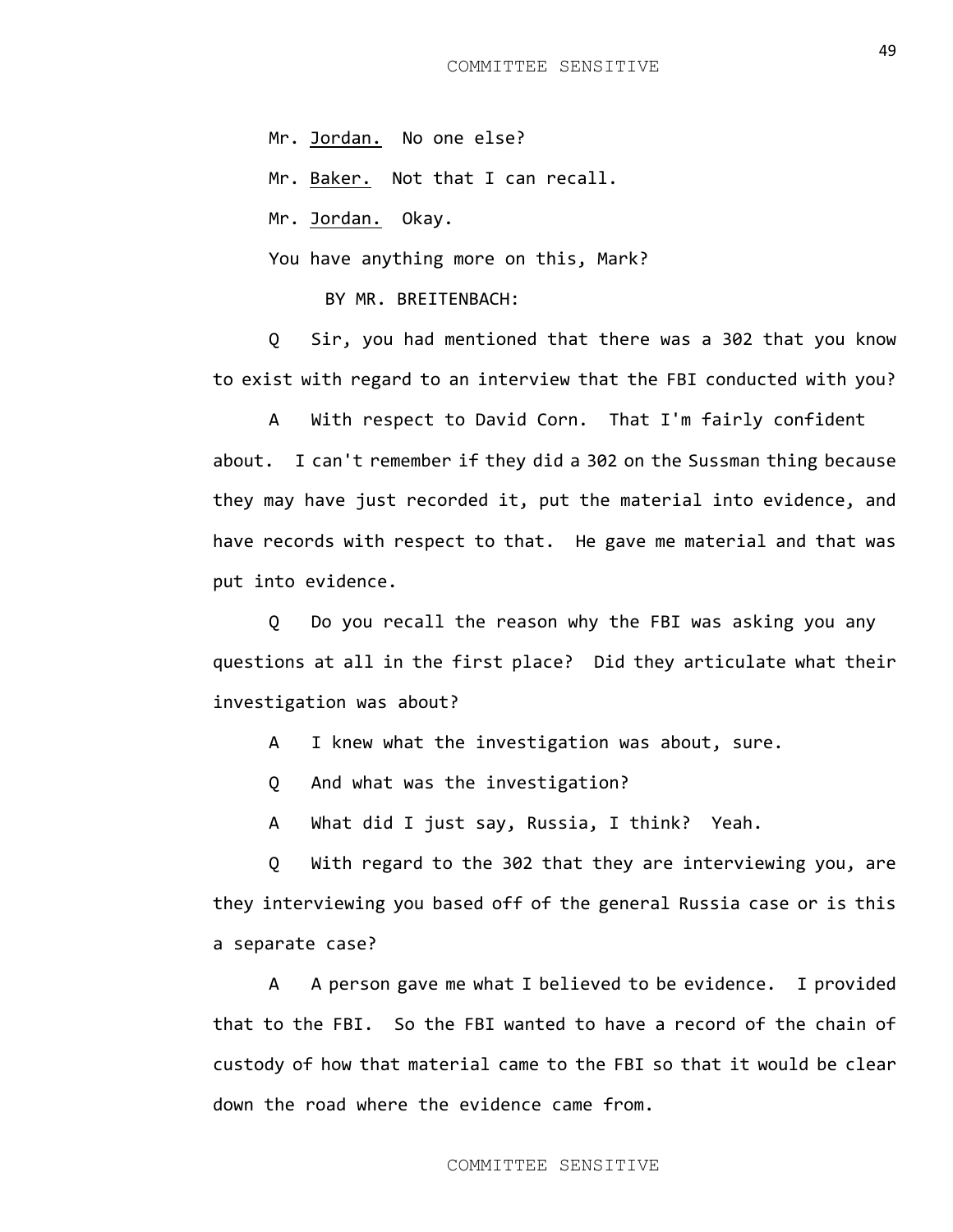Mr. Jordan. No one else?

Mr. Baker. Not that I can recall.

Mr. Jordan. Okay.

You have anything more on this, Mark?

BY MR. BREITENBACH:

Q Sir, you had mentioned that there was a 302 that you know to exist with regard to an interview that the FBI conducted with you?

A With respect to David Corn. That I'm fairly confident about. I can't remember if they did a 302 on the Sussman thing because they may have just recorded it, put the material into evidence, and have records with respect to that. He gave me material and that was put into evidence.

Q Do you recall the reason why the FBI was asking you any questions at all in the first place? Did they articulate what their investigation was about?

A I knew what the investigation was about, sure.

Q And what was the investigation?

A What did I just say, Russia, I think? Yeah.

Q With regard to the 302 that they are interviewing you, are they interviewing you based off of the general Russia case or is this a separate case?

A A person gave me what I believed to be evidence. I provided that to the FBI. So the FBI wanted to have a record of the chain of custody of how that material came to the FBI so that it would be clear down the road where the evidence came from.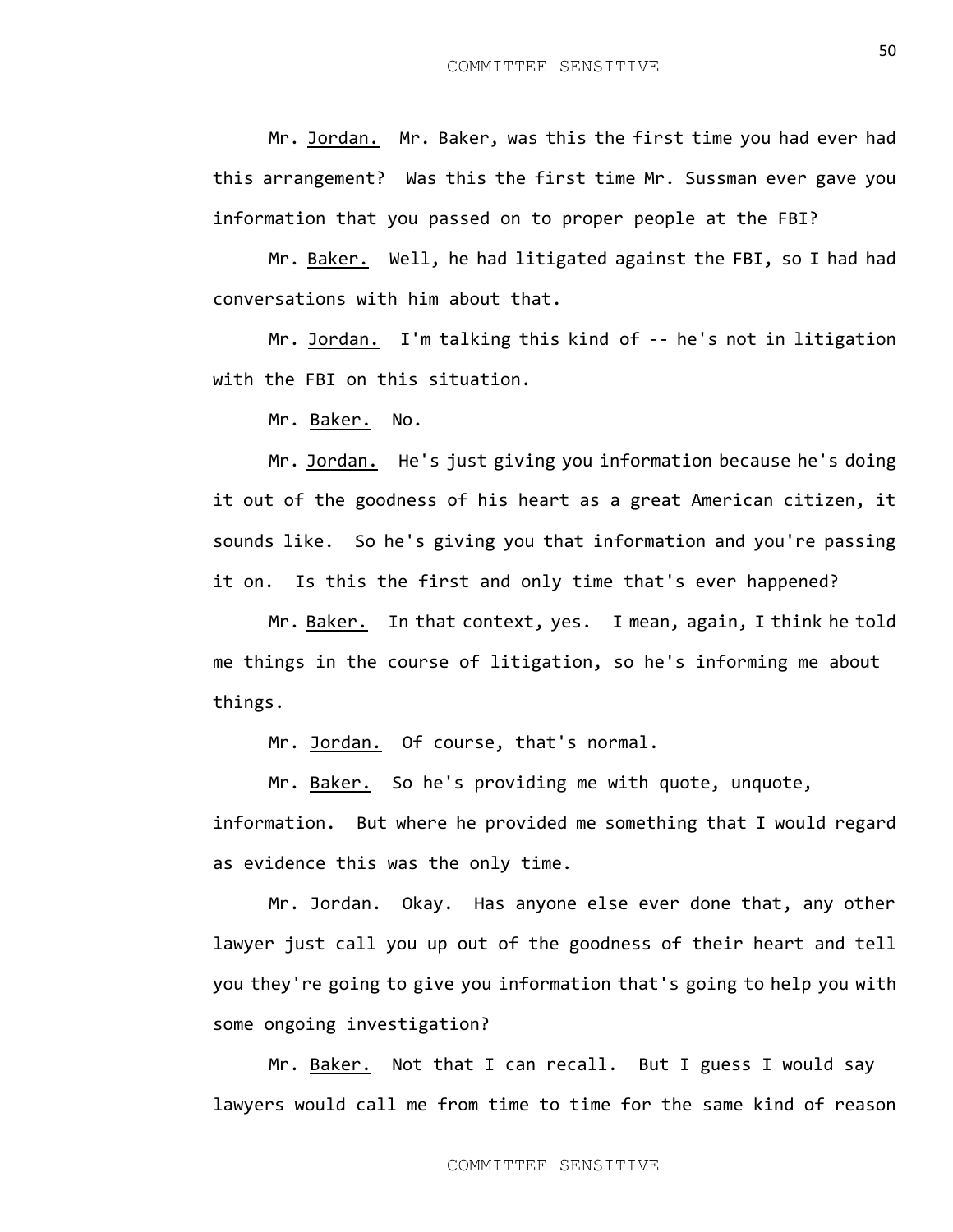Mr. Jordan. Mr. Baker, was this the first time you had ever had this arrangement? Was this the first time Mr. Sussman ever gave you information that you passed on to proper people at the FBI?

Mr. Baker. Well, he had litigated against the FBI, so I had had conversations with him about that.

Mr. Jordan. I'm talking this kind of -- he's not in litigation with the FBI on this situation.

Mr. Baker. No.

Mr. Jordan. He's just giving you information because he's doing it out of the goodness of his heart as a great American citizen, it sounds like. So he's giving you that information and you're passing it on. Is this the first and only time that's ever happened?

Mr. Baker. In that context, yes. I mean, again, I think he told me things in the course of litigation, so he's informing me about things.

Mr. Jordan. Of course, that's normal.

Mr. Baker. So he's providing me with quote, unquote,

information. But where he provided me something that I would regard as evidence this was the only time.

Mr. Jordan. Okay. Has anyone else ever done that, any other lawyer just call you up out of the goodness of their heart and tell you they're going to give you information that's going to help you with some ongoing investigation?

Mr. Baker. Not that I can recall. But I guess I would say lawyers would call me from time to time for the same kind of reason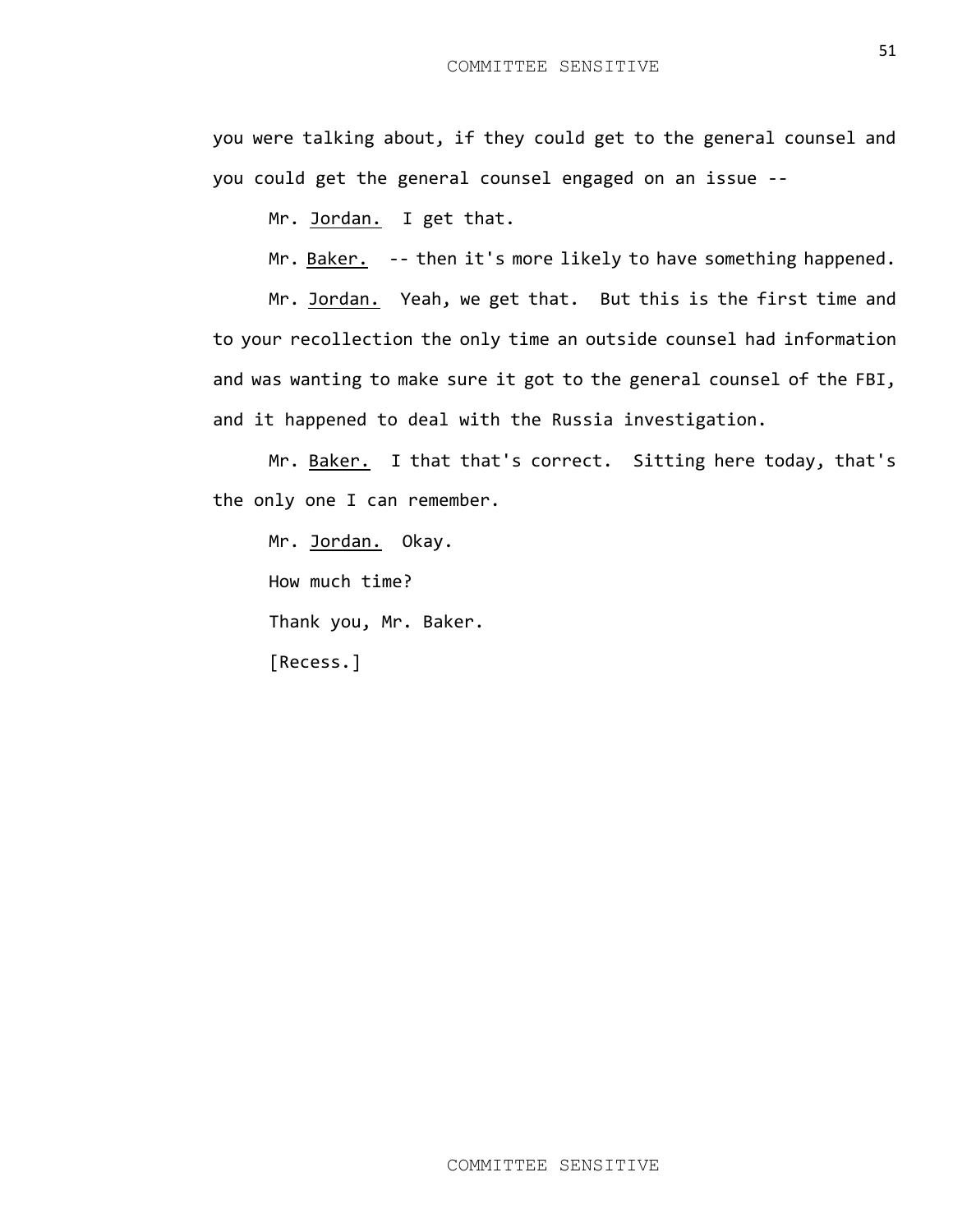you were talking about, if they could get to the general counsel and you could get the general counsel engaged on an issue --

Mr. Jordan. I get that.

Mr. Baker. -- then it's more likely to have something happened.

Mr. Jordan. Yeah, we get that. But this is the first time and to your recollection the only time an outside counsel had information and was wanting to make sure it got to the general counsel of the FBI, and it happened to deal with the Russia investigation.

Mr. Baker. I that that's correct. Sitting here today, that's the only one I can remember.

Mr. Jordan. Okay. How much time? Thank you, Mr. Baker. [Recess.]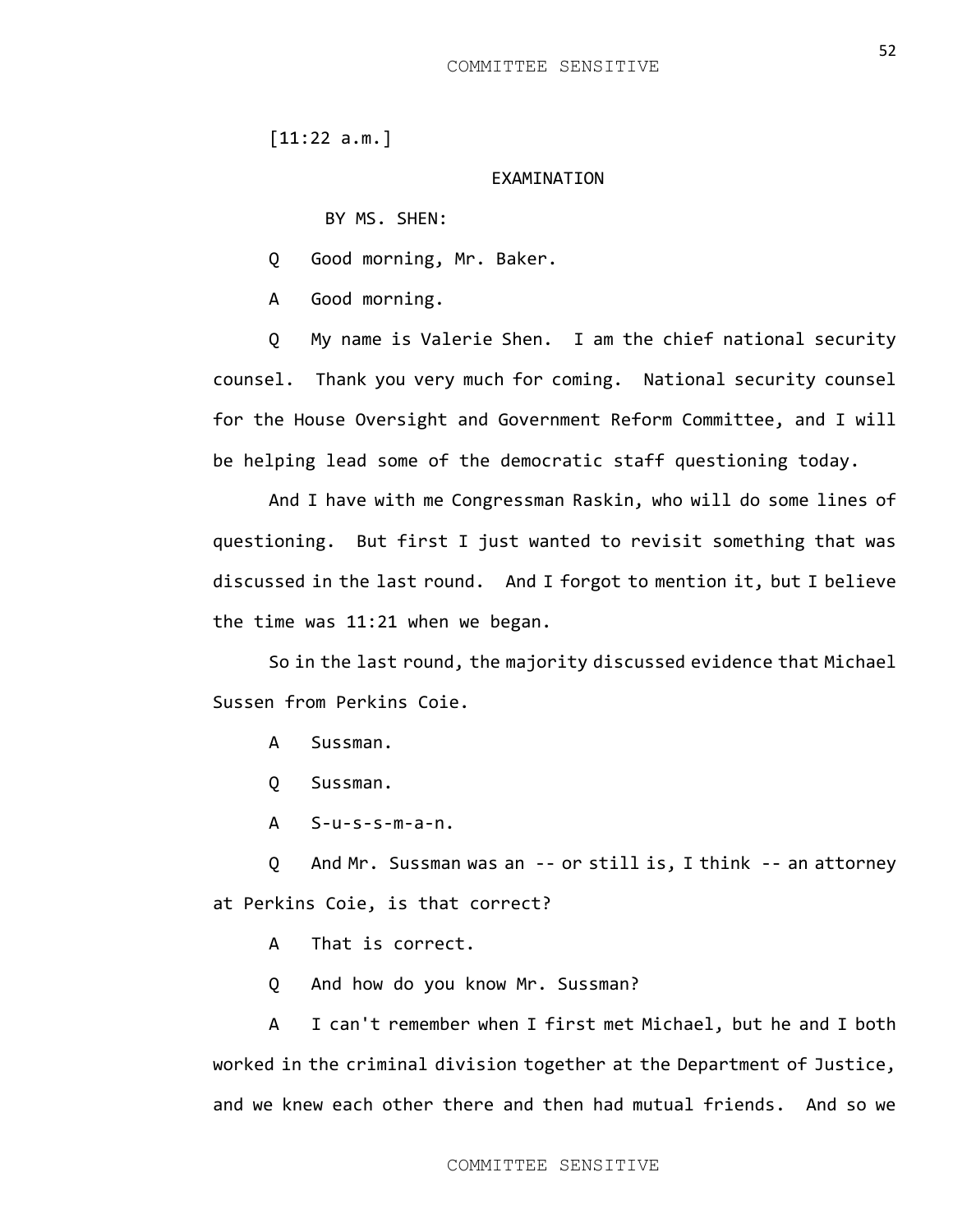[11:22 a.m.]

## EXAMINATION

BY MS. SHEN:

Q Good morning, Mr. Baker.

A Good morning.

Q My name is Valerie Shen. I am the chief national security counsel. Thank you very much for coming. National security counsel for the House Oversight and Government Reform Committee, and I will be helping lead some of the democratic staff questioning today.

And I have with me Congressman Raskin, who will do some lines of questioning. But first I just wanted to revisit something that was discussed in the last round. And I forgot to mention it, but I believe the time was 11:21 when we began.

So in the last round, the majority discussed evidence that Michael Sussen from Perkins Coie.

- A Sussman.
- Q Sussman.
- A S-u-s-s-m-a-n.

Q And Mr. Sussman was an -- or still is, I think -- an attorney at Perkins Coie, is that correct?

- A That is correct.
- Q And how do you know Mr. Sussman?

A I can't remember when I first met Michael, but he and I both worked in the criminal division together at the Department of Justice, and we knew each other there and then had mutual friends. And so we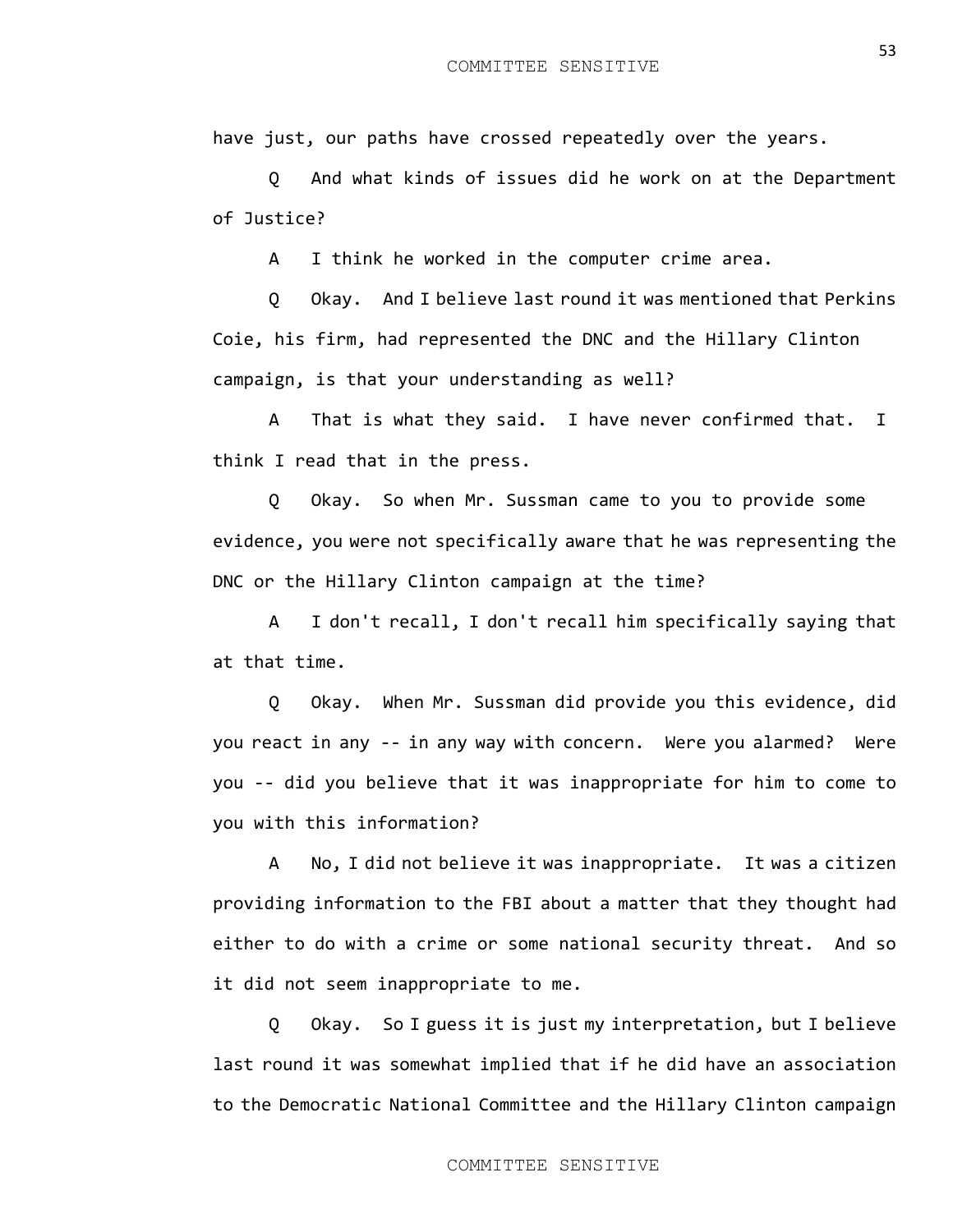have just, our paths have crossed repeatedly over the years.

Q And what kinds of issues did he work on at the Department of Justice?

A I think he worked in the computer crime area.

Q Okay. And I believe last round it was mentioned that Perkins Coie, his firm, had represented the DNC and the Hillary Clinton campaign, is that your understanding as well?

A That is what they said. I have never confirmed that. I think I read that in the press.

Q Okay. So when Mr. Sussman came to you to provide some evidence, you were not specifically aware that he was representing the DNC or the Hillary Clinton campaign at the time?

A I don't recall, I don't recall him specifically saying that at that time.

Q Okay. When Mr. Sussman did provide you this evidence, did you react in any -- in any way with concern. Were you alarmed? Were you -- did you believe that it was inappropriate for him to come to you with this information?

A No, I did not believe it was inappropriate. It was a citizen providing information to the FBI about a matter that they thought had either to do with a crime or some national security threat. And so it did not seem inappropriate to me.

Q Okay. So I guess it is just my interpretation, but I believe last round it was somewhat implied that if he did have an association to the Democratic National Committee and the Hillary Clinton campaign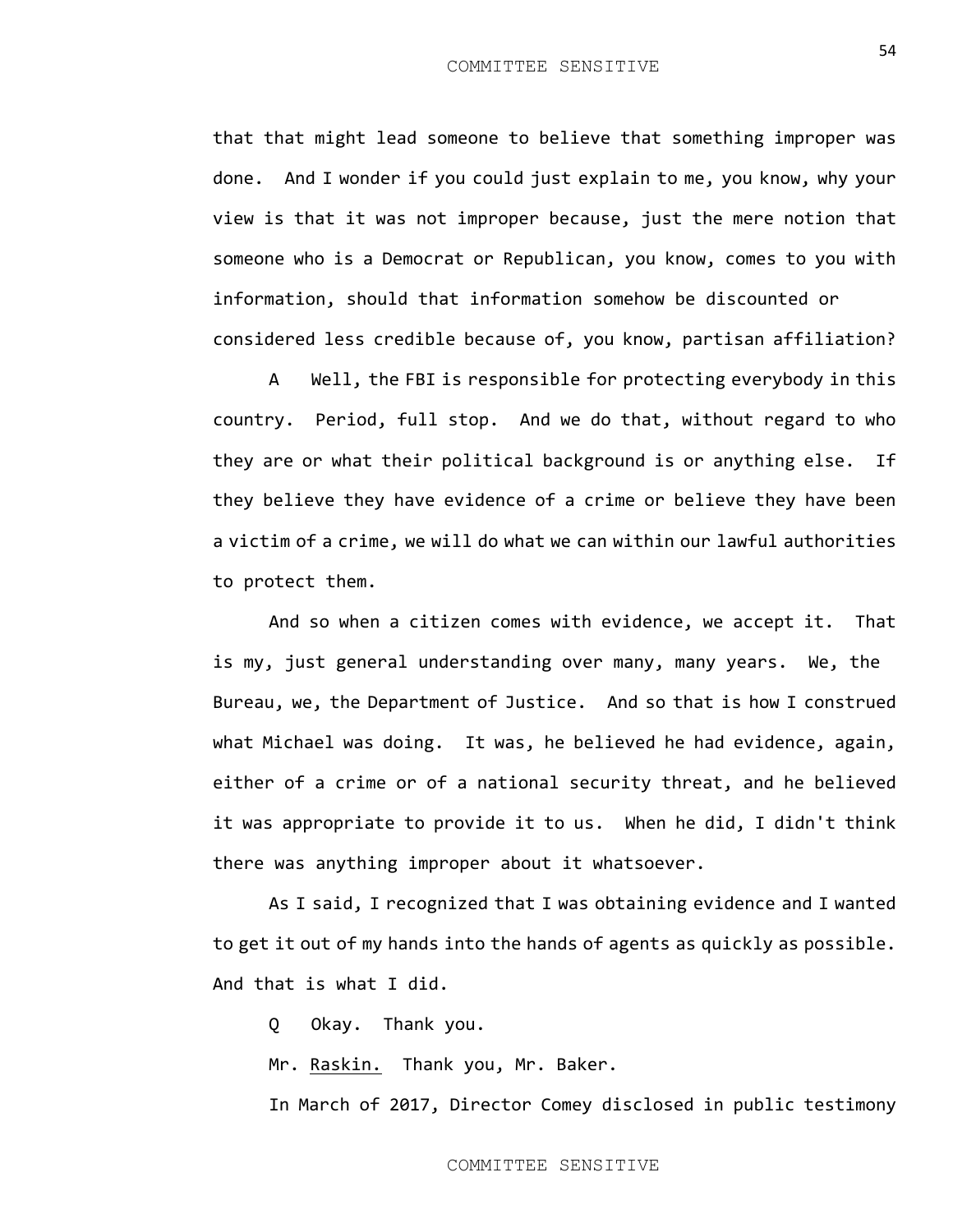that that might lead someone to believe that something improper was done. And I wonder if you could just explain to me, you know, why your view is that it was not improper because, just the mere notion that someone who is a Democrat or Republican, you know, comes to you with information, should that information somehow be discounted or considered less credible because of, you know, partisan affiliation?

A Well, the FBI is responsible for protecting everybody in this country. Period, full stop. And we do that, without regard to who they are or what their political background is or anything else. If they believe they have evidence of a crime or believe they have been a victim of a crime, we will do what we can within our lawful authorities to protect them.

And so when a citizen comes with evidence, we accept it. That is my, just general understanding over many, many years. We, the Bureau, we, the Department of Justice. And so that is how I construed what Michael was doing. It was, he believed he had evidence, again, either of a crime or of a national security threat, and he believed it was appropriate to provide it to us. When he did, I didn't think there was anything improper about it whatsoever.

As I said, I recognized that I was obtaining evidence and I wanted to get it out of my hands into the hands of agents as quickly as possible. And that is what I did.

Q Okay. Thank you.

Mr. Raskin. Thank you, Mr. Baker.

In March of 2017, Director Comey disclosed in public testimony

54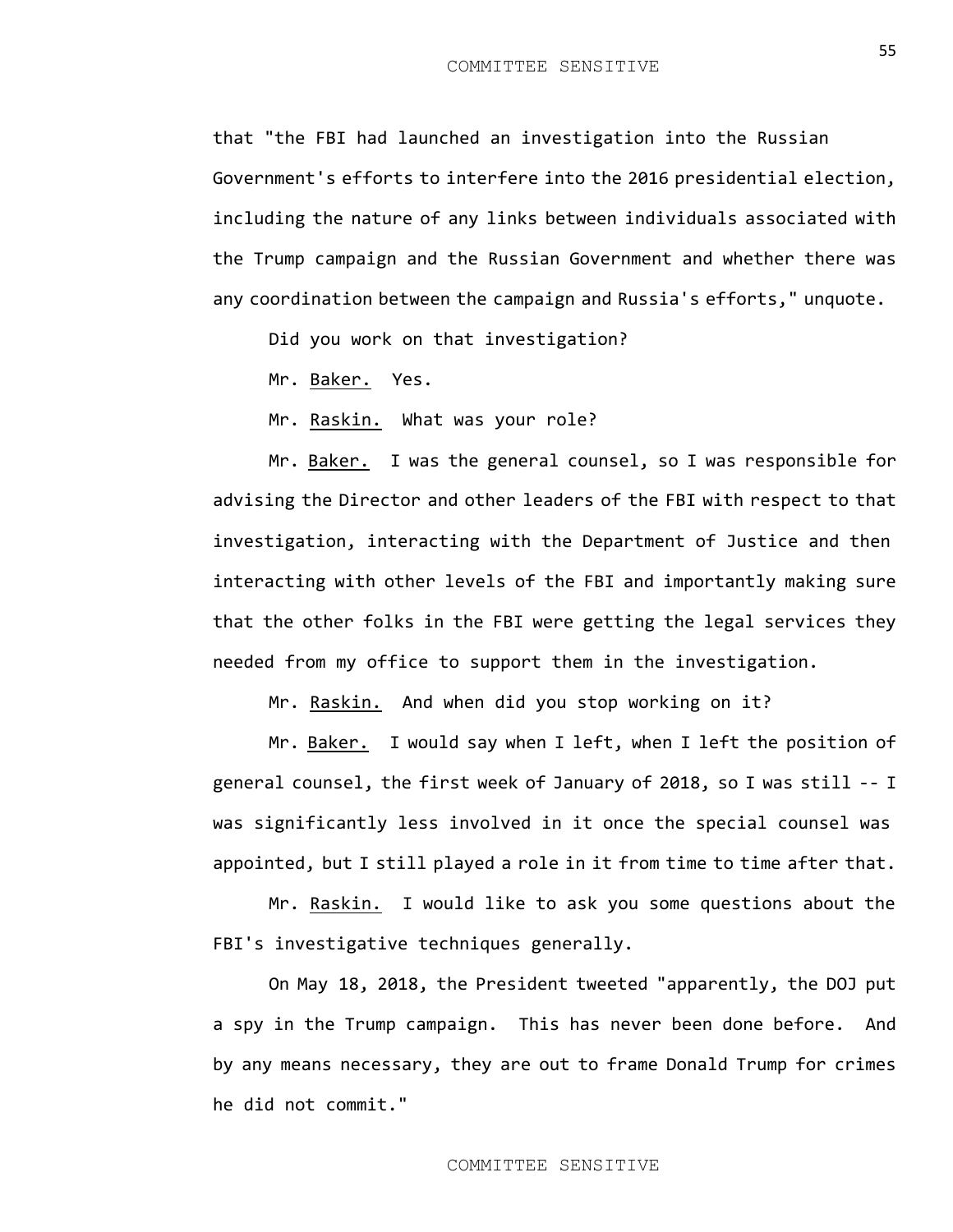that "the FBI had launched an investigation into the Russian Government's efforts to interfere into the 2016 presidential election, including the nature of any links between individuals associated with the Trump campaign and the Russian Government and whether there was any coordination between the campaign and Russia's efforts," unquote.

Did you work on that investigation?

Mr. Baker. Yes.

Mr. Raskin. What was your role?

Mr. Baker. I was the general counsel, so I was responsible for advising the Director and other leaders of the FBI with respect to that investigation, interacting with the Department of Justice and then interacting with other levels of the FBI and importantly making sure that the other folks in the FBI were getting the legal services they needed from my office to support them in the investigation.

Mr. Raskin. And when did you stop working on it?

Mr. Baker. I would say when I left, when I left the position of general counsel, the first week of January of 2018, so I was still -- I was significantly less involved in it once the special counsel was appointed, but I still played a role in it from time to time after that.

Mr. Raskin. I would like to ask you some questions about the FBI's investigative techniques generally.

On May 18, 2018, the President tweeted "apparently, the DOJ put a spy in the Trump campaign. This has never been done before. And by any means necessary, they are out to frame Donald Trump for crimes he did not commit."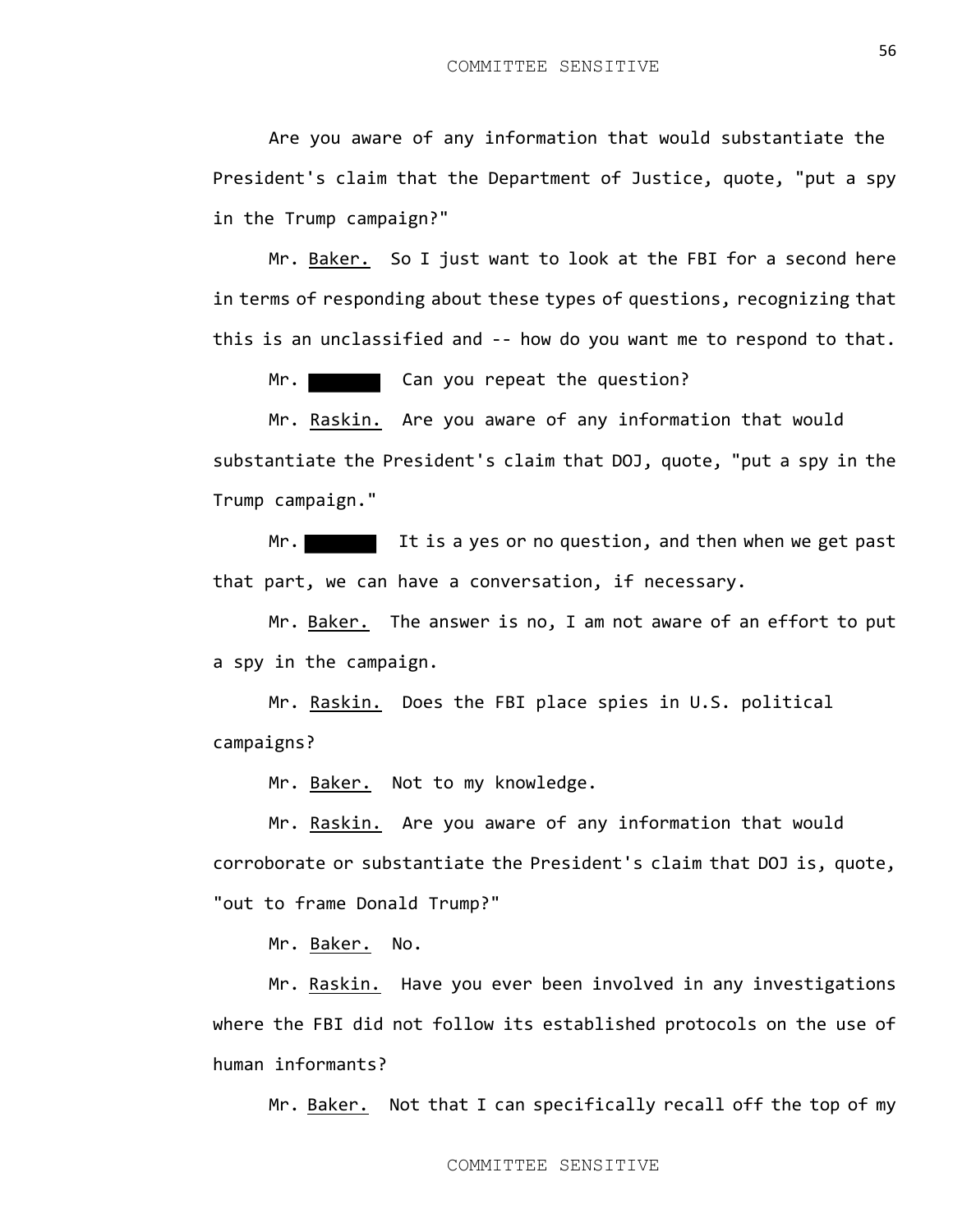Are you aware of any information that would substantiate the President's claim that the Department of Justice, quote, "put a spy in the Trump campaign?"

Mr. Baker. So I just want to look at the FBI for a second here in terms of responding about these types of questions, recognizing that this is an unclassified and -- how do you want me to respond to that.

Mr. Can you repeat the question?

Mr. Raskin. Are you aware of any information that would substantiate the President's claim that DOJ, quote, "put a spy in the Trump campaign."

Mr. **If it is a yes or no question, and then when we get past** that part, we can have a conversation, if necessary.

Mr. Baker. The answer is no, I am not aware of an effort to put a spy in the campaign.

Mr. Raskin. Does the FBI place spies in U.S. political campaigns?

Mr. Baker. Not to my knowledge.

Mr. Raskin. Are you aware of any information that would corroborate or substantiate the President's claim that DOJ is, quote, "out to frame Donald Trump?"

Mr. Baker. No.

Mr. Raskin. Have you ever been involved in any investigations where the FBI did not follow its established protocols on the use of human informants?

Mr. Baker. Not that I can specifically recall off the top of my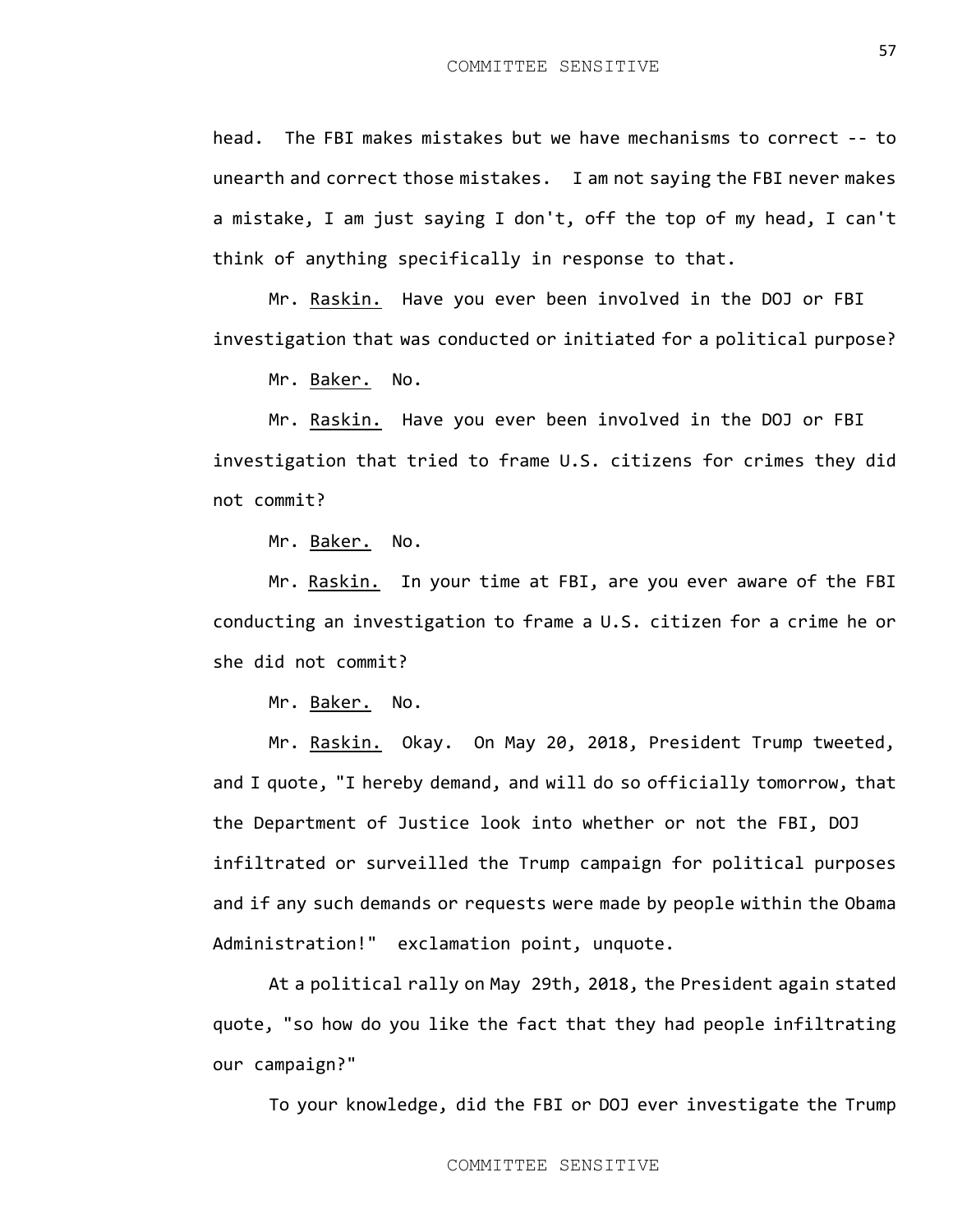head. The FBI makes mistakes but we have mechanisms to correct -- to unearth and correct those mistakes. I am not saying the FBI never makes a mistake, I am just saying I don't, off the top of my head, I can't think of anything specifically in response to that.

Mr. Raskin. Have you ever been involved in the DOJ or FBI investigation that was conducted or initiated for a political purpose?

Mr. Baker. No.

Mr. Raskin. Have you ever been involved in the DOJ or FBI investigation that tried to frame U.S. citizens for crimes they did not commit?

Mr. Baker. No.

Mr. Raskin. In your time at FBI, are you ever aware of the FBI conducting an investigation to frame a U.S. citizen for a crime he or she did not commit?

Mr. Baker. No.

Mr. Raskin. Okay. On May 20, 2018, President Trump tweeted, and I quote, "I hereby demand, and will do so officially tomorrow, that the Department of Justice look into whether or not the FBI, DOJ infiltrated or surveilled the Trump campaign for political purposes and if any such demands or requests were made by people within the Obama Administration!" exclamation point, unquote.

At a political rally on May 29th, 2018, the President again stated quote, "so how do you like the fact that they had people infiltrating our campaign?"

To your knowledge, did the FBI or DOJ ever investigate the Trump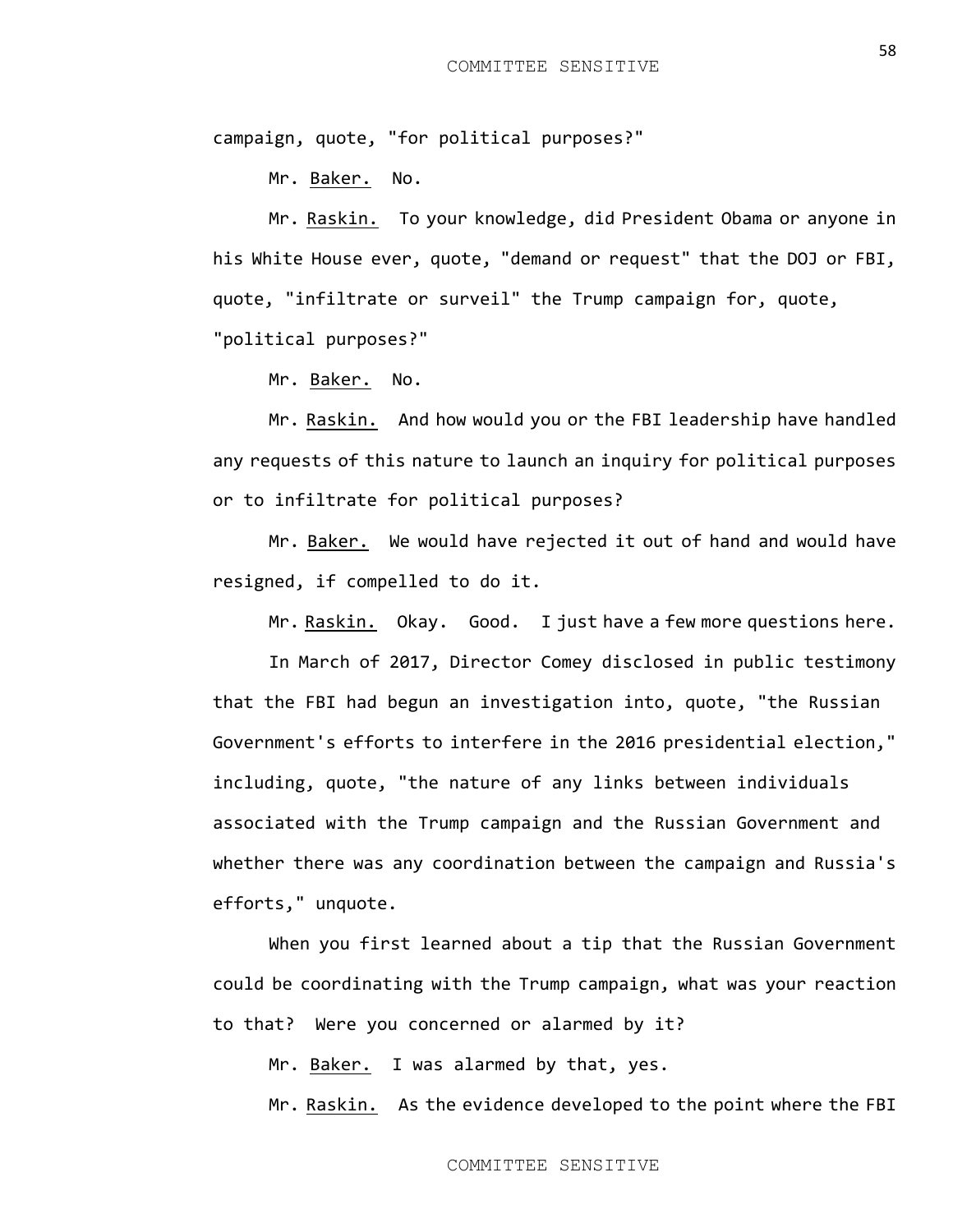campaign, quote, "for political purposes?"

Mr. Baker. No.

Mr. Raskin. To your knowledge, did President Obama or anyone in his White House ever, quote, "demand or request" that the DOJ or FBI, quote, "infiltrate or surveil" the Trump campaign for, quote, "political purposes?"

Mr. Baker. No.

Mr. Raskin. And how would you or the FBI leadership have handled any requests of this nature to launch an inquiry for political purposes or to infiltrate for political purposes?

Mr. Baker. We would have rejected it out of hand and would have resigned, if compelled to do it.

Mr. Raskin. Okay. Good. I just have a few more questions here.

In March of 2017, Director Comey disclosed in public testimony that the FBI had begun an investigation into, quote, "the Russian Government's efforts to interfere in the 2016 presidential election," including, quote, "the nature of any links between individuals associated with the Trump campaign and the Russian Government and whether there was any coordination between the campaign and Russia's efforts," unquote.

When you first learned about a tip that the Russian Government could be coordinating with the Trump campaign, what was your reaction to that? Were you concerned or alarmed by it?

Mr. Baker. I was alarmed by that, yes.

Mr. Raskin. As the evidence developed to the point where the FBI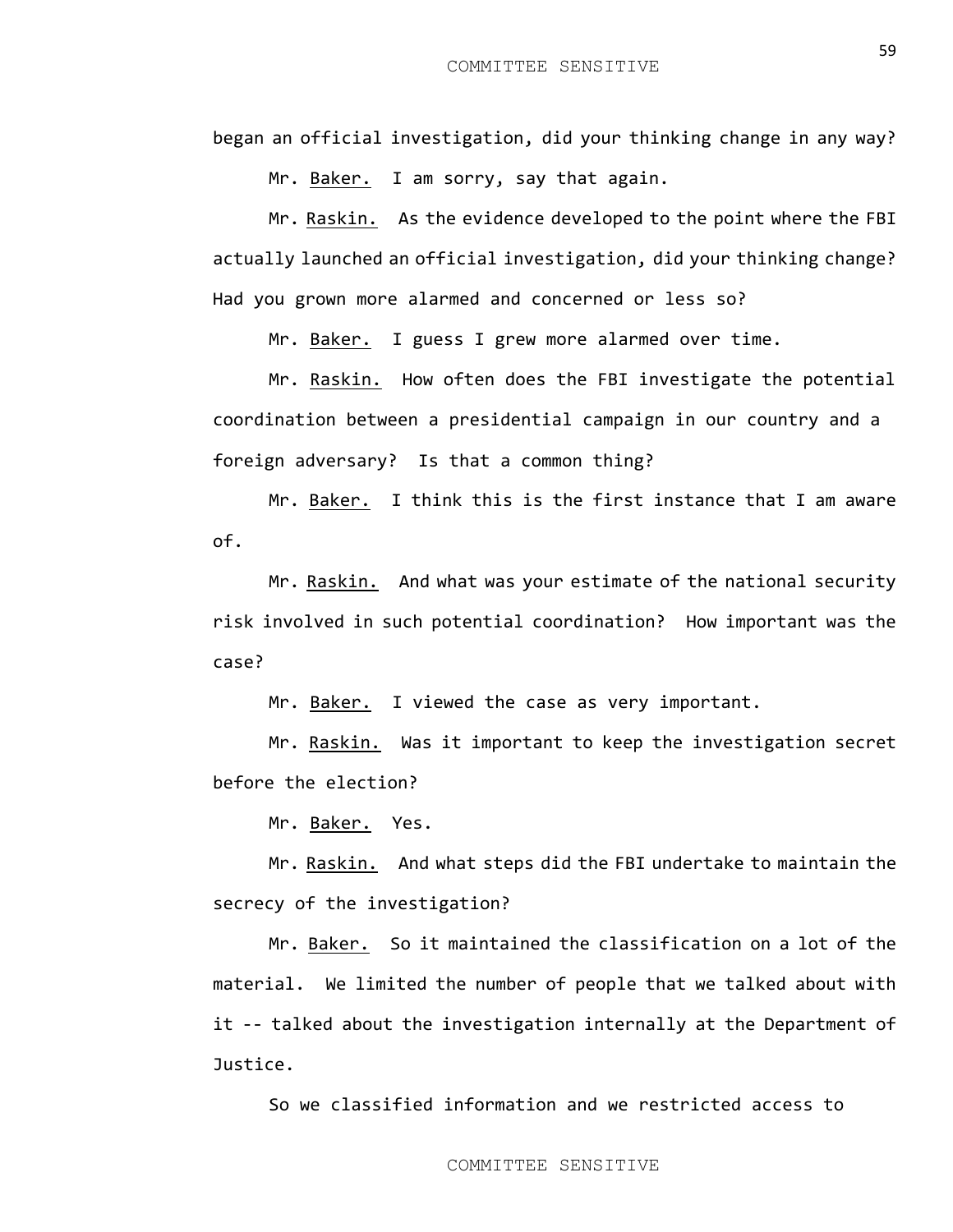began an official investigation, did your thinking change in any way?

Mr. Baker. I am sorry, say that again.

Mr. Raskin. As the evidence developed to the point where the FBI actually launched an official investigation, did your thinking change? Had you grown more alarmed and concerned or less so?

Mr. Baker. I guess I grew more alarmed over time.

Mr. Raskin. How often does the FBI investigate the potential coordination between a presidential campaign in our country and a foreign adversary? Is that a common thing?

Mr. Baker. I think this is the first instance that I am aware of.

Mr. Raskin. And what was your estimate of the national security risk involved in such potential coordination? How important was the case?

Mr. Baker. I viewed the case as very important.

Mr. Raskin. Was it important to keep the investigation secret before the election?

Mr. Baker. Yes.

Mr. Raskin. And what steps did the FBI undertake to maintain the secrecy of the investigation?

Mr. Baker. So it maintained the classification on a lot of the material. We limited the number of people that we talked about with it -- talked about the investigation internally at the Department of Justice.

So we classified information and we restricted access to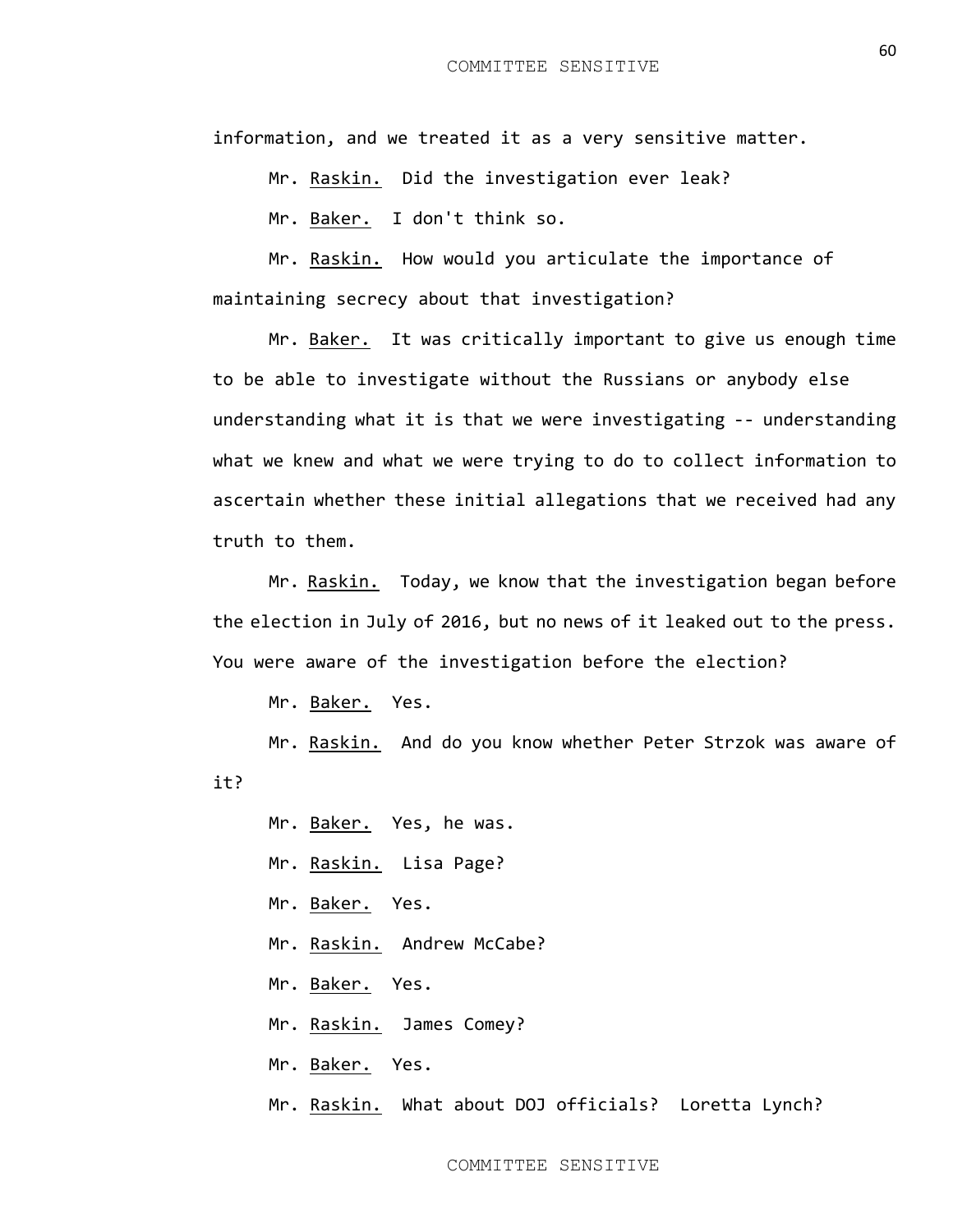information, and we treated it as a very sensitive matter.

Mr. Raskin. Did the investigation ever leak?

Mr. Baker. I don't think so.

Mr. Raskin. How would you articulate the importance of maintaining secrecy about that investigation?

Mr. Baker. It was critically important to give us enough time to be able to investigate without the Russians or anybody else understanding what it is that we were investigating -- understanding what we knew and what we were trying to do to collect information to ascertain whether these initial allegations that we received had any truth to them.

Mr. Raskin. Today, we know that the investigation began before the election in July of 2016, but no news of it leaked out to the press. You were aware of the investigation before the election?

Mr. Baker. Yes.

Mr. Raskin. And do you know whether Peter Strzok was aware of it?

Mr. Baker. Yes, he was.

Mr. Raskin. Lisa Page?

Mr. Baker. Yes.

Mr. Raskin. Andrew McCabe?

Mr. Baker. Yes.

Mr. Raskin. James Comey?

Mr. Baker. Yes.

Mr. Raskin. What about DOJ officials? Loretta Lynch?

60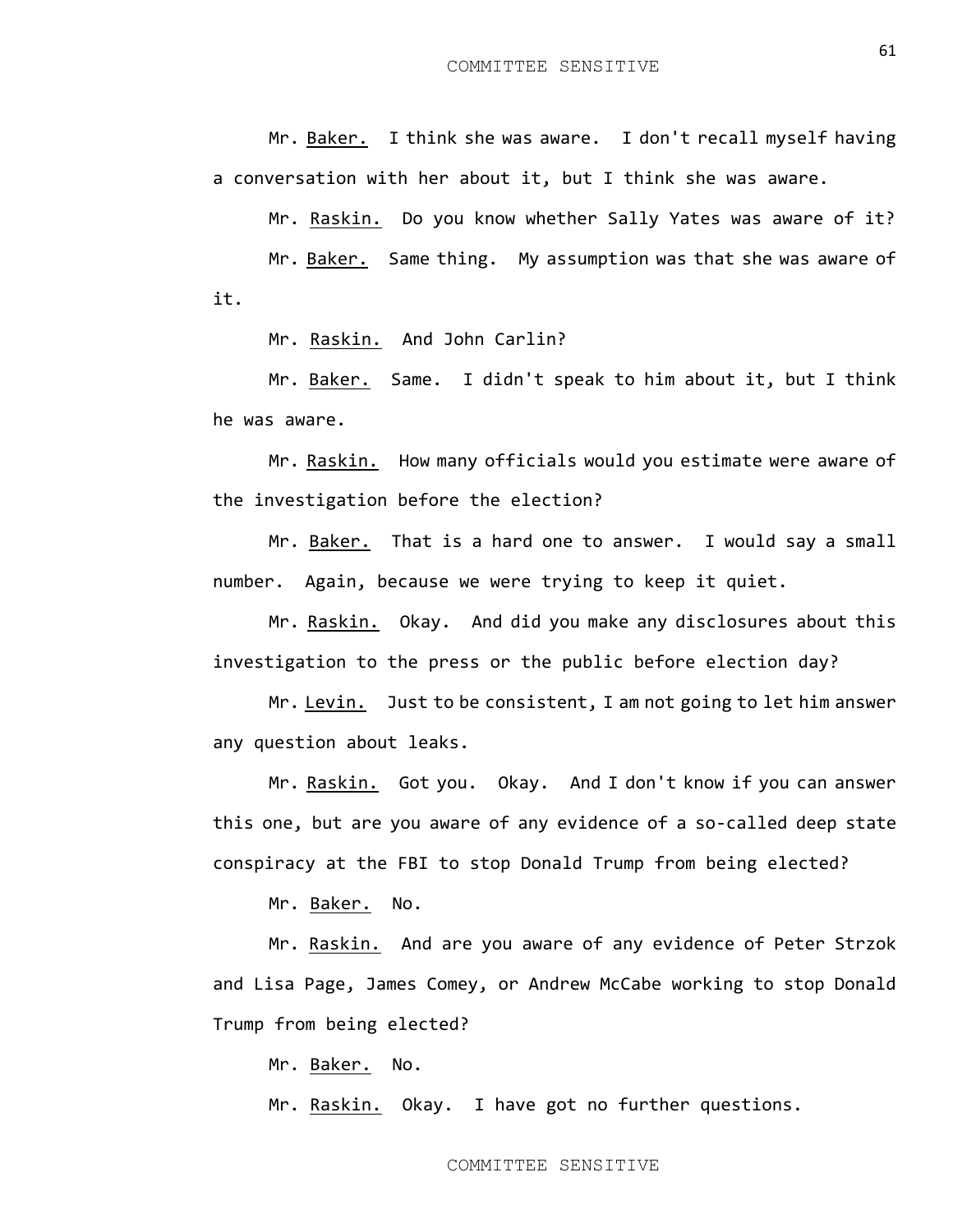Mr. Baker. I think she was aware. I don't recall myself having a conversation with her about it, but I think she was aware.

Mr. Raskin. Do you know whether Sally Yates was aware of it?

Mr. Baker. Same thing. My assumption was that she was aware of it.

Mr. Raskin. And John Carlin?

Mr. Baker. Same. I didn't speak to him about it, but I think he was aware.

Mr. Raskin. How many officials would you estimate were aware of the investigation before the election?

Mr. Baker. That is a hard one to answer. I would say a small number. Again, because we were trying to keep it quiet.

Mr. Raskin. Okay. And did you make any disclosures about this investigation to the press or the public before election day?

Mr. Levin. Just to be consistent, I am not going to let him answer any question about leaks.

Mr. Raskin. Got you. Okay. And I don't know if you can answer this one, but are you aware of any evidence of a so-called deep state conspiracy at the FBI to stop Donald Trump from being elected?

Mr. Baker. No.

Mr. Raskin. And are you aware of any evidence of Peter Strzok and Lisa Page, James Comey, or Andrew McCabe working to stop Donald Trump from being elected?

Mr. Baker. No.

Mr. Raskin. Okay. I have got no further questions.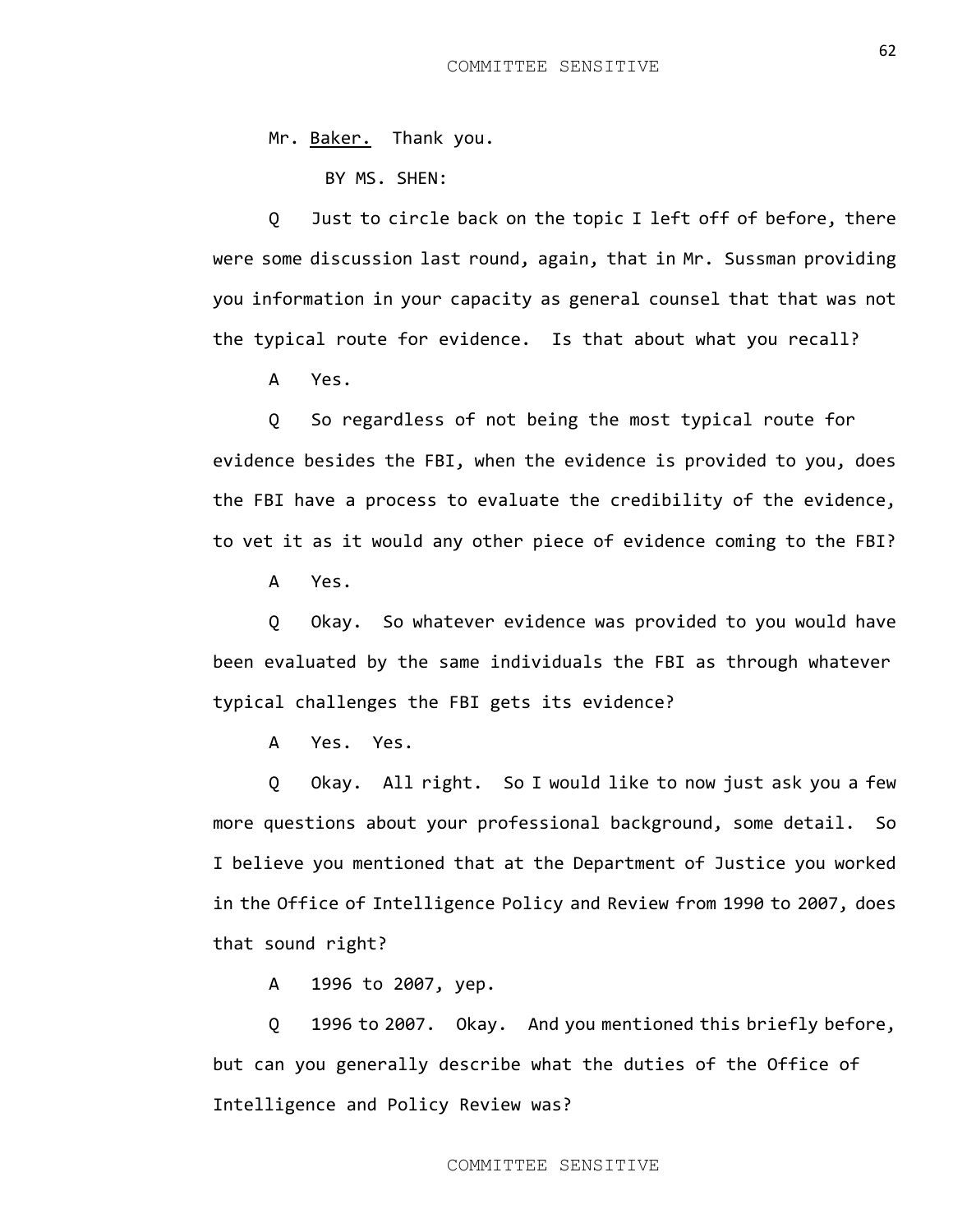Mr. Baker. Thank you.

BY MS. SHEN:

Q Just to circle back on the topic I left off of before, there were some discussion last round, again, that in Mr. Sussman providing you information in your capacity as general counsel that that was not the typical route for evidence. Is that about what you recall?

A Yes.

Q So regardless of not being the most typical route for evidence besides the FBI, when the evidence is provided to you, does the FBI have a process to evaluate the credibility of the evidence, to vet it as it would any other piece of evidence coming to the FBI?

A Yes.

Q Okay. So whatever evidence was provided to you would have been evaluated by the same individuals the FBI as through whatever typical challenges the FBI gets its evidence?

A Yes. Yes.

Q Okay. All right. So I would like to now just ask you a few more questions about your professional background, some detail. So I believe you mentioned that at the Department of Justice you worked in the Office of Intelligence Policy and Review from 1990 to 2007, does that sound right?

A 1996 to 2007, yep.

Q 1996 to 2007. Okay. And you mentioned this briefly before, but can you generally describe what the duties of the Office of Intelligence and Policy Review was?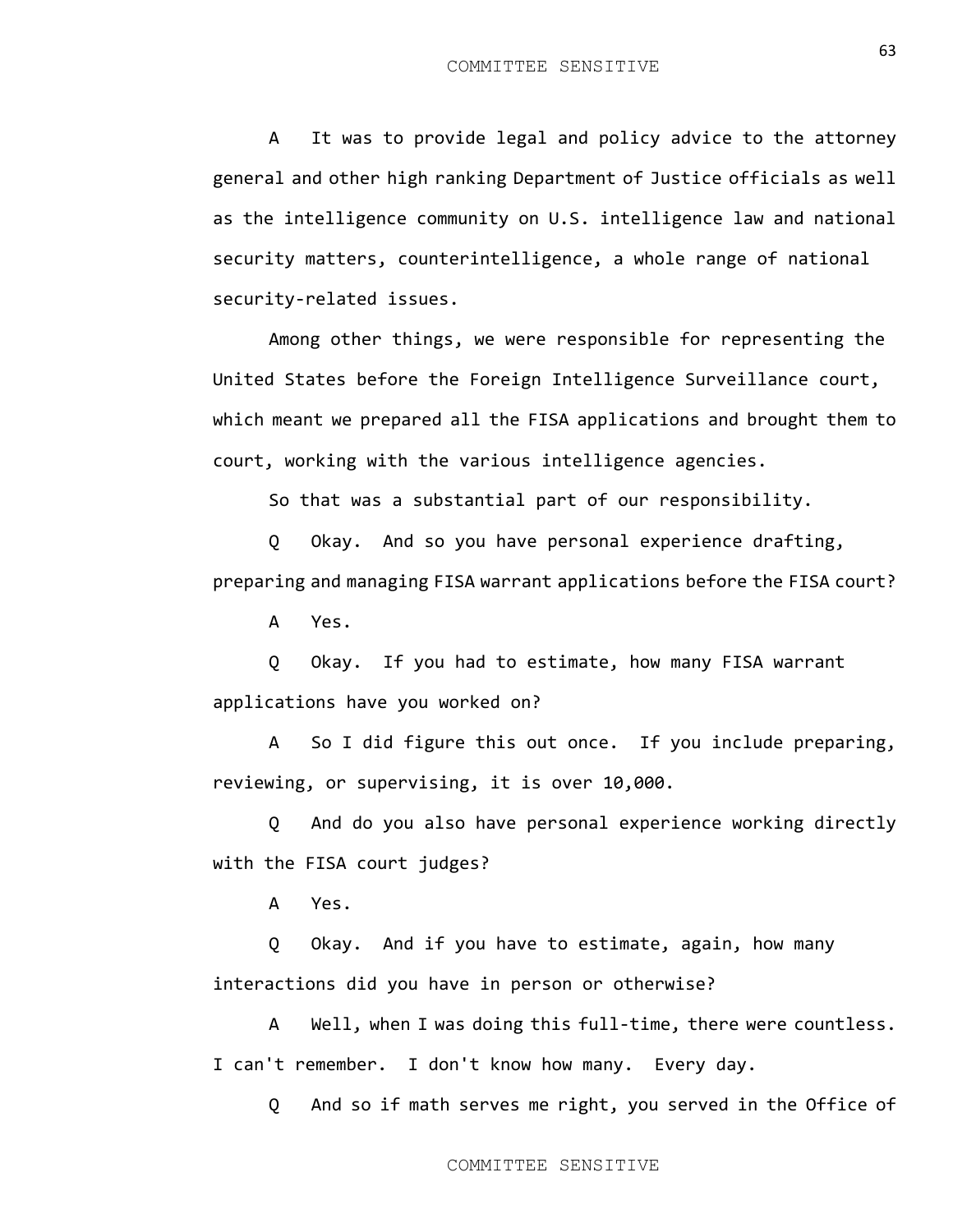A It was to provide legal and policy advice to the attorney general and other high ranking Department of Justice officials as well as the intelligence community on U.S. intelligence law and national security matters, counterintelligence, a whole range of national security-related issues.

Among other things, we were responsible for representing the United States before the Foreign Intelligence Surveillance court, which meant we prepared all the FISA applications and brought them to court, working with the various intelligence agencies.

So that was a substantial part of our responsibility.

Q Okay. And so you have personal experience drafting, preparing and managing FISA warrant applications before the FISA court?

A Yes.

Q Okay. If you had to estimate, how many FISA warrant applications have you worked on?

A So I did figure this out once. If you include preparing, reviewing, or supervising, it is over 10,000.

Q And do you also have personal experience working directly with the FISA court judges?

A Yes.

Q Okay. And if you have to estimate, again, how many interactions did you have in person or otherwise?

A Well, when I was doing this full-time, there were countless. I can't remember. I don't know how many. Every day.

Q And so if math serves me right, you served in the Office of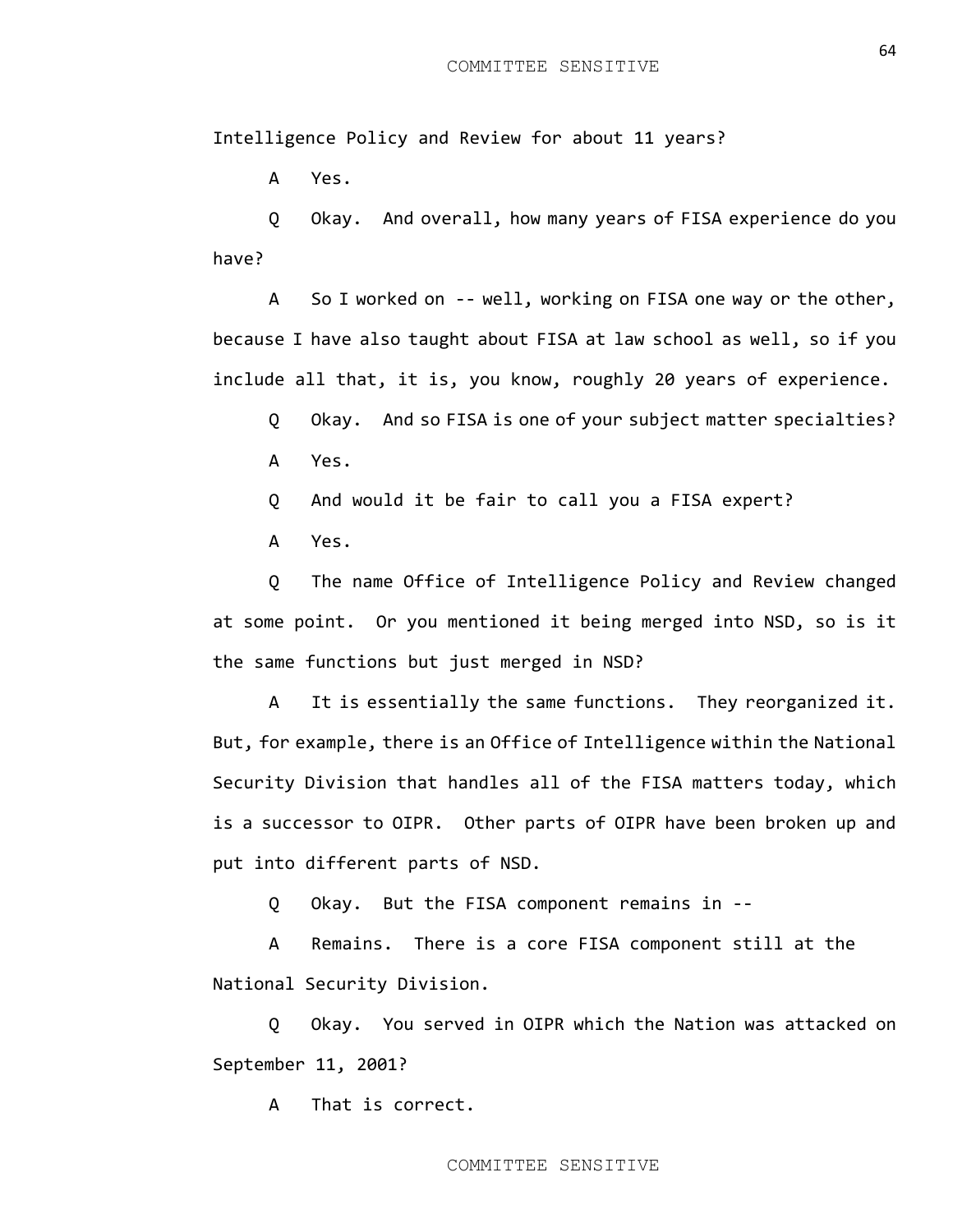Intelligence Policy and Review for about 11 years?

A Yes.

Q Okay. And overall, how many years of FISA experience do you have?

A So I worked on -- well, working on FISA one way or the other, because I have also taught about FISA at law school as well, so if you include all that, it is, you know, roughly 20 years of experience.

Q Okay. And so FISA is one of your subject matter specialties? A Yes.

Q And would it be fair to call you a FISA expert?

A Yes.

Q The name Office of Intelligence Policy and Review changed at some point. Or you mentioned it being merged into NSD, so is it the same functions but just merged in NSD?

A It is essentially the same functions. They reorganized it. But, for example, there is an Office of Intelligence within the National Security Division that handles all of the FISA matters today, which is a successor to OIPR. Other parts of OIPR have been broken up and put into different parts of NSD.

Q Okay. But the FISA component remains in --

A Remains. There is a core FISA component still at the National Security Division.

Q Okay. You served in OIPR which the Nation was attacked on September 11, 2001?

A That is correct.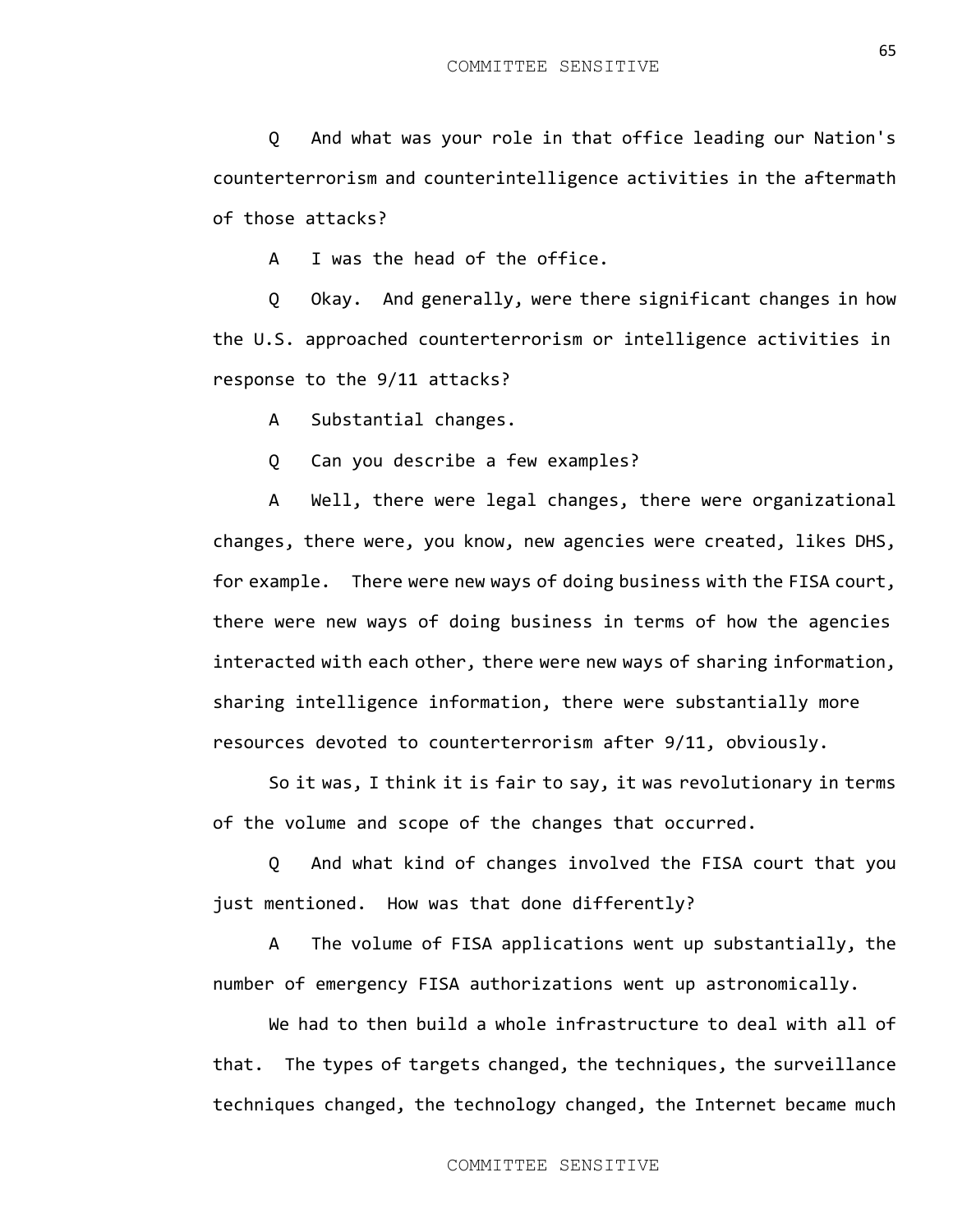Q Okay. And generally, were there significant changes in how the U.S. approached counterterrorism or intelligence activities in response to the 9/11 attacks?

A Substantial changes.

of those attacks?

Q Can you describe a few examples?

A I was the head of the office.

A Well, there were legal changes, there were organizational changes, there were, you know, new agencies were created, likes DHS, for example. There were new ways of doing business with the FISA court, there were new ways of doing business in terms of how the agencies interacted with each other, there were new ways of sharing information, sharing intelligence information, there were substantially more resources devoted to counterterrorism after 9/11, obviously.

So it was, I think it is fair to say, it was revolutionary in terms of the volume and scope of the changes that occurred.

Q And what kind of changes involved the FISA court that you just mentioned. How was that done differently?

A The volume of FISA applications went up substantially, the number of emergency FISA authorizations went up astronomically.

We had to then build a whole infrastructure to deal with all of that. The types of targets changed, the techniques, the surveillance techniques changed, the technology changed, the Internet became much

counterterrorism and counterintelligence activities in the aftermath

Q And what was your role in that office leading our Nation's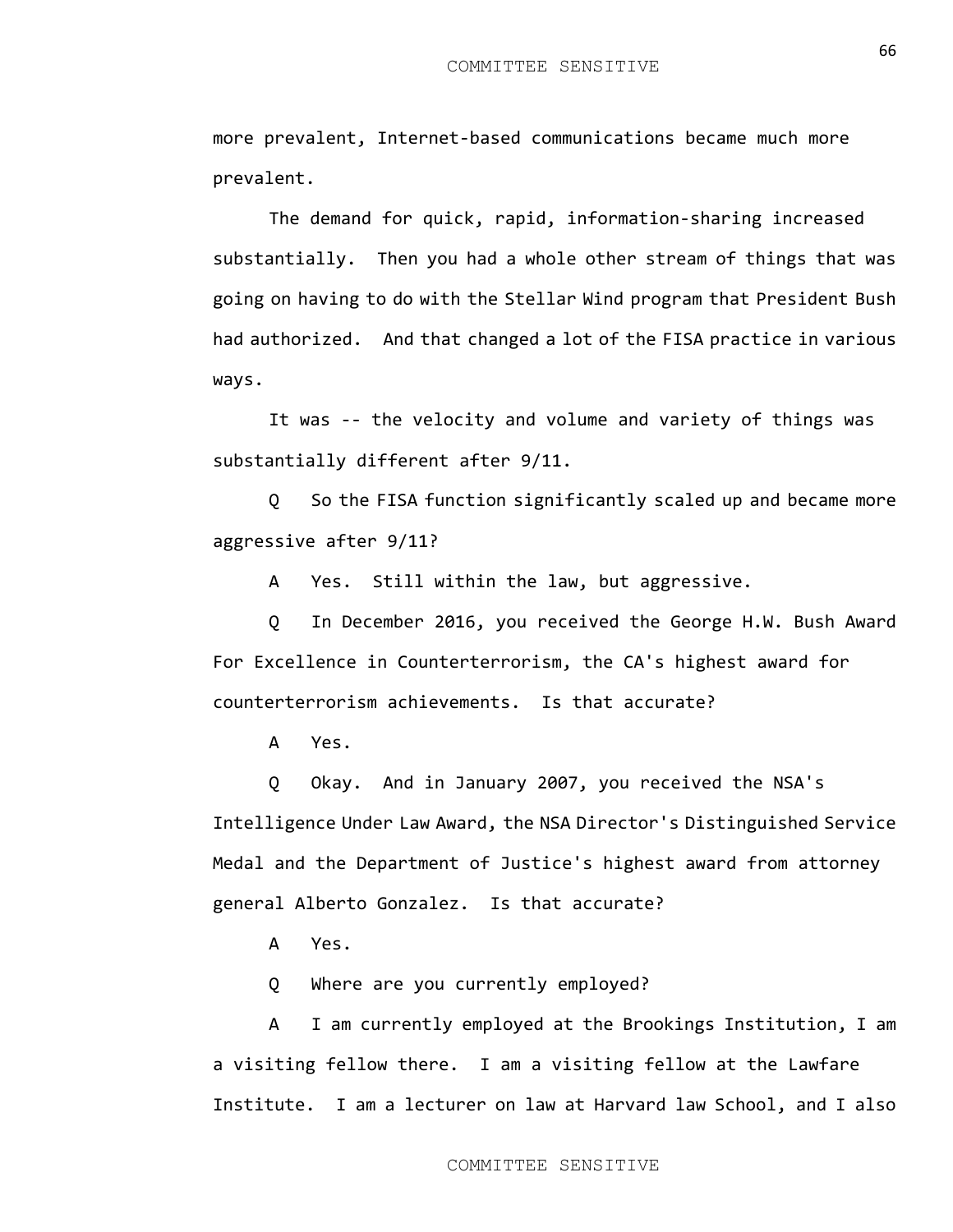more prevalent, Internet-based communications became much more prevalent.

The demand for quick, rapid, information-sharing increased substantially. Then you had a whole other stream of things that was going on having to do with the Stellar Wind program that President Bush had authorized. And that changed a lot of the FISA practice in various ways.

It was -- the velocity and volume and variety of things was substantially different after 9/11.

Q So the FISA function significantly scaled up and became more aggressive after 9/11?

A Yes. Still within the law, but aggressive.

Q In December 2016, you received the George H.W. Bush Award For Excellence in Counterterrorism, the CA's highest award for counterterrorism achievements. Is that accurate?

A Yes.

Q Okay. And in January 2007, you received the NSA's Intelligence Under Law Award, the NSA Director's Distinguished Service Medal and the Department of Justice's highest award from attorney general Alberto Gonzalez. Is that accurate?

A Yes.

Q Where are you currently employed?

A I am currently employed at the Brookings Institution, I am a visiting fellow there. I am a visiting fellow at the Lawfare Institute. I am a lecturer on law at Harvard law School, and I also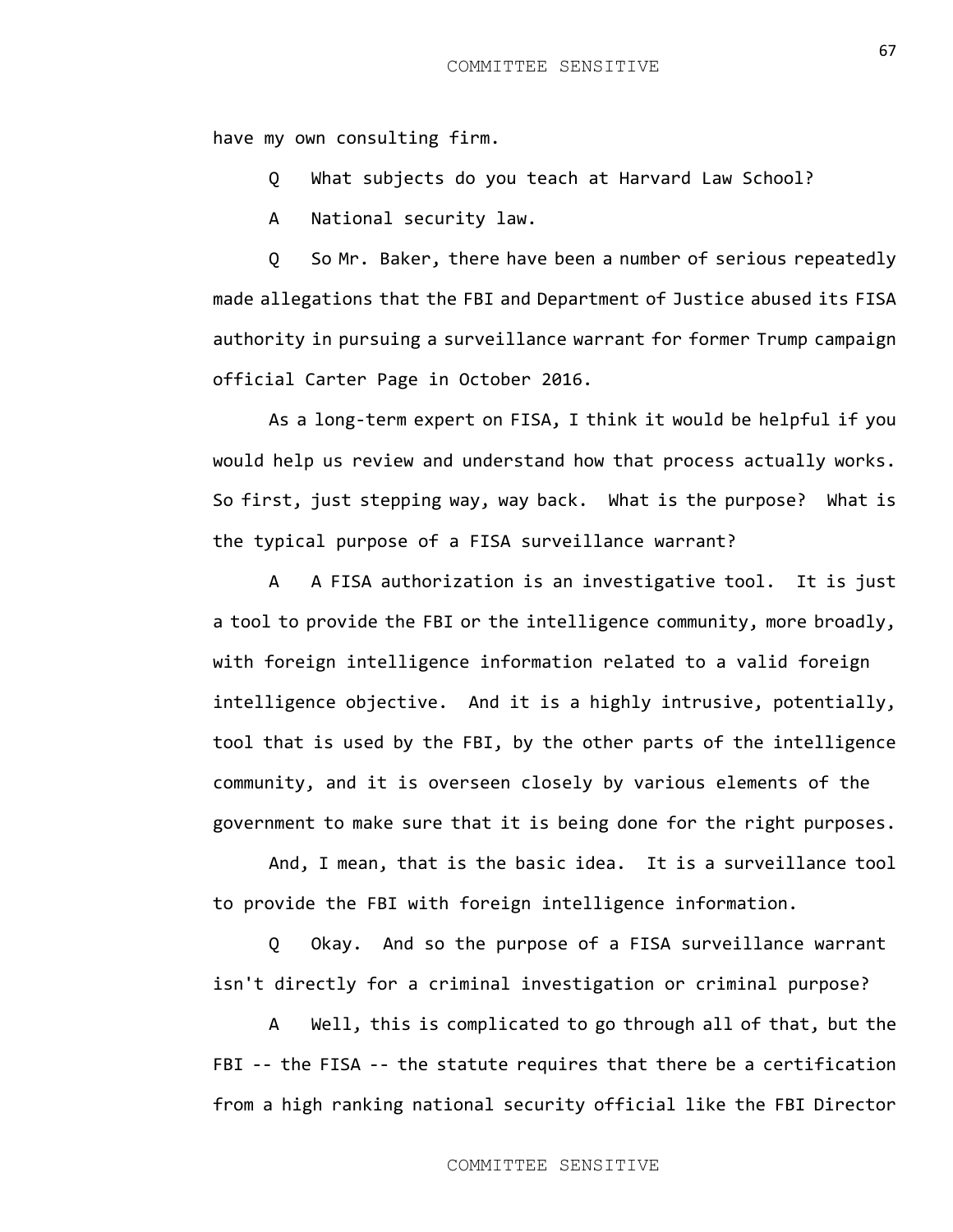have my own consulting firm.

Q What subjects do you teach at Harvard Law School?

A National security law.

Q So Mr. Baker, there have been a number of serious repeatedly made allegations that the FBI and Department of Justice abused its FISA authority in pursuing a surveillance warrant for former Trump campaign official Carter Page in October 2016.

As a long-term expert on FISA, I think it would be helpful if you would help us review and understand how that process actually works. So first, just stepping way, way back. What is the purpose? What is the typical purpose of a FISA surveillance warrant?

A A FISA authorization is an investigative tool. It is just a tool to provide the FBI or the intelligence community, more broadly, with foreign intelligence information related to a valid foreign intelligence objective. And it is a highly intrusive, potentially, tool that is used by the FBI, by the other parts of the intelligence community, and it is overseen closely by various elements of the government to make sure that it is being done for the right purposes.

And, I mean, that is the basic idea. It is a surveillance tool to provide the FBI with foreign intelligence information.

Q Okay. And so the purpose of a FISA surveillance warrant isn't directly for a criminal investigation or criminal purpose?

A Well, this is complicated to go through all of that, but the FBI -- the FISA -- the statute requires that there be a certification from a high ranking national security official like the FBI Director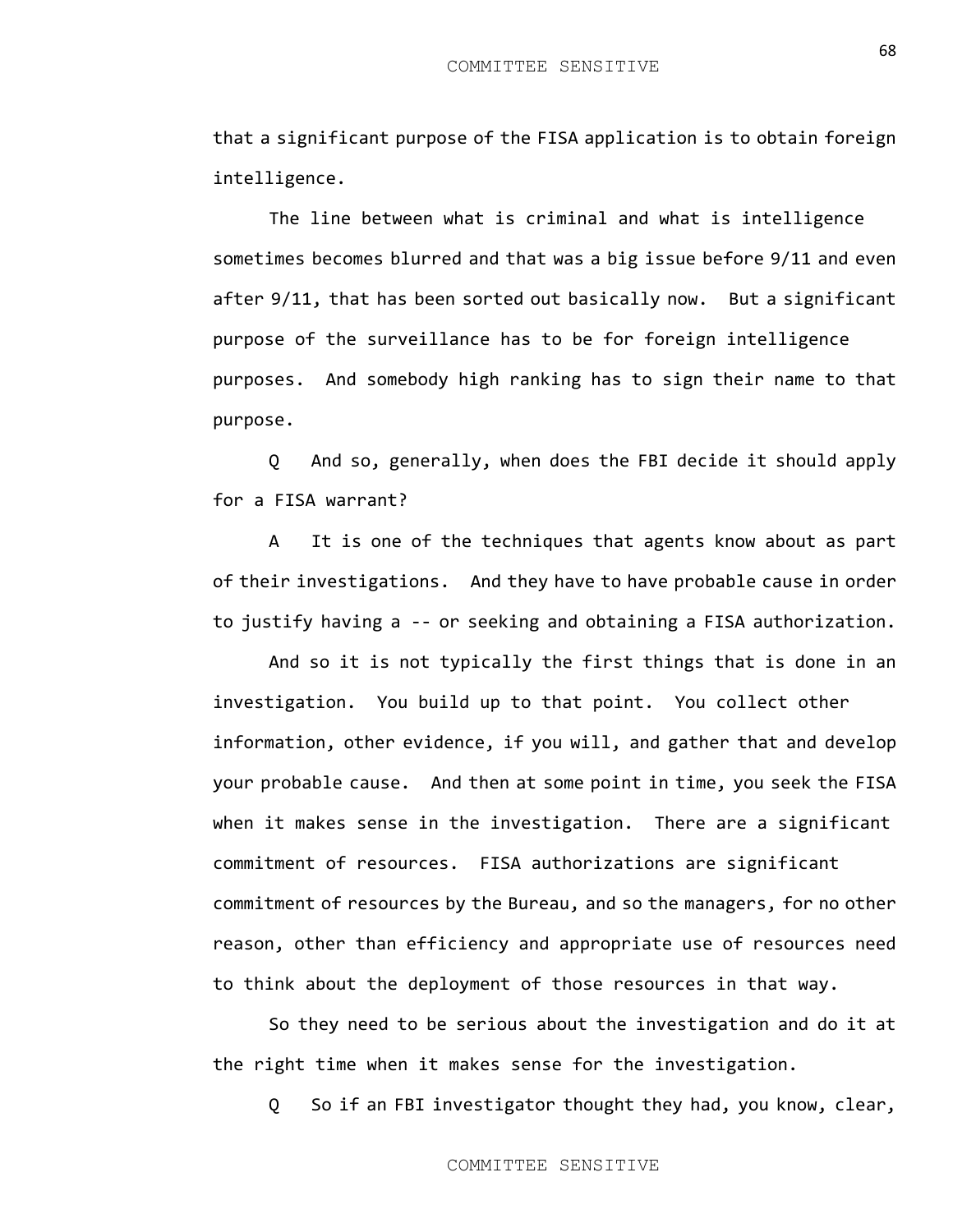that a significant purpose of the FISA application is to obtain foreign intelligence.

The line between what is criminal and what is intelligence sometimes becomes blurred and that was a big issue before 9/11 and even after 9/11, that has been sorted out basically now. But a significant purpose of the surveillance has to be for foreign intelligence purposes. And somebody high ranking has to sign their name to that purpose.

Q And so, generally, when does the FBI decide it should apply for a FISA warrant?

A It is one of the techniques that agents know about as part of their investigations. And they have to have probable cause in order to justify having a -- or seeking and obtaining a FISA authorization.

And so it is not typically the first things that is done in an investigation. You build up to that point. You collect other information, other evidence, if you will, and gather that and develop your probable cause. And then at some point in time, you seek the FISA when it makes sense in the investigation. There are a significant commitment of resources. FISA authorizations are significant commitment of resources by the Bureau, and so the managers, for no other reason, other than efficiency and appropriate use of resources need to think about the deployment of those resources in that way.

So they need to be serious about the investigation and do it at the right time when it makes sense for the investigation.

Q So if an FBI investigator thought they had, you know, clear,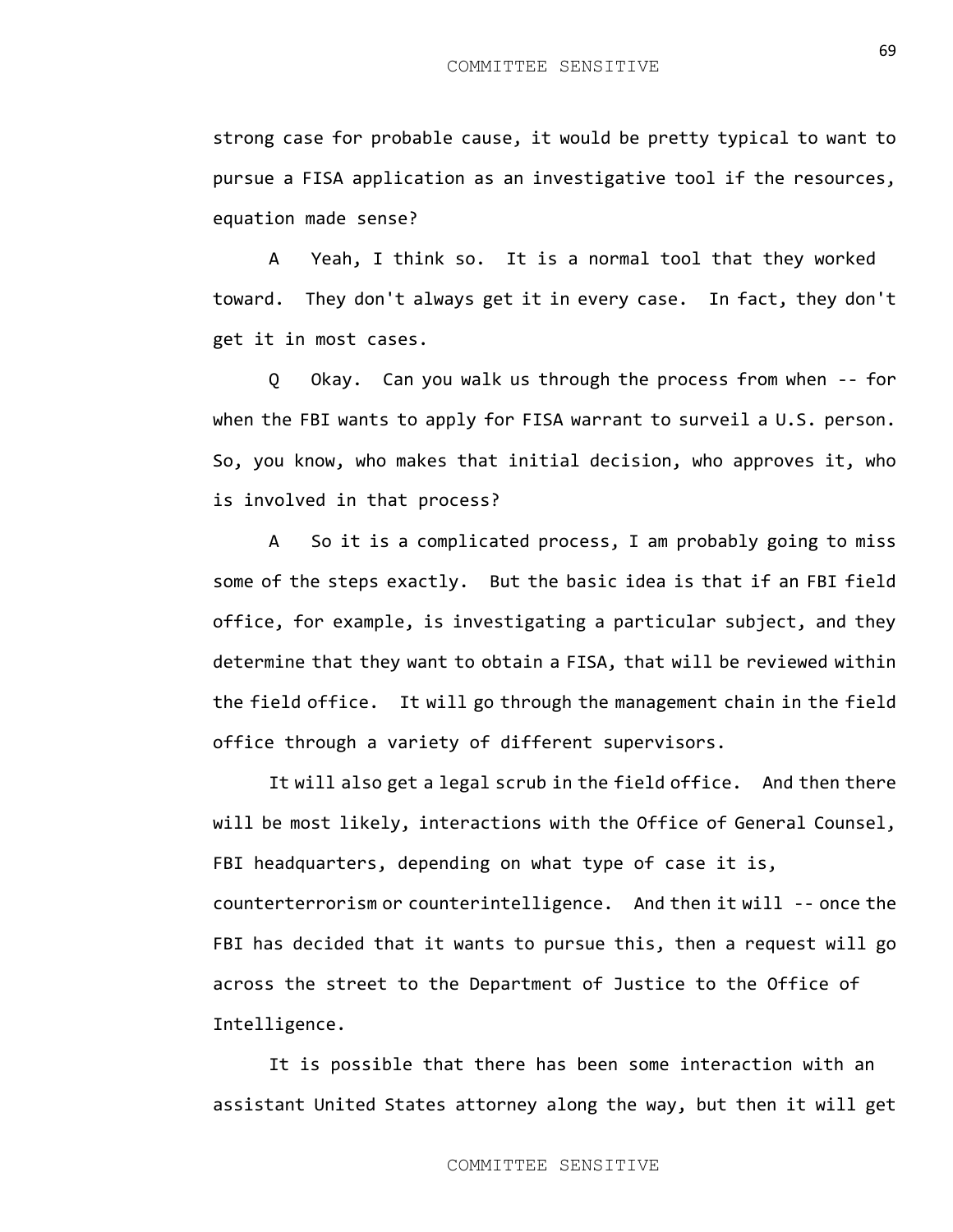strong case for probable cause, it would be pretty typical to want to pursue a FISA application as an investigative tool if the resources, equation made sense?

A Yeah, I think so. It is a normal tool that they worked toward. They don't always get it in every case. In fact, they don't get it in most cases.

Q Okay. Can you walk us through the process from when -- for when the FBI wants to apply for FISA warrant to surveil a U.S. person. So, you know, who makes that initial decision, who approves it, who is involved in that process?

A So it is a complicated process, I am probably going to miss some of the steps exactly. But the basic idea is that if an FBI field office, for example, is investigating a particular subject, and they determine that they want to obtain a FISA, that will be reviewed within the field office. It will go through the management chain in the field office through a variety of different supervisors.

It will also get a legal scrub in the field office. And then there will be most likely, interactions with the Office of General Counsel, FBI headquarters, depending on what type of case it is, counterterrorism or counterintelligence. And then it will -- once the FBI has decided that it wants to pursue this, then a request will go across the street to the Department of Justice to the Office of Intelligence.

It is possible that there has been some interaction with an assistant United States attorney along the way, but then it will get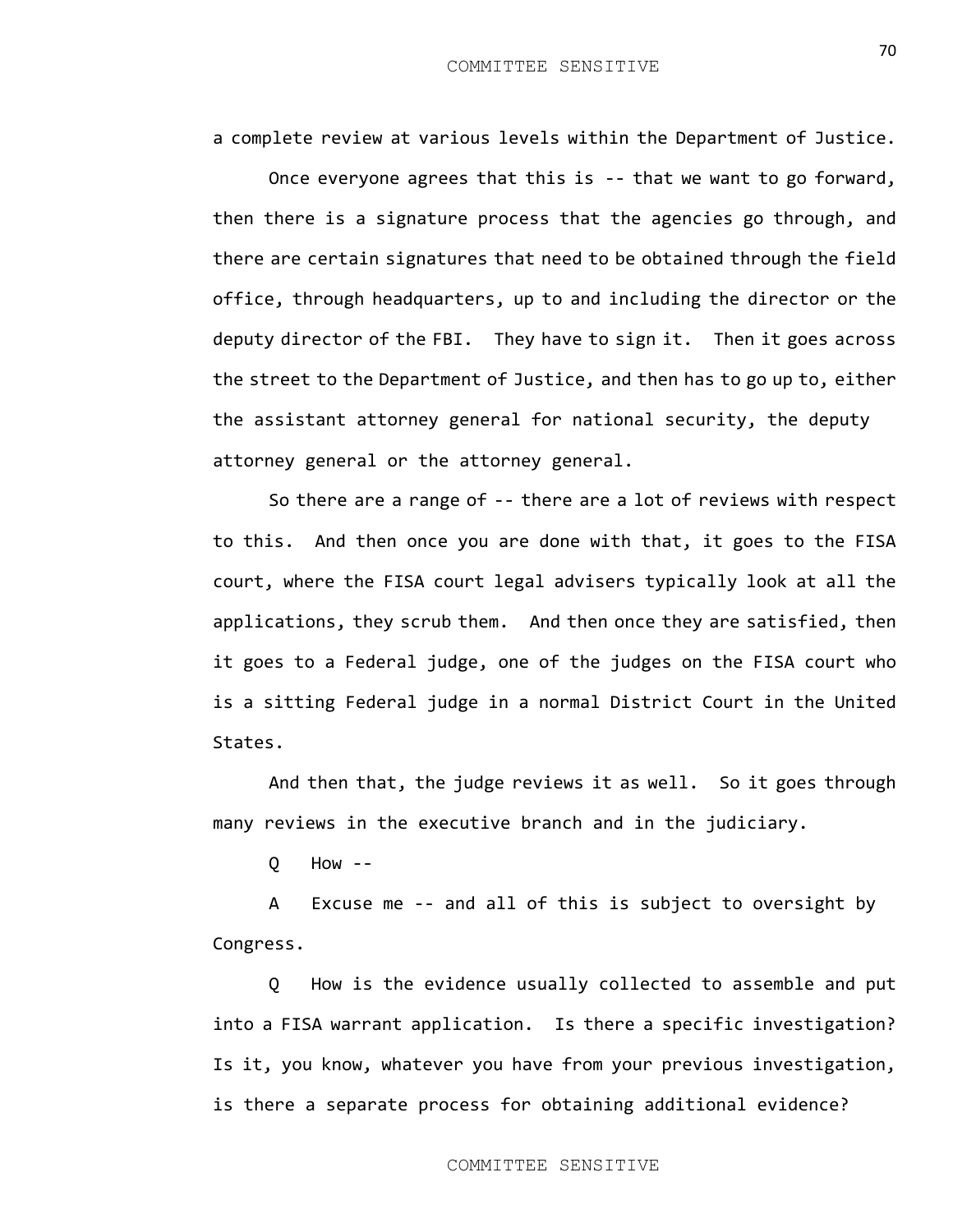a complete review at various levels within the Department of Justice.

Once everyone agrees that this is -- that we want to go forward, then there is a signature process that the agencies go through, and there are certain signatures that need to be obtained through the field office, through headquarters, up to and including the director or the deputy director of the FBI. They have to sign it. Then it goes across the street to the Department of Justice, and then has to go up to, either the assistant attorney general for national security, the deputy attorney general or the attorney general.

So there are a range of -- there are a lot of reviews with respect to this. And then once you are done with that, it goes to the FISA court, where the FISA court legal advisers typically look at all the applications, they scrub them. And then once they are satisfied, then it goes to a Federal judge, one of the judges on the FISA court who is a sitting Federal judge in a normal District Court in the United States.

And then that, the judge reviews it as well. So it goes through many reviews in the executive branch and in the judiciary.

Q How --

A Excuse me -- and all of this is subject to oversight by Congress.

Q How is the evidence usually collected to assemble and put into a FISA warrant application. Is there a specific investigation? Is it, you know, whatever you have from your previous investigation, is there a separate process for obtaining additional evidence?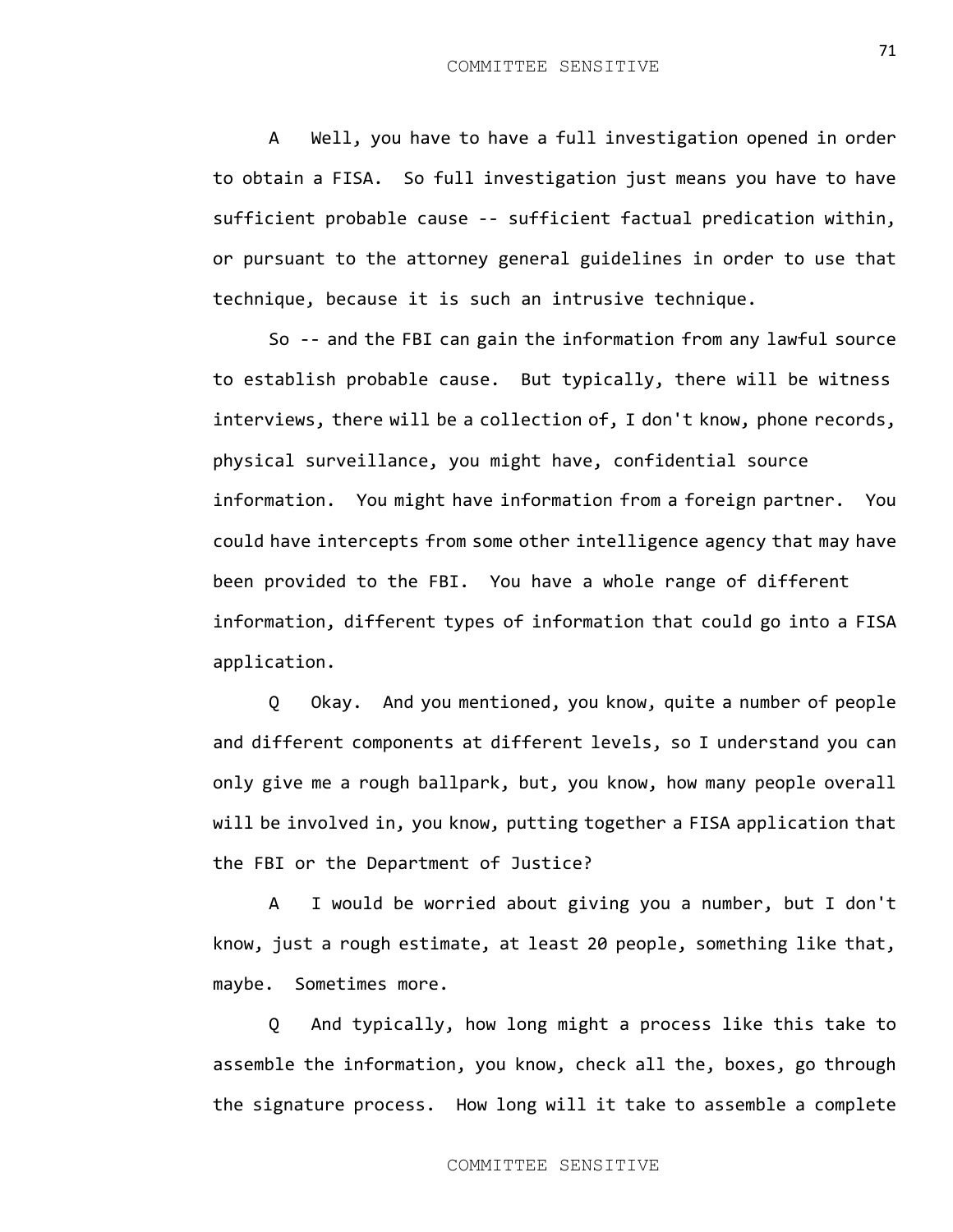A Well, you have to have a full investigation opened in order to obtain a FISA. So full investigation just means you have to have sufficient probable cause -- sufficient factual predication within, or pursuant to the attorney general guidelines in order to use that technique, because it is such an intrusive technique.

So -- and the FBI can gain the information from any lawful source to establish probable cause. But typically, there will be witness interviews, there will be a collection of, I don't know, phone records, physical surveillance, you might have, confidential source information. You might have information from a foreign partner. You could have intercepts from some other intelligence agency that may have been provided to the FBI. You have a whole range of different information, different types of information that could go into a FISA application.

Q Okay. And you mentioned, you know, quite a number of people and different components at different levels, so I understand you can only give me a rough ballpark, but, you know, how many people overall will be involved in, you know, putting together a FISA application that the FBI or the Department of Justice?

A I would be worried about giving you a number, but I don't know, just a rough estimate, at least 20 people, something like that, maybe. Sometimes more.

Q And typically, how long might a process like this take to assemble the information, you know, check all the, boxes, go through the signature process. How long will it take to assemble a complete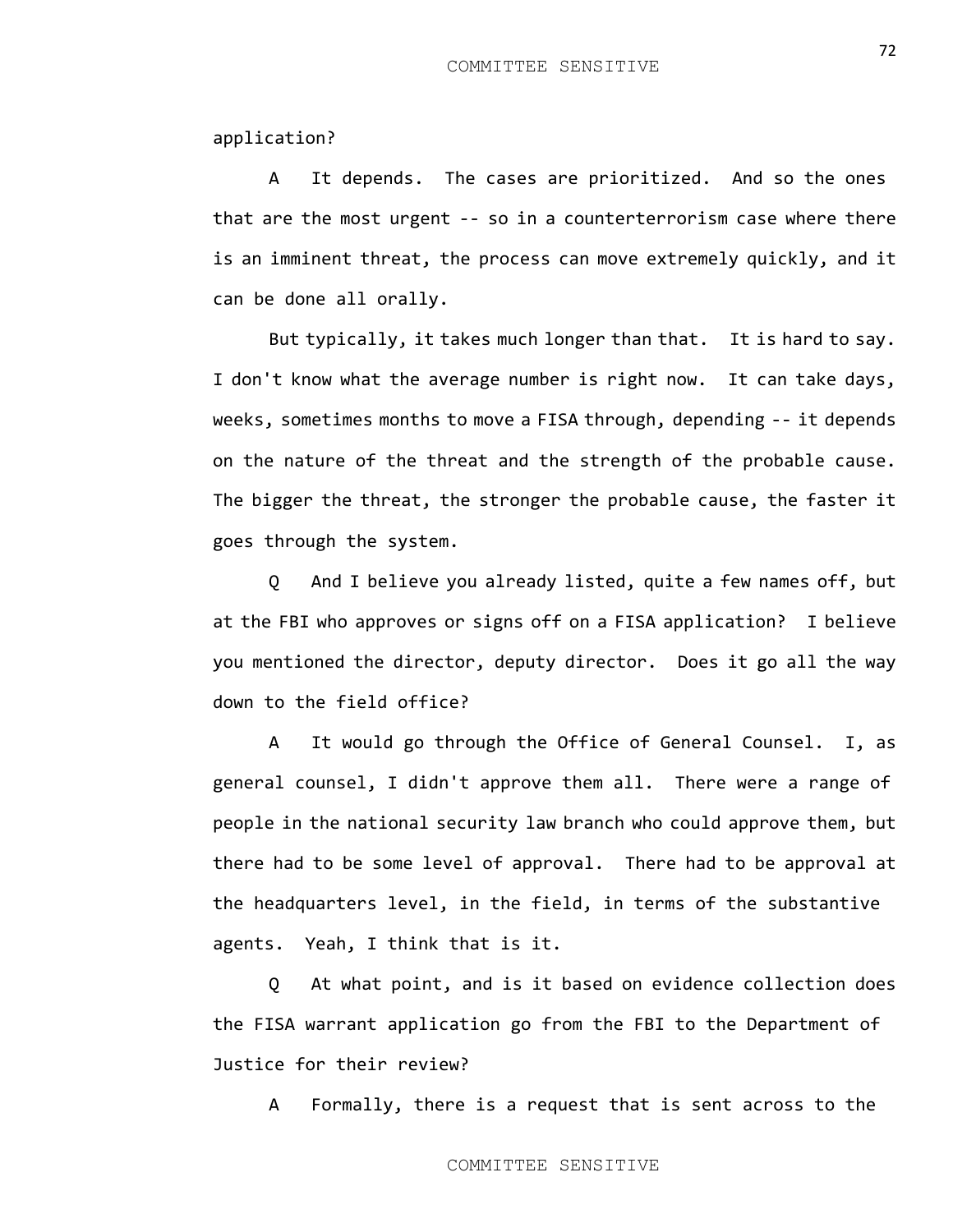## application?

A It depends. The cases are prioritized. And so the ones that are the most urgent -- so in a counterterrorism case where there is an imminent threat, the process can move extremely quickly, and it can be done all orally.

But typically, it takes much longer than that. It is hard to say. I don't know what the average number is right now. It can take days, weeks, sometimes months to move a FISA through, depending -- it depends on the nature of the threat and the strength of the probable cause. The bigger the threat, the stronger the probable cause, the faster it goes through the system.

Q And I believe you already listed, quite a few names off, but at the FBI who approves or signs off on a FISA application? I believe you mentioned the director, deputy director. Does it go all the way down to the field office?

A It would go through the Office of General Counsel. I, as general counsel, I didn't approve them all. There were a range of people in the national security law branch who could approve them, but there had to be some level of approval. There had to be approval at the headquarters level, in the field, in terms of the substantive agents. Yeah, I think that is it.

Q At what point, and is it based on evidence collection does the FISA warrant application go from the FBI to the Department of Justice for their review?

A Formally, there is a request that is sent across to the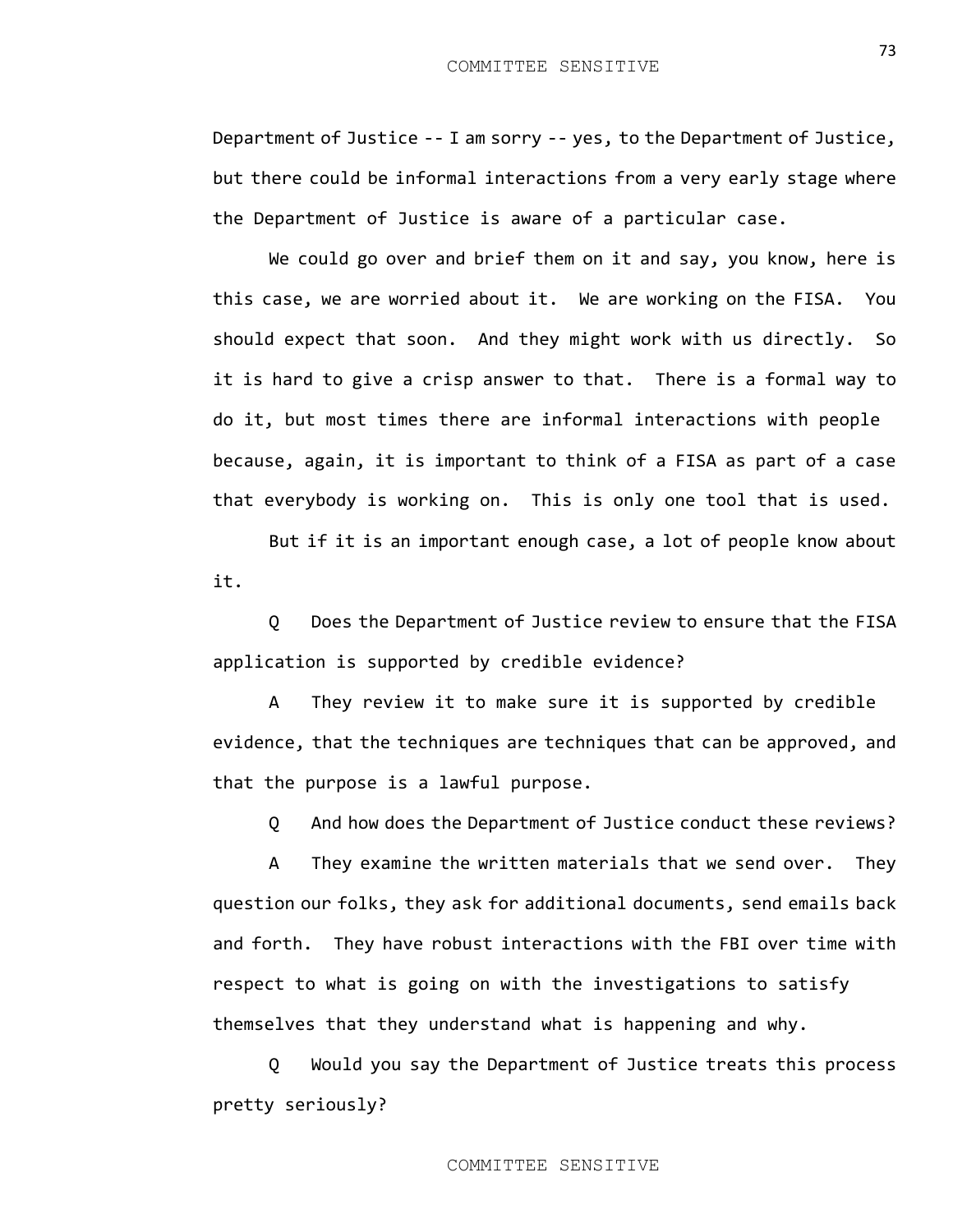Department of Justice -- I am sorry -- yes, to the Department of Justice, but there could be informal interactions from a very early stage where the Department of Justice is aware of a particular case.

We could go over and brief them on it and say, you know, here is this case, we are worried about it. We are working on the FISA. You should expect that soon. And they might work with us directly. So it is hard to give a crisp answer to that. There is a formal way to do it, but most times there are informal interactions with people because, again, it is important to think of a FISA as part of a case that everybody is working on. This is only one tool that is used.

But if it is an important enough case, a lot of people know about it.

Q Does the Department of Justice review to ensure that the FISA application is supported by credible evidence?

A They review it to make sure it is supported by credible evidence, that the techniques are techniques that can be approved, and that the purpose is a lawful purpose.

Q And how does the Department of Justice conduct these reviews?

A They examine the written materials that we send over. They question our folks, they ask for additional documents, send emails back and forth. They have robust interactions with the FBI over time with respect to what is going on with the investigations to satisfy themselves that they understand what is happening and why.

Q Would you say the Department of Justice treats this process pretty seriously?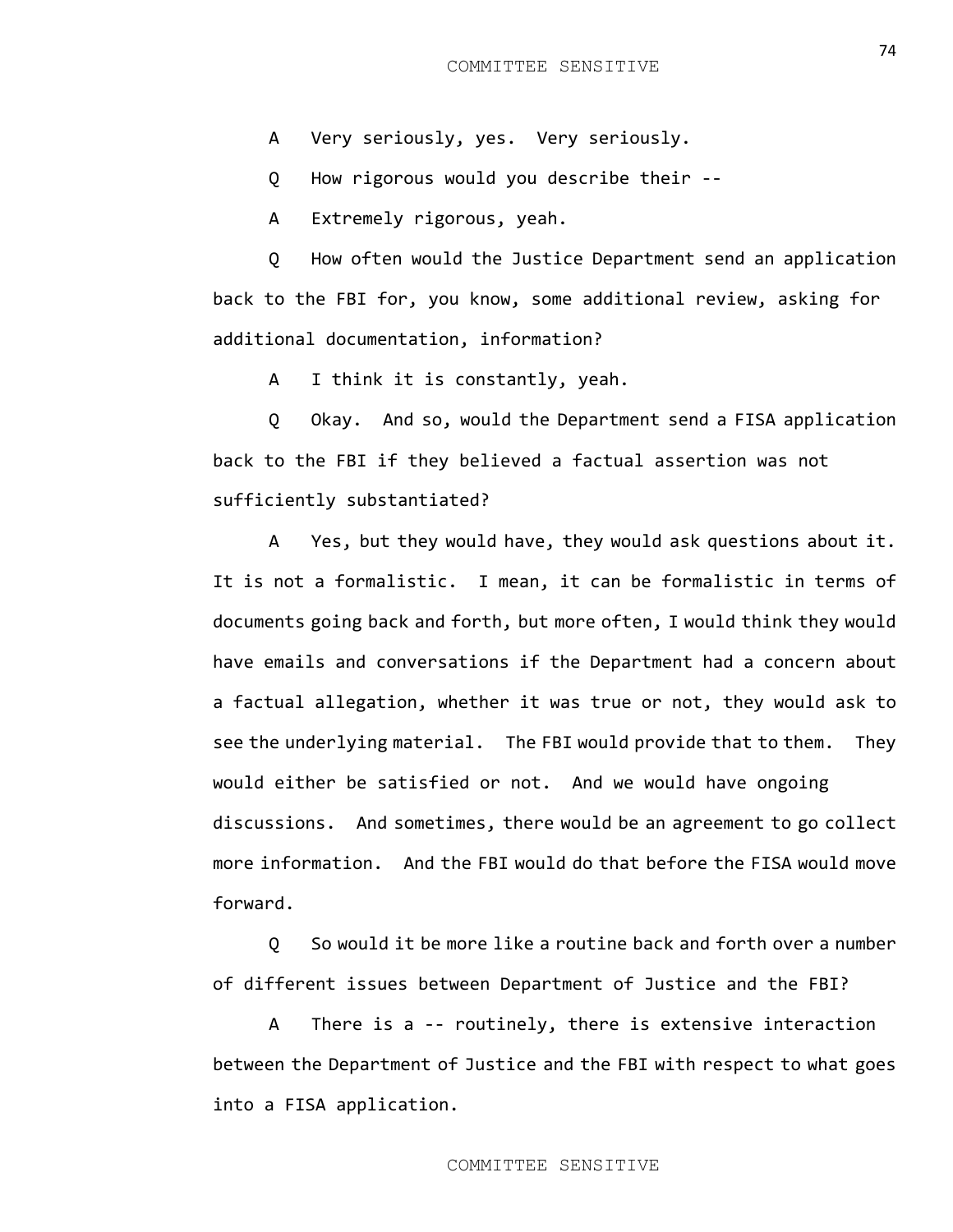A Very seriously, yes. Very seriously.

Q How rigorous would you describe their --

A Extremely rigorous, yeah.

Q How often would the Justice Department send an application back to the FBI for, you know, some additional review, asking for additional documentation, information?

A I think it is constantly, yeah.

Q Okay. And so, would the Department send a FISA application back to the FBI if they believed a factual assertion was not sufficiently substantiated?

A Yes, but they would have, they would ask questions about it. It is not a formalistic. I mean, it can be formalistic in terms of documents going back and forth, but more often, I would think they would have emails and conversations if the Department had a concern about a factual allegation, whether it was true or not, they would ask to see the underlying material. The FBI would provide that to them. They would either be satisfied or not. And we would have ongoing discussions. And sometimes, there would be an agreement to go collect more information. And the FBI would do that before the FISA would move forward.

Q So would it be more like a routine back and forth over a number of different issues between Department of Justice and the FBI?

A There is a -- routinely, there is extensive interaction between the Department of Justice and the FBI with respect to what goes into a FISA application.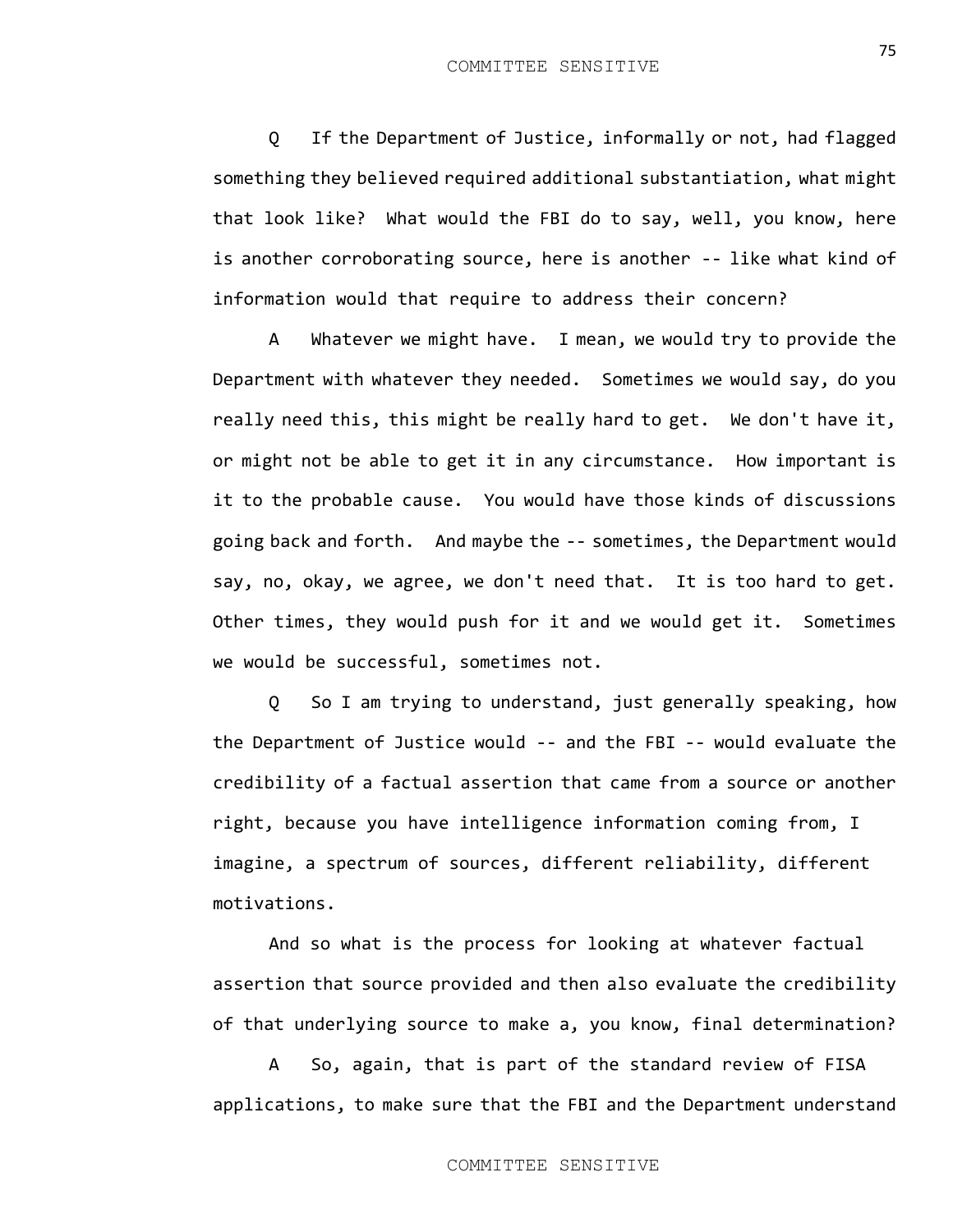Q If the Department of Justice, informally or not, had flagged something they believed required additional substantiation, what might that look like? What would the FBI do to say, well, you know, here is another corroborating source, here is another -- like what kind of information would that require to address their concern?

A Whatever we might have. I mean, we would try to provide the Department with whatever they needed. Sometimes we would say, do you really need this, this might be really hard to get. We don't have it, or might not be able to get it in any circumstance. How important is it to the probable cause. You would have those kinds of discussions going back and forth. And maybe the -- sometimes, the Department would say, no, okay, we agree, we don't need that. It is too hard to get. Other times, they would push for it and we would get it. Sometimes we would be successful, sometimes not.

Q So I am trying to understand, just generally speaking, how the Department of Justice would -- and the FBI -- would evaluate the credibility of a factual assertion that came from a source or another right, because you have intelligence information coming from, I imagine, a spectrum of sources, different reliability, different motivations.

And so what is the process for looking at whatever factual assertion that source provided and then also evaluate the credibility of that underlying source to make a, you know, final determination?

A So, again, that is part of the standard review of FISA applications, to make sure that the FBI and the Department understand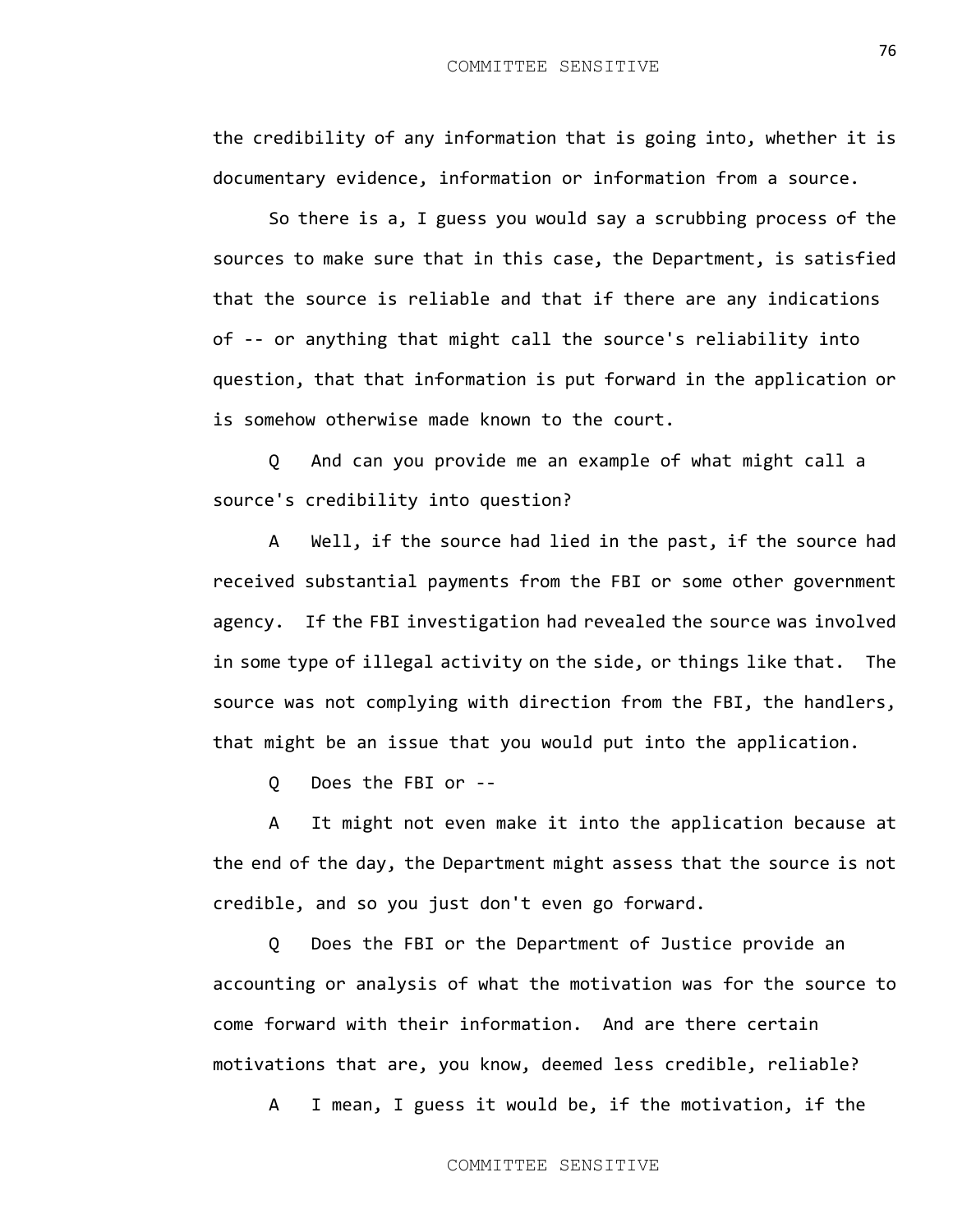the credibility of any information that is going into, whether it is documentary evidence, information or information from a source.

So there is a, I guess you would say a scrubbing process of the sources to make sure that in this case, the Department, is satisfied that the source is reliable and that if there are any indications of -- or anything that might call the source's reliability into question, that that information is put forward in the application or is somehow otherwise made known to the court.

Q And can you provide me an example of what might call a source's credibility into question?

A Well, if the source had lied in the past, if the source had received substantial payments from the FBI or some other government agency. If the FBI investigation had revealed the source was involved in some type of illegal activity on the side, or things like that. The source was not complying with direction from the FBI, the handlers, that might be an issue that you would put into the application.

Q Does the FBI or --

A It might not even make it into the application because at the end of the day, the Department might assess that the source is not credible, and so you just don't even go forward.

Q Does the FBI or the Department of Justice provide an accounting or analysis of what the motivation was for the source to come forward with their information. And are there certain motivations that are, you know, deemed less credible, reliable?

A I mean, I guess it would be, if the motivation, if the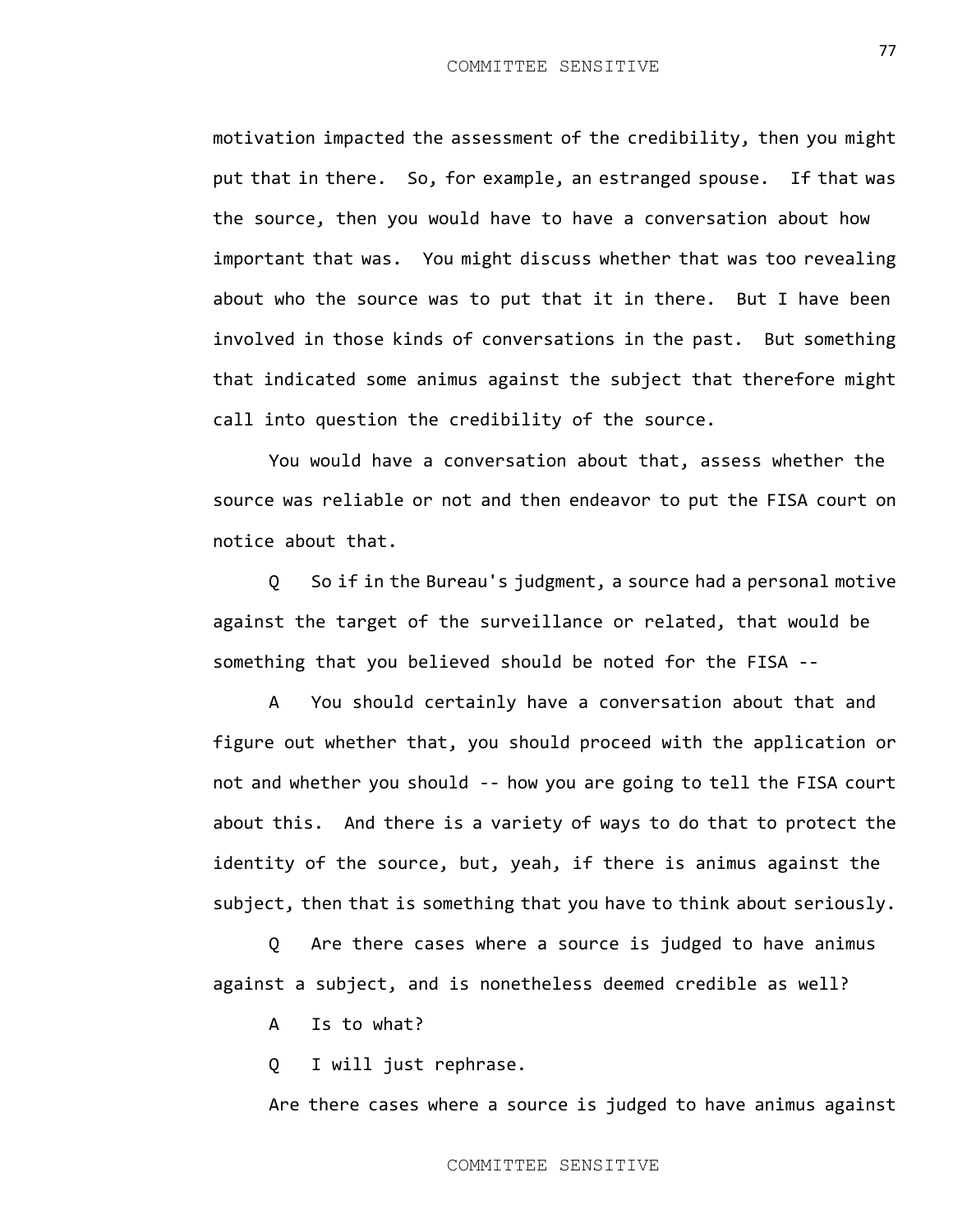motivation impacted the assessment of the credibility, then you might put that in there. So, for example, an estranged spouse. If that was the source, then you would have to have a conversation about how important that was. You might discuss whether that was too revealing about who the source was to put that it in there. But I have been involved in those kinds of conversations in the past. But something that indicated some animus against the subject that therefore might call into question the credibility of the source.

You would have a conversation about that, assess whether the source was reliable or not and then endeavor to put the FISA court on notice about that.

Q So if in the Bureau's judgment, a source had a personal motive against the target of the surveillance or related, that would be something that you believed should be noted for the FISA --

A You should certainly have a conversation about that and figure out whether that, you should proceed with the application or not and whether you should -- how you are going to tell the FISA court about this. And there is a variety of ways to do that to protect the identity of the source, but, yeah, if there is animus against the subject, then that is something that you have to think about seriously.

Q Are there cases where a source is judged to have animus against a subject, and is nonetheless deemed credible as well?

A Is to what?

Q I will just rephrase.

Are there cases where a source is judged to have animus against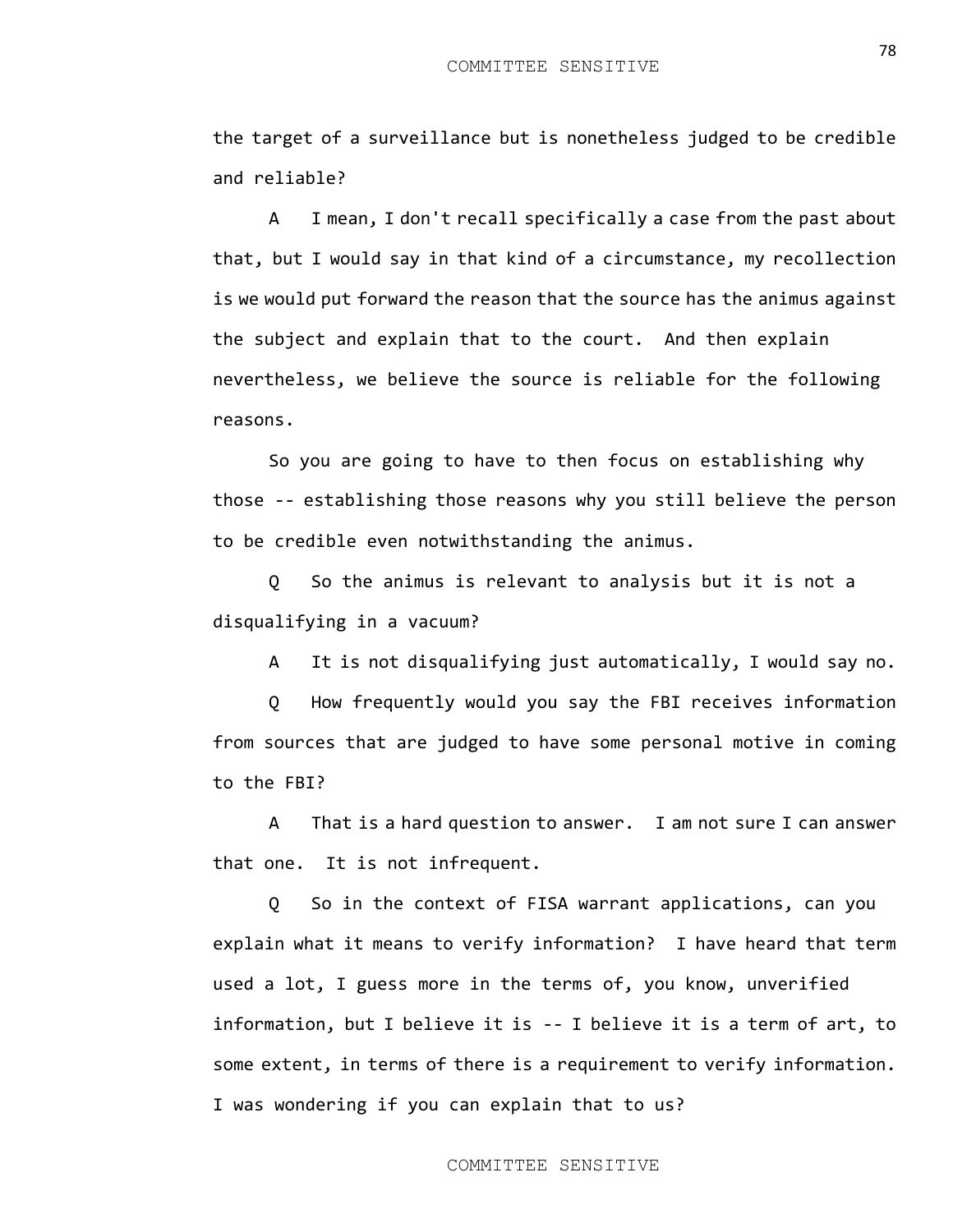the target of a surveillance but is nonetheless judged to be credible and reliable?

A I mean, I don't recall specifically a case from the past about that, but I would say in that kind of a circumstance, my recollection is we would put forward the reason that the source has the animus against the subject and explain that to the court. And then explain nevertheless, we believe the source is reliable for the following reasons.

So you are going to have to then focus on establishing why those -- establishing those reasons why you still believe the person to be credible even notwithstanding the animus.

Q So the animus is relevant to analysis but it is not a disqualifying in a vacuum?

A It is not disqualifying just automatically, I would say no.

Q How frequently would you say the FBI receives information from sources that are judged to have some personal motive in coming to the FBI?

A That is a hard question to answer. I am not sure I can answer that one. It is not infrequent.

Q So in the context of FISA warrant applications, can you explain what it means to verify information? I have heard that term used a lot, I guess more in the terms of, you know, unverified information, but I believe it is -- I believe it is a term of art, to some extent, in terms of there is a requirement to verify information. I was wondering if you can explain that to us?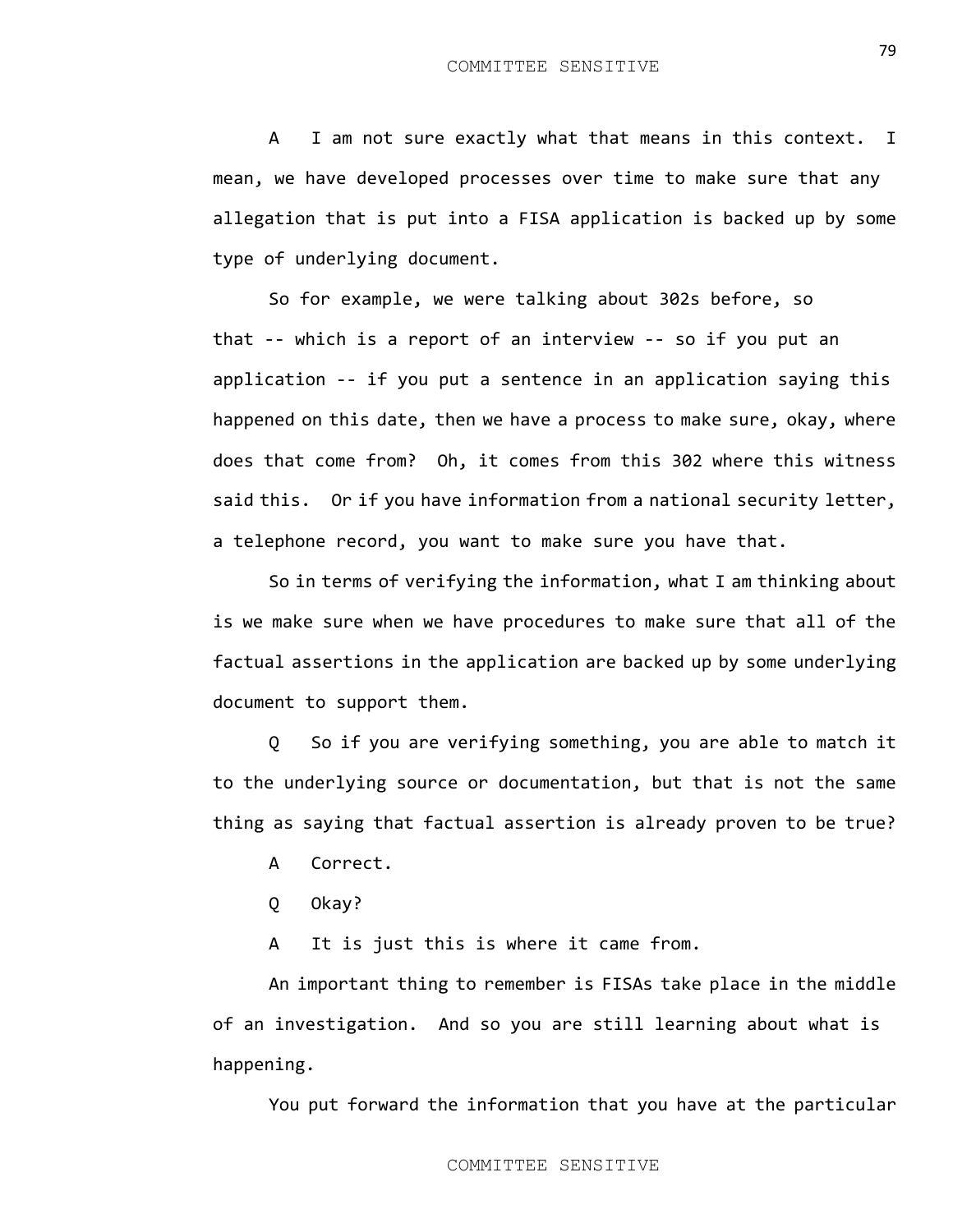A I am not sure exactly what that means in this context. I mean, we have developed processes over time to make sure that any allegation that is put into a FISA application is backed up by some type of underlying document.

So for example, we were talking about 302s before, so that -- which is a report of an interview -- so if you put an application -- if you put a sentence in an application saying this happened on this date, then we have a process to make sure, okay, where does that come from? Oh, it comes from this 302 where this witness said this. Or if you have information from a national security letter, a telephone record, you want to make sure you have that.

So in terms of verifying the information, what I am thinking about is we make sure when we have procedures to make sure that all of the factual assertions in the application are backed up by some underlying document to support them.

Q So if you are verifying something, you are able to match it to the underlying source or documentation, but that is not the same thing as saying that factual assertion is already proven to be true?

- A Correct.
- Q Okay?

A It is just this is where it came from.

An important thing to remember is FISAs take place in the middle of an investigation. And so you are still learning about what is happening.

You put forward the information that you have at the particular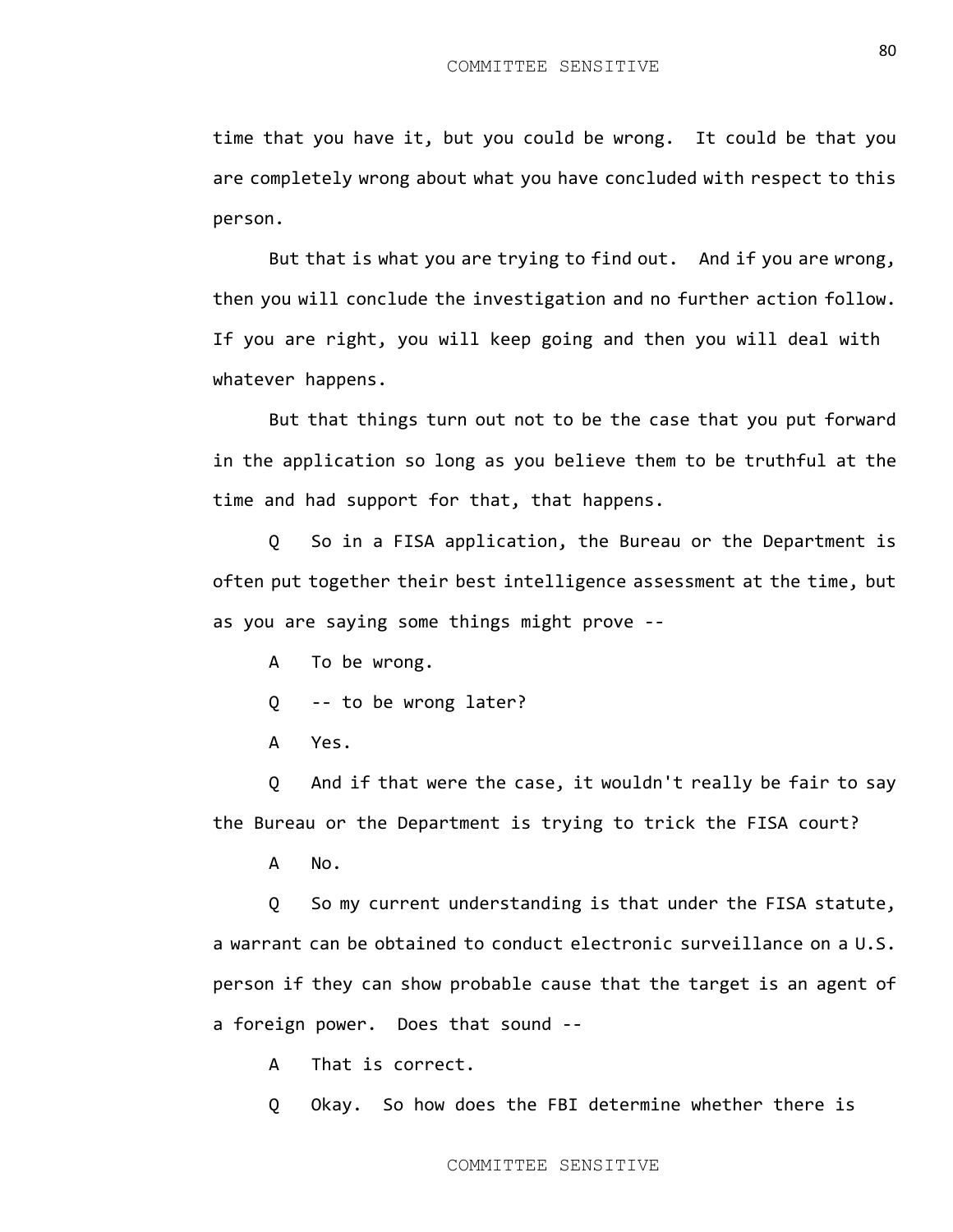time that you have it, but you could be wrong. It could be that you are completely wrong about what you have concluded with respect to this person.

But that is what you are trying to find out. And if you are wrong, then you will conclude the investigation and no further action follow. If you are right, you will keep going and then you will deal with whatever happens.

But that things turn out not to be the case that you put forward in the application so long as you believe them to be truthful at the time and had support for that, that happens.

Q So in a FISA application, the Bureau or the Department is often put together their best intelligence assessment at the time, but as you are saying some things might prove --

A To be wrong.

Q -- to be wrong later?

A Yes.

Q And if that were the case, it wouldn't really be fair to say the Bureau or the Department is trying to trick the FISA court?

A No.

Q So my current understanding is that under the FISA statute, a warrant can be obtained to conduct electronic surveillance on a U.S. person if they can show probable cause that the target is an agent of a foreign power. Does that sound --

A That is correct.

Q Okay. So how does the FBI determine whether there is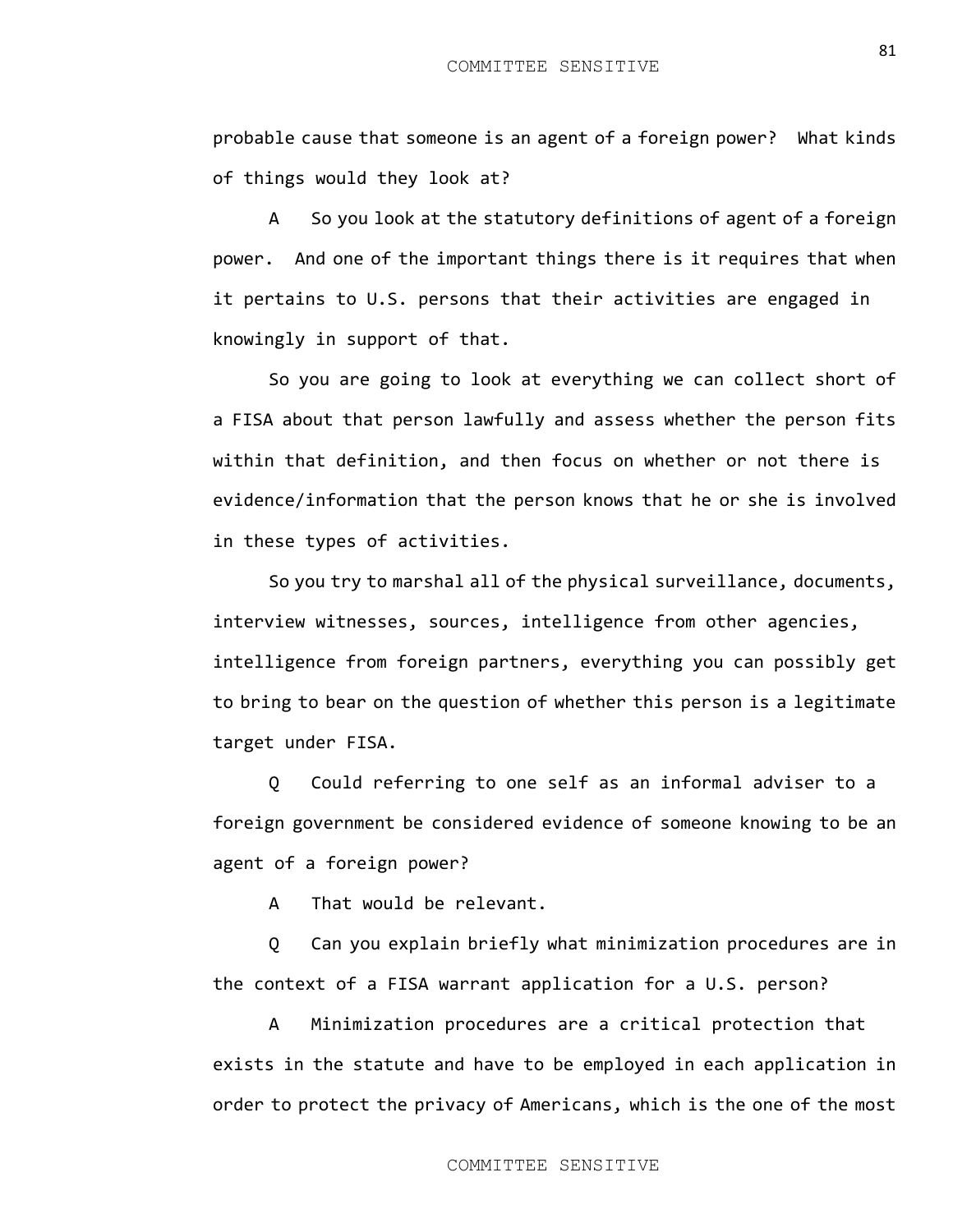probable cause that someone is an agent of a foreign power? What kinds of things would they look at?

A So you look at the statutory definitions of agent of a foreign power. And one of the important things there is it requires that when it pertains to U.S. persons that their activities are engaged in knowingly in support of that.

So you are going to look at everything we can collect short of a FISA about that person lawfully and assess whether the person fits within that definition, and then focus on whether or not there is evidence/information that the person knows that he or she is involved in these types of activities.

So you try to marshal all of the physical surveillance, documents, interview witnesses, sources, intelligence from other agencies, intelligence from foreign partners, everything you can possibly get to bring to bear on the question of whether this person is a legitimate target under FISA.

Q Could referring to one self as an informal adviser to a foreign government be considered evidence of someone knowing to be an agent of a foreign power?

A That would be relevant.

Q Can you explain briefly what minimization procedures are in the context of a FISA warrant application for a U.S. person?

A Minimization procedures are a critical protection that exists in the statute and have to be employed in each application in order to protect the privacy of Americans, which is the one of the most

81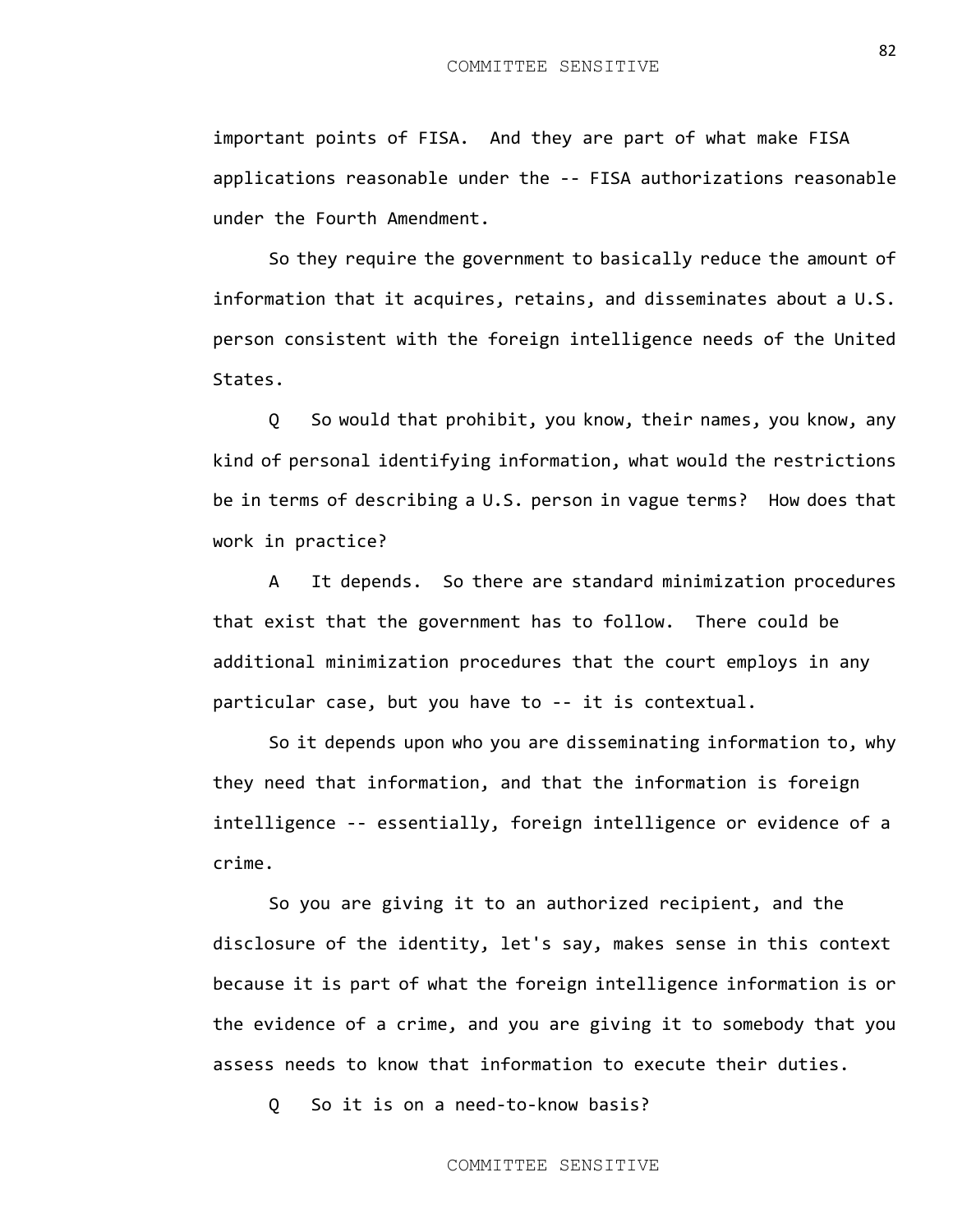important points of FISA. And they are part of what make FISA applications reasonable under the -- FISA authorizations reasonable under the Fourth Amendment.

So they require the government to basically reduce the amount of information that it acquires, retains, and disseminates about a U.S. person consistent with the foreign intelligence needs of the United States.

Q So would that prohibit, you know, their names, you know, any kind of personal identifying information, what would the restrictions be in terms of describing a U.S. person in vague terms? How does that work in practice?

A It depends. So there are standard minimization procedures that exist that the government has to follow. There could be additional minimization procedures that the court employs in any particular case, but you have to -- it is contextual.

So it depends upon who you are disseminating information to, why they need that information, and that the information is foreign intelligence -- essentially, foreign intelligence or evidence of a crime.

So you are giving it to an authorized recipient, and the disclosure of the identity, let's say, makes sense in this context because it is part of what the foreign intelligence information is or the evidence of a crime, and you are giving it to somebody that you assess needs to know that information to execute their duties.

Q So it is on a need-to-know basis?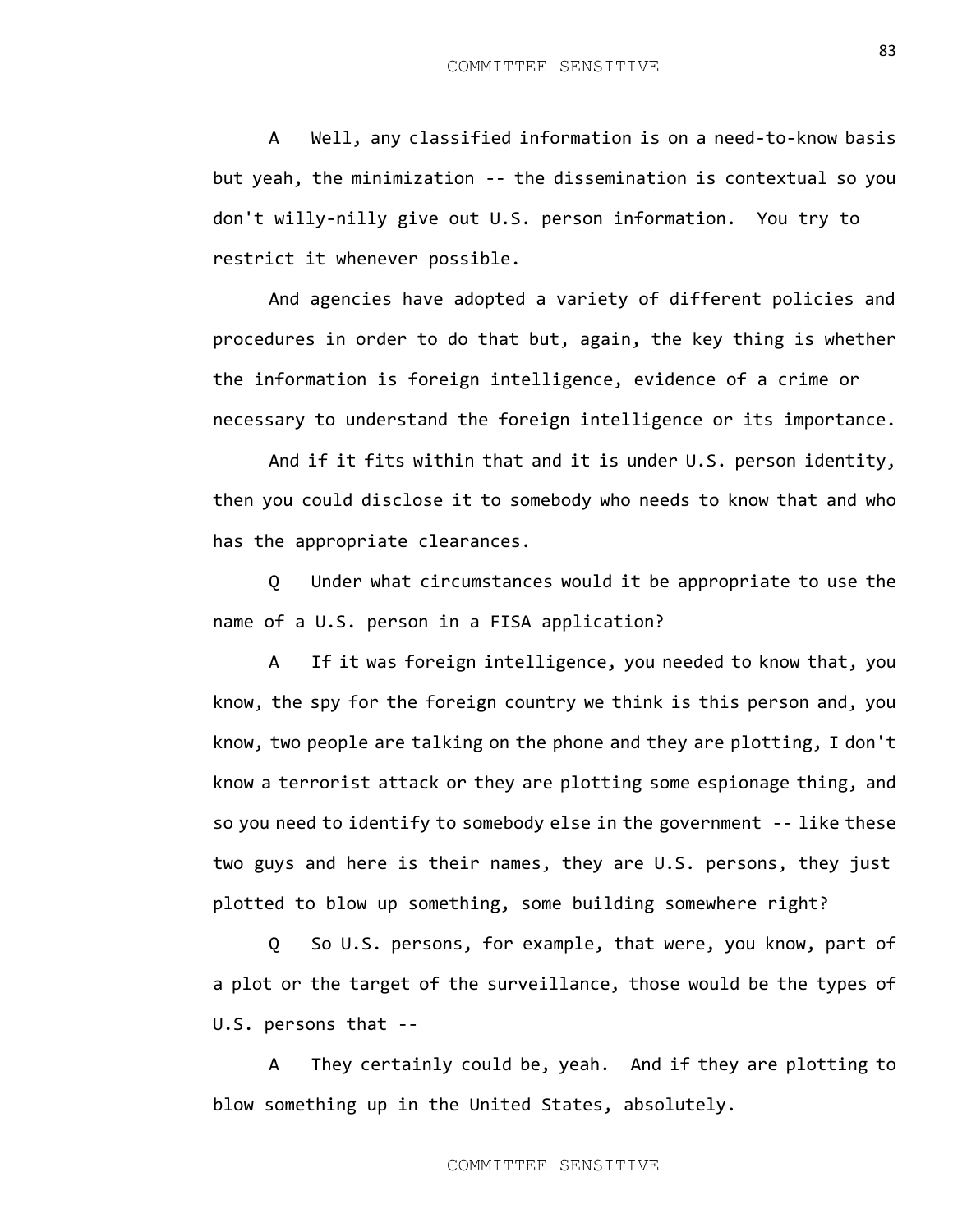A Well, any classified information is on a need-to-know basis but yeah, the minimization -- the dissemination is contextual so you don't willy-nilly give out U.S. person information. You try to restrict it whenever possible.

And agencies have adopted a variety of different policies and procedures in order to do that but, again, the key thing is whether the information is foreign intelligence, evidence of a crime or necessary to understand the foreign intelligence or its importance.

And if it fits within that and it is under U.S. person identity, then you could disclose it to somebody who needs to know that and who has the appropriate clearances.

Q Under what circumstances would it be appropriate to use the name of a U.S. person in a FISA application?

A If it was foreign intelligence, you needed to know that, you know, the spy for the foreign country we think is this person and, you know, two people are talking on the phone and they are plotting, I don't know a terrorist attack or they are plotting some espionage thing, and so you need to identify to somebody else in the government -- like these two guys and here is their names, they are U.S. persons, they just plotted to blow up something, some building somewhere right?

Q So U.S. persons, for example, that were, you know, part of a plot or the target of the surveillance, those would be the types of U.S. persons that --

A They certainly could be, yeah. And if they are plotting to blow something up in the United States, absolutely.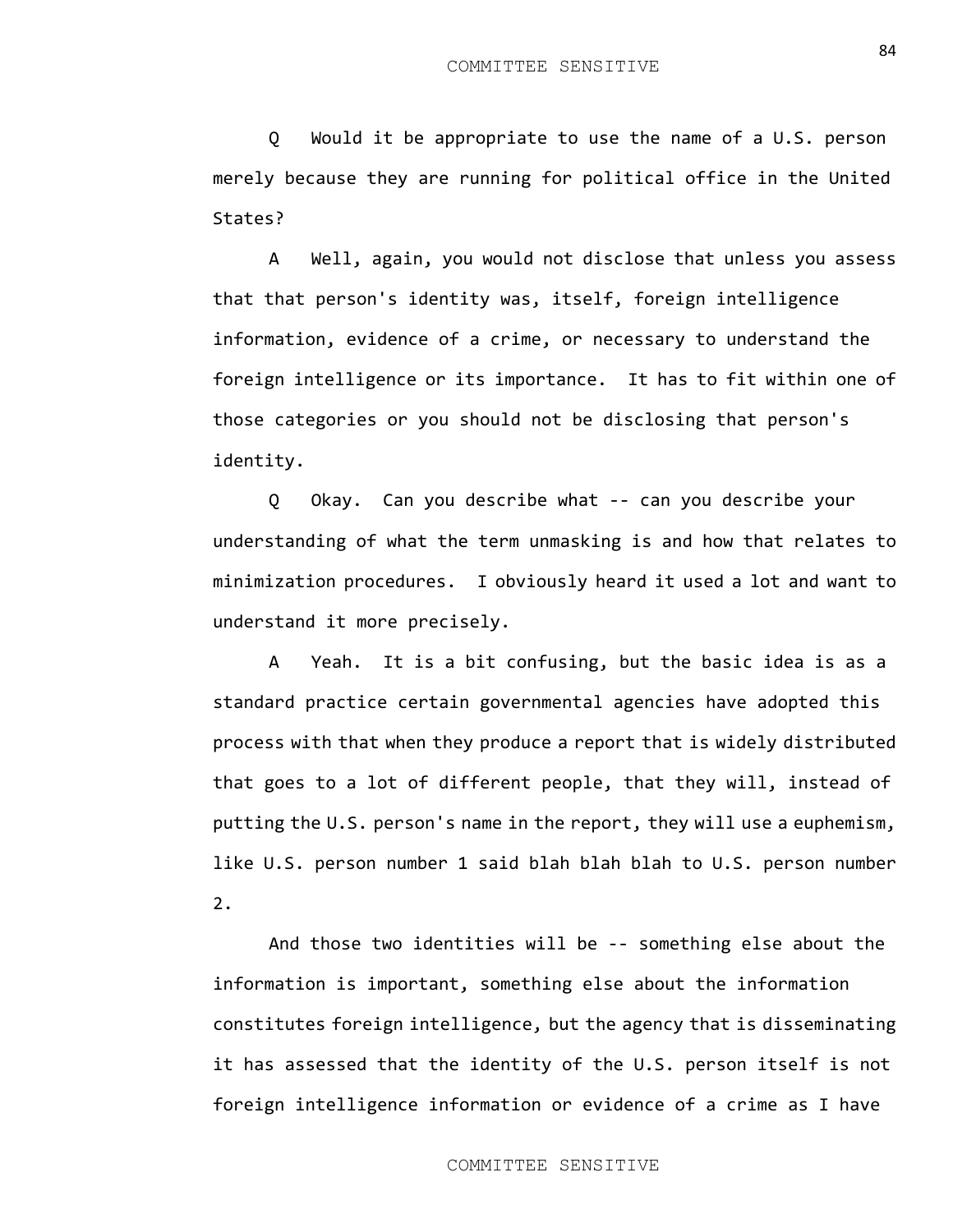Q Would it be appropriate to use the name of a U.S. person merely because they are running for political office in the United States?

A Well, again, you would not disclose that unless you assess that that person's identity was, itself, foreign intelligence information, evidence of a crime, or necessary to understand the foreign intelligence or its importance. It has to fit within one of those categories or you should not be disclosing that person's identity.

Q Okay. Can you describe what -- can you describe your understanding of what the term unmasking is and how that relates to minimization procedures. I obviously heard it used a lot and want to understand it more precisely.

A Yeah. It is a bit confusing, but the basic idea is as a standard practice certain governmental agencies have adopted this process with that when they produce a report that is widely distributed that goes to a lot of different people, that they will, instead of putting the U.S. person's name in the report, they will use a euphemism, like U.S. person number 1 said blah blah blah to U.S. person number 2.

And those two identities will be -- something else about the information is important, something else about the information constitutes foreign intelligence, but the agency that is disseminating it has assessed that the identity of the U.S. person itself is not foreign intelligence information or evidence of a crime as I have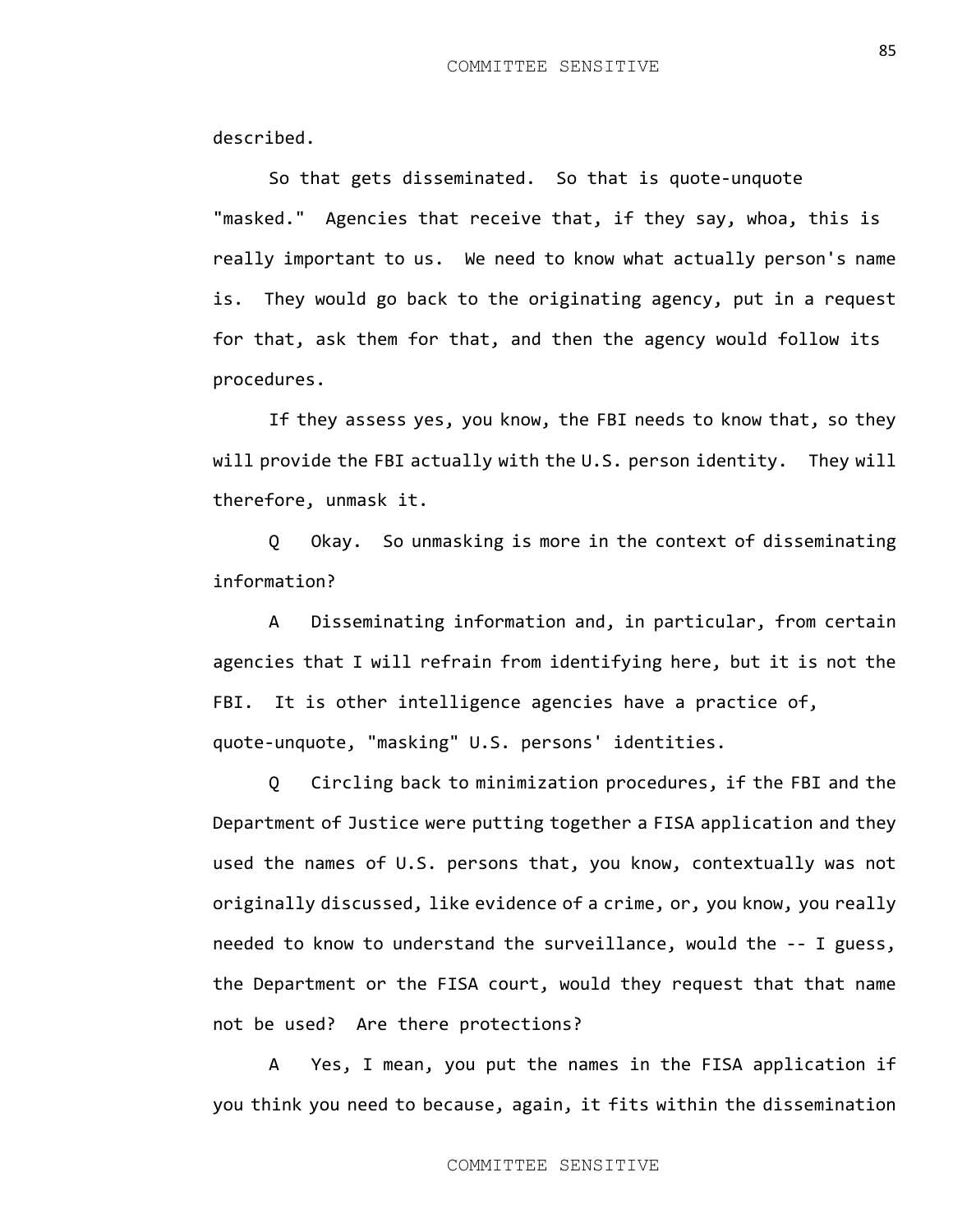described.

So that gets disseminated. So that is quote-unquote "masked." Agencies that receive that, if they say, whoa, this is really important to us. We need to know what actually person's name is. They would go back to the originating agency, put in a request for that, ask them for that, and then the agency would follow its procedures.

If they assess yes, you know, the FBI needs to know that, so they will provide the FBI actually with the U.S. person identity. They will therefore, unmask it.

Q Okay. So unmasking is more in the context of disseminating information?

A Disseminating information and, in particular, from certain agencies that I will refrain from identifying here, but it is not the FBI. It is other intelligence agencies have a practice of, quote-unquote, "masking" U.S. persons' identities.

Q Circling back to minimization procedures, if the FBI and the Department of Justice were putting together a FISA application and they used the names of U.S. persons that, you know, contextually was not originally discussed, like evidence of a crime, or, you know, you really needed to know to understand the surveillance, would the -- I guess, the Department or the FISA court, would they request that that name not be used? Are there protections?

A Yes, I mean, you put the names in the FISA application if you think you need to because, again, it fits within the dissemination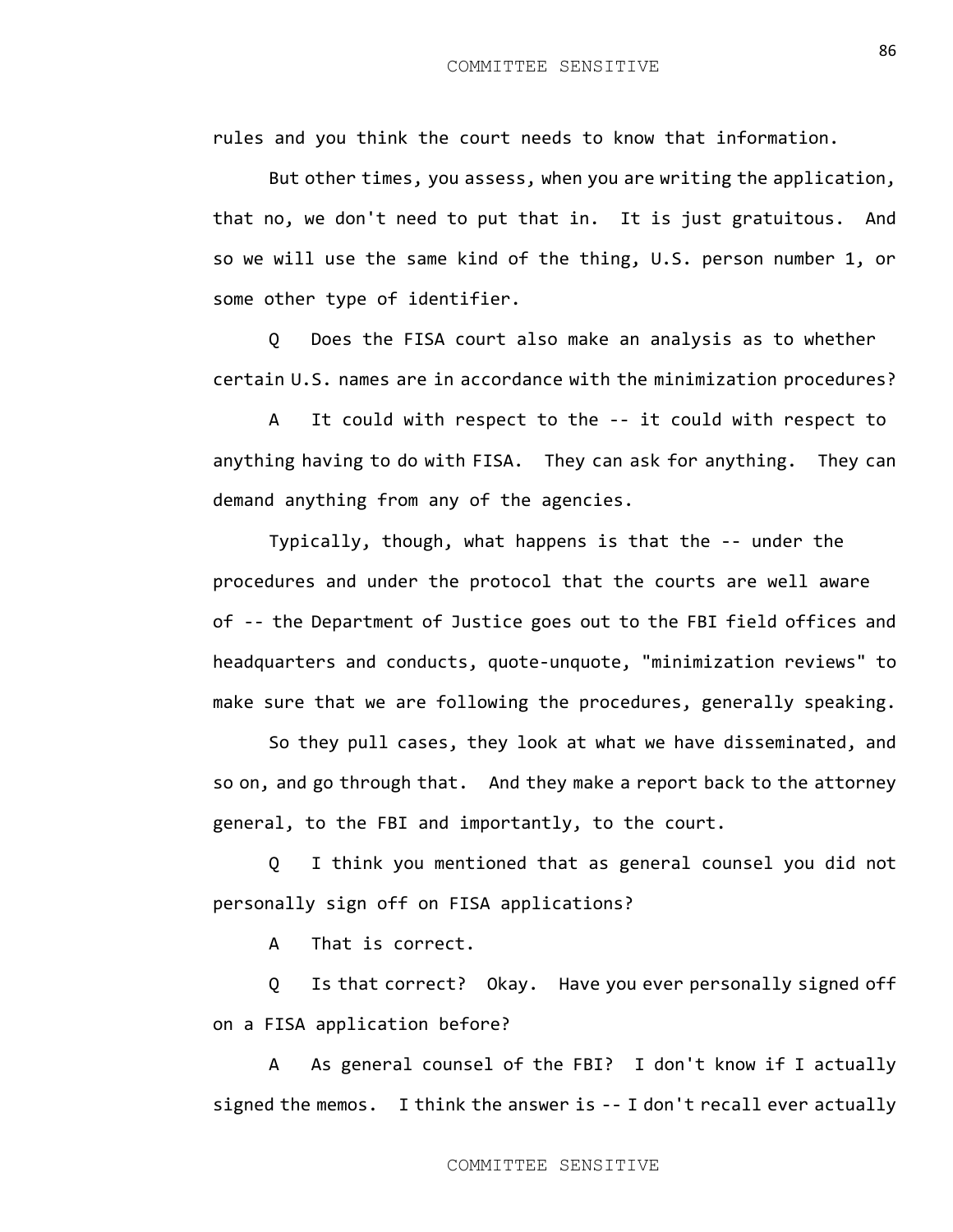rules and you think the court needs to know that information.

But other times, you assess, when you are writing the application, that no, we don't need to put that in. It is just gratuitous. And so we will use the same kind of the thing, U.S. person number 1, or some other type of identifier.

Q Does the FISA court also make an analysis as to whether certain U.S. names are in accordance with the minimization procedures?

A It could with respect to the -- it could with respect to anything having to do with FISA. They can ask for anything. They can demand anything from any of the agencies.

Typically, though, what happens is that the -- under the procedures and under the protocol that the courts are well aware of -- the Department of Justice goes out to the FBI field offices and headquarters and conducts, quote-unquote, "minimization reviews" to make sure that we are following the procedures, generally speaking.

So they pull cases, they look at what we have disseminated, and so on, and go through that. And they make a report back to the attorney general, to the FBI and importantly, to the court.

Q I think you mentioned that as general counsel you did not personally sign off on FISA applications?

A That is correct.

Q Is that correct? Okay. Have you ever personally signed off on a FISA application before?

A As general counsel of the FBI? I don't know if I actually signed the memos. I think the answer is -- I don't recall ever actually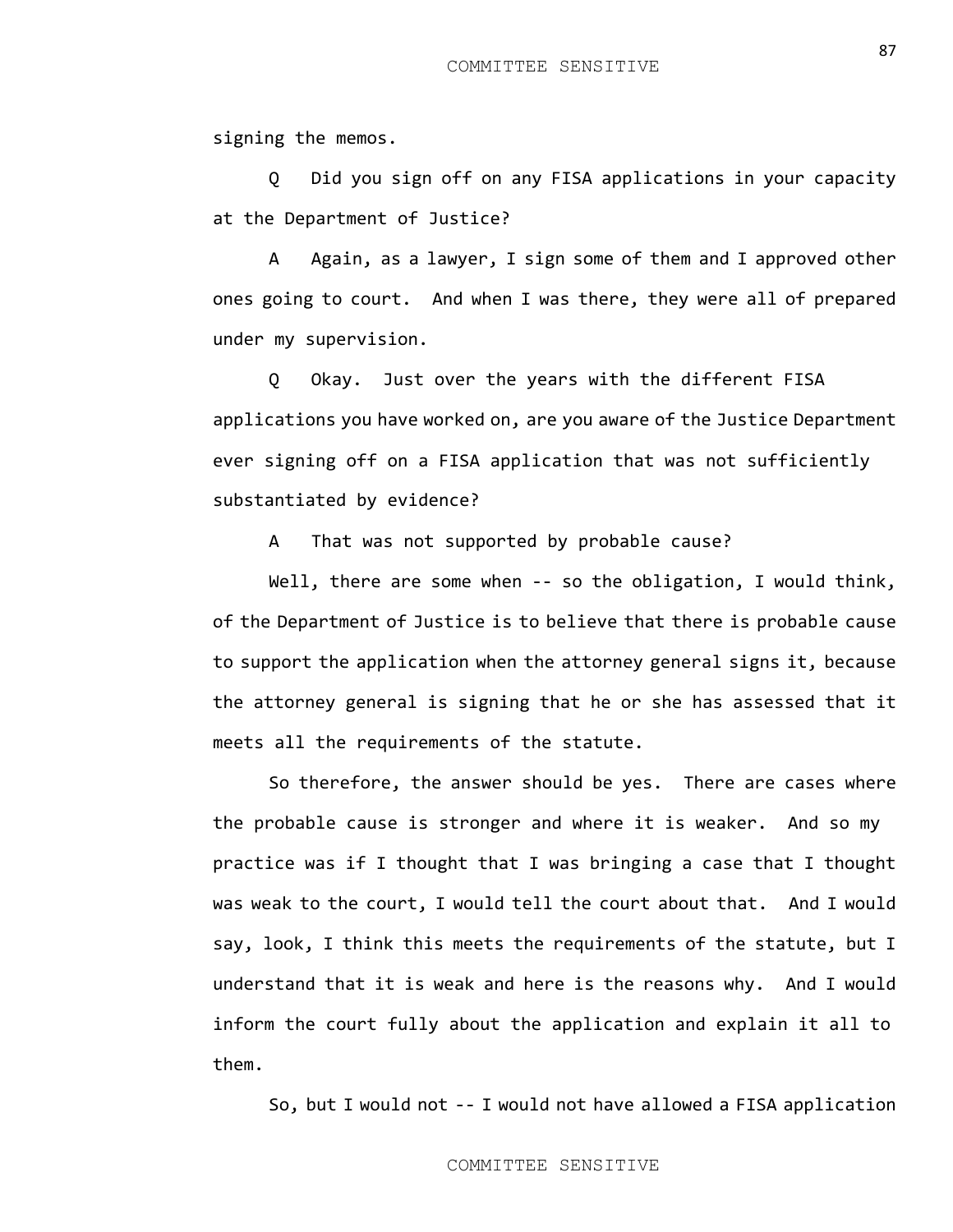signing the memos.

Q Did you sign off on any FISA applications in your capacity at the Department of Justice?

A Again, as a lawyer, I sign some of them and I approved other ones going to court. And when I was there, they were all of prepared under my supervision.

Q Okay. Just over the years with the different FISA applications you have worked on, are you aware of the Justice Department ever signing off on a FISA application that was not sufficiently substantiated by evidence?

A That was not supported by probable cause?

Well, there are some when -- so the obligation, I would think, of the Department of Justice is to believe that there is probable cause to support the application when the attorney general signs it, because the attorney general is signing that he or she has assessed that it meets all the requirements of the statute.

So therefore, the answer should be yes. There are cases where the probable cause is stronger and where it is weaker. And so my practice was if I thought that I was bringing a case that I thought was weak to the court, I would tell the court about that. And I would say, look, I think this meets the requirements of the statute, but I understand that it is weak and here is the reasons why. And I would inform the court fully about the application and explain it all to them.

So, but I would not -- I would not have allowed a FISA application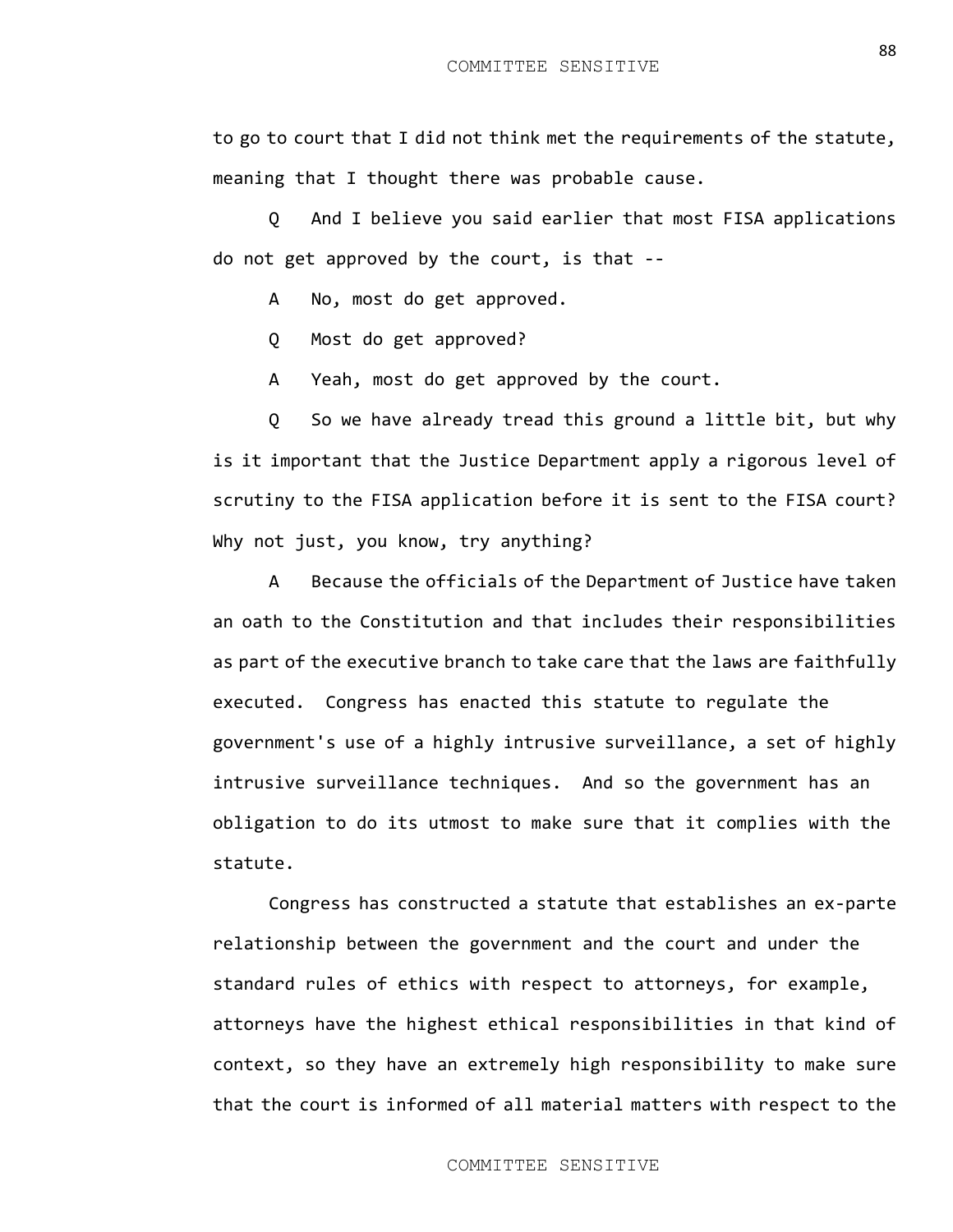to go to court that I did not think met the requirements of the statute, meaning that I thought there was probable cause.

Q And I believe you said earlier that most FISA applications do not get approved by the court, is that --

A No, most do get approved.

Q Most do get approved?

A Yeah, most do get approved by the court.

Q So we have already tread this ground a little bit, but why is it important that the Justice Department apply a rigorous level of scrutiny to the FISA application before it is sent to the FISA court? Why not just, you know, try anything?

A Because the officials of the Department of Justice have taken an oath to the Constitution and that includes their responsibilities as part of the executive branch to take care that the laws are faithfully executed. Congress has enacted this statute to regulate the government's use of a highly intrusive surveillance, a set of highly intrusive surveillance techniques. And so the government has an obligation to do its utmost to make sure that it complies with the statute.

Congress has constructed a statute that establishes an ex-parte relationship between the government and the court and under the standard rules of ethics with respect to attorneys, for example, attorneys have the highest ethical responsibilities in that kind of context, so they have an extremely high responsibility to make sure that the court is informed of all material matters with respect to the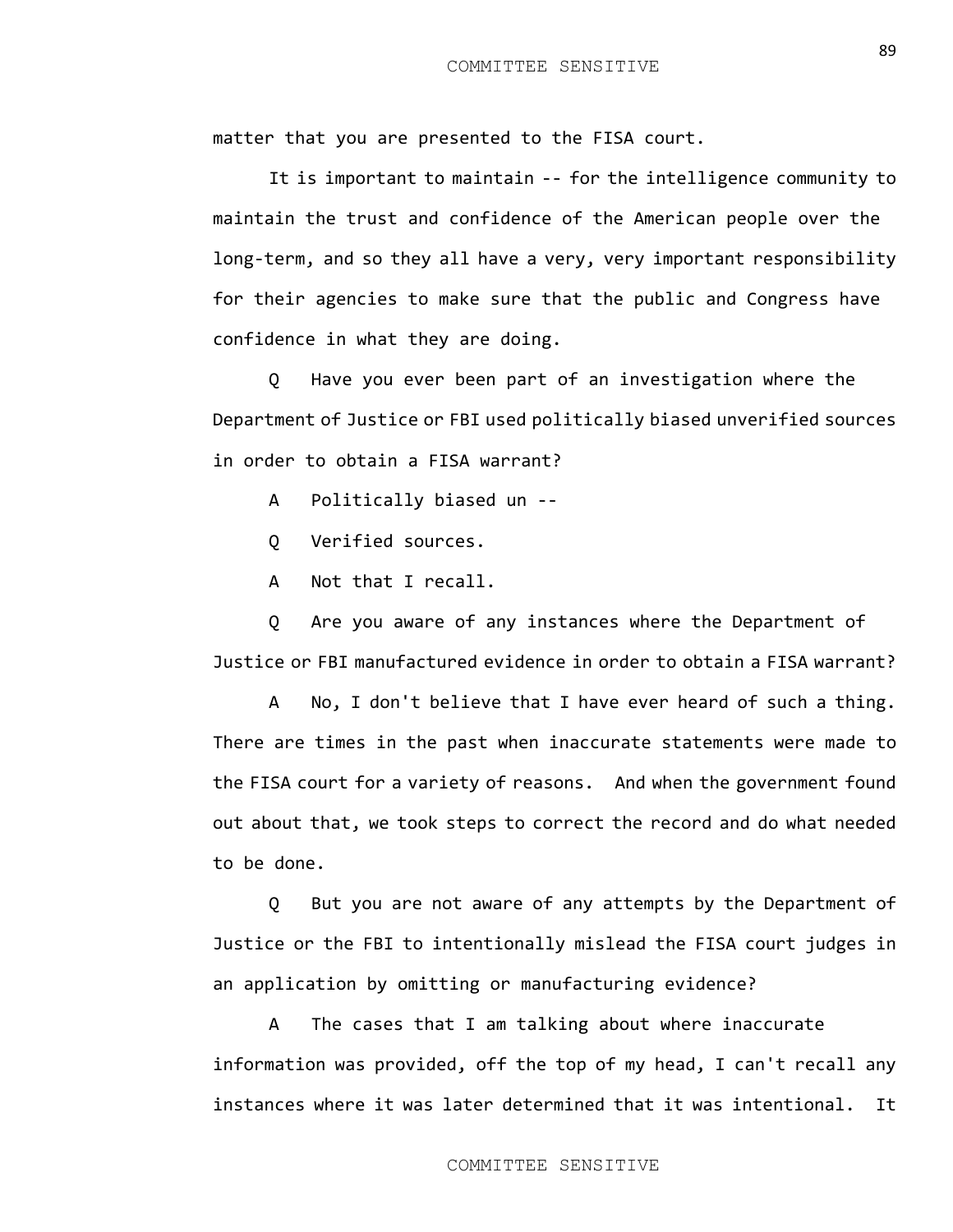matter that you are presented to the FISA court.

It is important to maintain -- for the intelligence community to maintain the trust and confidence of the American people over the long-term, and so they all have a very, very important responsibility for their agencies to make sure that the public and Congress have confidence in what they are doing.

Q Have you ever been part of an investigation where the Department of Justice or FBI used politically biased unverified sources in order to obtain a FISA warrant?

A Politically biased un --

Q Verified sources.

A Not that I recall.

Q Are you aware of any instances where the Department of Justice or FBI manufactured evidence in order to obtain a FISA warrant?

A No, I don't believe that I have ever heard of such a thing. There are times in the past when inaccurate statements were made to the FISA court for a variety of reasons. And when the government found out about that, we took steps to correct the record and do what needed to be done.

Q But you are not aware of any attempts by the Department of Justice or the FBI to intentionally mislead the FISA court judges in an application by omitting or manufacturing evidence?

A The cases that I am talking about where inaccurate information was provided, off the top of my head, I can't recall any instances where it was later determined that it was intentional. It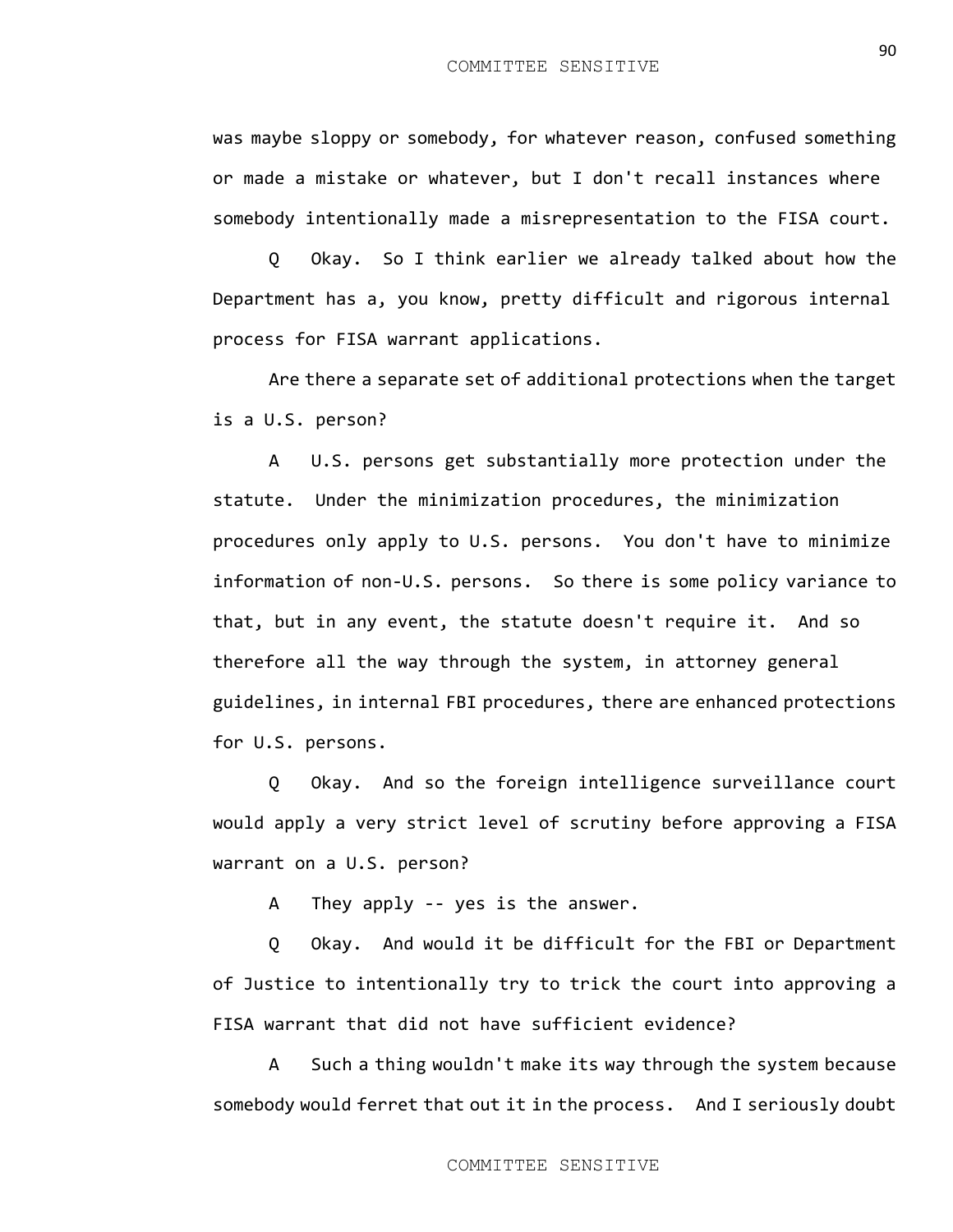was maybe sloppy or somebody, for whatever reason, confused something or made a mistake or whatever, but I don't recall instances where somebody intentionally made a misrepresentation to the FISA court.

Q Okay. So I think earlier we already talked about how the Department has a, you know, pretty difficult and rigorous internal process for FISA warrant applications.

Are there a separate set of additional protections when the target is a U.S. person?

A U.S. persons get substantially more protection under the statute. Under the minimization procedures, the minimization procedures only apply to U.S. persons. You don't have to minimize information of non-U.S. persons. So there is some policy variance to that, but in any event, the statute doesn't require it. And so therefore all the way through the system, in attorney general guidelines, in internal FBI procedures, there are enhanced protections for U.S. persons.

Q Okay. And so the foreign intelligence surveillance court would apply a very strict level of scrutiny before approving a FISA warrant on a U.S. person?

A They apply -- yes is the answer.

Q Okay. And would it be difficult for the FBI or Department of Justice to intentionally try to trick the court into approving a FISA warrant that did not have sufficient evidence?

A Such a thing wouldn't make its way through the system because somebody would ferret that out it in the process. And I seriously doubt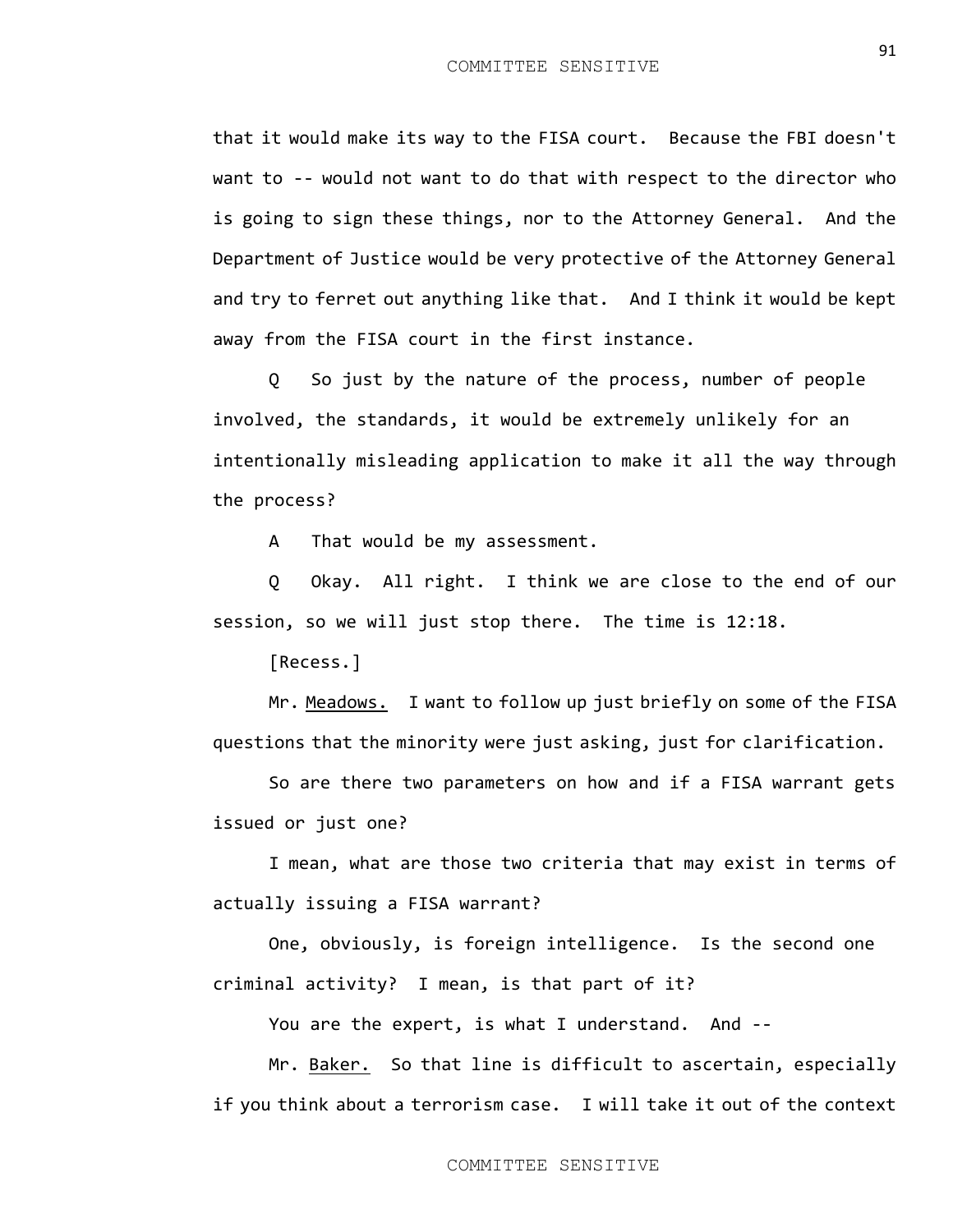that it would make its way to the FISA court. Because the FBI doesn't want to -- would not want to do that with respect to the director who is going to sign these things, nor to the Attorney General. And the Department of Justice would be very protective of the Attorney General and try to ferret out anything like that. And I think it would be kept away from the FISA court in the first instance.

Q So just by the nature of the process, number of people involved, the standards, it would be extremely unlikely for an intentionally misleading application to make it all the way through the process?

A That would be my assessment.

Q Okay. All right. I think we are close to the end of our session, so we will just stop there. The time is 12:18.

[Recess.]

Mr. Meadows. I want to follow up just briefly on some of the FISA questions that the minority were just asking, just for clarification.

So are there two parameters on how and if a FISA warrant gets issued or just one?

I mean, what are those two criteria that may exist in terms of actually issuing a FISA warrant?

One, obviously, is foreign intelligence. Is the second one criminal activity? I mean, is that part of it?

You are the expert, is what I understand. And --

Mr. Baker. So that line is difficult to ascertain, especially if you think about a terrorism case. I will take it out of the context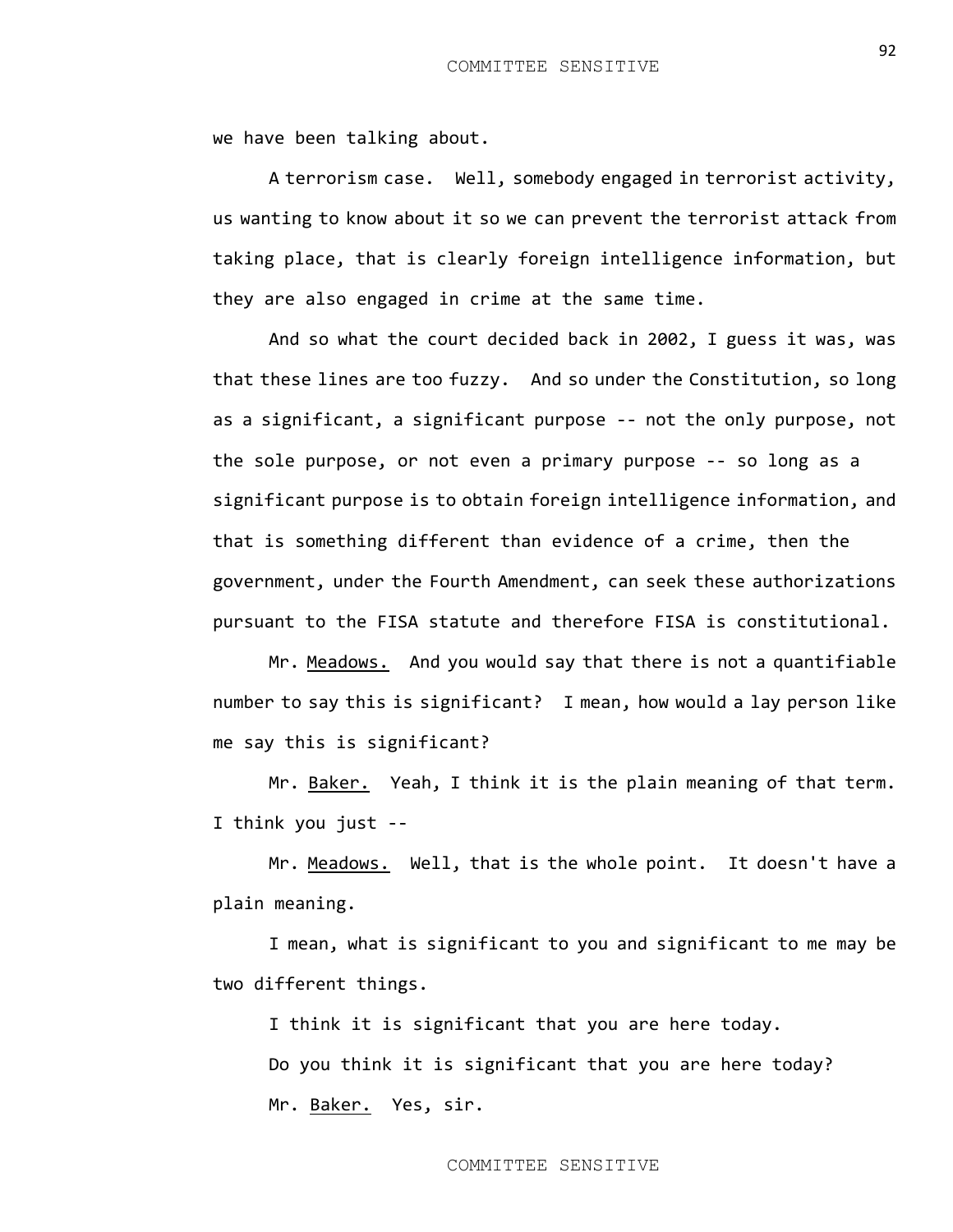we have been talking about.

A terrorism case. Well, somebody engaged in terrorist activity, us wanting to know about it so we can prevent the terrorist attack from taking place, that is clearly foreign intelligence information, but they are also engaged in crime at the same time.

And so what the court decided back in 2002, I guess it was, was that these lines are too fuzzy. And so under the Constitution, so long as a significant, a significant purpose -- not the only purpose, not the sole purpose, or not even a primary purpose -- so long as a significant purpose is to obtain foreign intelligence information, and that is something different than evidence of a crime, then the government, under the Fourth Amendment, can seek these authorizations pursuant to the FISA statute and therefore FISA is constitutional.

Mr. Meadows. And you would say that there is not a quantifiable number to say this is significant? I mean, how would a lay person like me say this is significant?

Mr. Baker. Yeah, I think it is the plain meaning of that term. I think you just --

Mr. Meadows. Well, that is the whole point. It doesn't have a plain meaning.

I mean, what is significant to you and significant to me may be two different things.

I think it is significant that you are here today. Do you think it is significant that you are here today? Mr. Baker. Yes, sir.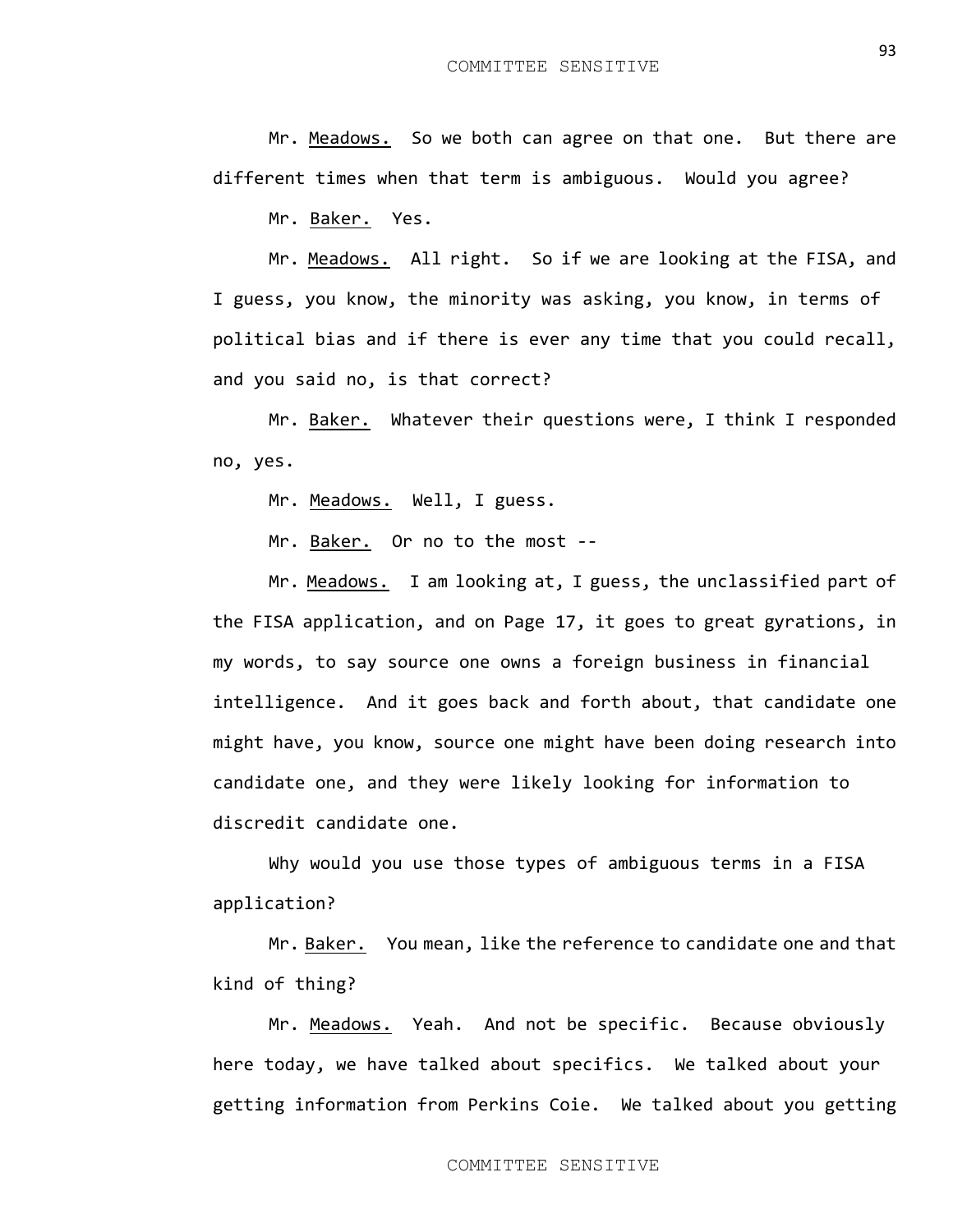Mr. Meadows. So we both can agree on that one. But there are different times when that term is ambiguous. Would you agree?

Mr. Baker. Yes.

Mr. Meadows. All right. So if we are looking at the FISA, and I guess, you know, the minority was asking, you know, in terms of political bias and if there is ever any time that you could recall, and you said no, is that correct?

Mr. Baker. Whatever their questions were, I think I responded no, yes.

Mr. Meadows. Well, I guess.

Mr. Baker. Or no to the most --

Mr. Meadows. I am looking at, I guess, the unclassified part of the FISA application, and on Page 17, it goes to great gyrations, in my words, to say source one owns a foreign business in financial intelligence. And it goes back and forth about, that candidate one might have, you know, source one might have been doing research into candidate one, and they were likely looking for information to discredit candidate one.

Why would you use those types of ambiguous terms in a FISA application?

Mr. Baker. You mean, like the reference to candidate one and that kind of thing?

Mr. Meadows. Yeah. And not be specific. Because obviously here today, we have talked about specifics. We talked about your getting information from Perkins Coie. We talked about you getting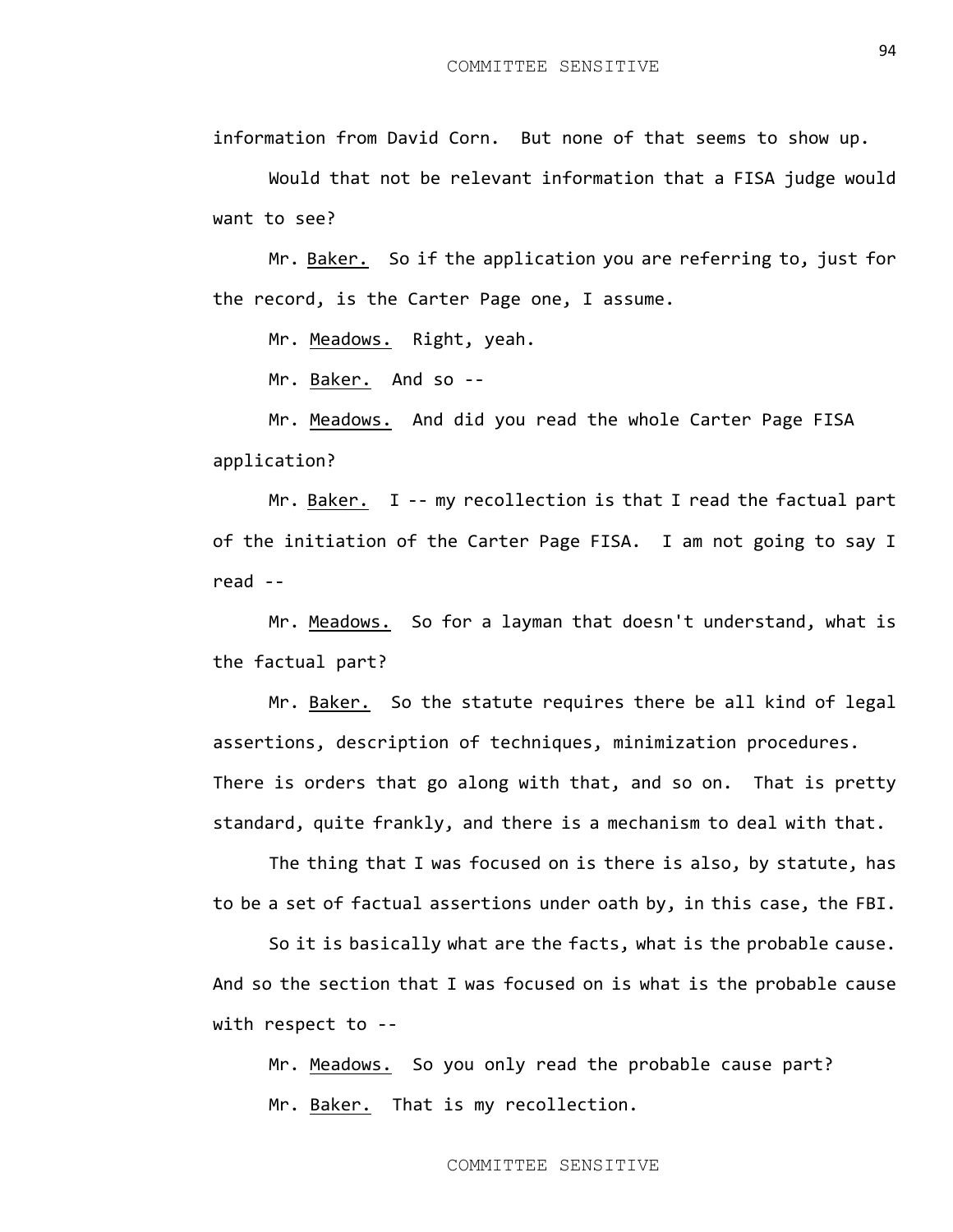information from David Corn. But none of that seems to show up.

Would that not be relevant information that a FISA judge would want to see?

Mr. Baker. So if the application you are referring to, just for the record, is the Carter Page one, I assume.

Mr. Meadows. Right, yeah.

Mr. Baker. And so --

Mr. Meadows. And did you read the whole Carter Page FISA application?

Mr. Baker. I -- my recollection is that I read the factual part of the initiation of the Carter Page FISA. I am not going to say I read --

Mr. Meadows. So for a layman that doesn't understand, what is the factual part?

Mr. Baker. So the statute requires there be all kind of legal assertions, description of techniques, minimization procedures. There is orders that go along with that, and so on. That is pretty standard, quite frankly, and there is a mechanism to deal with that.

The thing that I was focused on is there is also, by statute, has to be a set of factual assertions under oath by, in this case, the FBI.

So it is basically what are the facts, what is the probable cause. And so the section that I was focused on is what is the probable cause with respect to --

Mr. Meadows. So you only read the probable cause part? Mr. Baker. That is my recollection.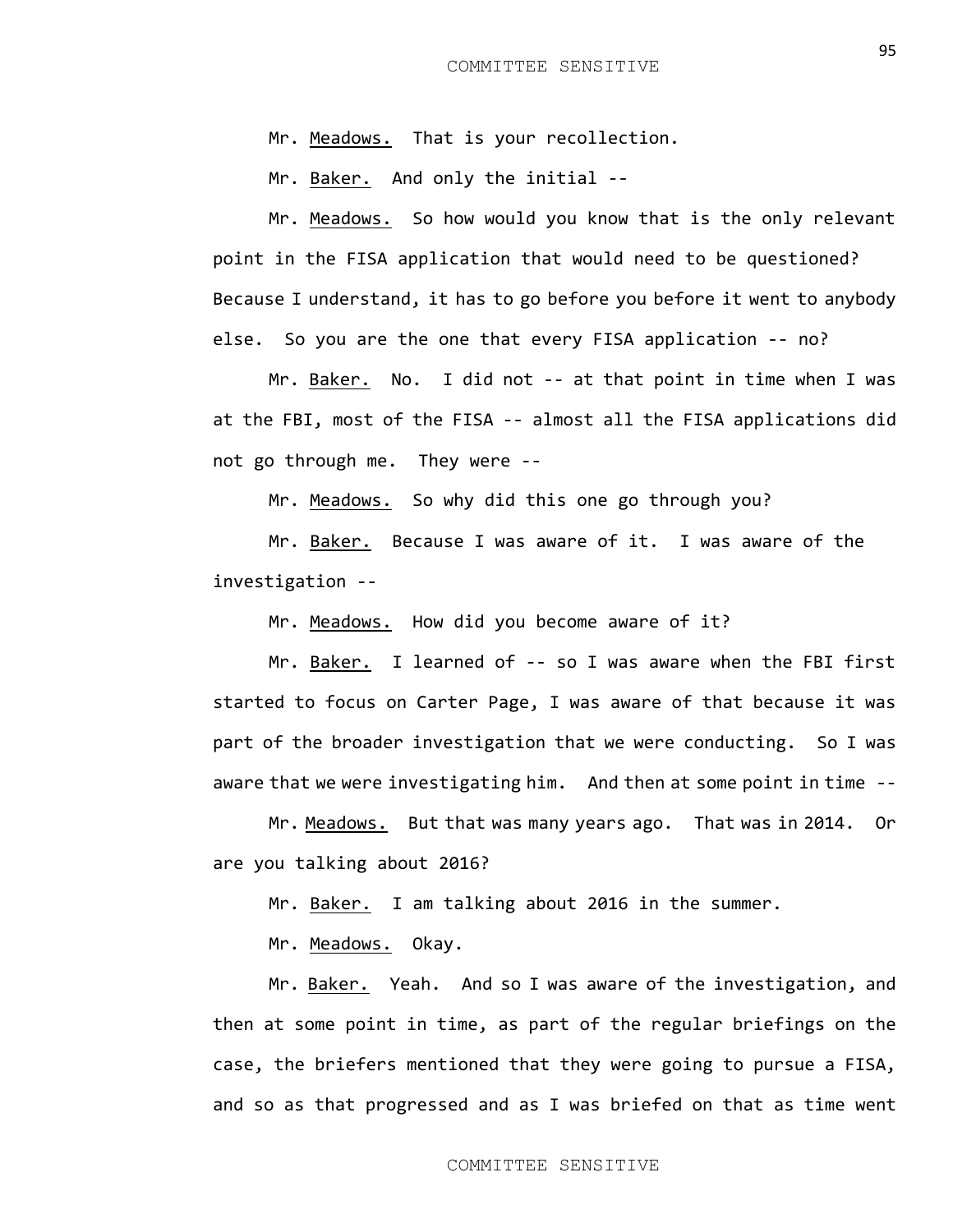Mr. Meadows. That is your recollection.

Mr. Baker. And only the initial --

Mr. Meadows. So how would you know that is the only relevant point in the FISA application that would need to be questioned? Because I understand, it has to go before you before it went to anybody else. So you are the one that every FISA application -- no?

Mr. Baker. No. I did not -- at that point in time when I was at the FBI, most of the FISA -- almost all the FISA applications did not go through me. They were --

Mr. Meadows. So why did this one go through you?

Mr. Baker. Because I was aware of it. I was aware of the investigation --

Mr. Meadows. How did you become aware of it?

Mr. Baker. I learned of -- so I was aware when the FBI first started to focus on Carter Page, I was aware of that because it was part of the broader investigation that we were conducting. So I was aware that we were investigating him. And then at some point in time --

Mr. Meadows. But that was many years ago. That was in 2014. Or are you talking about 2016?

Mr. Baker. I am talking about 2016 in the summer.

Mr. Meadows. Okay.

Mr. Baker. Yeah. And so I was aware of the investigation, and then at some point in time, as part of the regular briefings on the case, the briefers mentioned that they were going to pursue a FISA, and so as that progressed and as I was briefed on that as time went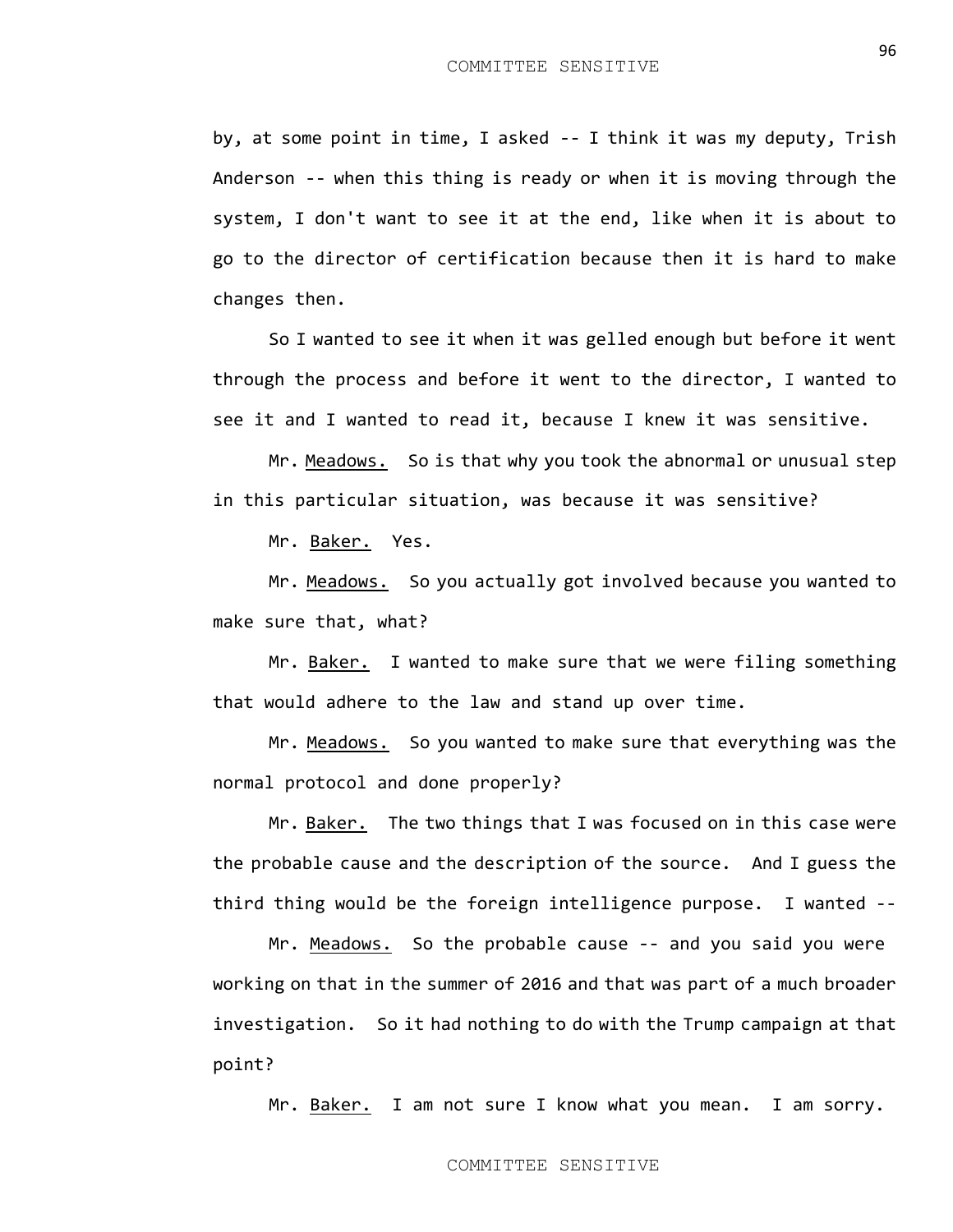by, at some point in time, I asked -- I think it was my deputy, Trish Anderson -- when this thing is ready or when it is moving through the system, I don't want to see it at the end, like when it is about to go to the director of certification because then it is hard to make changes then.

So I wanted to see it when it was gelled enough but before it went through the process and before it went to the director, I wanted to see it and I wanted to read it, because I knew it was sensitive.

Mr. Meadows. So is that why you took the abnormal or unusual step in this particular situation, was because it was sensitive?

Mr. Baker. Yes.

Mr. Meadows. So you actually got involved because you wanted to make sure that, what?

Mr. Baker. I wanted to make sure that we were filing something that would adhere to the law and stand up over time.

Mr. Meadows. So you wanted to make sure that everything was the normal protocol and done properly?

Mr. Baker. The two things that I was focused on in this case were the probable cause and the description of the source. And I guess the third thing would be the foreign intelligence purpose. I wanted --

Mr. Meadows. So the probable cause -- and you said you were working on that in the summer of 2016 and that was part of a much broader investigation. So it had nothing to do with the Trump campaign at that point?

Mr. Baker. I am not sure I know what you mean. I am sorry.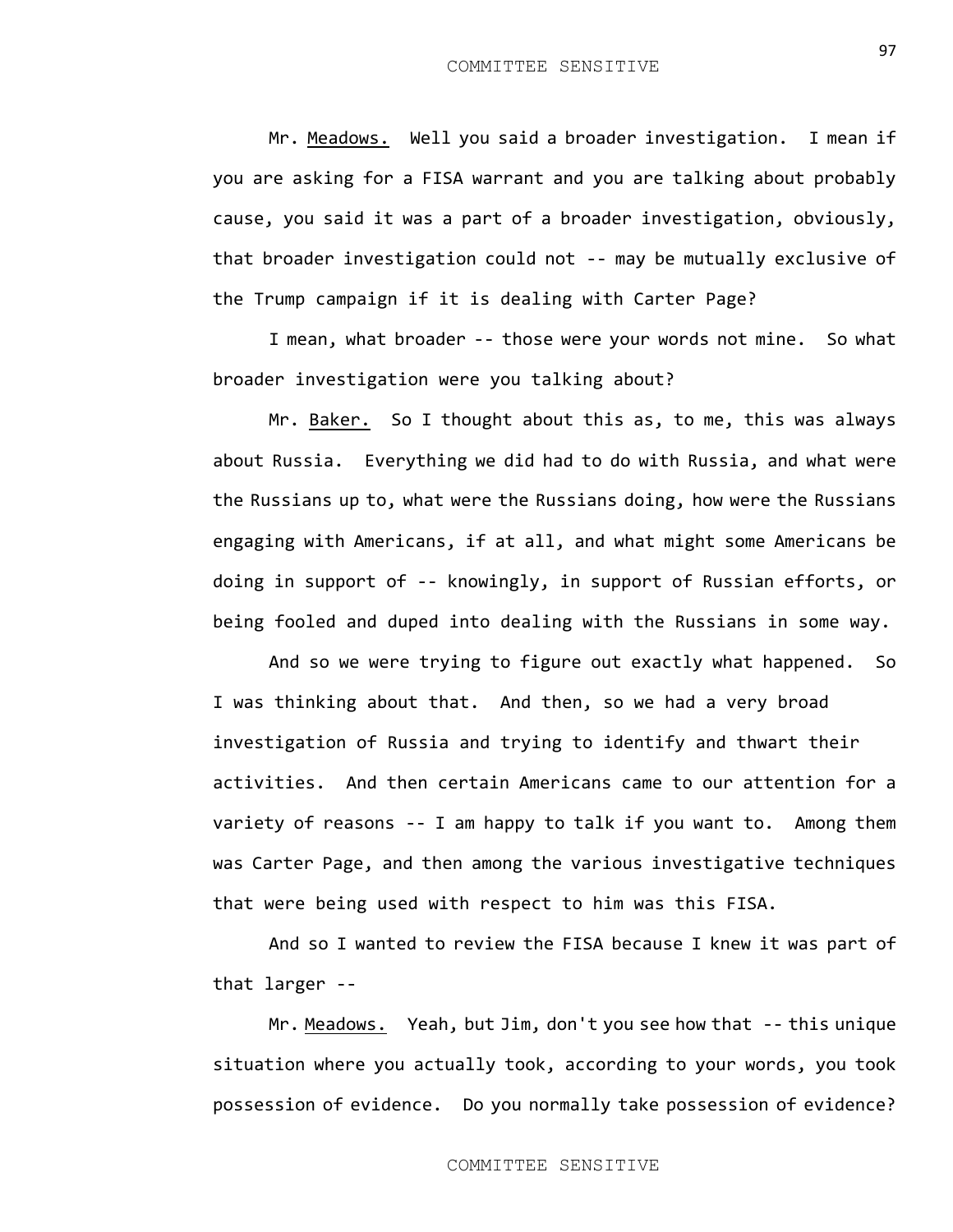Mr. Meadows. Well you said a broader investigation. I mean if you are asking for a FISA warrant and you are talking about probably cause, you said it was a part of a broader investigation, obviously, that broader investigation could not -- may be mutually exclusive of the Trump campaign if it is dealing with Carter Page?

I mean, what broader -- those were your words not mine. So what broader investigation were you talking about?

Mr. Baker. So I thought about this as, to me, this was always about Russia. Everything we did had to do with Russia, and what were the Russians up to, what were the Russians doing, how were the Russians engaging with Americans, if at all, and what might some Americans be doing in support of -- knowingly, in support of Russian efforts, or being fooled and duped into dealing with the Russians in some way.

And so we were trying to figure out exactly what happened. So I was thinking about that. And then, so we had a very broad investigation of Russia and trying to identify and thwart their activities. And then certain Americans came to our attention for a variety of reasons -- I am happy to talk if you want to. Among them was Carter Page, and then among the various investigative techniques that were being used with respect to him was this FISA.

And so I wanted to review the FISA because I knew it was part of that larger --

Mr. Meadows. Yeah, but Jim, don't you see how that -- this unique situation where you actually took, according to your words, you took possession of evidence. Do you normally take possession of evidence?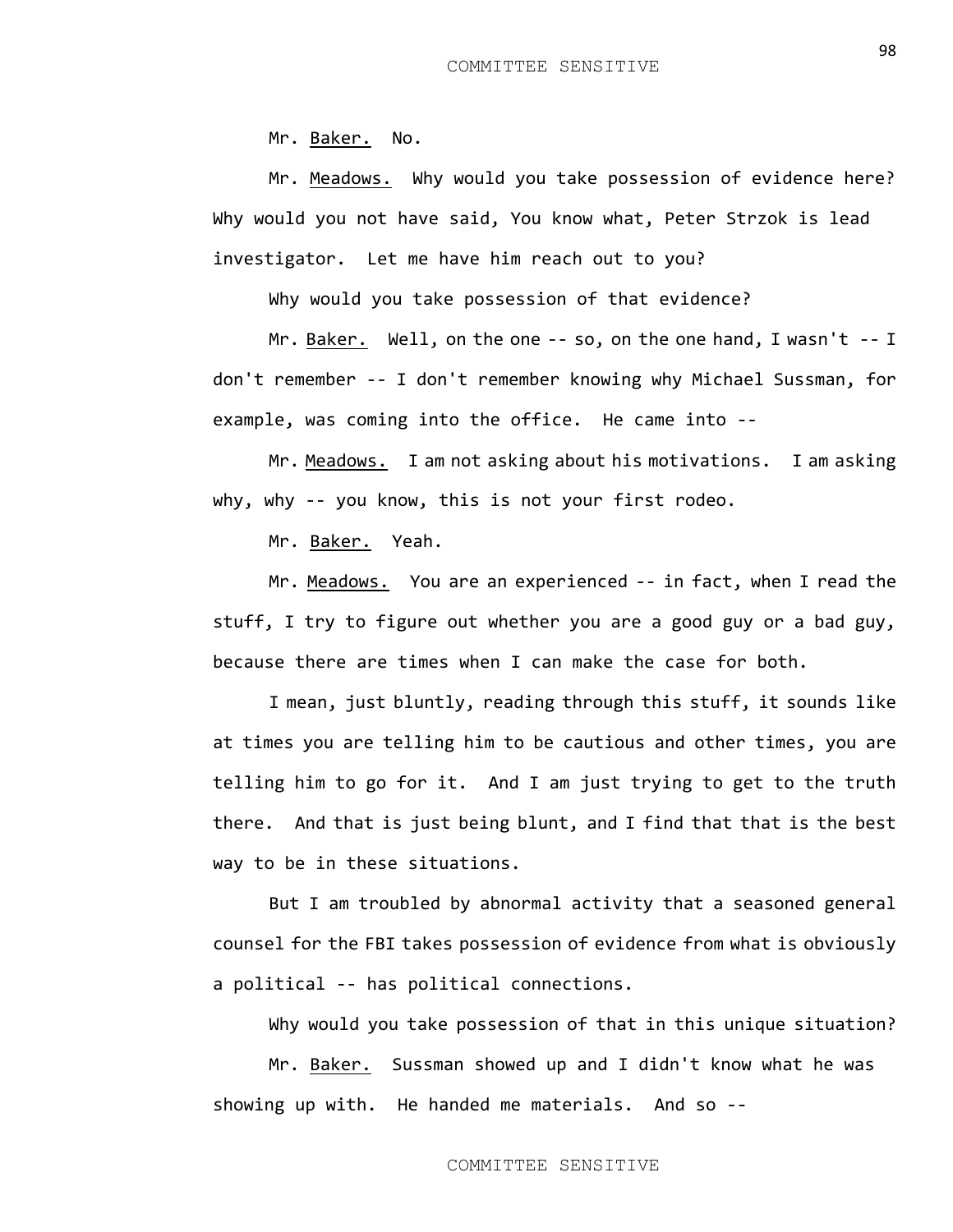Mr. Baker. No.

Mr. Meadows. Why would you take possession of evidence here? Why would you not have said, You know what, Peter Strzok is lead investigator. Let me have him reach out to you?

Why would you take possession of that evidence?

Mr. Baker. Well, on the one -- so, on the one hand, I wasn't -- I don't remember -- I don't remember knowing why Michael Sussman, for example, was coming into the office. He came into --

Mr. Meadows. I am not asking about his motivations. I am asking why, why -- you know, this is not your first rodeo.

Mr. Baker. Yeah.

Mr. Meadows. You are an experienced -- in fact, when I read the stuff, I try to figure out whether you are a good guy or a bad guy, because there are times when I can make the case for both.

I mean, just bluntly, reading through this stuff, it sounds like at times you are telling him to be cautious and other times, you are telling him to go for it. And I am just trying to get to the truth there. And that is just being blunt, and I find that that is the best way to be in these situations.

But I am troubled by abnormal activity that a seasoned general counsel for the FBI takes possession of evidence from what is obviously a political -- has political connections.

Why would you take possession of that in this unique situation?

Mr. Baker. Sussman showed up and I didn't know what he was showing up with. He handed me materials. And so --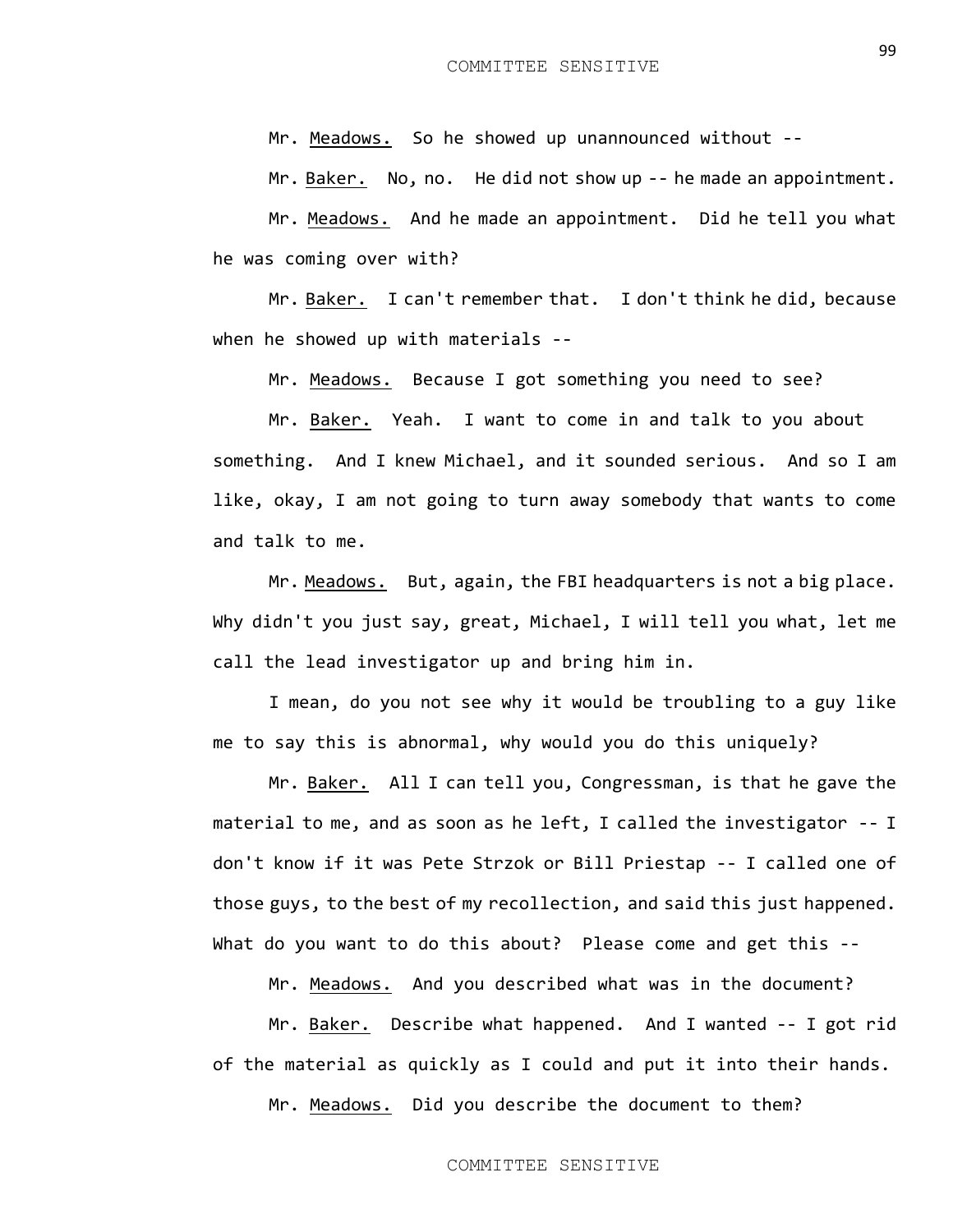Mr. Meadows. So he showed up unannounced without --

Mr. Baker. No, no. He did not show up -- he made an appointment.

Mr. Meadows. And he made an appointment. Did he tell you what he was coming over with?

Mr. Baker. I can't remember that. I don't think he did, because when he showed up with materials --

Mr. Meadows. Because I got something you need to see?

Mr. Baker. Yeah. I want to come in and talk to you about something. And I knew Michael, and it sounded serious. And so I am like, okay, I am not going to turn away somebody that wants to come and talk to me.

Mr. Meadows. But, again, the FBI headquarters is not a big place. Why didn't you just say, great, Michael, I will tell you what, let me call the lead investigator up and bring him in.

I mean, do you not see why it would be troubling to a guy like me to say this is abnormal, why would you do this uniquely?

Mr. Baker. All I can tell you, Congressman, is that he gave the material to me, and as soon as he left, I called the investigator -- I don't know if it was Pete Strzok or Bill Priestap -- I called one of those guys, to the best of my recollection, and said this just happened. What do you want to do this about? Please come and get this --

Mr. Meadows. And you described what was in the document?

Mr. Baker. Describe what happened. And I wanted -- I got rid of the material as quickly as I could and put it into their hands.

Mr. Meadows. Did you describe the document to them?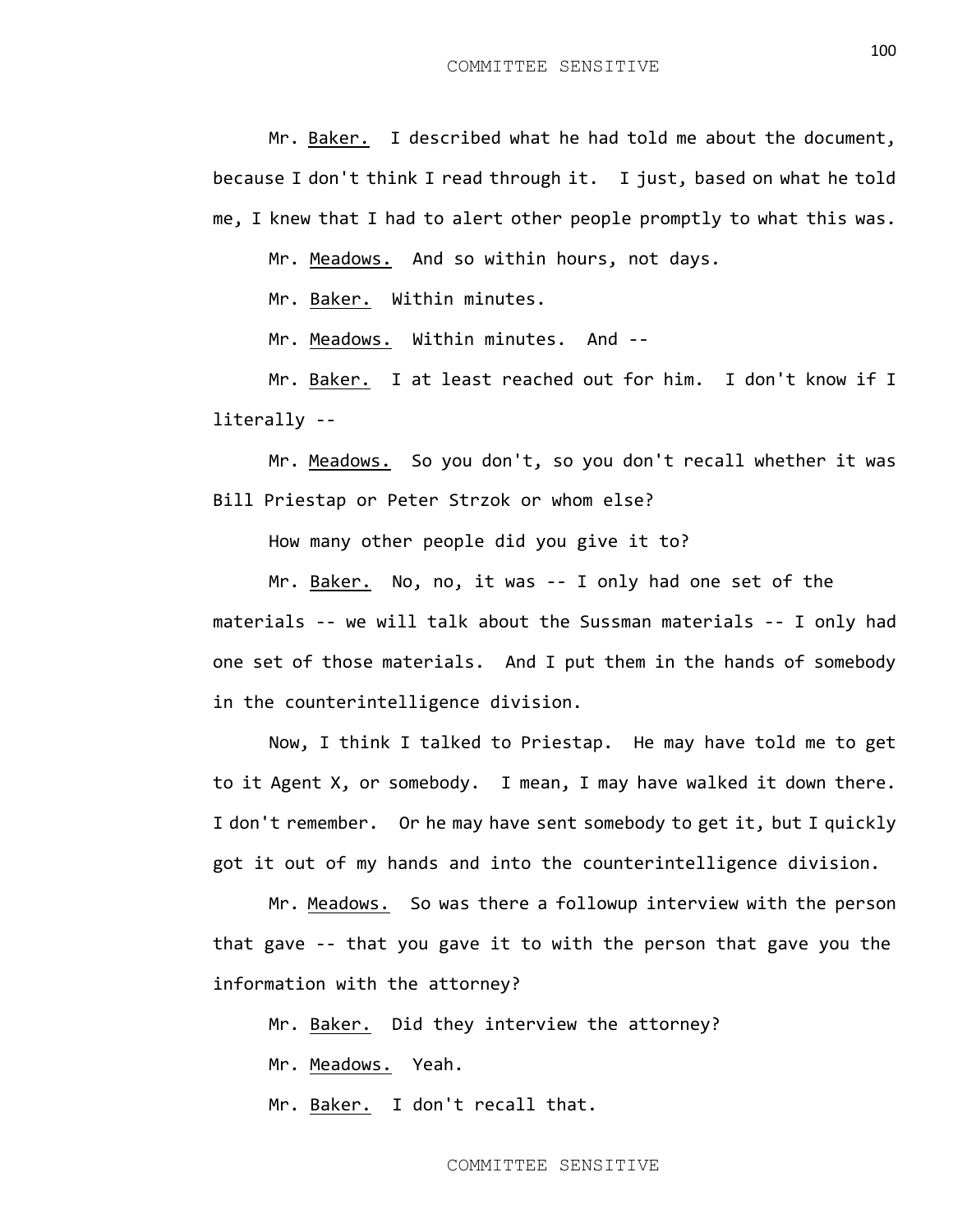Mr. Baker. I described what he had told me about the document, because I don't think I read through it. I just, based on what he told me, I knew that I had to alert other people promptly to what this was.

Mr. Meadows. And so within hours, not days.

Mr. Baker. Within minutes.

Mr. Meadows. Within minutes. And --

Mr. Baker. I at least reached out for him. I don't know if I literally --

Mr. Meadows. So you don't, so you don't recall whether it was Bill Priestap or Peter Strzok or whom else?

How many other people did you give it to?

Mr. Baker. No, no, it was -- I only had one set of the materials -- we will talk about the Sussman materials -- I only had one set of those materials. And I put them in the hands of somebody in the counterintelligence division.

Now, I think I talked to Priestap. He may have told me to get to it Agent X, or somebody. I mean, I may have walked it down there. I don't remember. Or he may have sent somebody to get it, but I quickly got it out of my hands and into the counterintelligence division.

Mr. Meadows. So was there a followup interview with the person that gave -- that you gave it to with the person that gave you the information with the attorney?

Mr. Baker. Did they interview the attorney?

Mr. Meadows. Yeah.

Mr. Baker. I don't recall that.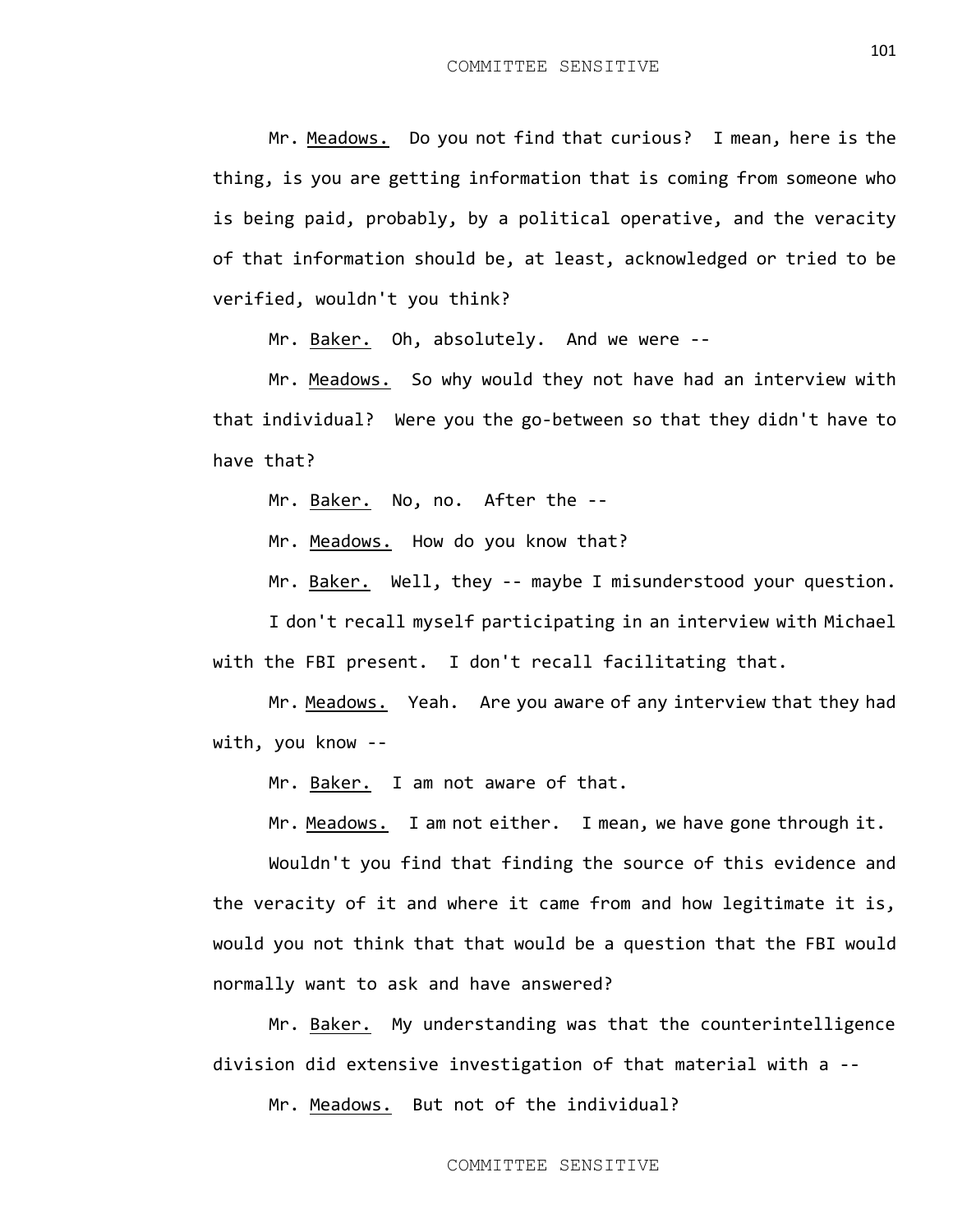Mr. Meadows. Do you not find that curious? I mean, here is the thing, is you are getting information that is coming from someone who is being paid, probably, by a political operative, and the veracity of that information should be, at least, acknowledged or tried to be verified, wouldn't you think?

Mr. Baker. Oh, absolutely. And we were --

Mr. Meadows. So why would they not have had an interview with that individual? Were you the go-between so that they didn't have to have that?

Mr. Baker. No, no. After the --

Mr. Meadows. How do you know that?

Mr. Baker. Well, they -- maybe I misunderstood your question.

I don't recall myself participating in an interview with Michael with the FBI present. I don't recall facilitating that.

Mr. Meadows. Yeah. Are you aware of any interview that they had with, you know --

Mr. Baker. I am not aware of that.

Mr. Meadows. I am not either. I mean, we have gone through it.

Wouldn't you find that finding the source of this evidence and the veracity of it and where it came from and how legitimate it is, would you not think that that would be a question that the FBI would normally want to ask and have answered?

Mr. Baker. My understanding was that the counterintelligence division did extensive investigation of that material with a --

Mr. Meadows. But not of the individual?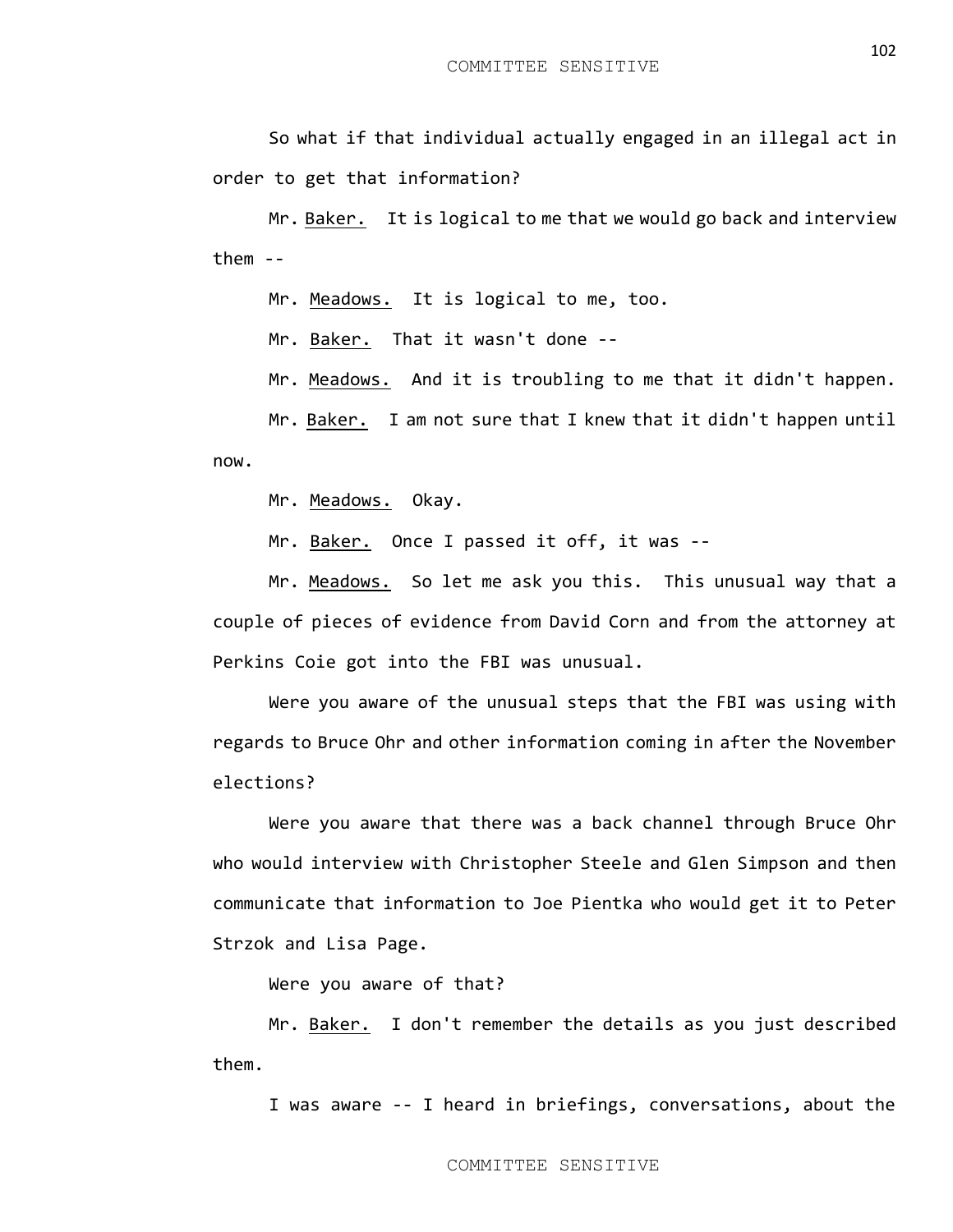So what if that individual actually engaged in an illegal act in order to get that information?

Mr. Baker. It is logical to me that we would go back and interview them --

Mr. Meadows. It is logical to me, too.

Mr. Baker. That it wasn't done --

Mr. Meadows. And it is troubling to me that it didn't happen.

Mr. Baker. I am not sure that I knew that it didn't happen until now.

Mr. Meadows. Okay.

Mr. Baker. Once I passed it off, it was --

Mr. Meadows. So let me ask you this. This unusual way that a couple of pieces of evidence from David Corn and from the attorney at Perkins Coie got into the FBI was unusual.

Were you aware of the unusual steps that the FBI was using with regards to Bruce Ohr and other information coming in after the November elections?

Were you aware that there was a back channel through Bruce Ohr who would interview with Christopher Steele and Glen Simpson and then communicate that information to Joe Pientka who would get it to Peter Strzok and Lisa Page.

Were you aware of that?

Mr. Baker. I don't remember the details as you just described them.

I was aware -- I heard in briefings, conversations, about the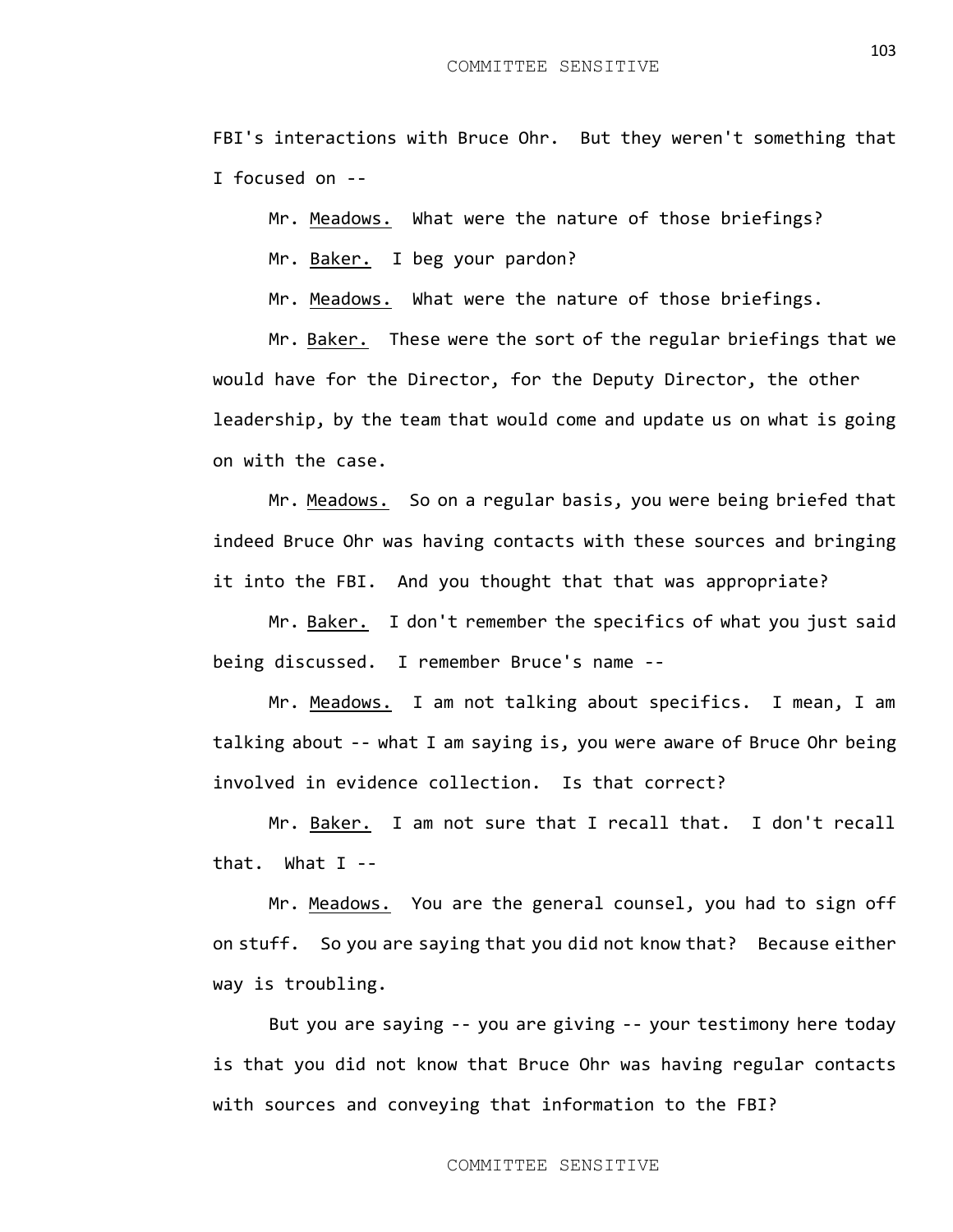FBI's interactions with Bruce Ohr. But they weren't something that I focused on --

Mr. Meadows. What were the nature of those briefings?

Mr. Baker. I beg your pardon?

Mr. Meadows. What were the nature of those briefings.

Mr. Baker. These were the sort of the regular briefings that we would have for the Director, for the Deputy Director, the other leadership, by the team that would come and update us on what is going on with the case.

Mr. Meadows. So on a regular basis, you were being briefed that indeed Bruce Ohr was having contacts with these sources and bringing it into the FBI. And you thought that that was appropriate?

Mr. Baker. I don't remember the specifics of what you just said being discussed. I remember Bruce's name --

Mr. Meadows. I am not talking about specifics. I mean, I am talking about -- what I am saying is, you were aware of Bruce Ohr being involved in evidence collection. Is that correct?

Mr. Baker. I am not sure that I recall that. I don't recall that. What I --

Mr. Meadows. You are the general counsel, you had to sign off on stuff. So you are saying that you did not know that? Because either way is troubling.

But you are saying -- you are giving -- your testimony here today is that you did not know that Bruce Ohr was having regular contacts with sources and conveying that information to the FBI?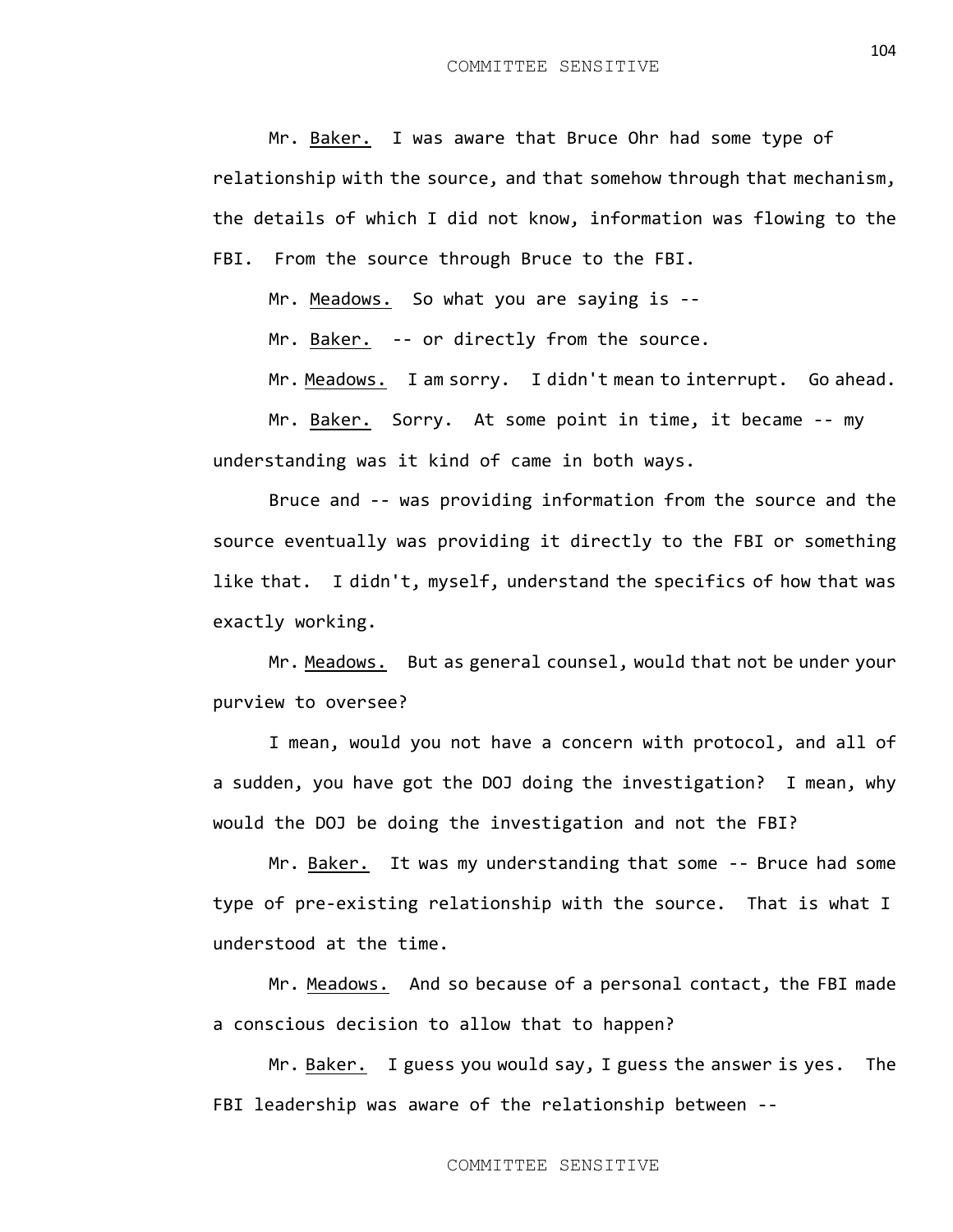Mr. Baker. I was aware that Bruce Ohr had some type of relationship with the source, and that somehow through that mechanism, the details of which I did not know, information was flowing to the FBI. From the source through Bruce to the FBI.

Mr. Meadows. So what you are saying is --

Mr. Baker. -- or directly from the source.

Mr. Meadows. I am sorry. I didn't mean to interrupt. Go ahead.

Mr. Baker. Sorry. At some point in time, it became -- my understanding was it kind of came in both ways.

Bruce and -- was providing information from the source and the source eventually was providing it directly to the FBI or something like that. I didn't, myself, understand the specifics of how that was exactly working.

Mr. Meadows. But as general counsel, would that not be under your purview to oversee?

I mean, would you not have a concern with protocol, and all of a sudden, you have got the DOJ doing the investigation? I mean, why would the DOJ be doing the investigation and not the FBI?

Mr. Baker. It was my understanding that some -- Bruce had some type of pre-existing relationship with the source. That is what I understood at the time.

Mr. Meadows. And so because of a personal contact, the FBI made a conscious decision to allow that to happen?

Mr. Baker. I guess you would say, I guess the answer is yes. The FBI leadership was aware of the relationship between --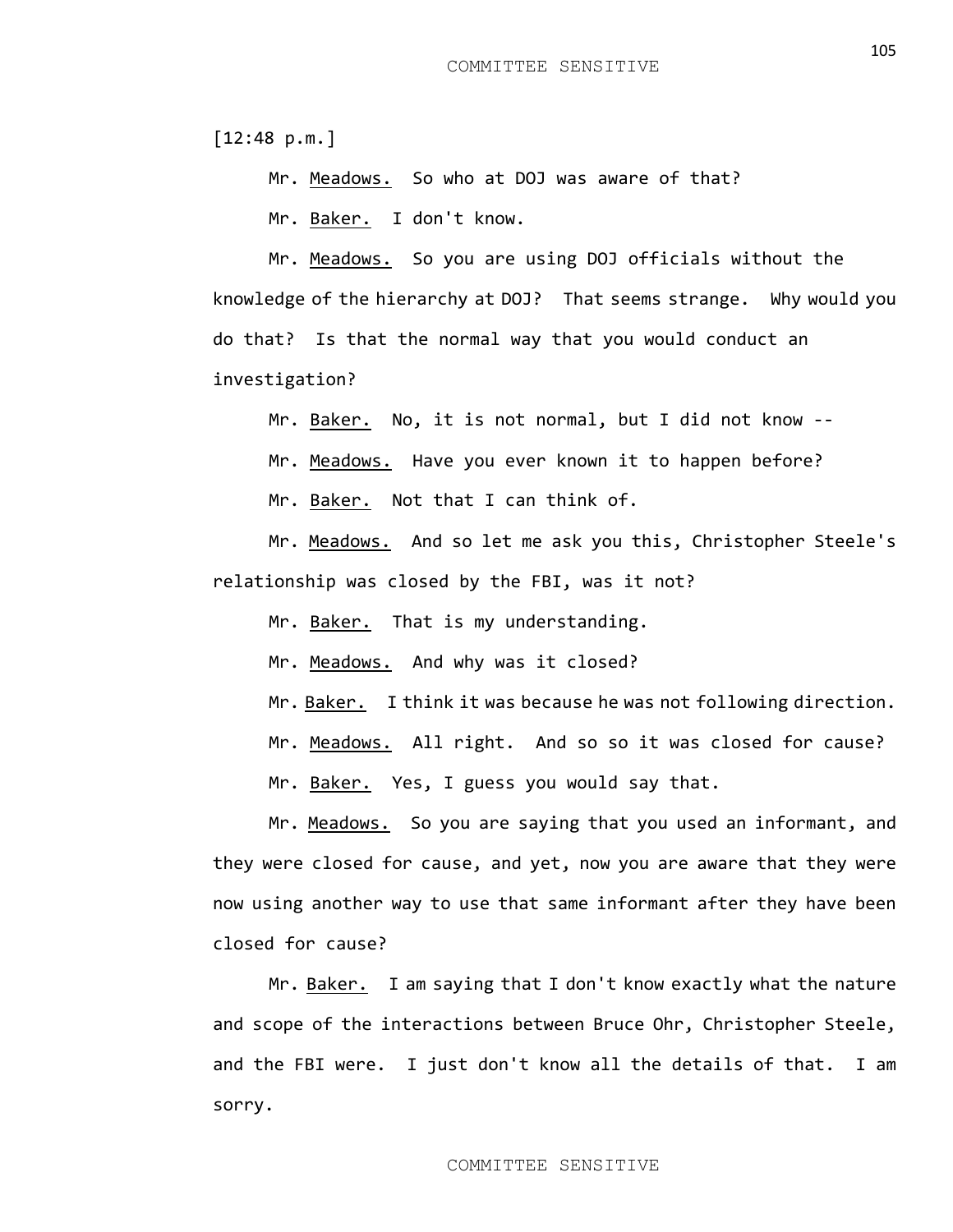[12:48 p.m.]

Mr. Meadows. So who at DOJ was aware of that?

Mr. Baker. I don't know.

Mr. Meadows. So you are using DOJ officials without the knowledge of the hierarchy at DOJ? That seems strange. Why would you do that? Is that the normal way that you would conduct an investigation?

Mr. Baker. No, it is not normal, but I did not know --

Mr. Meadows. Have you ever known it to happen before?

Mr. Baker. Not that I can think of.

Mr. Meadows. And so let me ask you this, Christopher Steele's relationship was closed by the FBI, was it not?

Mr. Baker. That is my understanding.

Mr. Meadows. And why was it closed?

Mr. Baker. I think it was because he was not following direction.

Mr. Meadows. All right. And so so it was closed for cause?

Mr. Baker. Yes, I guess you would say that.

Mr. Meadows. So you are saying that you used an informant, and they were closed for cause, and yet, now you are aware that they were now using another way to use that same informant after they have been closed for cause?

Mr. Baker. I am saying that I don't know exactly what the nature and scope of the interactions between Bruce Ohr, Christopher Steele, and the FBI were. I just don't know all the details of that. I am sorry.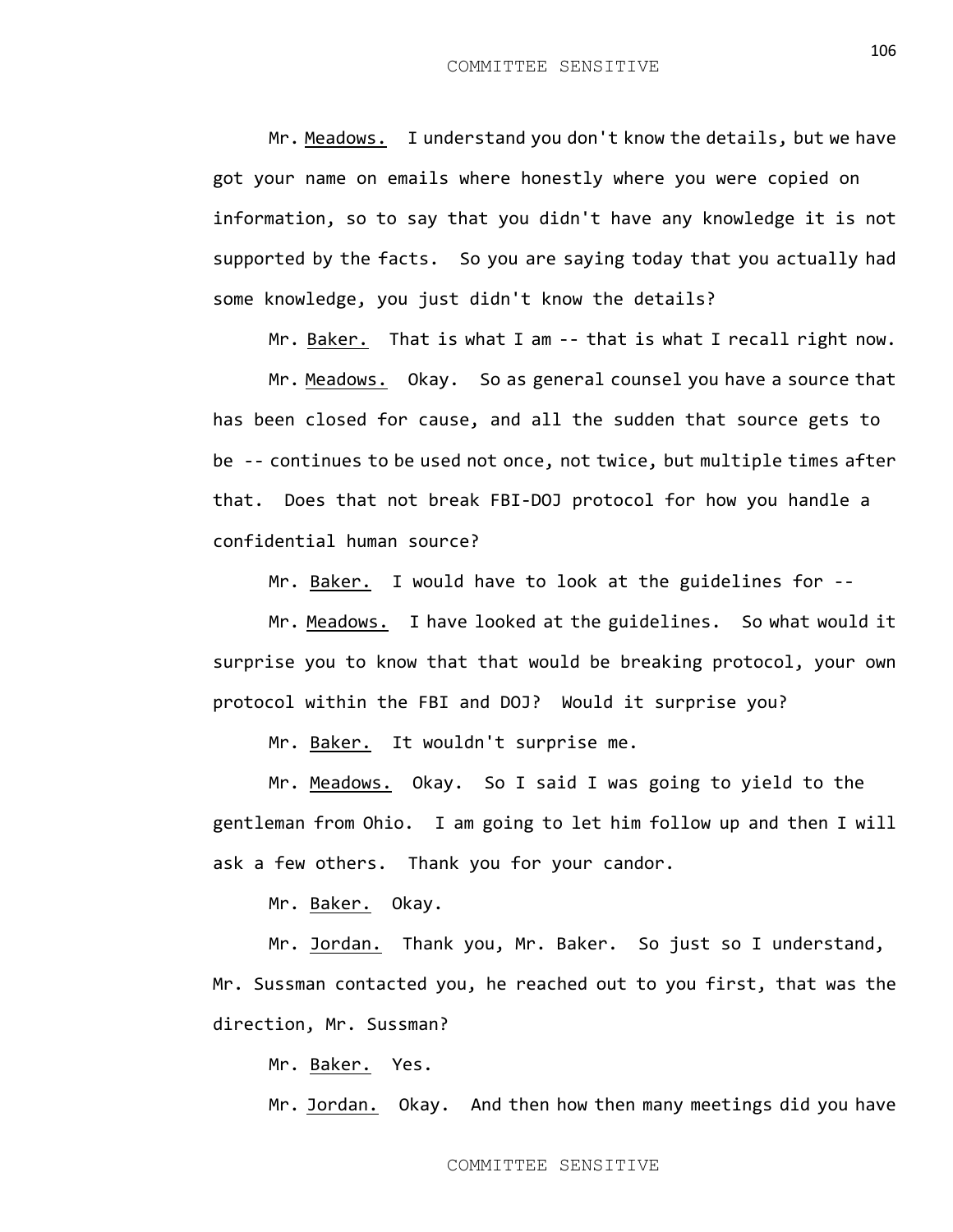Mr. Meadows. I understand you don't know the details, but we have got your name on emails where honestly where you were copied on information, so to say that you didn't have any knowledge it is not supported by the facts. So you are saying today that you actually had some knowledge, you just didn't know the details?

Mr. Baker. That is what I am -- that is what I recall right now.

Mr. Meadows. Okay. So as general counsel you have a source that has been closed for cause, and all the sudden that source gets to be -- continues to be used not once, not twice, but multiple times after that. Does that not break FBI-DOJ protocol for how you handle a confidential human source?

Mr. Baker. I would have to look at the guidelines for --

Mr. Meadows. I have looked at the guidelines. So what would it surprise you to know that that would be breaking protocol, your own protocol within the FBI and DOJ? Would it surprise you?

Mr. Baker. It wouldn't surprise me.

Mr. Meadows. Okay. So I said I was going to yield to the gentleman from Ohio. I am going to let him follow up and then I will ask a few others. Thank you for your candor.

Mr. Baker. Okay.

Mr. Jordan. Thank you, Mr. Baker. So just so I understand, Mr. Sussman contacted you, he reached out to you first, that was the direction, Mr. Sussman?

Mr. Baker. Yes.

Mr. Jordan. Okay. And then how then many meetings did you have

106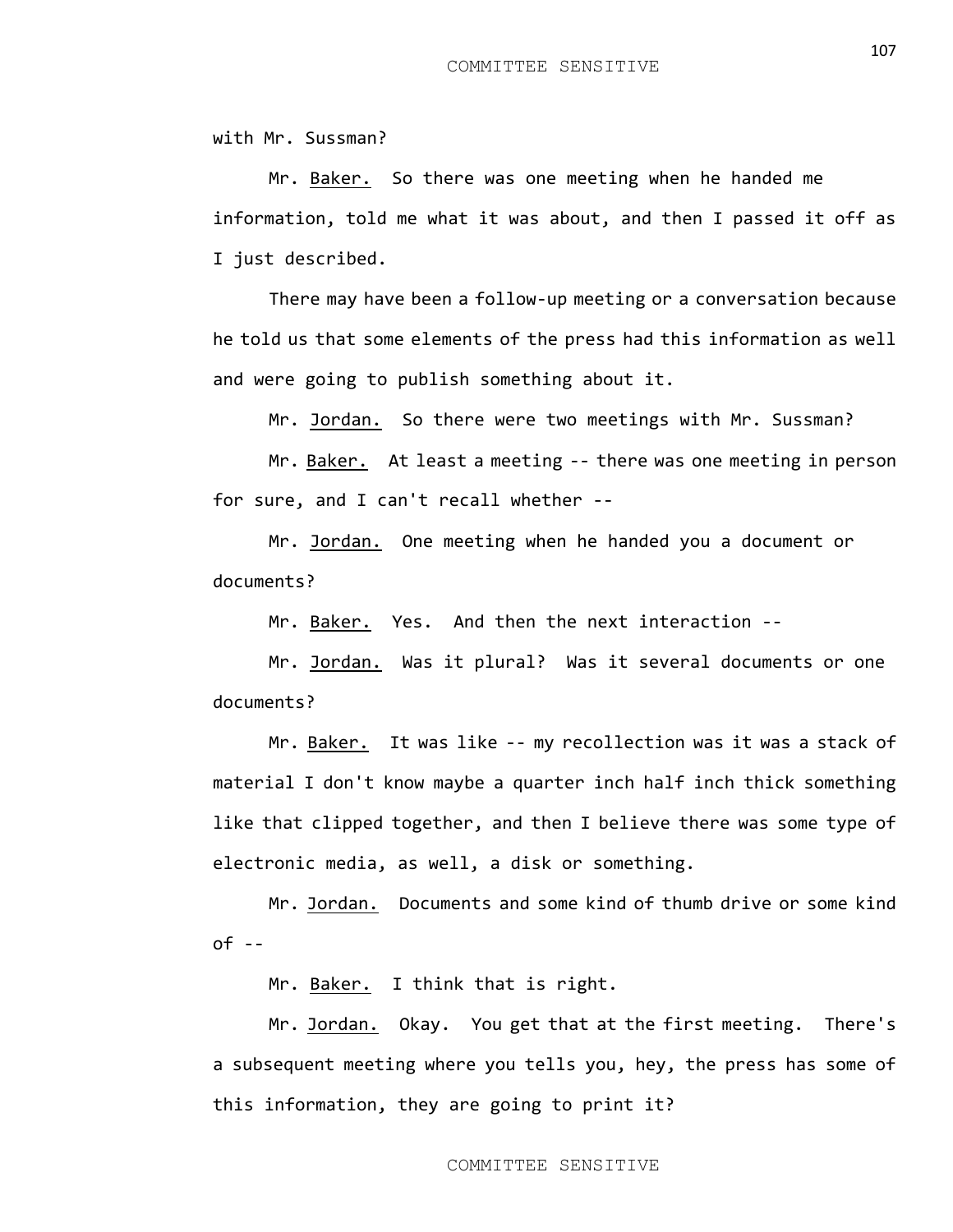with Mr. Sussman?

Mr. Baker. So there was one meeting when he handed me information, told me what it was about, and then I passed it off as I just described.

There may have been a follow-up meeting or a conversation because he told us that some elements of the press had this information as well and were going to publish something about it.

Mr. Jordan. So there were two meetings with Mr. Sussman?

Mr. Baker. At least a meeting -- there was one meeting in person for sure, and I can't recall whether --

Mr. Jordan. One meeting when he handed you a document or documents?

Mr. Baker. Yes. And then the next interaction --

Mr. Jordan. Was it plural? Was it several documents or one documents?

Mr. Baker. It was like -- my recollection was it was a stack of material I don't know maybe a quarter inch half inch thick something like that clipped together, and then I believe there was some type of electronic media, as well, a disk or something.

Mr. Jordan. Documents and some kind of thumb drive or some kind of --

Mr. Baker. I think that is right.

Mr. Jordan. Okay. You get that at the first meeting. There's a subsequent meeting where you tells you, hey, the press has some of this information, they are going to print it?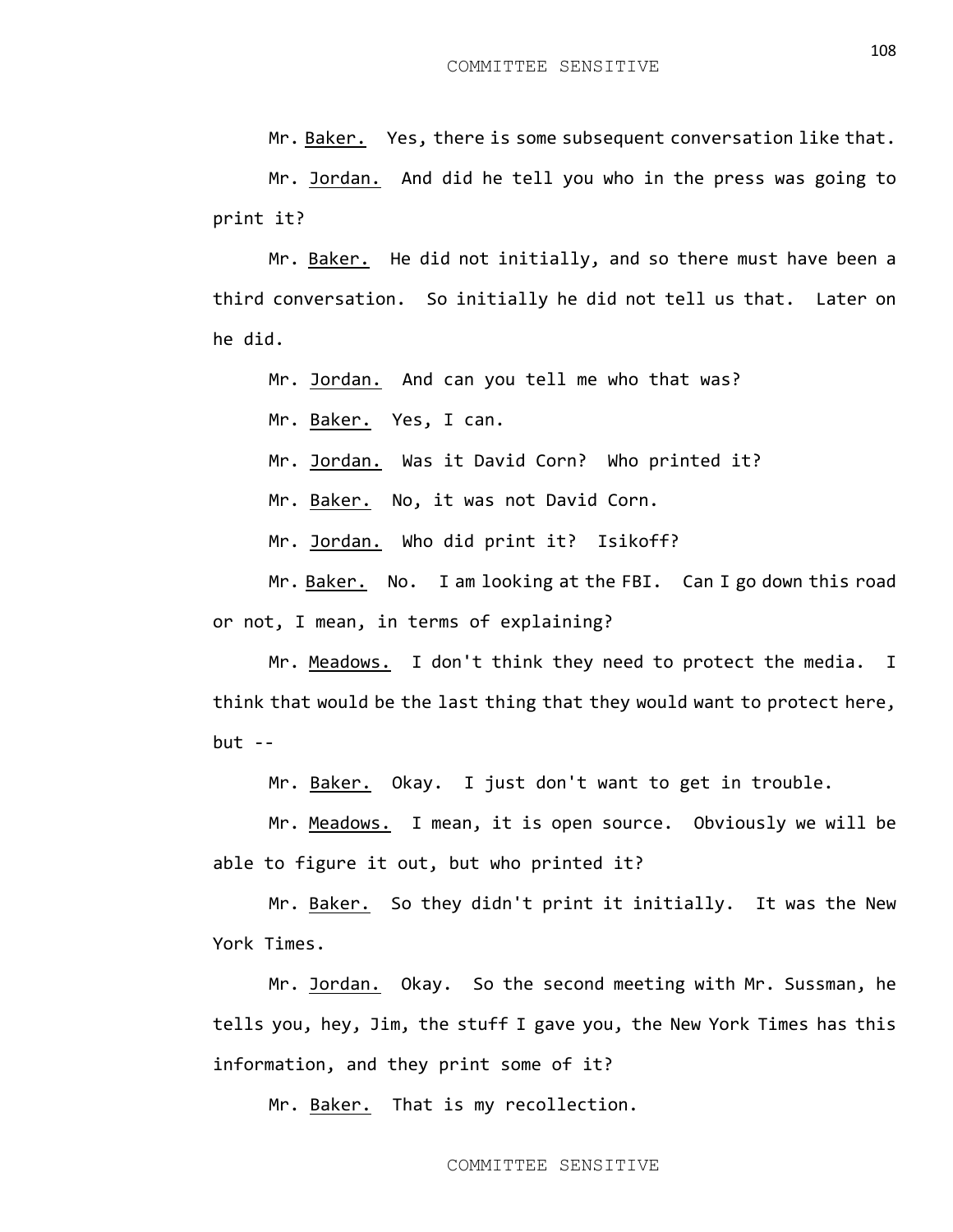Mr. Baker. Yes, there is some subsequent conversation like that.

Mr. Jordan. And did he tell you who in the press was going to print it?

Mr. Baker. He did not initially, and so there must have been a third conversation. So initially he did not tell us that. Later on he did.

Mr. Jordan. And can you tell me who that was?

Mr. Baker. Yes, I can.

Mr. Jordan. Was it David Corn? Who printed it?

Mr. Baker. No, it was not David Corn.

Mr. Jordan. Who did print it? Isikoff?

Mr. Baker. No. I am looking at the FBI. Can I go down this road or not, I mean, in terms of explaining?

Mr. Meadows. I don't think they need to protect the media. I think that would be the last thing that they would want to protect here,  $but - -$ 

Mr. Baker. Okay. I just don't want to get in trouble.

Mr. Meadows. I mean, it is open source. Obviously we will be able to figure it out, but who printed it?

Mr. Baker. So they didn't print it initially. It was the New York Times.

Mr. Jordan. Okay. So the second meeting with Mr. Sussman, he tells you, hey, Jim, the stuff I gave you, the New York Times has this information, and they print some of it?

Mr. Baker. That is my recollection.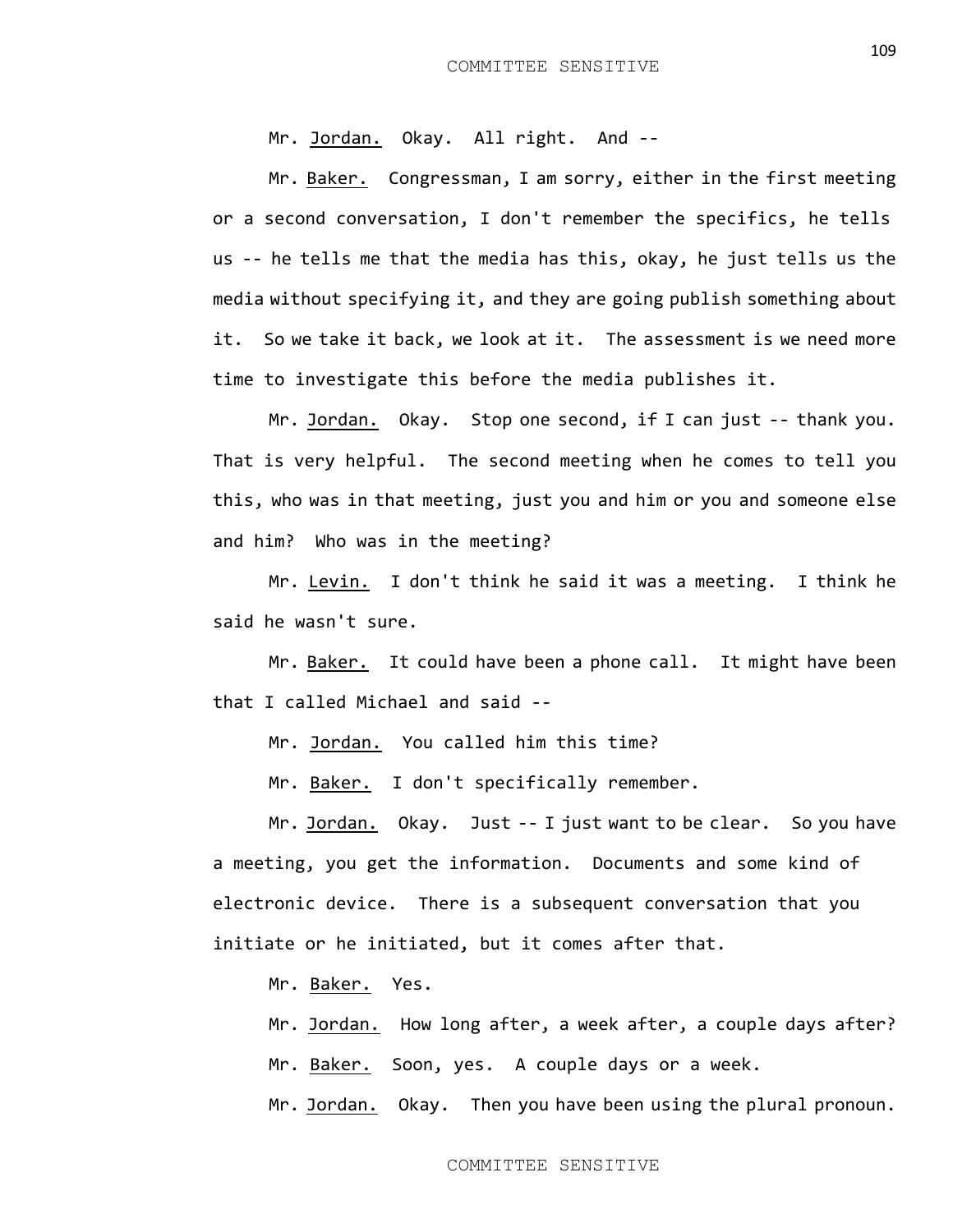Mr. Jordan. Okay. All right. And --

Mr. Baker. Congressman, I am sorry, either in the first meeting or a second conversation, I don't remember the specifics, he tells us -- he tells me that the media has this, okay, he just tells us the media without specifying it, and they are going publish something about it. So we take it back, we look at it. The assessment is we need more time to investigate this before the media publishes it.

Mr. Jordan. Okay. Stop one second, if I can just -- thank you. That is very helpful. The second meeting when he comes to tell you this, who was in that meeting, just you and him or you and someone else and him? Who was in the meeting?

Mr. Levin. I don't think he said it was a meeting. I think he said he wasn't sure.

Mr. Baker. It could have been a phone call. It might have been that I called Michael and said --

Mr. Jordan. You called him this time?

Mr. Baker. I don't specifically remember.

Mr. Jordan. Okay. Just -- I just want to be clear. So you have a meeting, you get the information. Documents and some kind of electronic device. There is a subsequent conversation that you initiate or he initiated, but it comes after that.

Mr. Baker. Yes.

Mr. Jordan. How long after, a week after, a couple days after? Mr. Baker. Soon, yes. A couple days or a week. Mr. Jordan. Okay. Then you have been using the plural pronoun.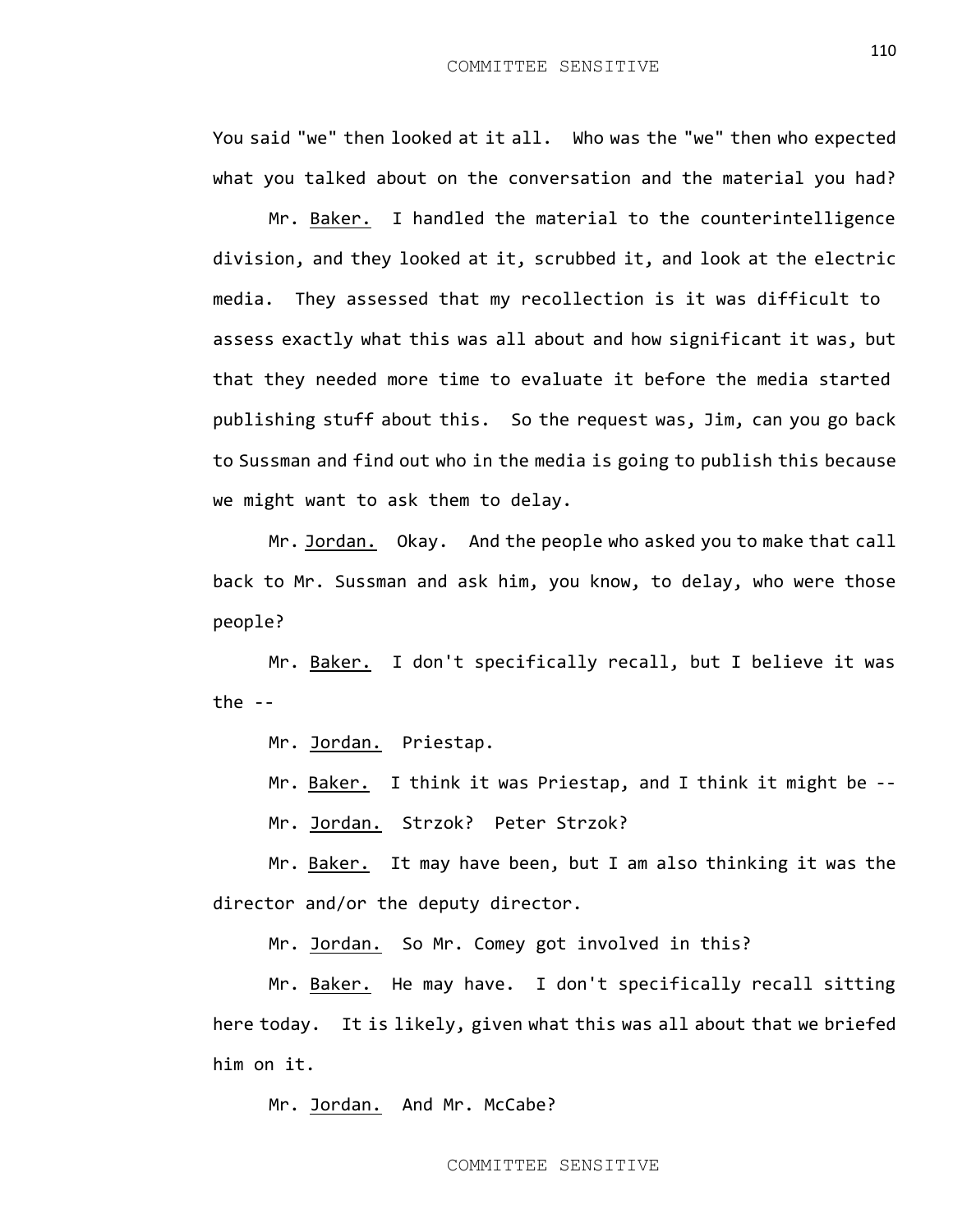You said "we" then looked at it all. Who was the "we" then who expected what you talked about on the conversation and the material you had?

Mr. Baker. I handled the material to the counterintelligence division, and they looked at it, scrubbed it, and look at the electric media. They assessed that my recollection is it was difficult to assess exactly what this was all about and how significant it was, but that they needed more time to evaluate it before the media started publishing stuff about this. So the request was, Jim, can you go back to Sussman and find out who in the media is going to publish this because we might want to ask them to delay.

Mr. Jordan. Okay. And the people who asked you to make that call back to Mr. Sussman and ask him, you know, to delay, who were those people?

Mr. Baker. I don't specifically recall, but I believe it was the  $-$ 

Mr. Jordan. Priestap.

Mr. Baker. I think it was Priestap, and I think it might be --

Mr. Jordan. Strzok? Peter Strzok?

Mr. Baker. It may have been, but I am also thinking it was the director and/or the deputy director.

Mr. Jordan. So Mr. Comey got involved in this?

Mr. Baker. He may have. I don't specifically recall sitting here today. It is likely, given what this was all about that we briefed him on it.

Mr. Jordan. And Mr. McCabe?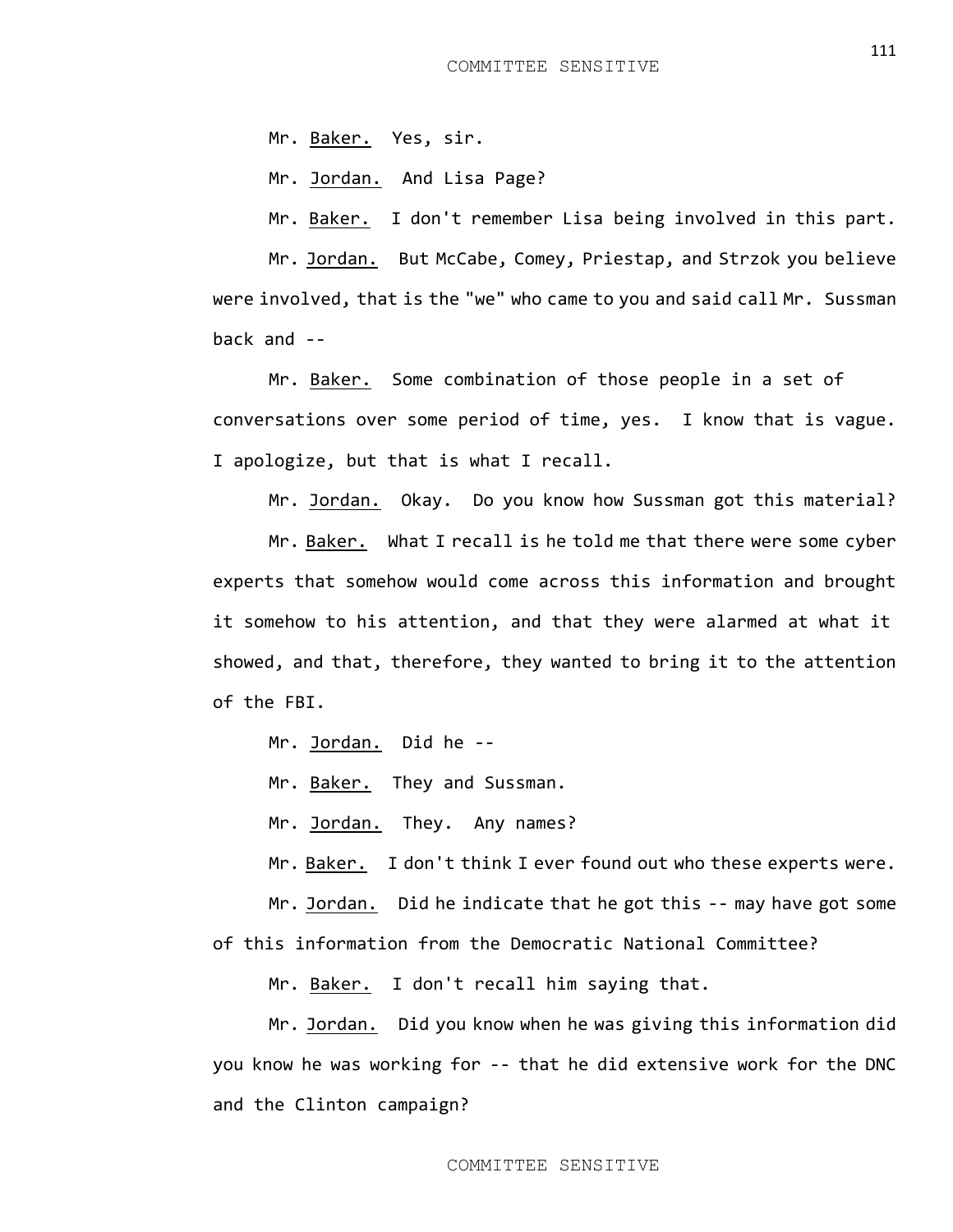Mr. Baker. Yes, sir.

Mr. Jordan. And Lisa Page?

Mr. Baker. I don't remember Lisa being involved in this part.

Mr. Jordan. But McCabe, Comey, Priestap, and Strzok you believe were involved, that is the "we" who came to you and said call Mr. Sussman back and --

Mr. Baker. Some combination of those people in a set of conversations over some period of time, yes. I know that is vague. I apologize, but that is what I recall.

Mr. Jordan. Okay. Do you know how Sussman got this material?

Mr. Baker. What I recall is he told me that there were some cyber experts that somehow would come across this information and brought it somehow to his attention, and that they were alarmed at what it showed, and that, therefore, they wanted to bring it to the attention of the FBI.

Mr. Jordan. Did he --

Mr. Baker. They and Sussman.

Mr. Jordan. They. Any names?

Mr. Baker. I don't think I ever found out who these experts were.

Mr. Jordan. Did he indicate that he got this -- may have got some of this information from the Democratic National Committee?

Mr. Baker. I don't recall him saying that.

Mr. Jordan. Did you know when he was giving this information did you know he was working for -- that he did extensive work for the DNC and the Clinton campaign?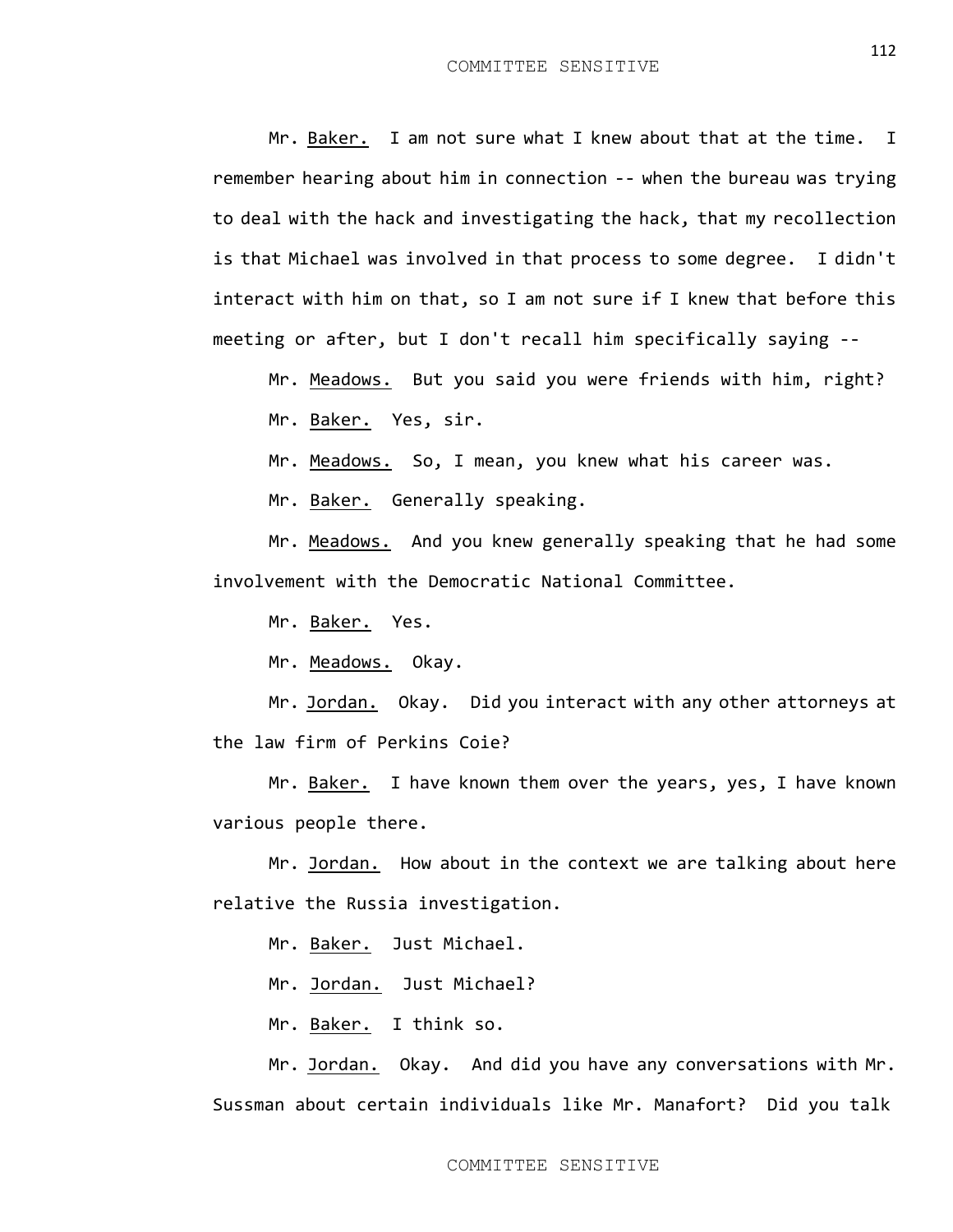Mr. Baker. I am not sure what I knew about that at the time. I remember hearing about him in connection -- when the bureau was trying to deal with the hack and investigating the hack, that my recollection is that Michael was involved in that process to some degree. I didn't interact with him on that, so I am not sure if I knew that before this meeting or after, but I don't recall him specifically saying --

Mr. Meadows. But you said you were friends with him, right? Mr. Baker. Yes, sir.

Mr. Meadows. So, I mean, you knew what his career was.

Mr. Baker. Generally speaking.

Mr. Meadows. And you knew generally speaking that he had some involvement with the Democratic National Committee.

Mr. Baker. Yes.

Mr. Meadows. Okay.

Mr. Jordan. Okay. Did you interact with any other attorneys at the law firm of Perkins Coie?

Mr. Baker. I have known them over the years, yes, I have known various people there.

Mr. Jordan. How about in the context we are talking about here relative the Russia investigation.

Mr. Baker. Just Michael.

Mr. Jordan. Just Michael?

Mr. Baker. I think so.

Mr. Jordan. Okay. And did you have any conversations with Mr. Sussman about certain individuals like Mr. Manafort? Did you talk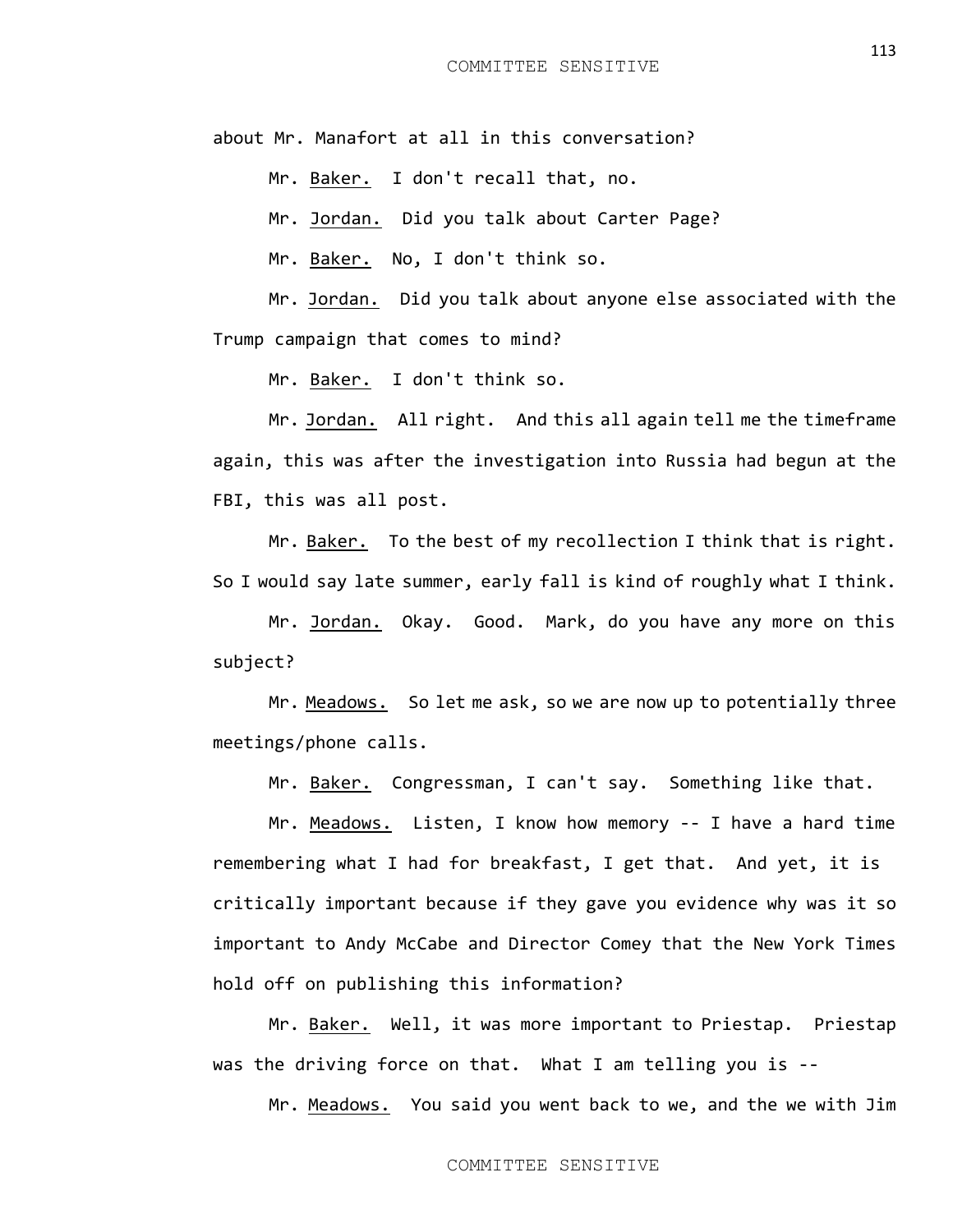about Mr. Manafort at all in this conversation?

Mr. Baker. I don't recall that, no.

Mr. Jordan. Did you talk about Carter Page?

Mr. Baker. No, I don't think so.

Mr. Jordan. Did you talk about anyone else associated with the Trump campaign that comes to mind?

Mr. Baker. I don't think so.

Mr. Jordan. All right. And this all again tell me the timeframe again, this was after the investigation into Russia had begun at the FBI, this was all post.

Mr. Baker. To the best of my recollection I think that is right. So I would say late summer, early fall is kind of roughly what I think.

Mr. Jordan. Okay. Good. Mark, do you have any more on this subject?

Mr. Meadows. So let me ask, so we are now up to potentially three meetings/phone calls.

Mr. Baker. Congressman, I can't say. Something like that.

Mr. Meadows. Listen, I know how memory -- I have a hard time remembering what I had for breakfast, I get that. And yet, it is critically important because if they gave you evidence why was it so important to Andy McCabe and Director Comey that the New York Times hold off on publishing this information?

Mr. Baker. Well, it was more important to Priestap. Priestap was the driving force on that. What I am telling you is --

Mr. Meadows. You said you went back to we, and the we with Jim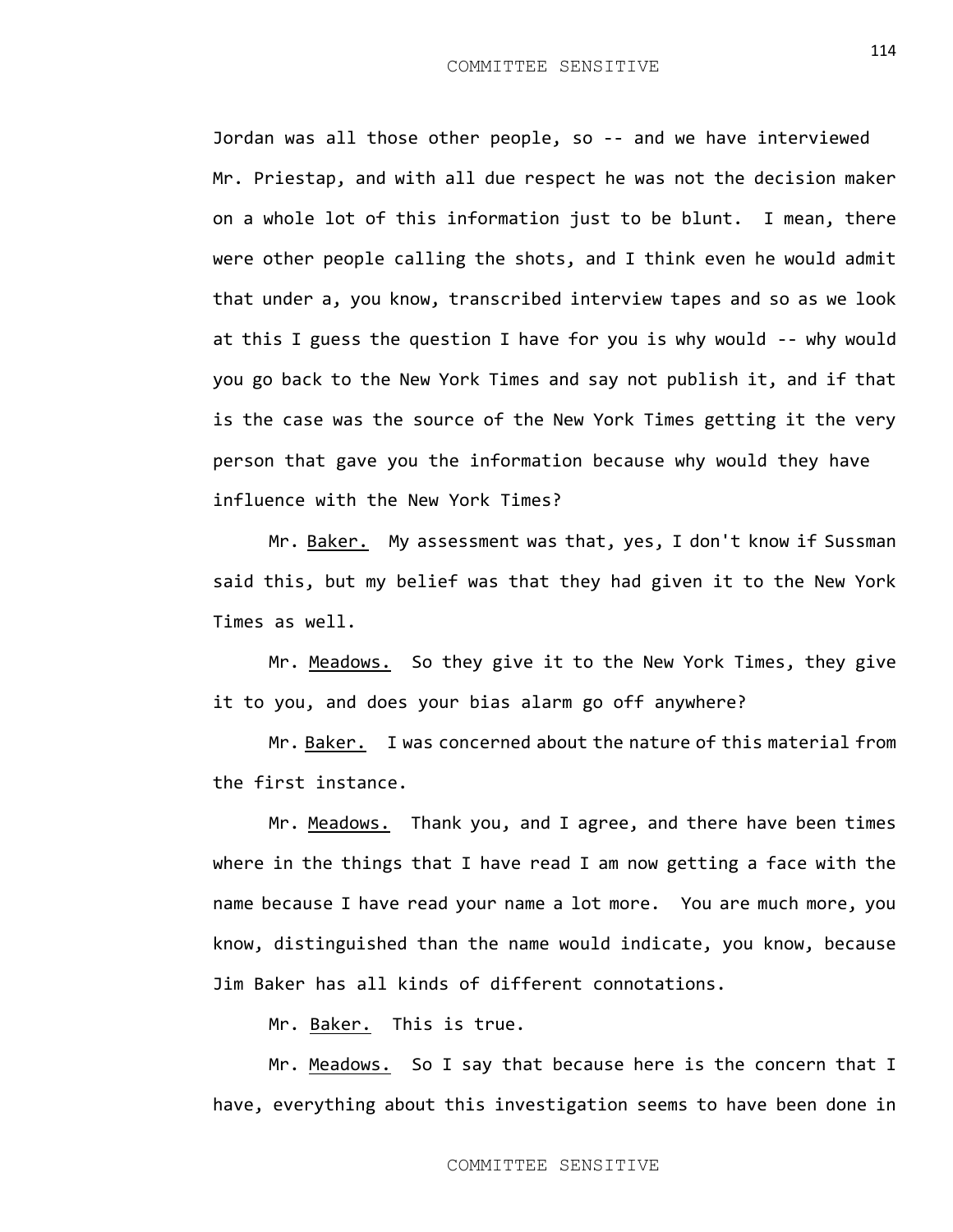Jordan was all those other people, so -- and we have interviewed Mr. Priestap, and with all due respect he was not the decision maker on a whole lot of this information just to be blunt. I mean, there were other people calling the shots, and I think even he would admit that under a, you know, transcribed interview tapes and so as we look at this I guess the question I have for you is why would -- why would you go back to the New York Times and say not publish it, and if that is the case was the source of the New York Times getting it the very person that gave you the information because why would they have influence with the New York Times?

Mr. Baker. My assessment was that, yes, I don't know if Sussman said this, but my belief was that they had given it to the New York Times as well.

Mr. Meadows. So they give it to the New York Times, they give it to you, and does your bias alarm go off anywhere?

Mr. Baker. I was concerned about the nature of this material from the first instance.

Mr. Meadows. Thank you, and I agree, and there have been times where in the things that I have read I am now getting a face with the name because I have read your name a lot more. You are much more, you know, distinguished than the name would indicate, you know, because Jim Baker has all kinds of different connotations.

Mr. Baker. This is true.

Mr. Meadows. So I say that because here is the concern that I have, everything about this investigation seems to have been done in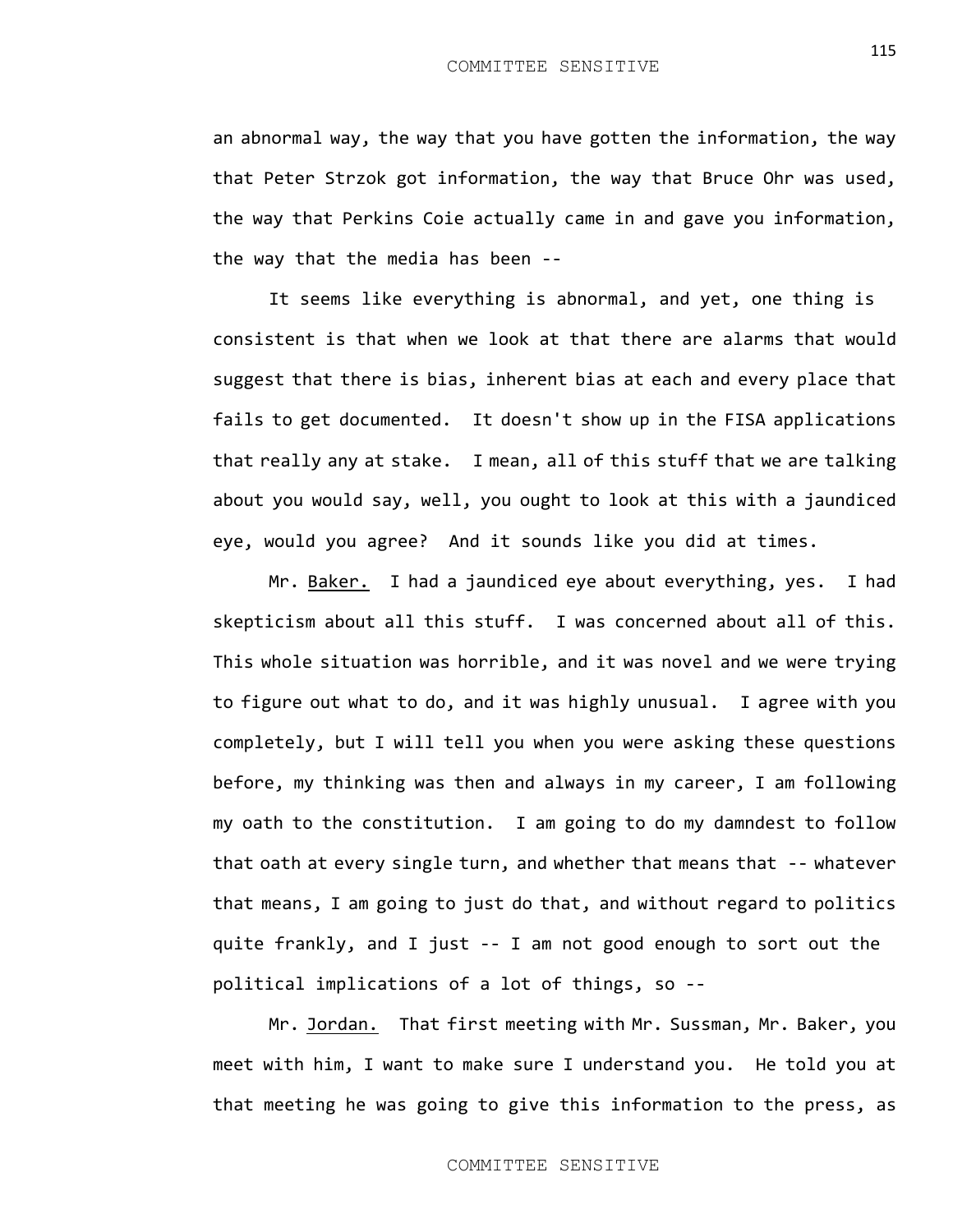an abnormal way, the way that you have gotten the information, the way that Peter Strzok got information, the way that Bruce Ohr was used, the way that Perkins Coie actually came in and gave you information, the way that the media has been --

It seems like everything is abnormal, and yet, one thing is consistent is that when we look at that there are alarms that would suggest that there is bias, inherent bias at each and every place that fails to get documented. It doesn't show up in the FISA applications that really any at stake. I mean, all of this stuff that we are talking about you would say, well, you ought to look at this with a jaundiced eye, would you agree? And it sounds like you did at times.

Mr. Baker. I had a jaundiced eye about everything, yes. I had skepticism about all this stuff. I was concerned about all of this. This whole situation was horrible, and it was novel and we were trying to figure out what to do, and it was highly unusual. I agree with you completely, but I will tell you when you were asking these questions before, my thinking was then and always in my career, I am following my oath to the constitution. I am going to do my damndest to follow that oath at every single turn, and whether that means that -- whatever that means, I am going to just do that, and without regard to politics quite frankly, and I just -- I am not good enough to sort out the political implications of a lot of things, so --

Mr. Jordan. That first meeting with Mr. Sussman, Mr. Baker, you meet with him, I want to make sure I understand you. He told you at that meeting he was going to give this information to the press, as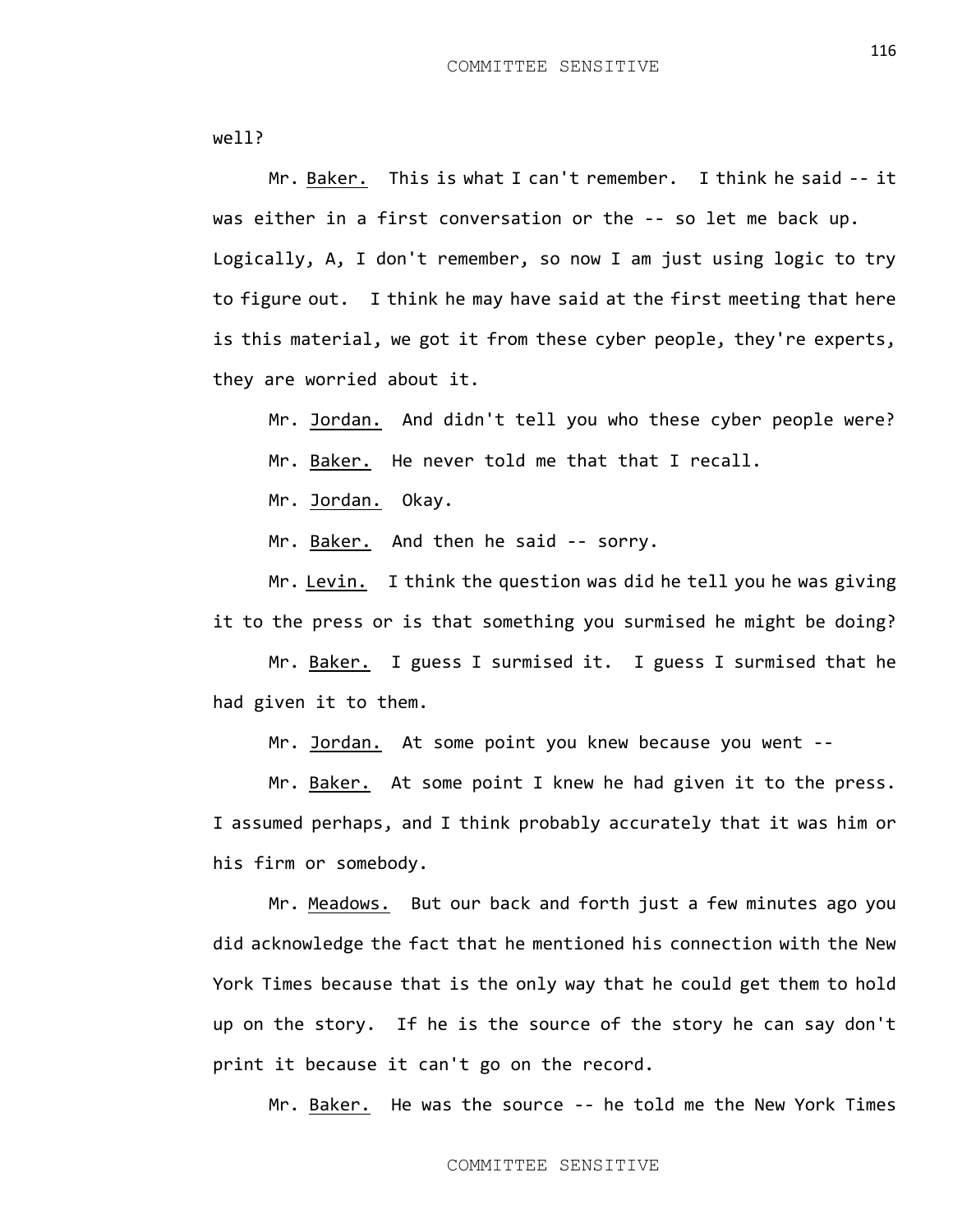well?

Mr. Baker. This is what I can't remember. I think he said -- it was either in a first conversation or the -- so let me back up. Logically, A, I don't remember, so now I am just using logic to try to figure out. I think he may have said at the first meeting that here is this material, we got it from these cyber people, they're experts, they are worried about it.

Mr. Jordan. And didn't tell you who these cyber people were?

Mr. Baker. He never told me that that I recall.

Mr. Jordan. Okay.

Mr. Baker. And then he said -- sorry.

Mr. Levin. I think the question was did he tell you he was giving it to the press or is that something you surmised he might be doing?

Mr. Baker. I guess I surmised it. I guess I surmised that he had given it to them.

Mr. Jordan. At some point you knew because you went --

Mr. Baker. At some point I knew he had given it to the press. I assumed perhaps, and I think probably accurately that it was him or his firm or somebody.

Mr. Meadows. But our back and forth just a few minutes ago you did acknowledge the fact that he mentioned his connection with the New York Times because that is the only way that he could get them to hold up on the story. If he is the source of the story he can say don't print it because it can't go on the record.

Mr. Baker. He was the source -- he told me the New York Times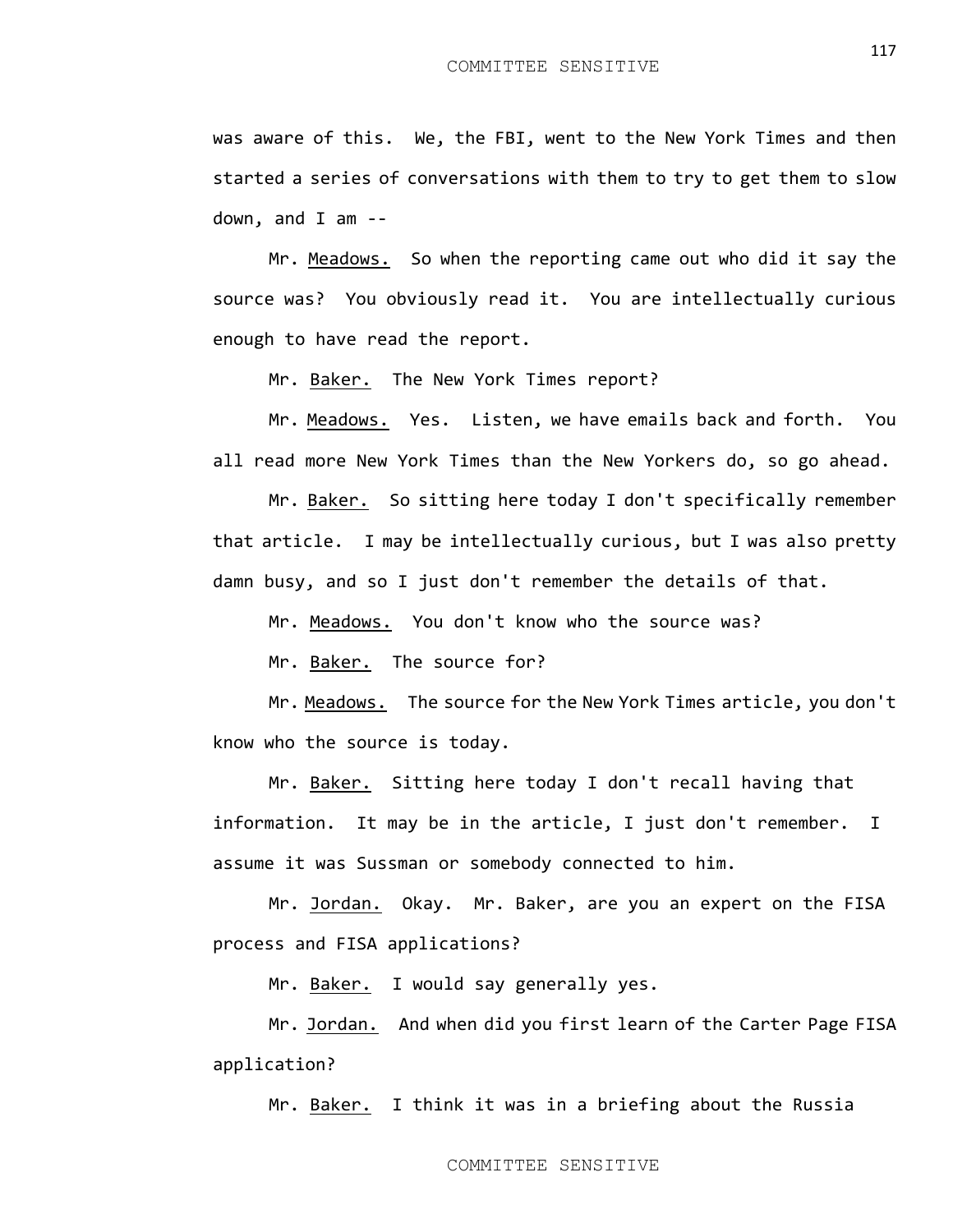was aware of this. We, the FBI, went to the New York Times and then

started a series of conversations with them to try to get them to slow down, and I am --

Mr. Meadows. So when the reporting came out who did it say the source was? You obviously read it. You are intellectually curious enough to have read the report.

Mr. Baker. The New York Times report?

Mr. Meadows. Yes. Listen, we have emails back and forth. You all read more New York Times than the New Yorkers do, so go ahead.

Mr. Baker. So sitting here today I don't specifically remember that article. I may be intellectually curious, but I was also pretty damn busy, and so I just don't remember the details of that.

Mr. Meadows. You don't know who the source was?

Mr. Baker. The source for?

Mr. Meadows. The source for the New York Times article, you don't know who the source is today.

Mr. Baker. Sitting here today I don't recall having that information. It may be in the article, I just don't remember. I assume it was Sussman or somebody connected to him.

Mr. Jordan. Okay. Mr. Baker, are you an expert on the FISA process and FISA applications?

Mr. Baker. I would say generally yes.

Mr. Jordan. And when did you first learn of the Carter Page FISA application?

Mr. Baker. I think it was in a briefing about the Russia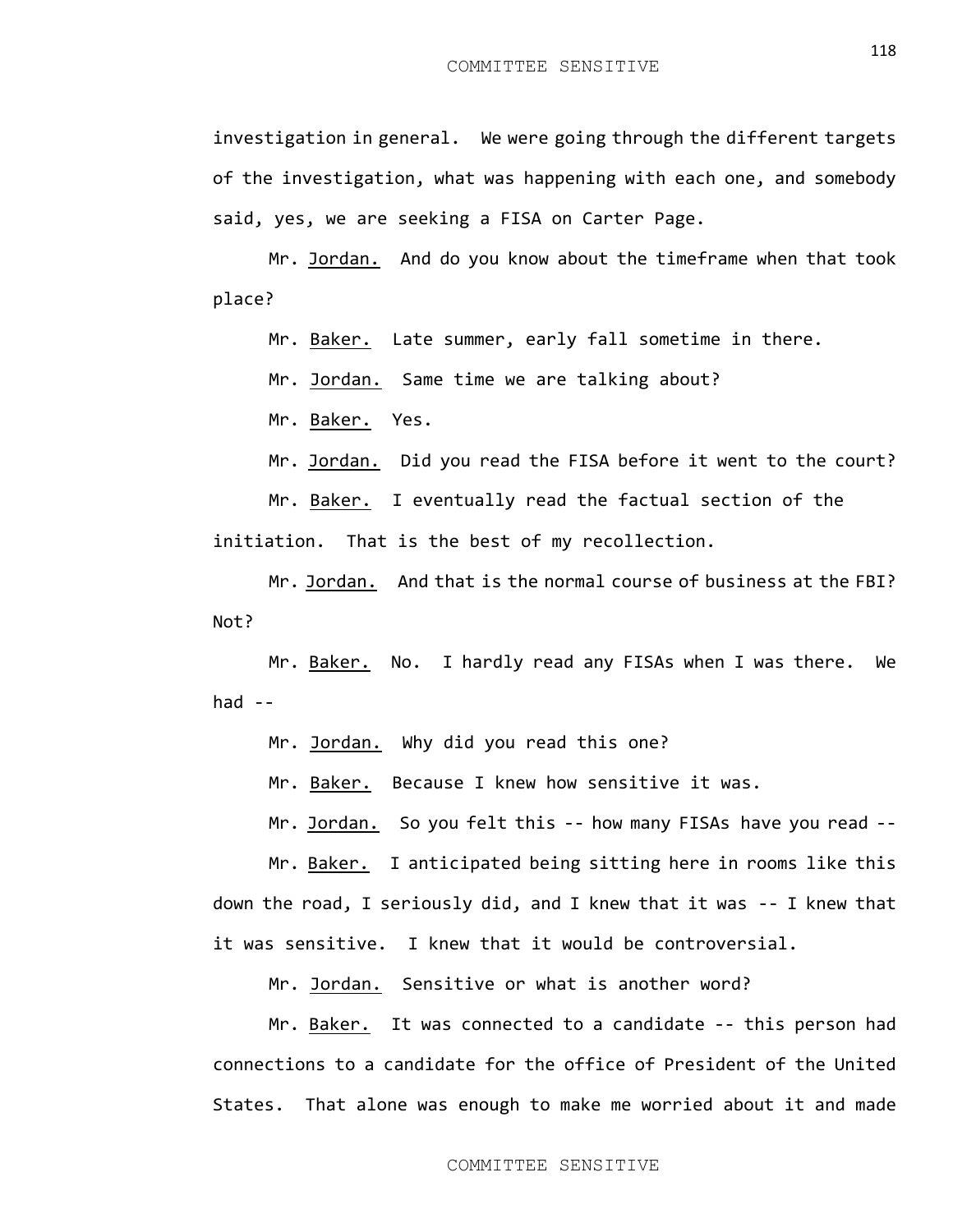investigation in general. We were going through the different targets of the investigation, what was happening with each one, and somebody said, yes, we are seeking a FISA on Carter Page.

Mr. Jordan. And do you know about the timeframe when that took place?

Mr. Baker. Late summer, early fall sometime in there.

Mr. Jordan. Same time we are talking about?

Mr. Baker. Yes.

Mr. Jordan. Did you read the FISA before it went to the court?

Mr. Baker. I eventually read the factual section of the

initiation. That is the best of my recollection.

Mr. Jordan. And that is the normal course of business at the FBI? Not?

Mr. Baker. No. I hardly read any FISAs when I was there. We had  $-$ 

Mr. Jordan. Why did you read this one?

Mr. Baker. Because I knew how sensitive it was.

Mr. Jordan. So you felt this -- how many FISAs have you read --

Mr. Baker. I anticipated being sitting here in rooms like this down the road, I seriously did, and I knew that it was -- I knew that it was sensitive. I knew that it would be controversial.

Mr. Jordan. Sensitive or what is another word?

Mr. Baker. It was connected to a candidate -- this person had connections to a candidate for the office of President of the United States. That alone was enough to make me worried about it and made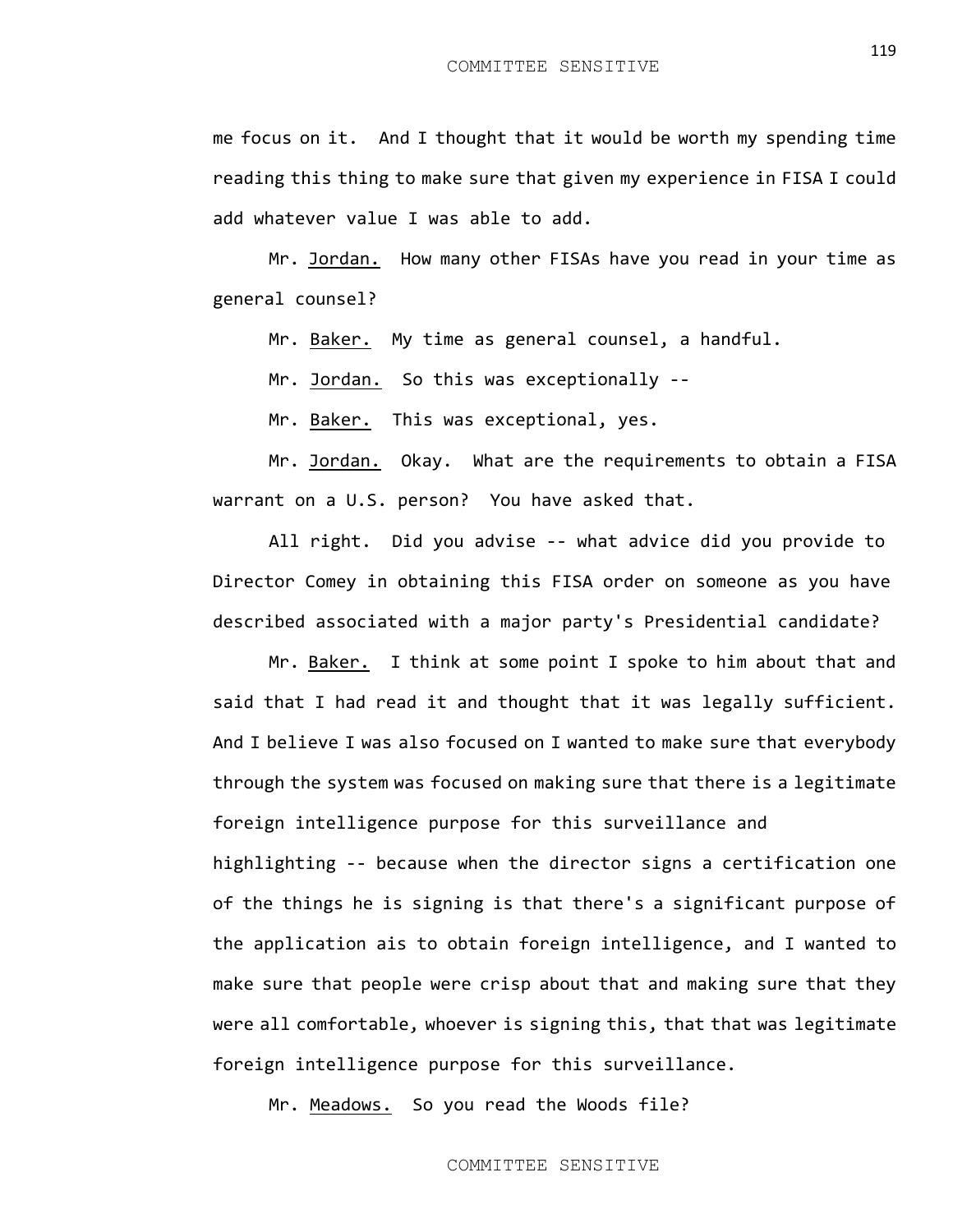me focus on it. And I thought that it would be worth my spending time reading this thing to make sure that given my experience in FISA I could add whatever value I was able to add.

Mr. Jordan. How many other FISAs have you read in your time as general counsel?

Mr. Baker. My time as general counsel, a handful.

Mr. Jordan. So this was exceptionally --

Mr. Baker. This was exceptional, yes.

Mr. Jordan. Okay. What are the requirements to obtain a FISA warrant on a U.S. person? You have asked that.

All right. Did you advise -- what advice did you provide to Director Comey in obtaining this FISA order on someone as you have described associated with a major party's Presidential candidate?

Mr. Baker. I think at some point I spoke to him about that and said that I had read it and thought that it was legally sufficient. And I believe I was also focused on I wanted to make sure that everybody through the system was focused on making sure that there is a legitimate foreign intelligence purpose for this surveillance and highlighting -- because when the director signs a certification one of the things he is signing is that there's a significant purpose of the application ais to obtain foreign intelligence, and I wanted to make sure that people were crisp about that and making sure that they were all comfortable, whoever is signing this, that that was legitimate foreign intelligence purpose for this surveillance.

Mr. Meadows. So you read the Woods file?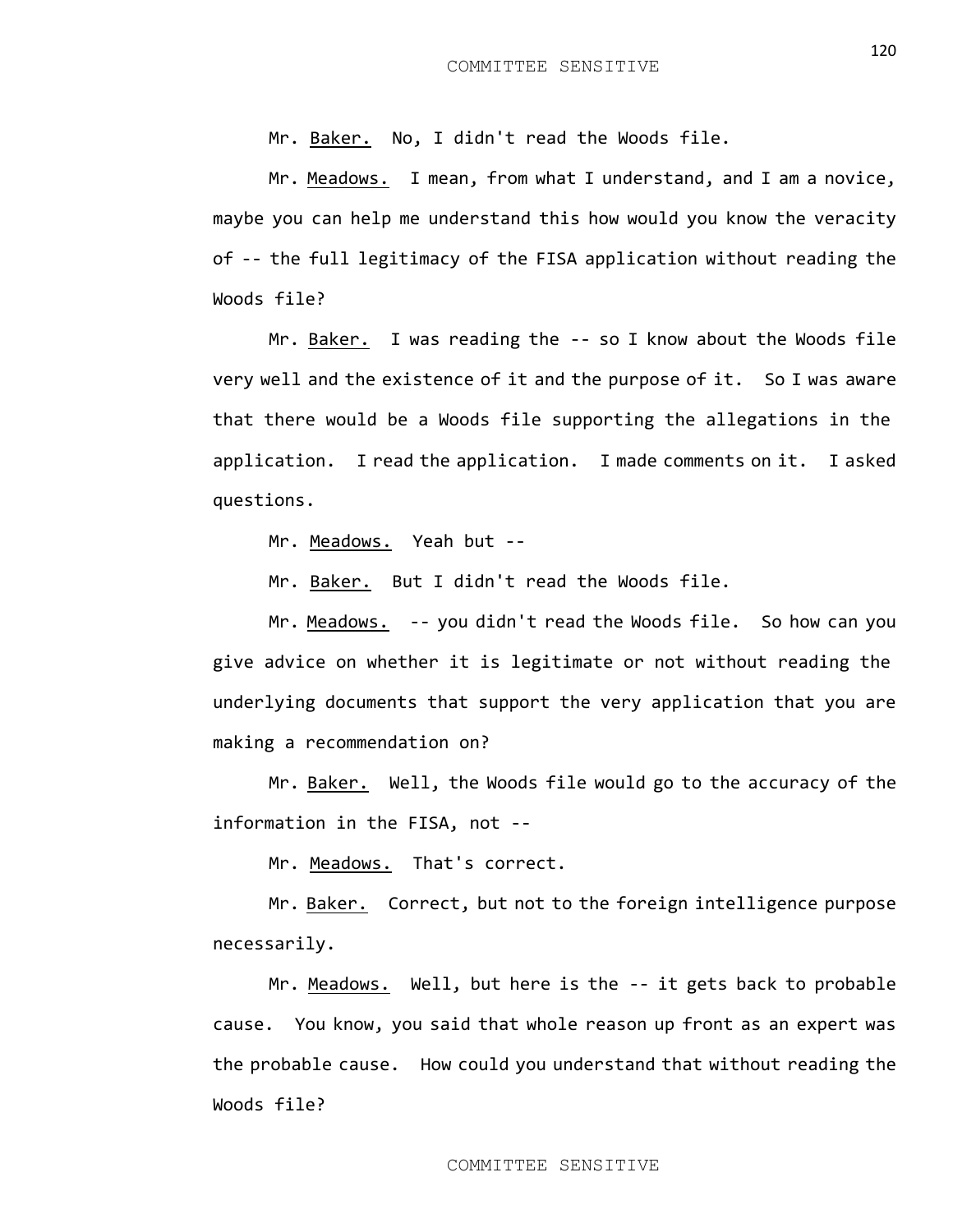Mr. Baker. No, I didn't read the Woods file.

Mr. Meadows. I mean, from what I understand, and I am a novice, maybe you can help me understand this how would you know the veracity of -- the full legitimacy of the FISA application without reading the Woods file?

Mr. Baker. I was reading the -- so I know about the Woods file very well and the existence of it and the purpose of it. So I was aware that there would be a Woods file supporting the allegations in the application. I read the application. I made comments on it. I asked questions.

Mr. Meadows. Yeah but --

Mr. Baker. But I didn't read the Woods file.

Mr. Meadows. -- you didn't read the Woods file. So how can you give advice on whether it is legitimate or not without reading the underlying documents that support the very application that you are making a recommendation on?

Mr. Baker. Well, the Woods file would go to the accuracy of the information in the FISA, not --

Mr. Meadows. That's correct.

Mr. Baker. Correct, but not to the foreign intelligence purpose necessarily.

Mr. Meadows. Well, but here is the -- it gets back to probable cause. You know, you said that whole reason up front as an expert was the probable cause. How could you understand that without reading the Woods file?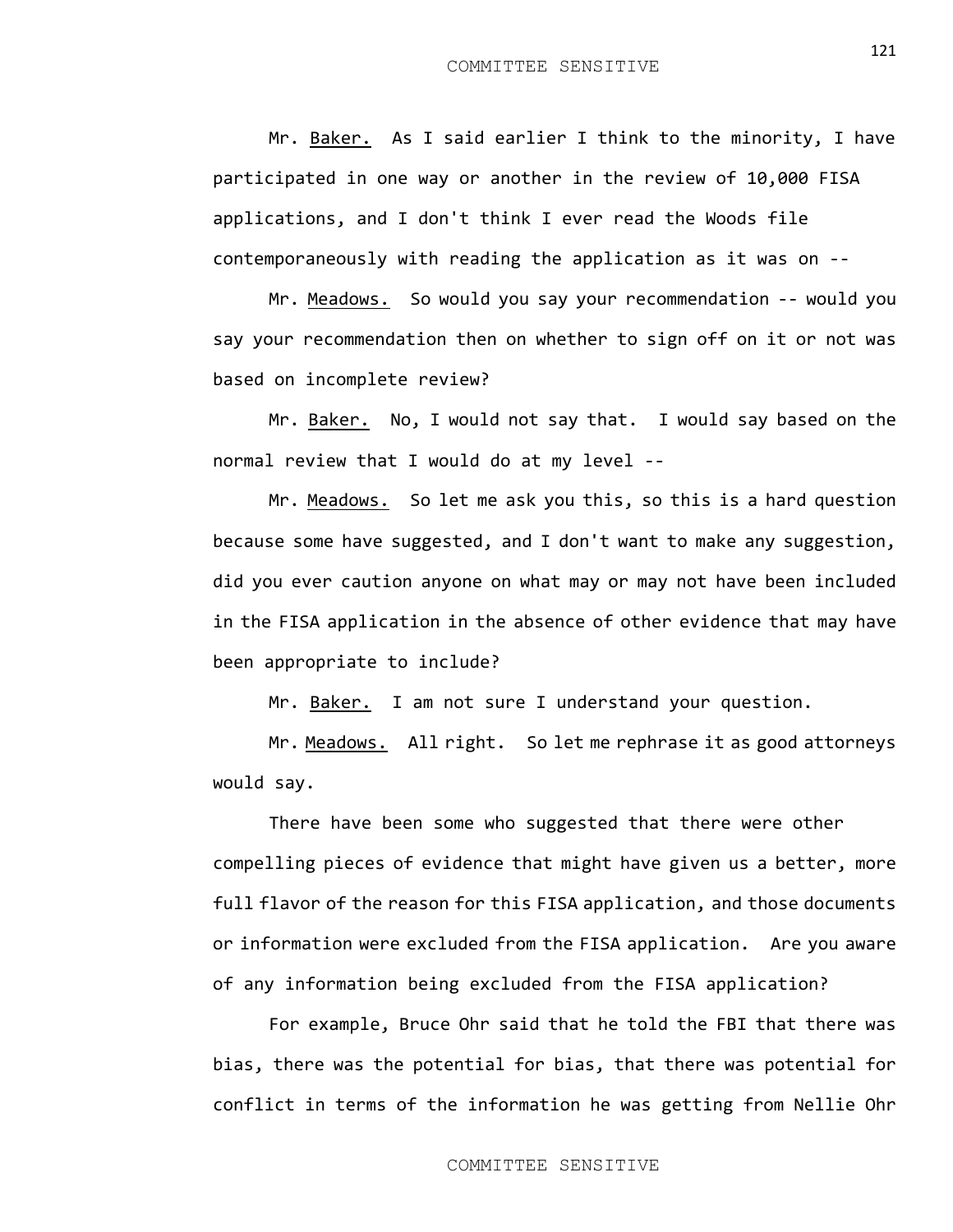Mr. Baker. As I said earlier I think to the minority, I have participated in one way or another in the review of 10,000 FISA applications, and I don't think I ever read the Woods file contemporaneously with reading the application as it was on --

Mr. Meadows. So would you say your recommendation -- would you say your recommendation then on whether to sign off on it or not was based on incomplete review?

Mr. Baker. No, I would not say that. I would say based on the normal review that I would do at my level --

Mr. Meadows. So let me ask you this, so this is a hard question because some have suggested, and I don't want to make any suggestion, did you ever caution anyone on what may or may not have been included in the FISA application in the absence of other evidence that may have been appropriate to include?

Mr. Baker. I am not sure I understand your question.

Mr. Meadows. All right. So let me rephrase it as good attorneys would say.

There have been some who suggested that there were other compelling pieces of evidence that might have given us a better, more full flavor of the reason for this FISA application, and those documents or information were excluded from the FISA application. Are you aware of any information being excluded from the FISA application?

For example, Bruce Ohr said that he told the FBI that there was bias, there was the potential for bias, that there was potential for conflict in terms of the information he was getting from Nellie Ohr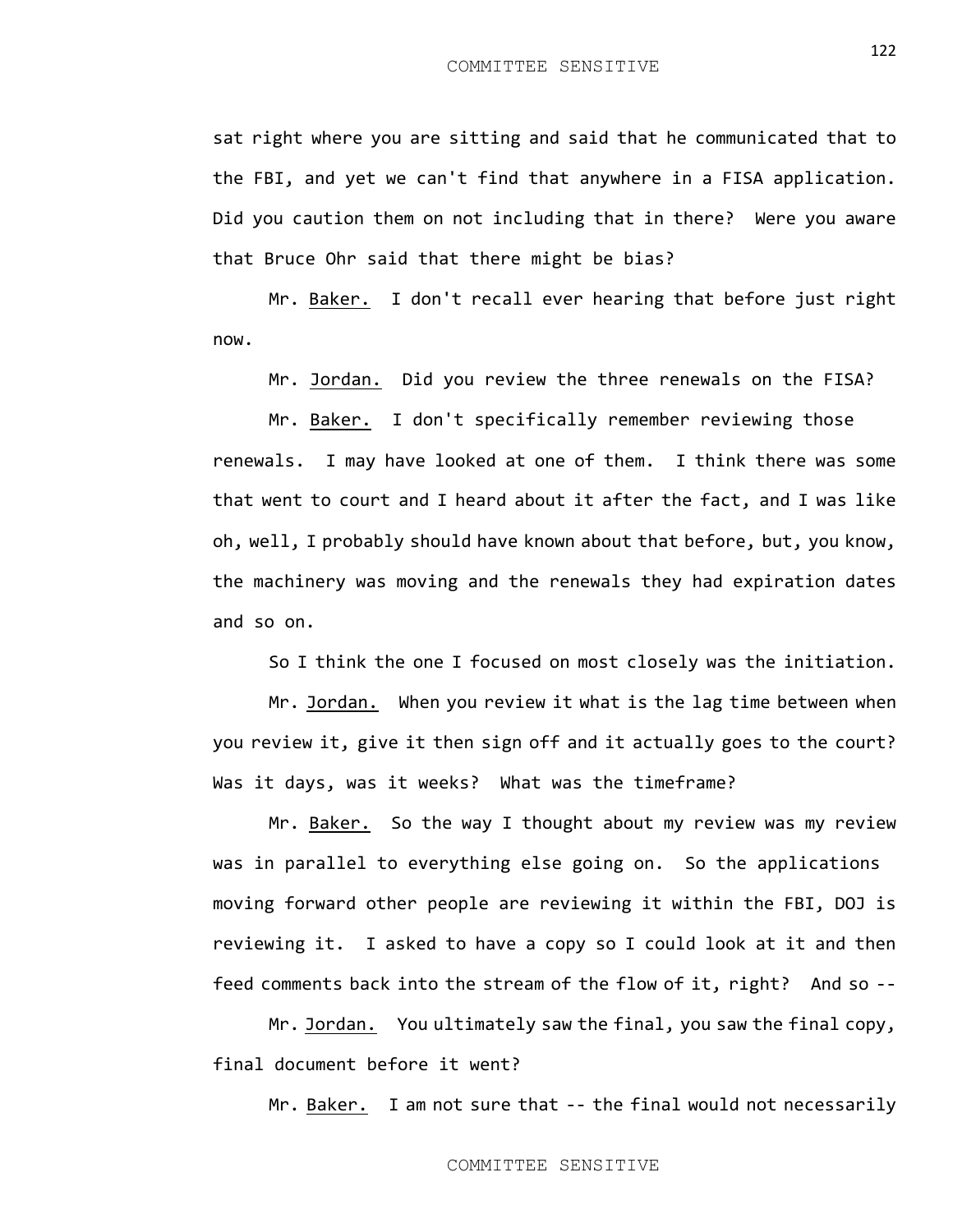sat right where you are sitting and said that he communicated that to the FBI, and yet we can't find that anywhere in a FISA application. Did you caution them on not including that in there? Were you aware that Bruce Ohr said that there might be bias?

Mr. Baker. I don't recall ever hearing that before just right now.

Mr. Jordan. Did you review the three renewals on the FISA?

Mr. Baker. I don't specifically remember reviewing those renewals. I may have looked at one of them. I think there was some that went to court and I heard about it after the fact, and I was like oh, well, I probably should have known about that before, but, you know, the machinery was moving and the renewals they had expiration dates and so on.

So I think the one I focused on most closely was the initiation.

Mr. Jordan. When you review it what is the lag time between when you review it, give it then sign off and it actually goes to the court? Was it days, was it weeks? What was the timeframe?

Mr. Baker. So the way I thought about my review was my review was in parallel to everything else going on. So the applications moving forward other people are reviewing it within the FBI, DOJ is reviewing it. I asked to have a copy so I could look at it and then feed comments back into the stream of the flow of it, right? And so --

Mr. Jordan. You ultimately saw the final, you saw the final copy, final document before it went?

Mr. Baker. I am not sure that -- the final would not necessarily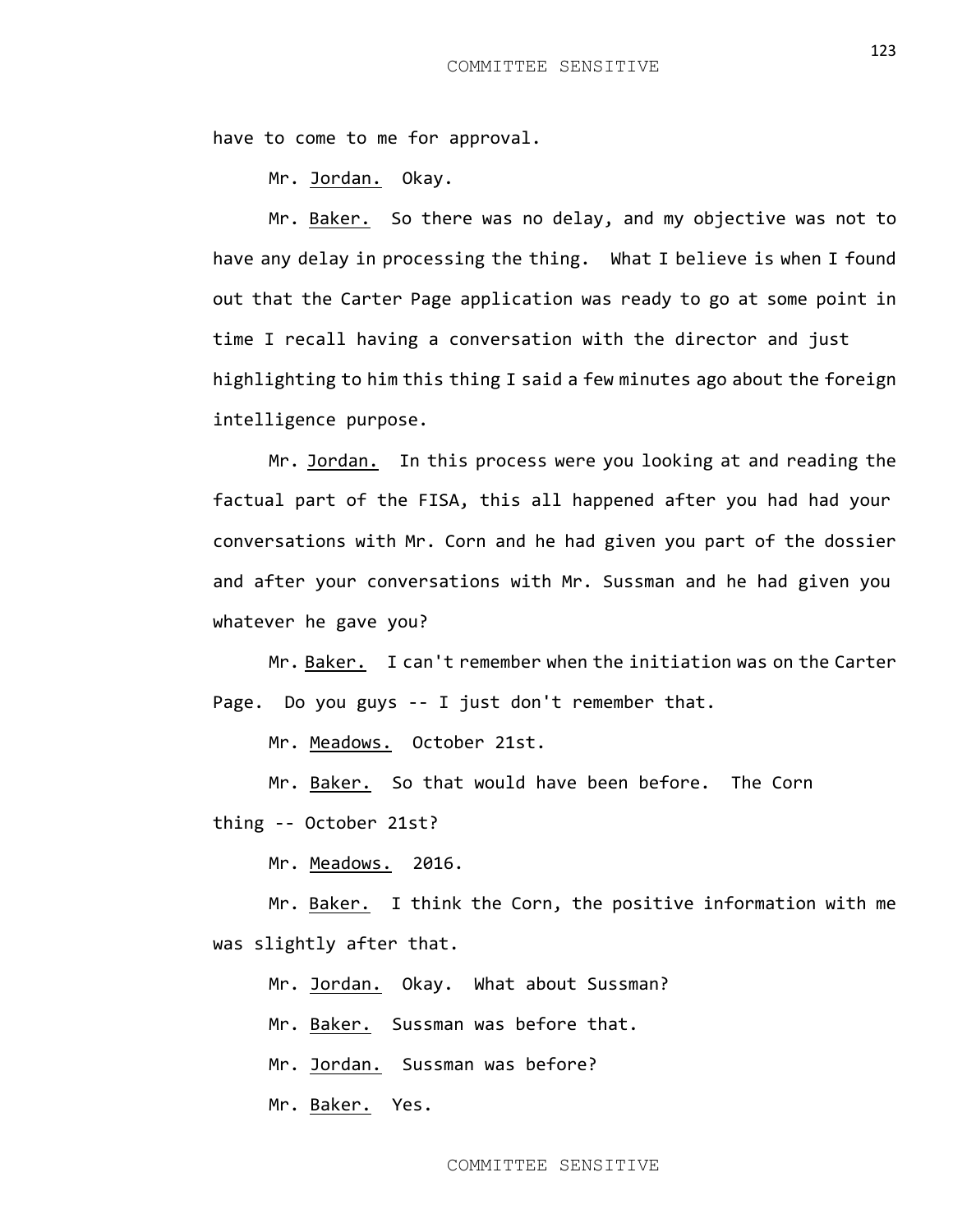have to come to me for approval.

Mr. Jordan. Okay.

Mr. Baker. So there was no delay, and my objective was not to have any delay in processing the thing. What I believe is when I found out that the Carter Page application was ready to go at some point in time I recall having a conversation with the director and just highlighting to him this thing I said a few minutes ago about the foreign intelligence purpose.

Mr. Jordan. In this process were you looking at and reading the factual part of the FISA, this all happened after you had had your conversations with Mr. Corn and he had given you part of the dossier and after your conversations with Mr. Sussman and he had given you whatever he gave you?

Mr. Baker. I can't remember when the initiation was on the Carter Page. Do you guys -- I just don't remember that.

Mr. Meadows. October 21st.

Mr. Baker. So that would have been before. The Corn

thing -- October 21st?

Mr. Meadows. 2016.

Mr. <u>Baker.</u> I think the Corn, the positive information with me was slightly after that.

Mr. Jordan. Okay. What about Sussman?

Mr. Baker. Sussman was before that.

Mr. Jordan. Sussman was before?

Mr. Baker. Yes.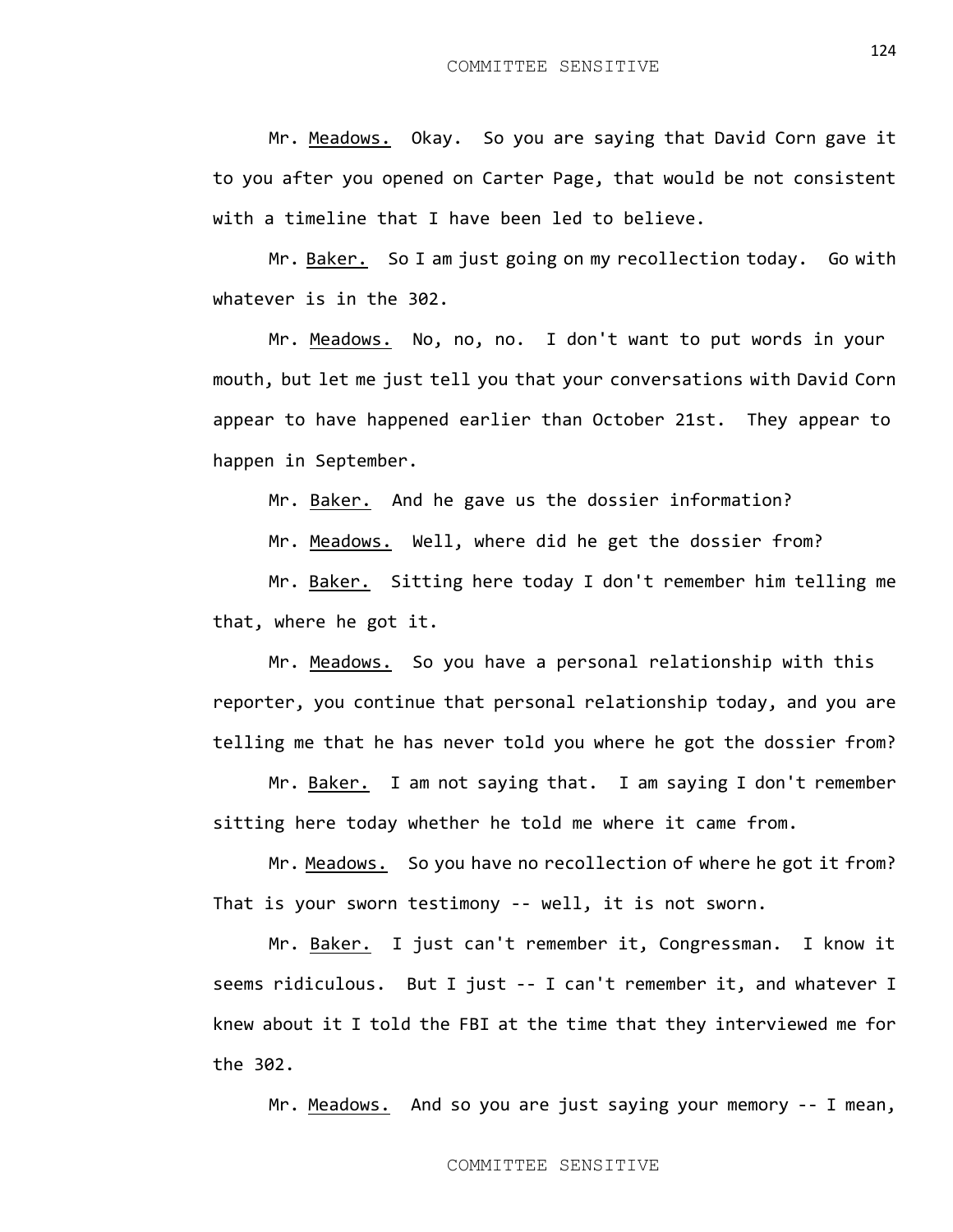Mr. Meadows. Okay. So you are saying that David Corn gave it to you after you opened on Carter Page, that would be not consistent with a timeline that I have been led to believe.

Mr. Baker. So I am just going on my recollection today. Go with whatever is in the 302.

Mr. Meadows. No, no, no. I don't want to put words in your mouth, but let me just tell you that your conversations with David Corn appear to have happened earlier than October 21st. They appear to happen in September.

Mr. Baker. And he gave us the dossier information?

Mr. Meadows. Well, where did he get the dossier from?

Mr. Baker. Sitting here today I don't remember him telling me that, where he got it.

Mr. Meadows. So you have a personal relationship with this reporter, you continue that personal relationship today, and you are telling me that he has never told you where he got the dossier from?

Mr. Baker. I am not saying that. I am saying I don't remember sitting here today whether he told me where it came from.

Mr. Meadows. So you have no recollection of where he got it from? That is your sworn testimony -- well, it is not sworn.

Mr. Baker. I just can't remember it, Congressman. I know it seems ridiculous. But I just -- I can't remember it, and whatever I knew about it I told the FBI at the time that they interviewed me for the 302.

Mr. Meadows. And so you are just saying your memory -- I mean,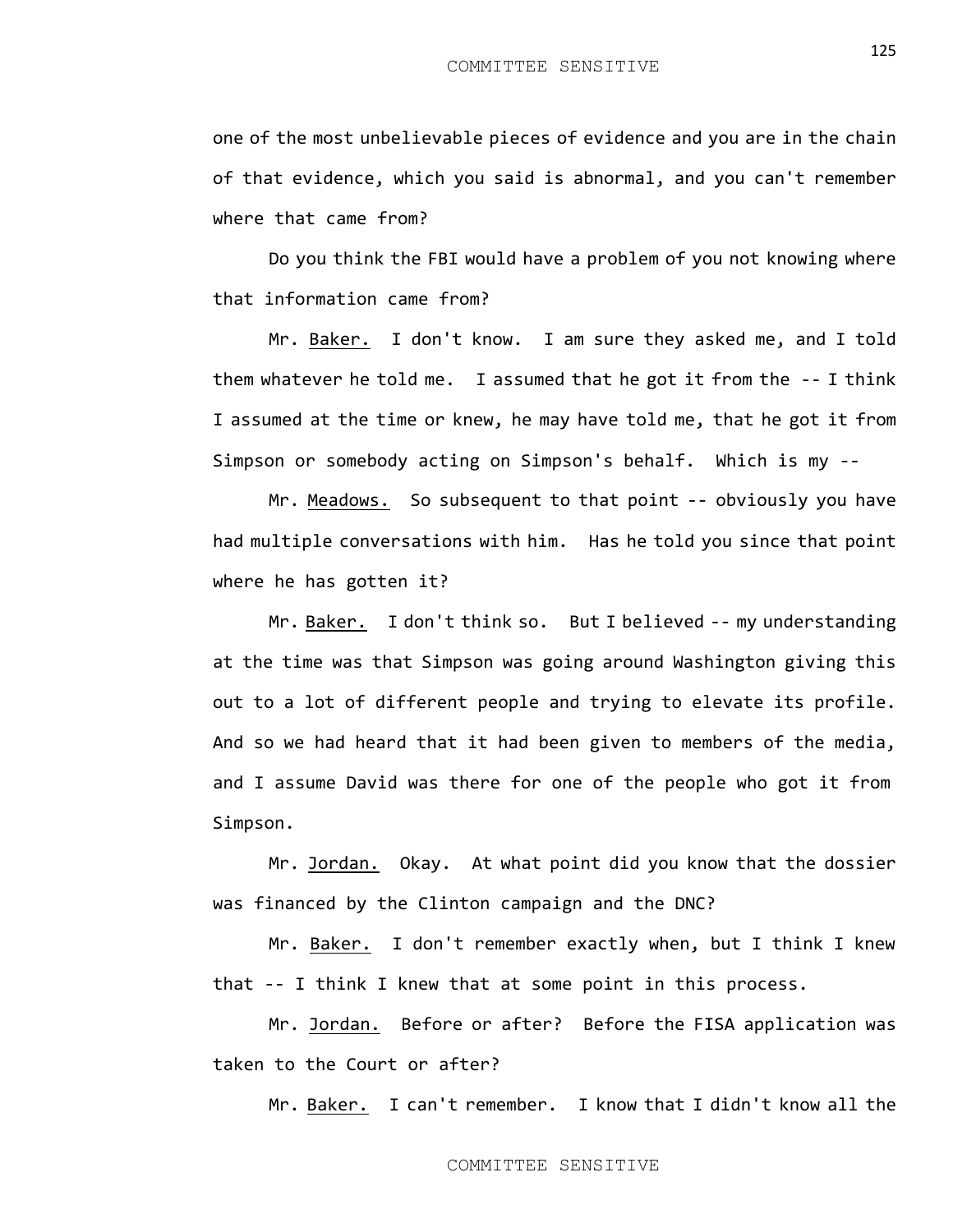one of the most unbelievable pieces of evidence and you are in the chain of that evidence, which you said is abnormal, and you can't remember where that came from?

Do you think the FBI would have a problem of you not knowing where that information came from?

Mr. Baker. I don't know. I am sure they asked me, and I told them whatever he told me. I assumed that he got it from the -- I think I assumed at the time or knew, he may have told me, that he got it from Simpson or somebody acting on Simpson's behalf. Which is my --

Mr. Meadows. So subsequent to that point -- obviously you have had multiple conversations with him. Has he told you since that point where he has gotten it?

Mr. Baker. I don't think so. But I believed -- my understanding at the time was that Simpson was going around Washington giving this out to a lot of different people and trying to elevate its profile. And so we had heard that it had been given to members of the media, and I assume David was there for one of the people who got it from Simpson.

Mr. Jordan. Okay. At what point did you know that the dossier was financed by the Clinton campaign and the DNC?

Mr. Baker. I don't remember exactly when, but I think I knew that -- I think I knew that at some point in this process.

Mr. Jordan. Before or after? Before the FISA application was taken to the Court or after?

Mr. Baker. I can't remember. I know that I didn't know all the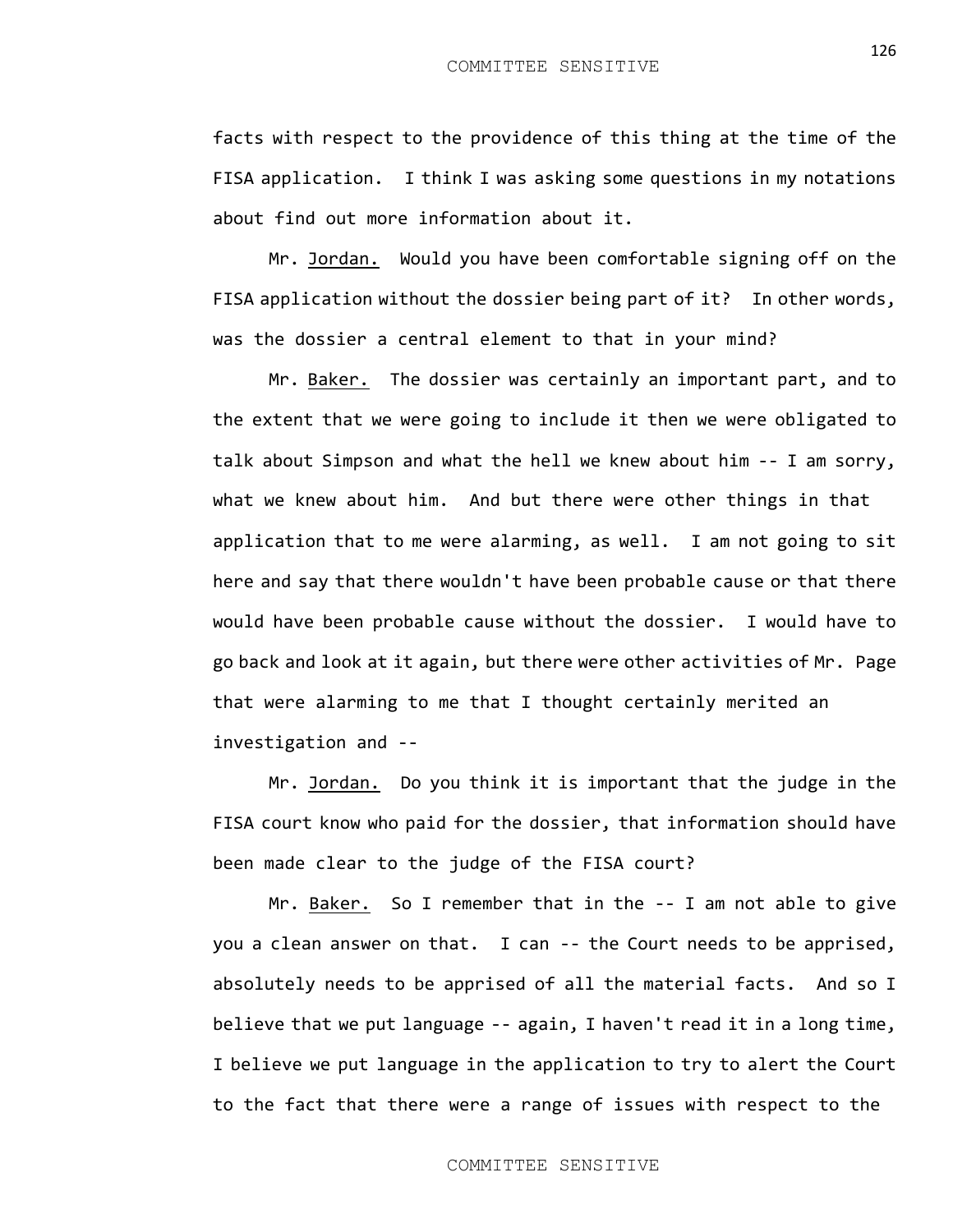facts with respect to the providence of this thing at the time of the FISA application. I think I was asking some questions in my notations about find out more information about it.

Mr. Jordan. Would you have been comfortable signing off on the FISA application without the dossier being part of it? In other words, was the dossier a central element to that in your mind?

Mr. Baker. The dossier was certainly an important part, and to the extent that we were going to include it then we were obligated to talk about Simpson and what the hell we knew about him -- I am sorry, what we knew about him. And but there were other things in that application that to me were alarming, as well. I am not going to sit here and say that there wouldn't have been probable cause or that there would have been probable cause without the dossier. I would have to go back and look at it again, but there were other activities of Mr. Page that were alarming to me that I thought certainly merited an investigation and --

Mr. Jordan. Do you think it is important that the judge in the FISA court know who paid for the dossier, that information should have been made clear to the judge of the FISA court?

Mr. Baker. So I remember that in the -- I am not able to give you a clean answer on that. I can -- the Court needs to be apprised, absolutely needs to be apprised of all the material facts. And so I believe that we put language -- again, I haven't read it in a long time, I believe we put language in the application to try to alert the Court to the fact that there were a range of issues with respect to the

## COMMITTEE SENSITIVE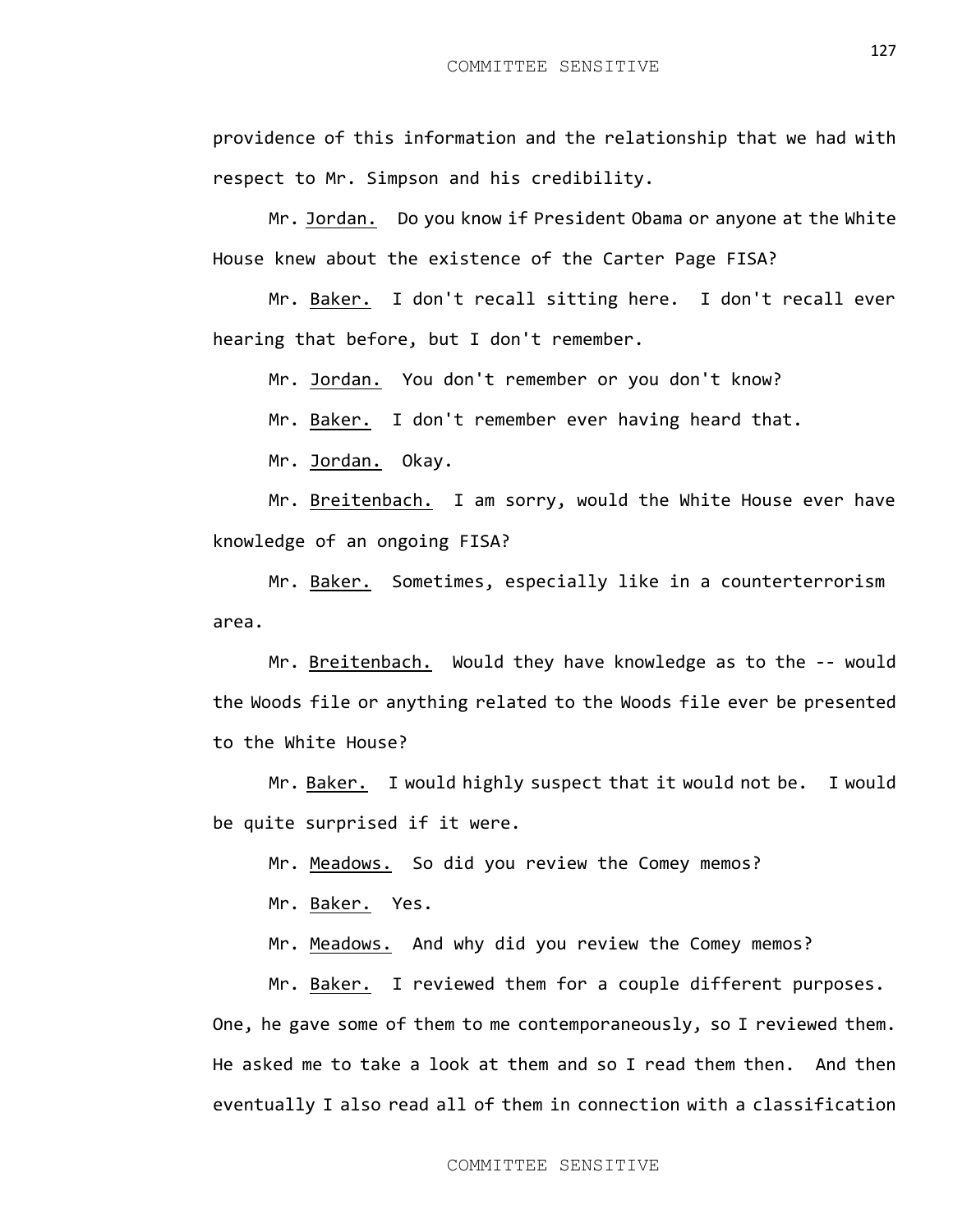providence of this information and the relationship that we had with respect to Mr. Simpson and his credibility.

Mr. Jordan. Do you know if President Obama or anyone at the White House knew about the existence of the Carter Page FISA?

Mr. Baker. I don't recall sitting here. I don't recall ever hearing that before, but I don't remember.

Mr. Jordan. You don't remember or you don't know?

Mr. Baker. I don't remember ever having heard that.

Mr. Jordan. Okay.

Mr. Breitenbach. I am sorry, would the White House ever have knowledge of an ongoing FISA?

Mr. Baker. Sometimes, especially like in a counterterrorism area.

Mr. Breitenbach. Would they have knowledge as to the -- would the Woods file or anything related to the Woods file ever be presented to the White House?

Mr. Baker. I would highly suspect that it would not be. I would be quite surprised if it were.

Mr. Meadows. So did you review the Comey memos?

Mr. Baker. Yes.

Mr. Meadows. And why did you review the Comey memos?

Mr. Baker. I reviewed them for a couple different purposes. One, he gave some of them to me contemporaneously, so I reviewed them. He asked me to take a look at them and so I read them then. And then eventually I also read all of them in connection with a classification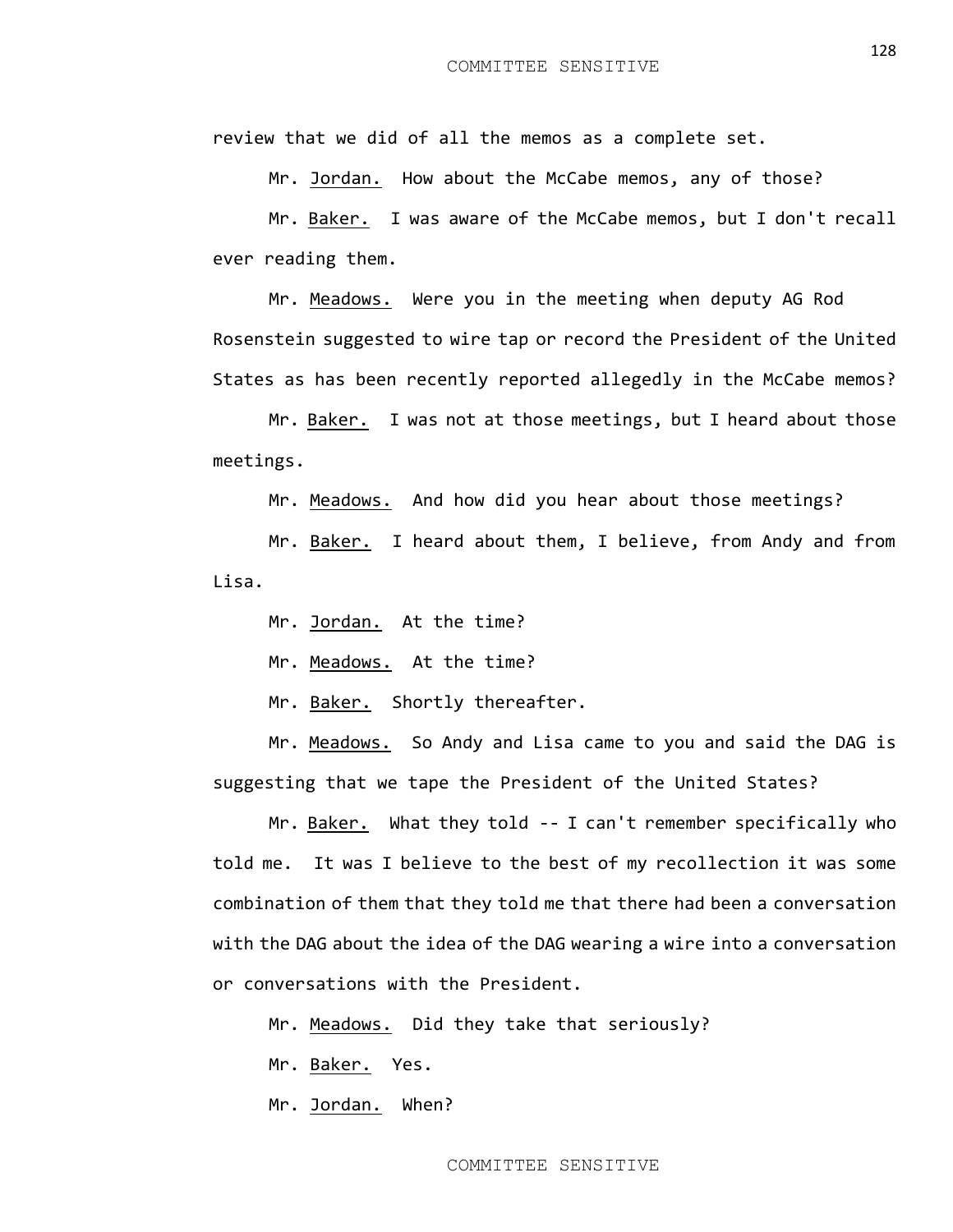review that we did of all the memos as a complete set.

Mr. Jordan. How about the McCabe memos, any of those?

Mr. Baker. I was aware of the McCabe memos, but I don't recall ever reading them.

Mr. Meadows. Were you in the meeting when deputy AG Rod Rosenstein suggested to wire tap or record the President of the United States as has been recently reported allegedly in the McCabe memos?

Mr. Baker. I was not at those meetings, but I heard about those meetings.

Mr. Meadows. And how did you hear about those meetings?

Mr. Baker. I heard about them, I believe, from Andy and from Lisa.

Mr. Jordan. At the time?

Mr. Meadows. At the time?

Mr. Baken. Shortly thereafter.

Mr. Meadows. So Andy and Lisa came to you and said the DAG is suggesting that we tape the President of the United States?

Mr. Baker. What they told -- I can't remember specifically who told me. It was I believe to the best of my recollection it was some combination of them that they told me that there had been a conversation with the DAG about the idea of the DAG wearing a wire into a conversation or conversations with the President.

Mr. Meadows. Did they take that seriously?

Mr. Baker. Yes.

Mr. Jordan. When?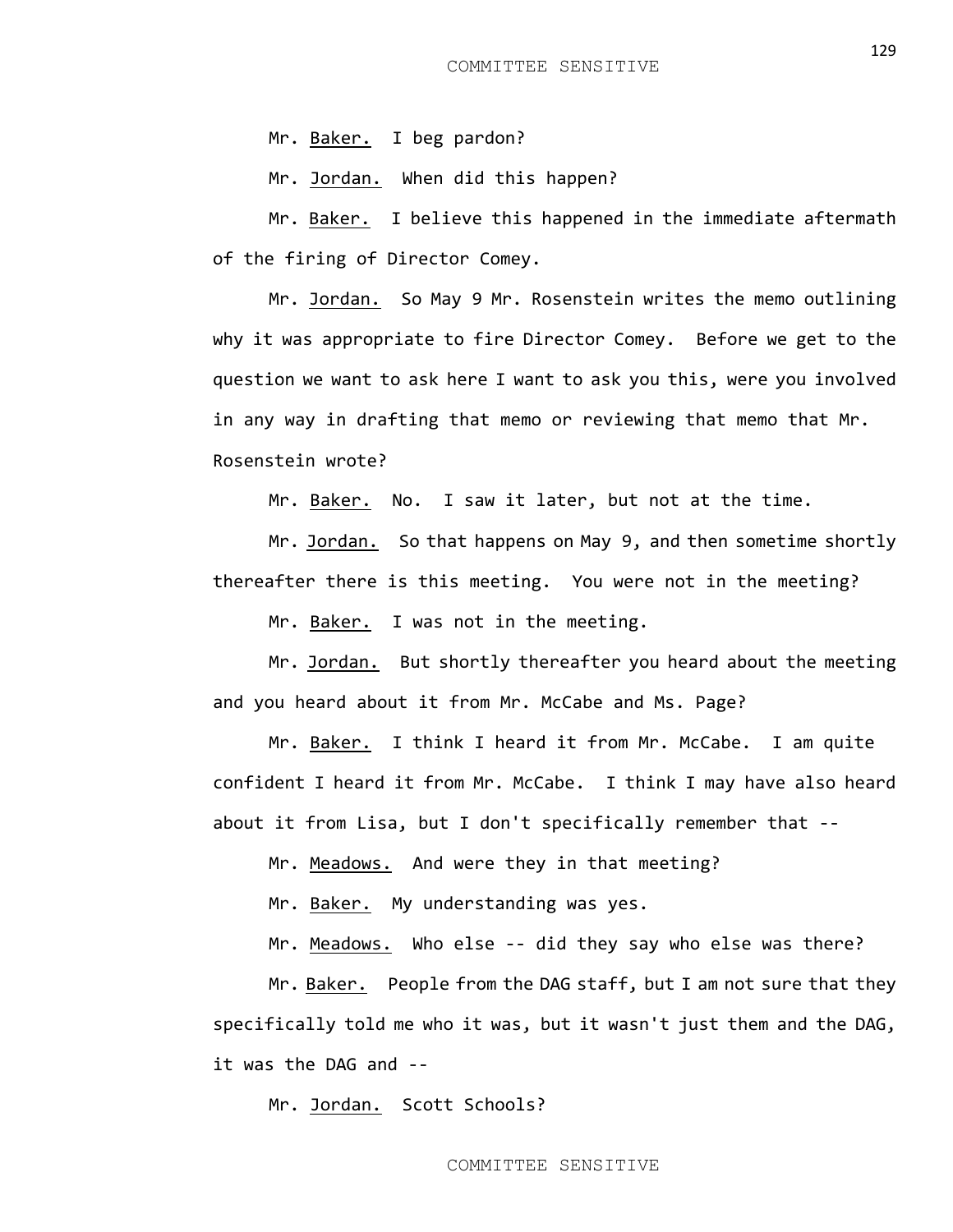Mr. Baker. I beg pardon?

Mr. Jordan. When did this happen?

Mr. Baker. I believe this happened in the immediate aftermath of the firing of Director Comey.

Mr. Jordan. So May 9 Mr. Rosenstein writes the memo outlining why it was appropriate to fire Director Comey. Before we get to the question we want to ask here I want to ask you this, were you involved in any way in drafting that memo or reviewing that memo that Mr. Rosenstein wrote?

Mr. Baker. No. I saw it later, but not at the time.

Mr. Jordan. So that happens on May 9, and then sometime shortly thereafter there is this meeting. You were not in the meeting?

Mr. Baker. I was not in the meeting.

Mr. Jordan. But shortly thereafter you heard about the meeting and you heard about it from Mr. McCabe and Ms. Page?

Mr. Baker. I think I heard it from Mr. McCabe. I am quite confident I heard it from Mr. McCabe. I think I may have also heard about it from Lisa, but I don't specifically remember that --

Mr. Meadows. And were they in that meeting?

Mr. Baker. My understanding was yes.

Mr. Meadows. Who else -- did they say who else was there?

Mr. Baker. People from the DAG staff, but I am not sure that they specifically told me who it was, but it wasn't just them and the DAG, it was the DAG and --

Mr. Jordan. Scott Schools?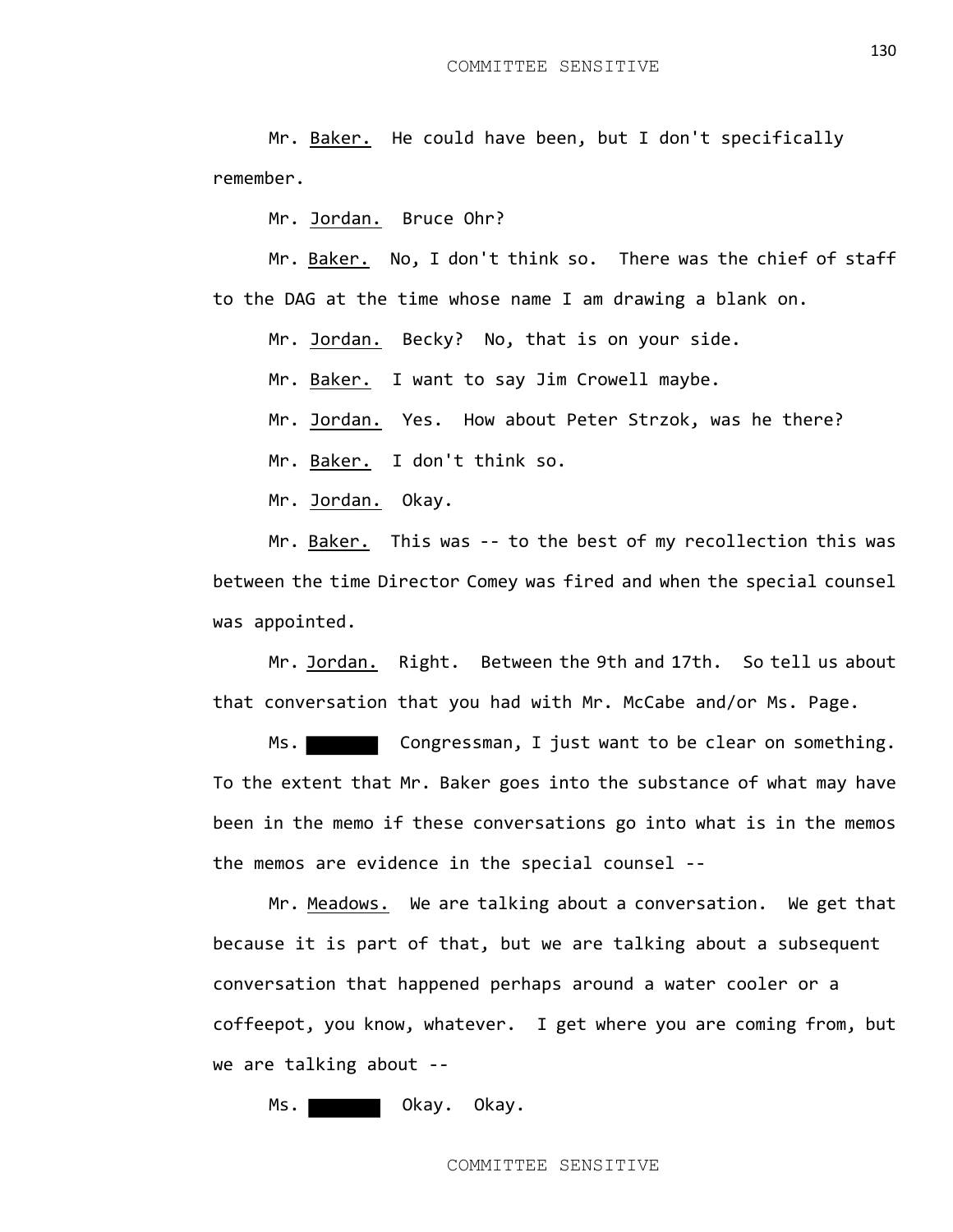Mr. Baker. He could have been, but I don't specifically remember.

Mr. Jordan. Bruce Ohr?

Mr. Baker. No, I don't think so. There was the chief of staff to the DAG at the time whose name I am drawing a blank on.

Mr. Jordan. Becky? No, that is on your side.

Mr. Baker. I want to say Jim Crowell maybe.

Mr. Jordan. Yes. How about Peter Strzok, was he there?

Mr. Baker. I don't think so.

Mr. Jordan. Okay.

Mr. Baker. This was -- to the best of my recollection this was between the time Director Comey was fired and when the special counsel was appointed.

Mr. Jordan. Right. Between the 9th and 17th. So tell us about that conversation that you had with Mr. McCabe and/or Ms. Page.

Ms. Congressman, I just want to be clear on something. To the extent that Mr. Baker goes into the substance of what may have been in the memo if these conversations go into what is in the memos the memos are evidence in the special counsel --

Mr. Meadows. We are talking about a conversation. We get that because it is part of that, but we are talking about a subsequent conversation that happened perhaps around a water cooler or a coffeepot, you know, whatever. I get where you are coming from, but we are talking about --

Ms. No. 2008 No. 2014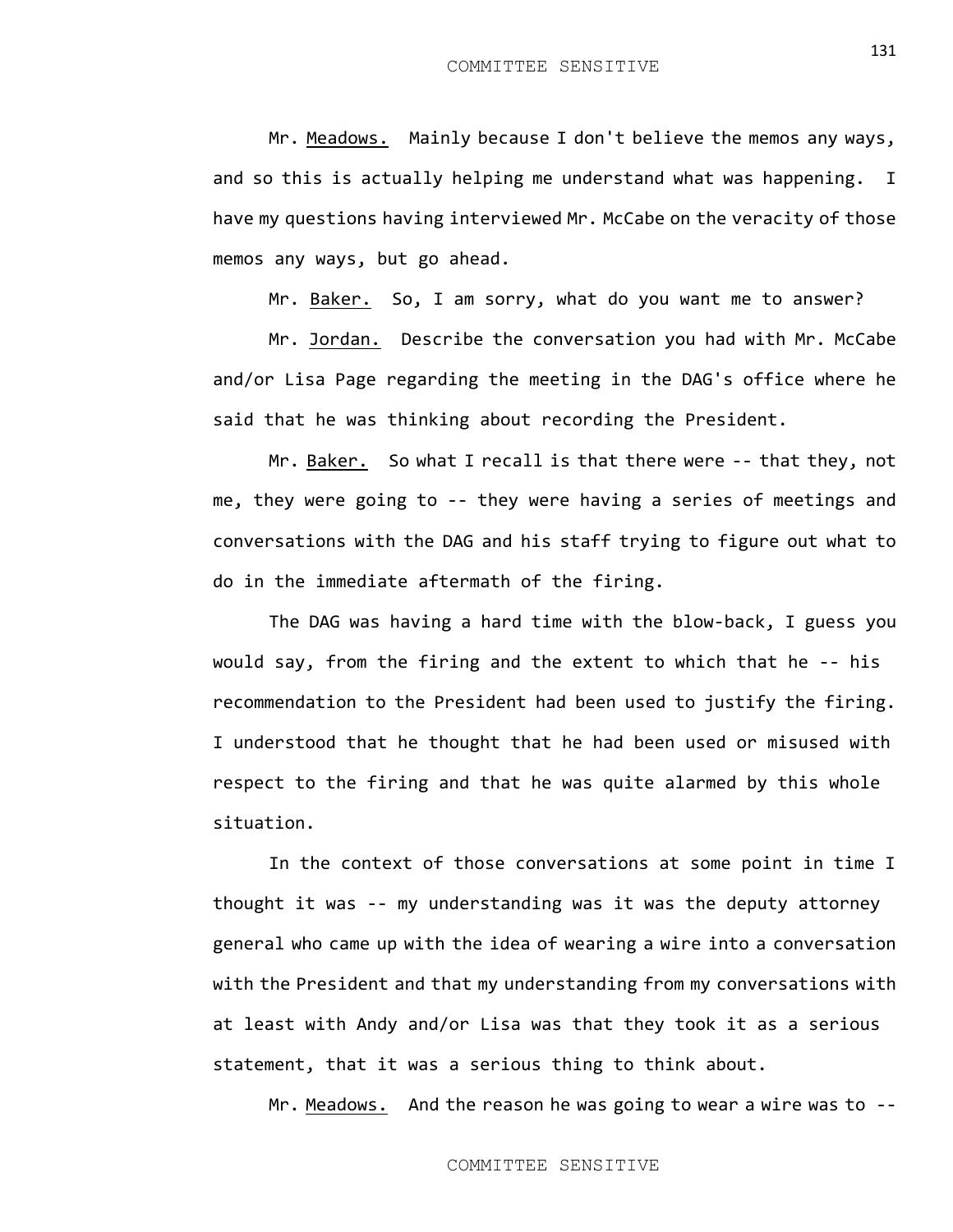Mr. Meadows. Mainly because I don't believe the memos any ways, and so this is actually helping me understand what was happening. I have my questions having interviewed Mr. McCabe on the veracity of those memos any ways, but go ahead.

Mr. Baker. So, I am sorry, what do you want me to answer?

Mr. Jordan. Describe the conversation you had with Mr. McCabe and/or Lisa Page regarding the meeting in the DAG's office where he said that he was thinking about recording the President.

Mr. Baker. So what I recall is that there were -- that they, not me, they were going to -- they were having a series of meetings and conversations with the DAG and his staff trying to figure out what to do in the immediate aftermath of the firing.

The DAG was having a hard time with the blow-back, I guess you would say, from the firing and the extent to which that he -- his recommendation to the President had been used to justify the firing. I understood that he thought that he had been used or misused with respect to the firing and that he was quite alarmed by this whole situation.

In the context of those conversations at some point in time I thought it was -- my understanding was it was the deputy attorney general who came up with the idea of wearing a wire into a conversation with the President and that my understanding from my conversations with at least with Andy and/or Lisa was that they took it as a serious statement, that it was a serious thing to think about.

Mr. Meadows. And the reason he was going to wear a wire was to --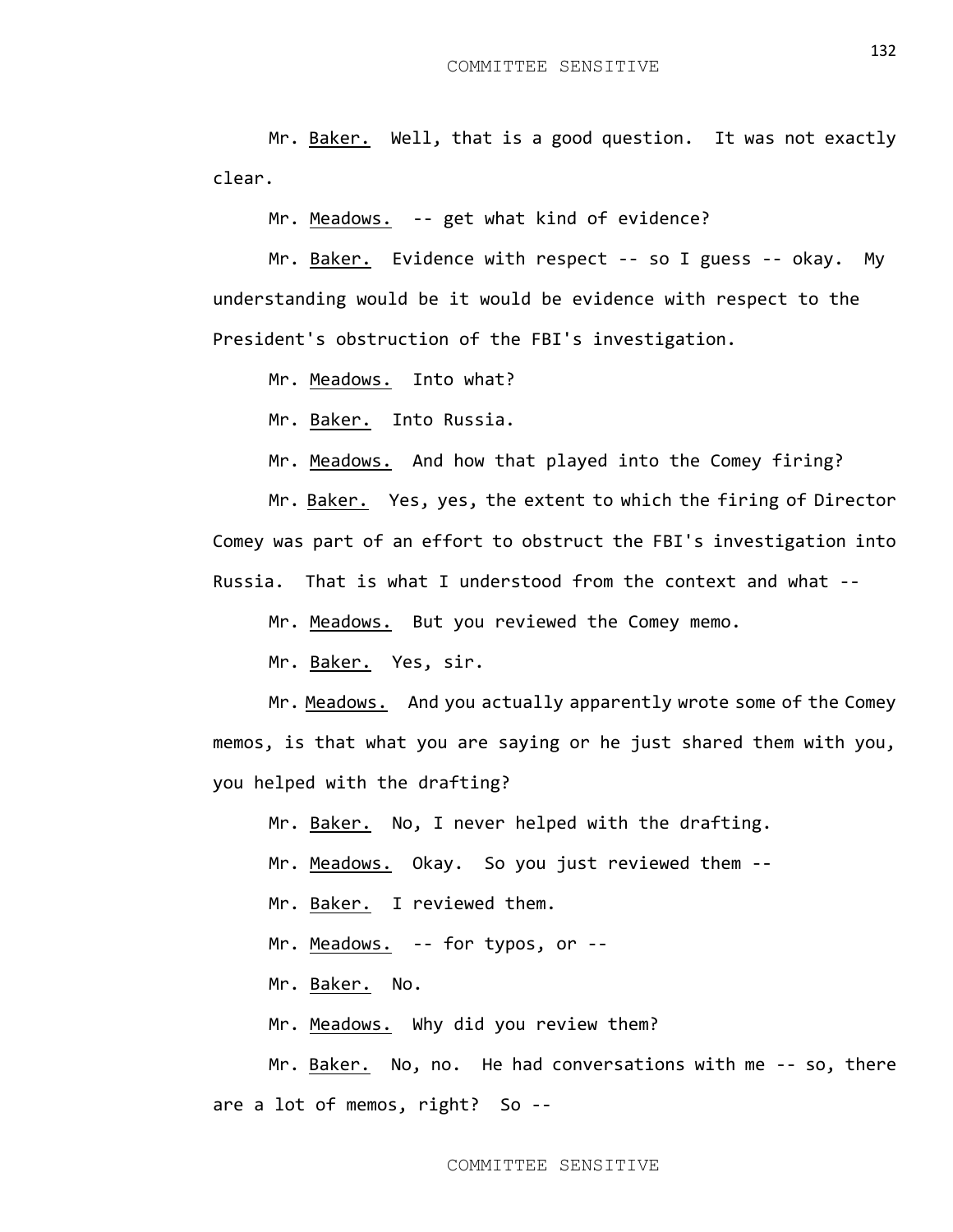Mr. Baker. Well, that is a good question. It was not exactly clear.

Mr. Meadows. -- get what kind of evidence?

Mr. Baker. Evidence with respect -- so I guess -- okay. My understanding would be it would be evidence with respect to the President's obstruction of the FBI's investigation.

Mr. Meadows. Into what?

Mr. Baker. Into Russia.

Mr. Meadows. And how that played into the Comey firing?

Mr. Baker. Yes, yes, the extent to which the firing of Director Comey was part of an effort to obstruct the FBI's investigation into Russia. That is what I understood from the context and what --

Mr. Meadows. But you reviewed the Comey memo.

Mr. Baker. Yes, sir.

Mr. Meadows. And you actually apparently wrote some of the Comey memos, is that what you are saying or he just shared them with you, you helped with the drafting?

Mr. Baker. No, I never helped with the drafting.

Mr. Meadows. Okay. So you just reviewed them --

Mr. Baker. I reviewed them.

Mr. Meadows. -- for typos, or --

Mr. Baker. No.

Mr. Meadows. Why did you review them?

Mr. Baker. No, no. He had conversations with me -- so, there are a lot of memos, right? So --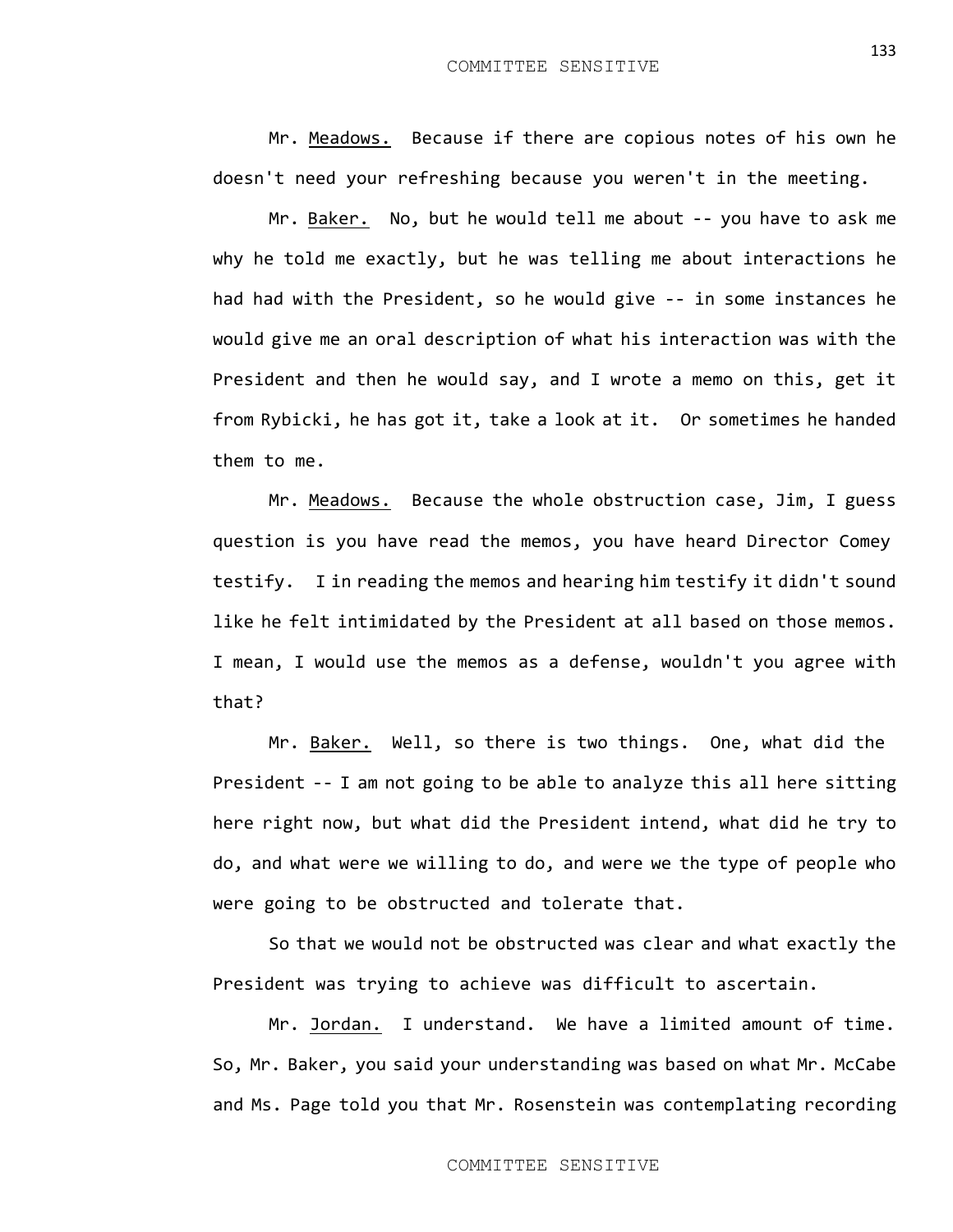Mr. Meadows. Because if there are copious notes of his own he doesn't need your refreshing because you weren't in the meeting.

Mr. Baker. No, but he would tell me about -- you have to ask me why he told me exactly, but he was telling me about interactions he had had with the President, so he would give -- in some instances he would give me an oral description of what his interaction was with the President and then he would say, and I wrote a memo on this, get it from Rybicki, he has got it, take a look at it. Or sometimes he handed them to me.

Mr. Meadows. Because the whole obstruction case, Jim, I guess question is you have read the memos, you have heard Director Comey testify. I in reading the memos and hearing him testify it didn't sound like he felt intimidated by the President at all based on those memos. I mean, I would use the memos as a defense, wouldn't you agree with that?

Mr. Baker. Well, so there is two things. One, what did the President -- I am not going to be able to analyze this all here sitting here right now, but what did the President intend, what did he try to do, and what were we willing to do, and were we the type of people who were going to be obstructed and tolerate that.

So that we would not be obstructed was clear and what exactly the President was trying to achieve was difficult to ascertain.

Mr. Jordan. I understand. We have a limited amount of time. So, Mr. Baker, you said your understanding was based on what Mr. McCabe and Ms. Page told you that Mr. Rosenstein was contemplating recording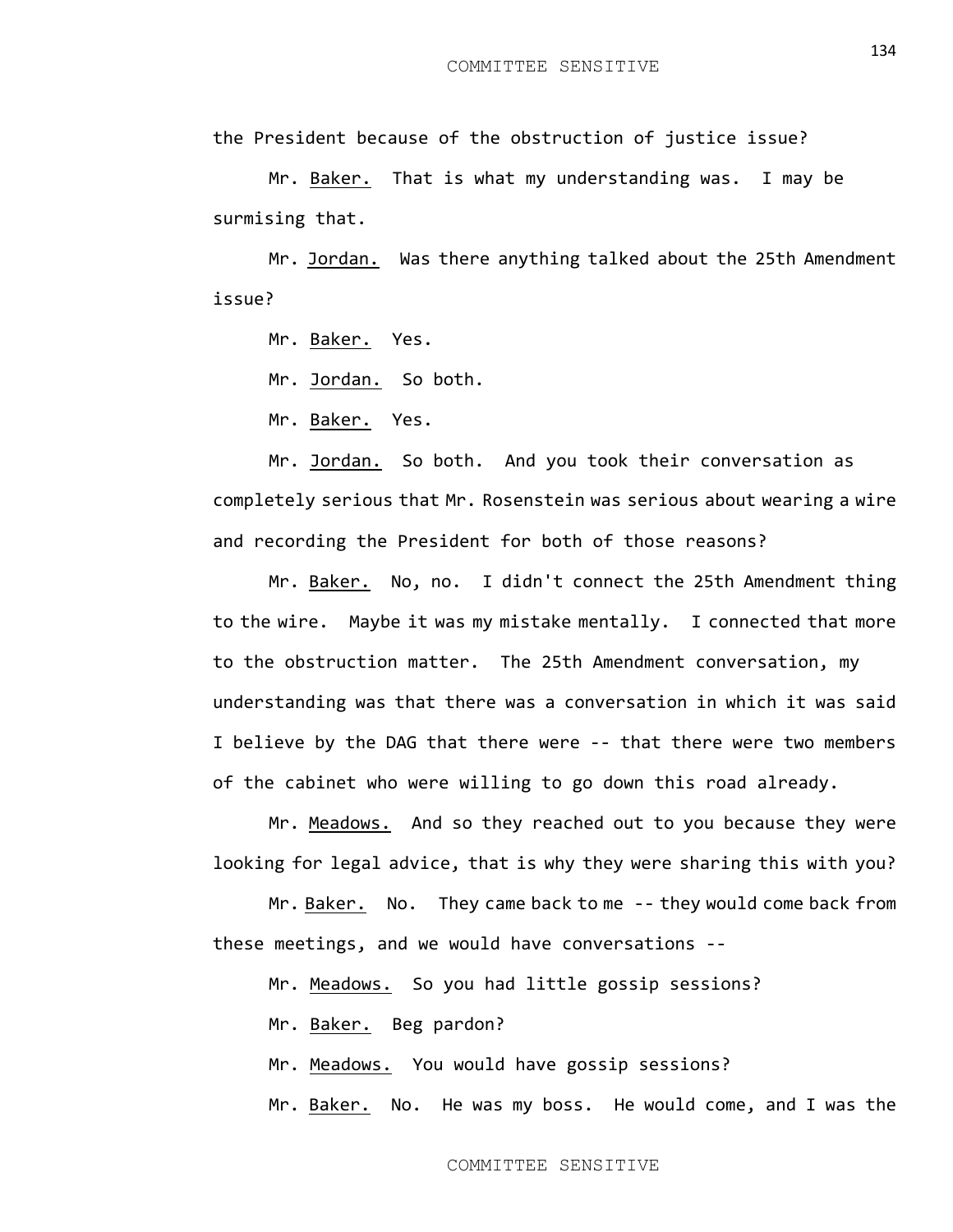the President because of the obstruction of justice issue?

Mr. Baker. That is what my understanding was. I may be surmising that.

Mr. Jordan. Was there anything talked about the 25th Amendment issue?

Mr. Baker. Yes.

Mr. Jordan. So both.

Mr. Baker. Yes.

Mr. Jordan. So both. And you took their conversation as completely serious that Mr. Rosenstein was serious about wearing a wire and recording the President for both of those reasons?

Mr. Baker. No, no. I didn't connect the 25th Amendment thing to the wire. Maybe it was my mistake mentally. I connected that more to the obstruction matter. The 25th Amendment conversation, my understanding was that there was a conversation in which it was said I believe by the DAG that there were -- that there were two members of the cabinet who were willing to go down this road already.

Mr. Meadows. And so they reached out to you because they were looking for legal advice, that is why they were sharing this with you?

Mr. Baker. No. They came back to me -- they would come back from these meetings, and we would have conversations --

Mr. Meadows. So you had little gossip sessions?

Mr. Baker. Beg pardon?

Mr. Meadows. You would have gossip sessions?

Mr. Baker. No. He was my boss. He would come, and I was the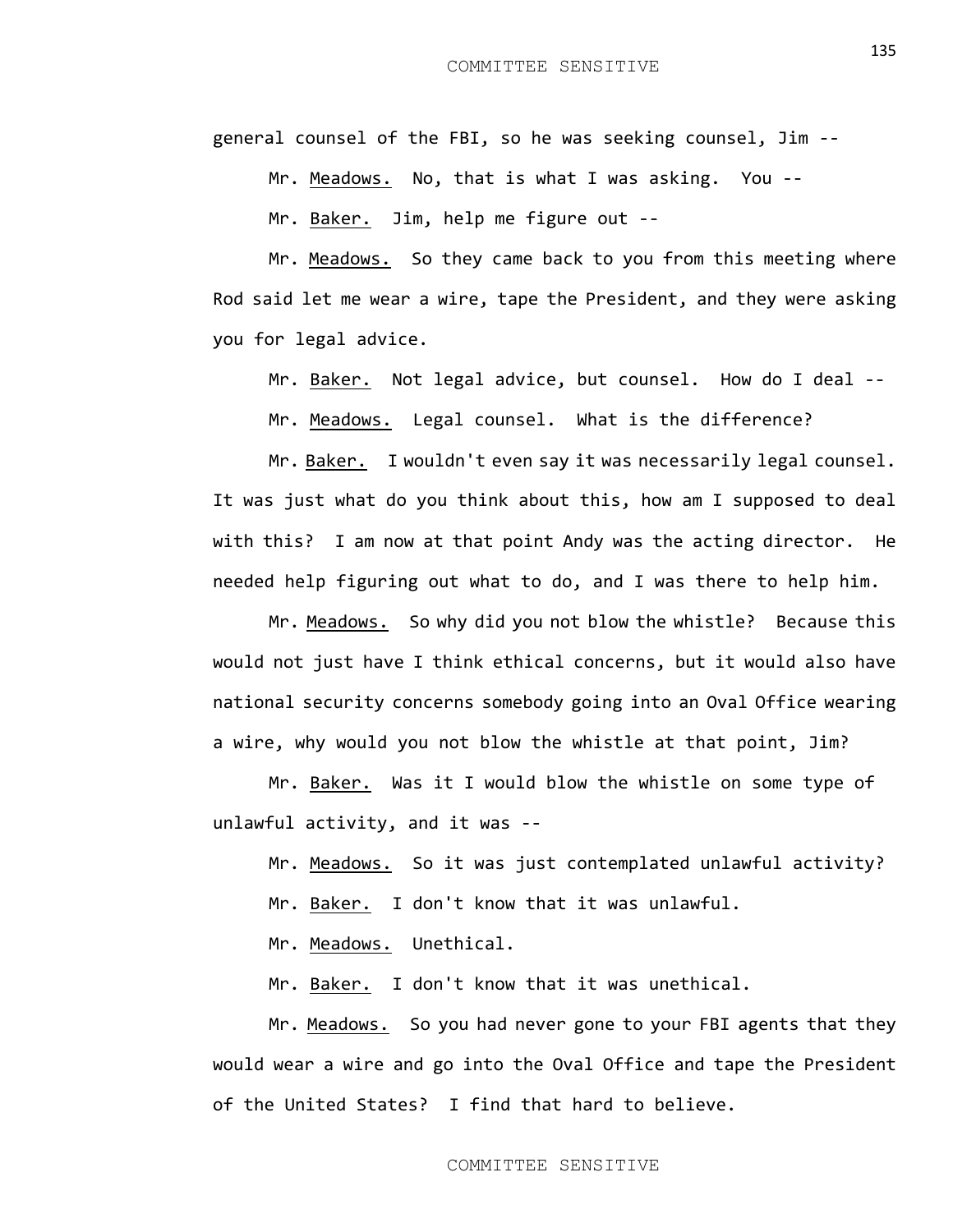general counsel of the FBI, so he was seeking counsel, Jim --

Mr. Meadows. No, that is what I was asking. You --

Mr. Baker. Jim, help me figure out --

Mr. Meadows. So they came back to you from this meeting where Rod said let me wear a wire, tape the President, and they were asking you for legal advice.

Mr. Baker. Not legal advice, but counsel. How do I deal --

Mr. Meadows. Legal counsel. What is the difference?

Mr. Baker. I wouldn't even say it was necessarily legal counsel. It was just what do you think about this, how am I supposed to deal with this? I am now at that point Andy was the acting director. He needed help figuring out what to do, and I was there to help him.

Mr. Meadows. So why did you not blow the whistle? Because this would not just have I think ethical concerns, but it would also have national security concerns somebody going into an Oval Office wearing a wire, why would you not blow the whistle at that point, Jim?

Mr. Baker. Was it I would blow the whistle on some type of unlawful activity, and it was --

Mr. Meadows. So it was just contemplated unlawful activity? Mr. Baker. I don't know that it was unlawful.

Mr. Meadows. Unethical.

Mr. Baker. I don't know that it was unethical.

Mr. Meadows. So you had never gone to your FBI agents that they would wear a wire and go into the Oval Office and tape the President of the United States? I find that hard to believe.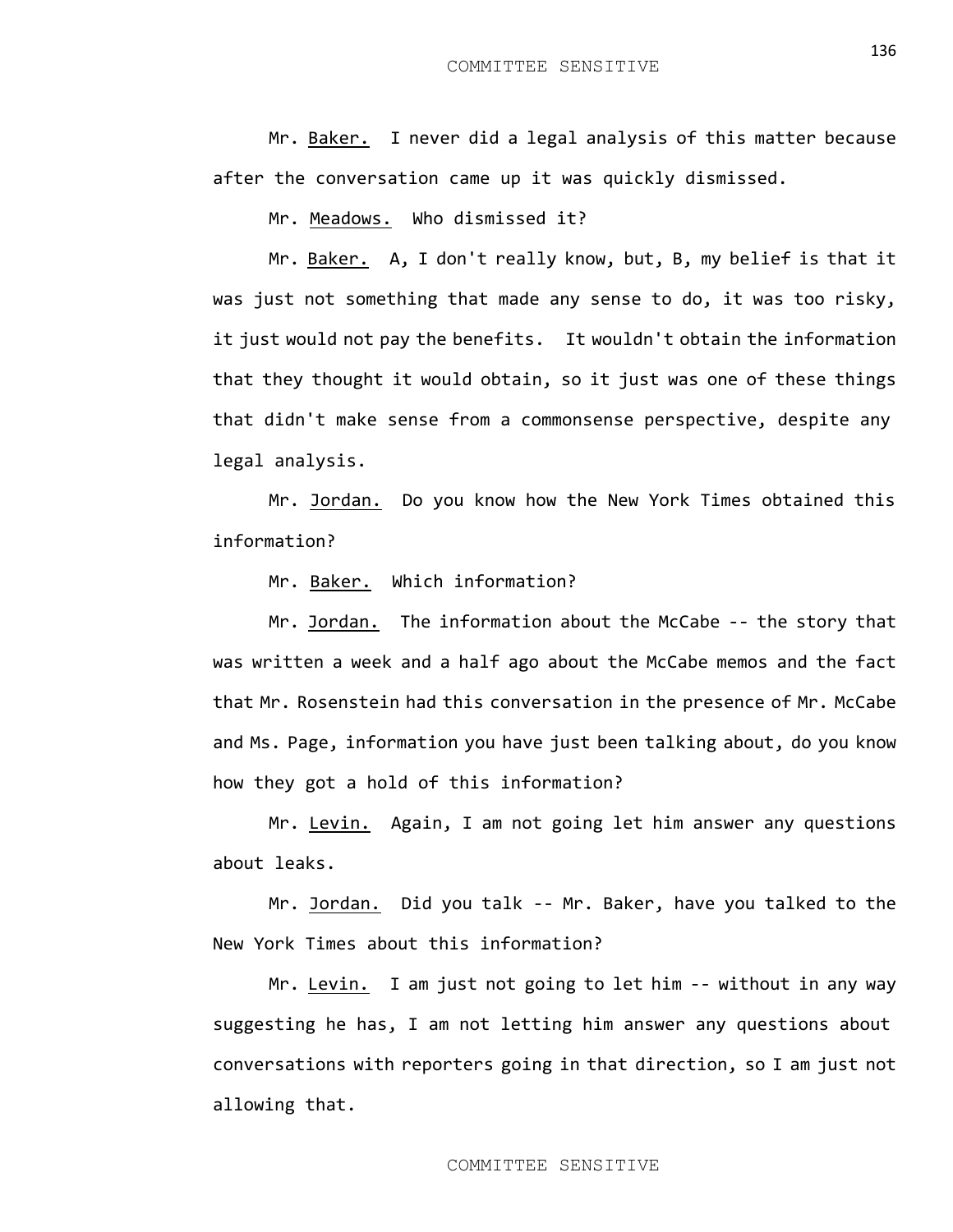Mr. Baker. I never did a legal analysis of this matter because after the conversation came up it was quickly dismissed.

Mr. Meadows. Who dismissed it?

Mr. Baker. A, I don't really know, but, B, my belief is that it was just not something that made any sense to do, it was too risky, it just would not pay the benefits. It wouldn't obtain the information that they thought it would obtain, so it just was one of these things that didn't make sense from a commonsense perspective, despite any legal analysis.

Mr. Jordan. Do you know how the New York Times obtained this information?

Mr. Baker. Which information?

Mr. Jordan. The information about the McCabe -- the story that was written a week and a half ago about the McCabe memos and the fact that Mr. Rosenstein had this conversation in the presence of Mr. McCabe and Ms. Page, information you have just been talking about, do you know how they got a hold of this information?

Mr. Levin. Again, I am not going let him answer any questions about leaks.

Mr. Jordan. Did you talk -- Mr. Baker, have you talked to the New York Times about this information?

Mr. Levin. I am just not going to let him -- without in any way suggesting he has, I am not letting him answer any questions about conversations with reporters going in that direction, so I am just not allowing that.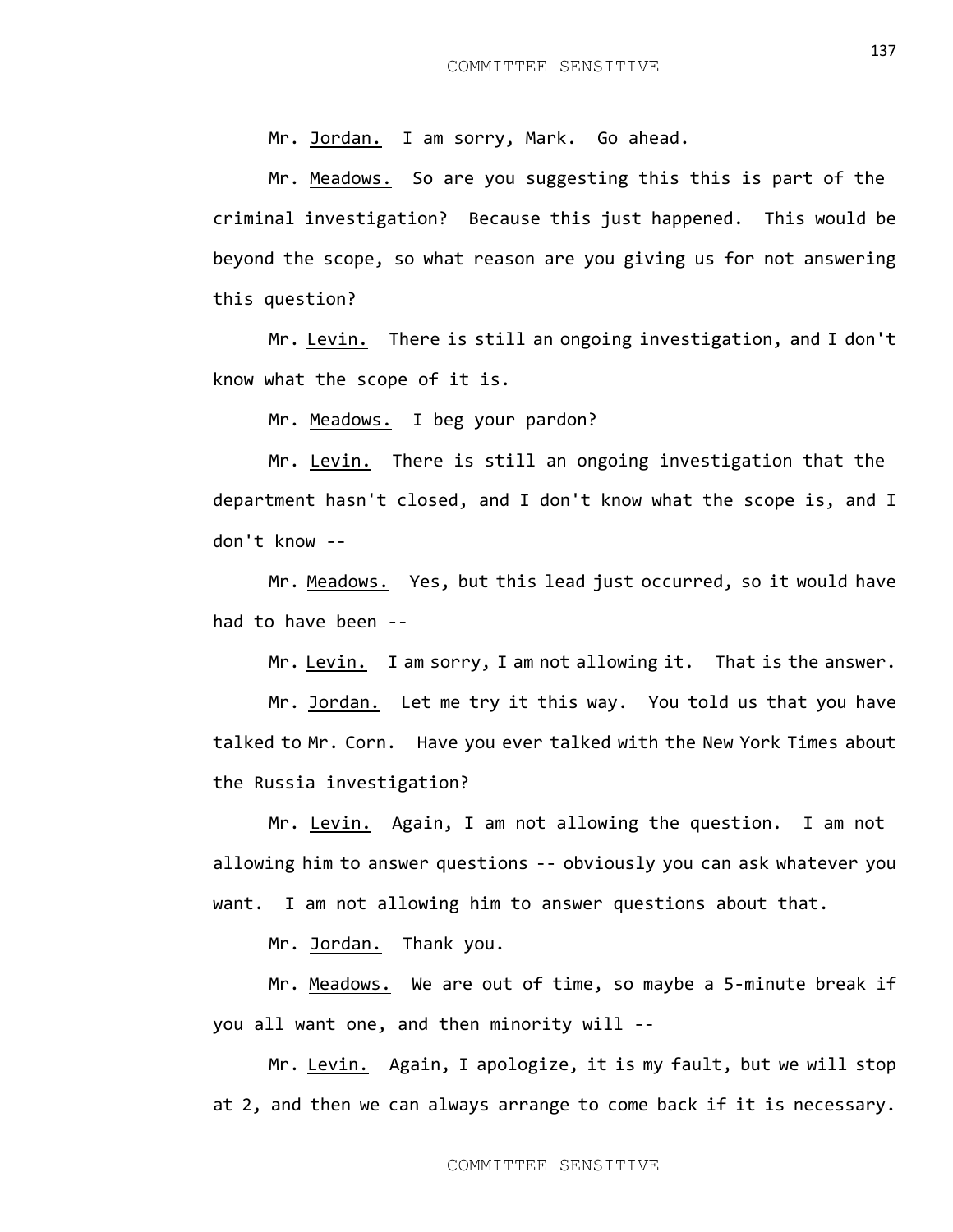Mr. Jordan. I am sorry, Mark. Go ahead.

Mr. Meadows. So are you suggesting this this is part of the criminal investigation? Because this just happened. This would be beyond the scope, so what reason are you giving us for not answering this question?

Mr. Levin. There is still an ongoing investigation, and I don't know what the scope of it is.

Mr. Meadows. I beg your pardon?

Mr. Levin. There is still an ongoing investigation that the department hasn't closed, and I don't know what the scope is, and I don't know --

Mr. Meadows. Yes, but this lead just occurred, so it would have had to have been --

Mr. Levin. I am sorry, I am not allowing it. That is the answer.

Mr. Jordan. Let me try it this way. You told us that you have talked to Mr. Corn. Have you ever talked with the New York Times about the Russia investigation?

Mr. Levin. Again, I am not allowing the question. I am not allowing him to answer questions -- obviously you can ask whatever you want. I am not allowing him to answer questions about that.

Mr. Jordan. Thank you.

Mr. Meadows. We are out of time, so maybe a 5-minute break if you all want one, and then minority will --

Mr. Levin. Again, I apologize, it is my fault, but we will stop at 2, and then we can always arrange to come back if it is necessary.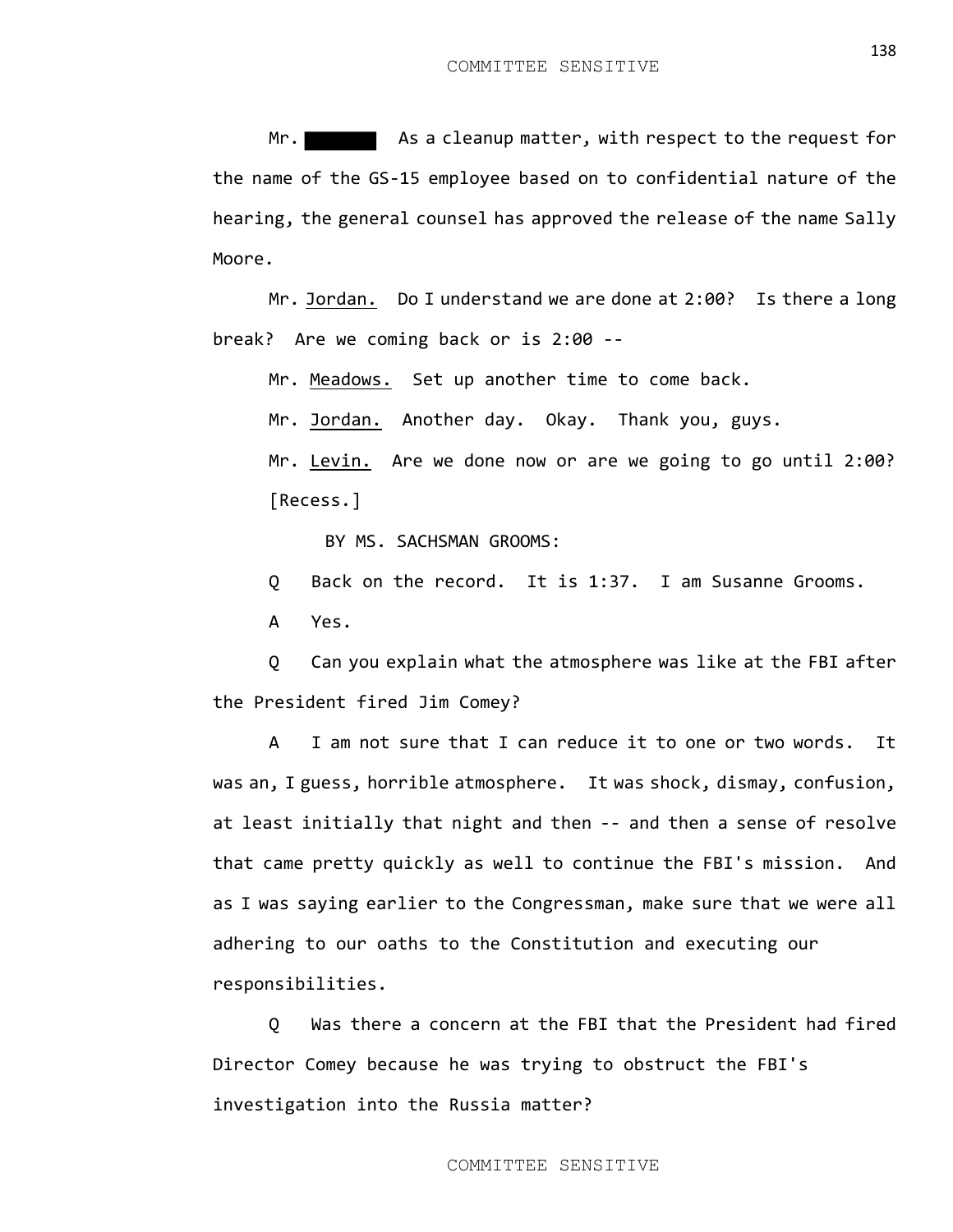Mr. As a cleanup matter, with respect to the request for the name of the GS-15 employee based on to confidential nature of the hearing, the general counsel has approved the release of the name Sally Moore.

Mr. Jordan. Do I understand we are done at 2:00? Is there a long break? Are we coming back or is 2:00 --

Mr. Meadows. Set up another time to come back.

Mr. Jordan. Another day. Okay. Thank you, guys.

Mr. Levin. Are we done now or are we going to go until 2:00? [Recess.]

BY MS. SACHSMAN GROOMS:

Q Back on the record. It is 1:37. I am Susanne Grooms.

A Yes.

Q Can you explain what the atmosphere was like at the FBI after the President fired Jim Comey?

A I am not sure that I can reduce it to one or two words. It was an, I guess, horrible atmosphere. It was shock, dismay, confusion, at least initially that night and then -- and then a sense of resolve that came pretty quickly as well to continue the FBI's mission. And as I was saying earlier to the Congressman, make sure that we were all adhering to our oaths to the Constitution and executing our responsibilities.

Q Was there a concern at the FBI that the President had fired Director Comey because he was trying to obstruct the FBI's investigation into the Russia matter?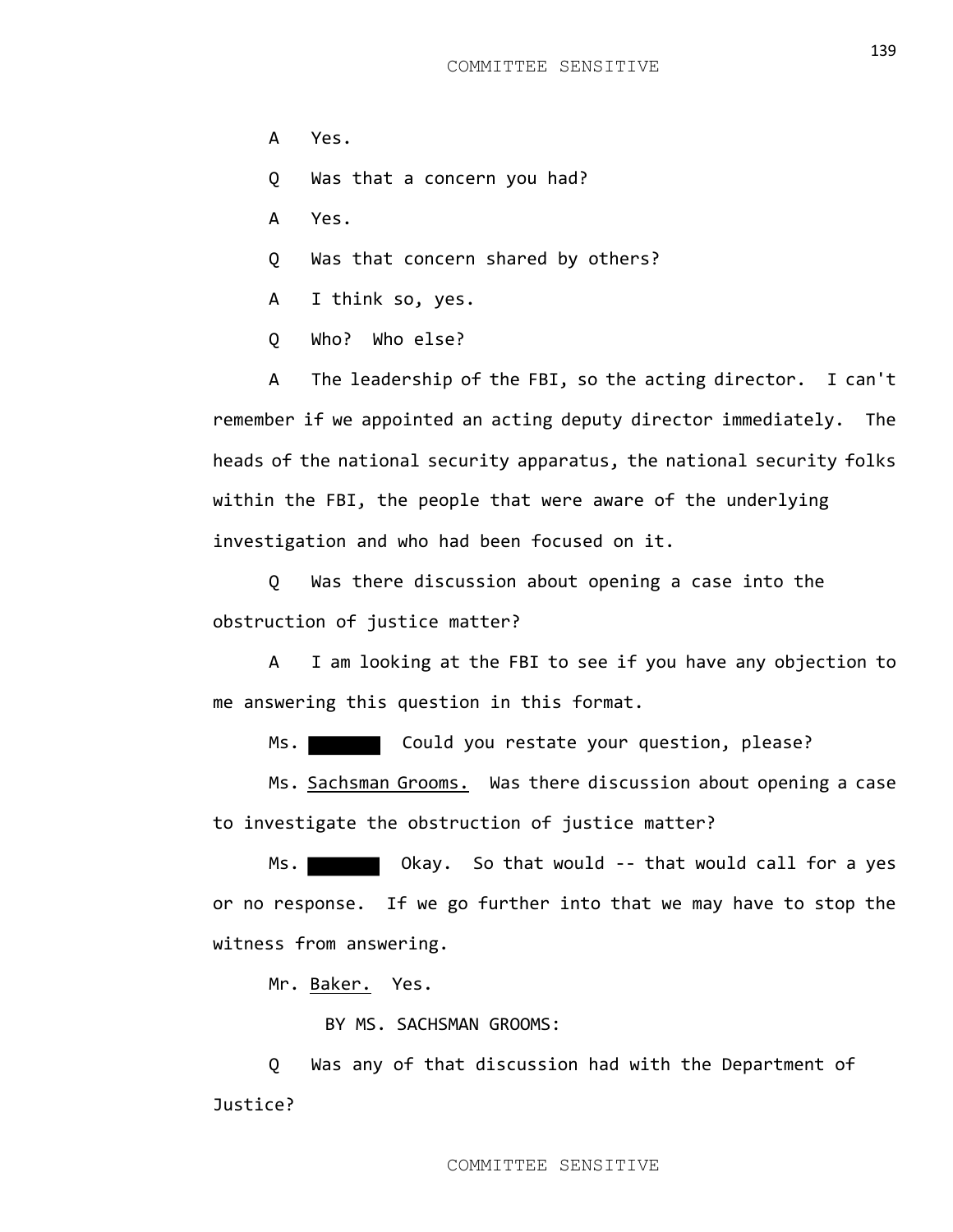- A Yes.
- Q Was that a concern you had?
- A Yes.
- Q Was that concern shared by others?
- A I think so, yes.
- Q Who? Who else?

A The leadership of the FBI, so the acting director. I can't remember if we appointed an acting deputy director immediately. The heads of the national security apparatus, the national security folks within the FBI, the people that were aware of the underlying investigation and who had been focused on it.

Q Was there discussion about opening a case into the obstruction of justice matter?

A I am looking at the FBI to see if you have any objection to me answering this question in this format.

Ms. Could you restate your question, please?

Ms. Sachsman Grooms. Was there discussion about opening a case to investigate the obstruction of justice matter?

Ms. Notall Chay. So that would -- that would call for a yes or no response. If we go further into that we may have to stop the witness from answering.

Mr. Baker. Yes.

BY MS. SACHSMAN GROOMS:

Q Was any of that discussion had with the Department of Justice?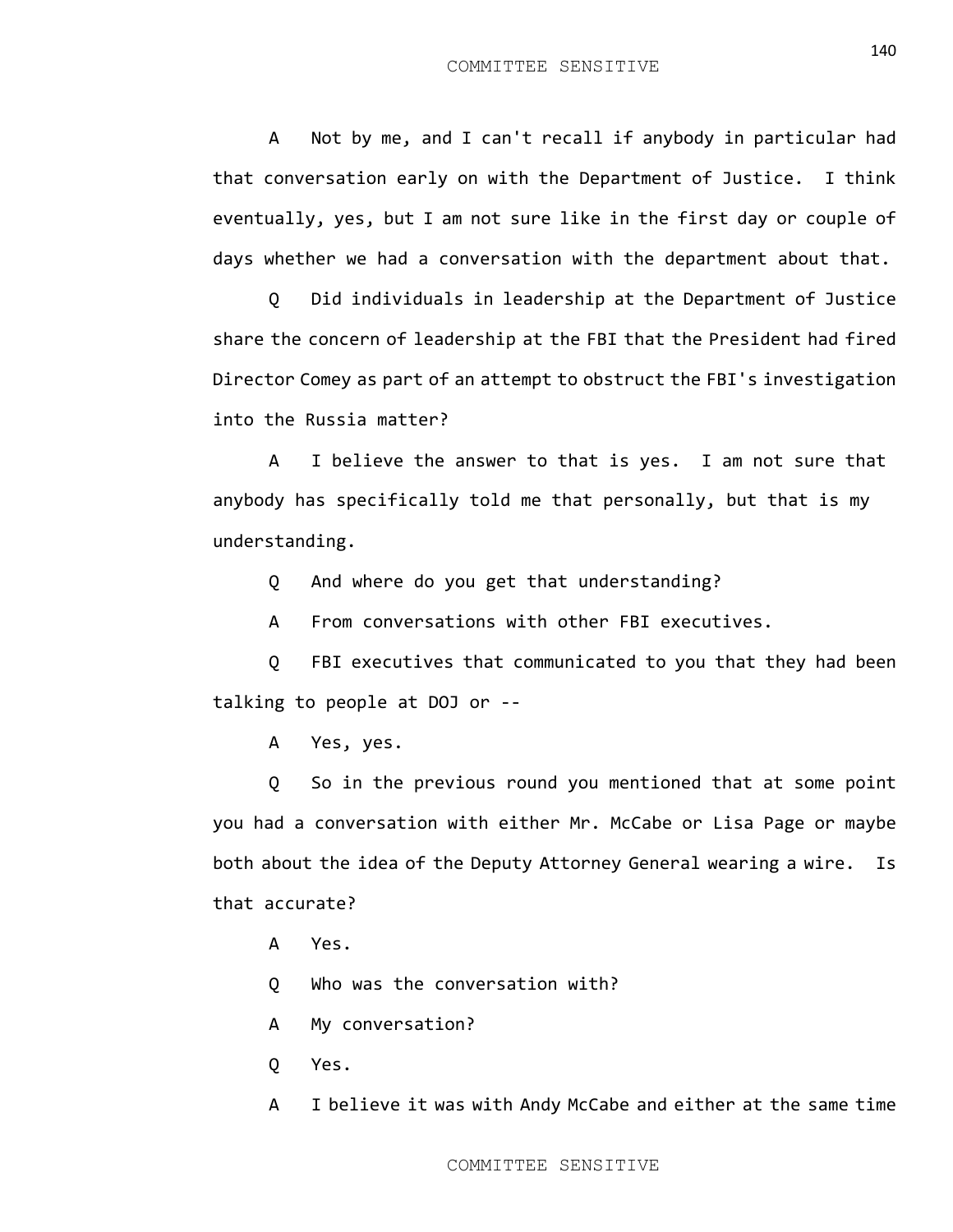A Not by me, and I can't recall if anybody in particular had that conversation early on with the Department of Justice. I think eventually, yes, but I am not sure like in the first day or couple of days whether we had a conversation with the department about that.

Q Did individuals in leadership at the Department of Justice share the concern of leadership at the FBI that the President had fired Director Comey as part of an attempt to obstruct the FBI's investigation into the Russia matter?

A I believe the answer to that is yes. I am not sure that anybody has specifically told me that personally, but that is my understanding.

Q And where do you get that understanding?

A From conversations with other FBI executives.

Q FBI executives that communicated to you that they had been talking to people at DOJ or --

A Yes, yes.

Q So in the previous round you mentioned that at some point you had a conversation with either Mr. McCabe or Lisa Page or maybe both about the idea of the Deputy Attorney General wearing a wire. Is that accurate?

A Yes.

Q Who was the conversation with?

- A My conversation?
- Q Yes.

A I believe it was with Andy McCabe and either at the same time

140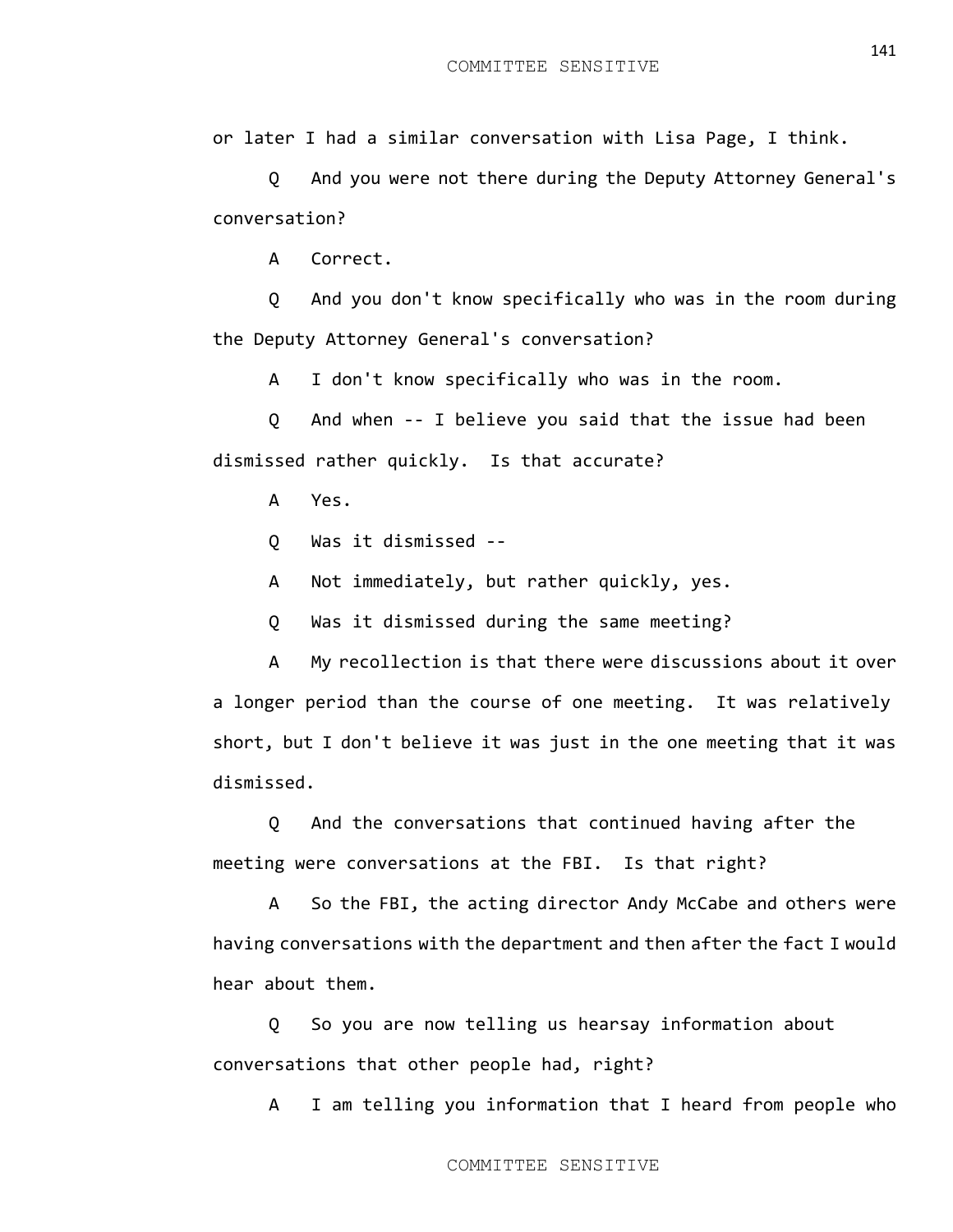or later I had a similar conversation with Lisa Page, I think.

Q And you were not there during the Deputy Attorney General's conversation?

A Correct.

Q And you don't know specifically who was in the room during the Deputy Attorney General's conversation?

A I don't know specifically who was in the room.

Q And when -- I believe you said that the issue had been dismissed rather quickly. Is that accurate?

A Yes.

Q Was it dismissed --

A Not immediately, but rather quickly, yes.

Q Was it dismissed during the same meeting?

A My recollection is that there were discussions about it over a longer period than the course of one meeting. It was relatively short, but I don't believe it was just in the one meeting that it was dismissed.

Q And the conversations that continued having after the meeting were conversations at the FBI. Is that right?

A So the FBI, the acting director Andy McCabe and others were having conversations with the department and then after the fact I would hear about them.

Q So you are now telling us hearsay information about conversations that other people had, right?

A I am telling you information that I heard from people who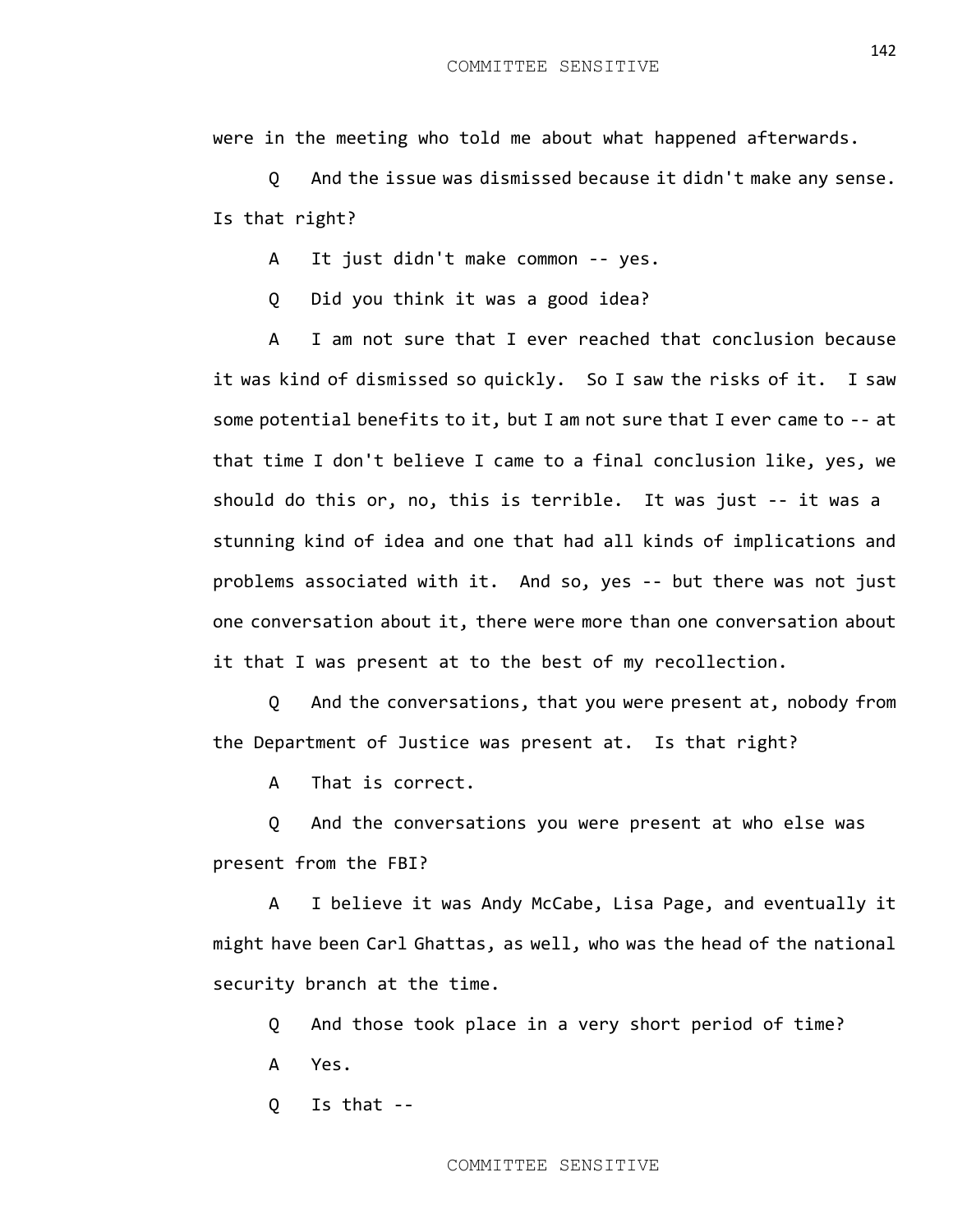were in the meeting who told me about what happened afterwards.

Q And the issue was dismissed because it didn't make any sense. Is that right?

A It just didn't make common -- yes.

Q Did you think it was a good idea?

A I am not sure that I ever reached that conclusion because it was kind of dismissed so quickly. So I saw the risks of it. I saw some potential benefits to it, but I am not sure that I ever came to -- at that time I don't believe I came to a final conclusion like, yes, we should do this or, no, this is terrible. It was just -- it was a stunning kind of idea and one that had all kinds of implications and problems associated with it. And so, yes -- but there was not just one conversation about it, there were more than one conversation about it that I was present at to the best of my recollection.

Q And the conversations, that you were present at, nobody from the Department of Justice was present at. Is that right?

A That is correct.

Q And the conversations you were present at who else was present from the FBI?

A I believe it was Andy McCabe, Lisa Page, and eventually it might have been Carl Ghattas, as well, who was the head of the national security branch at the time.

Q And those took place in a very short period of time?

A Yes.

Q Is that --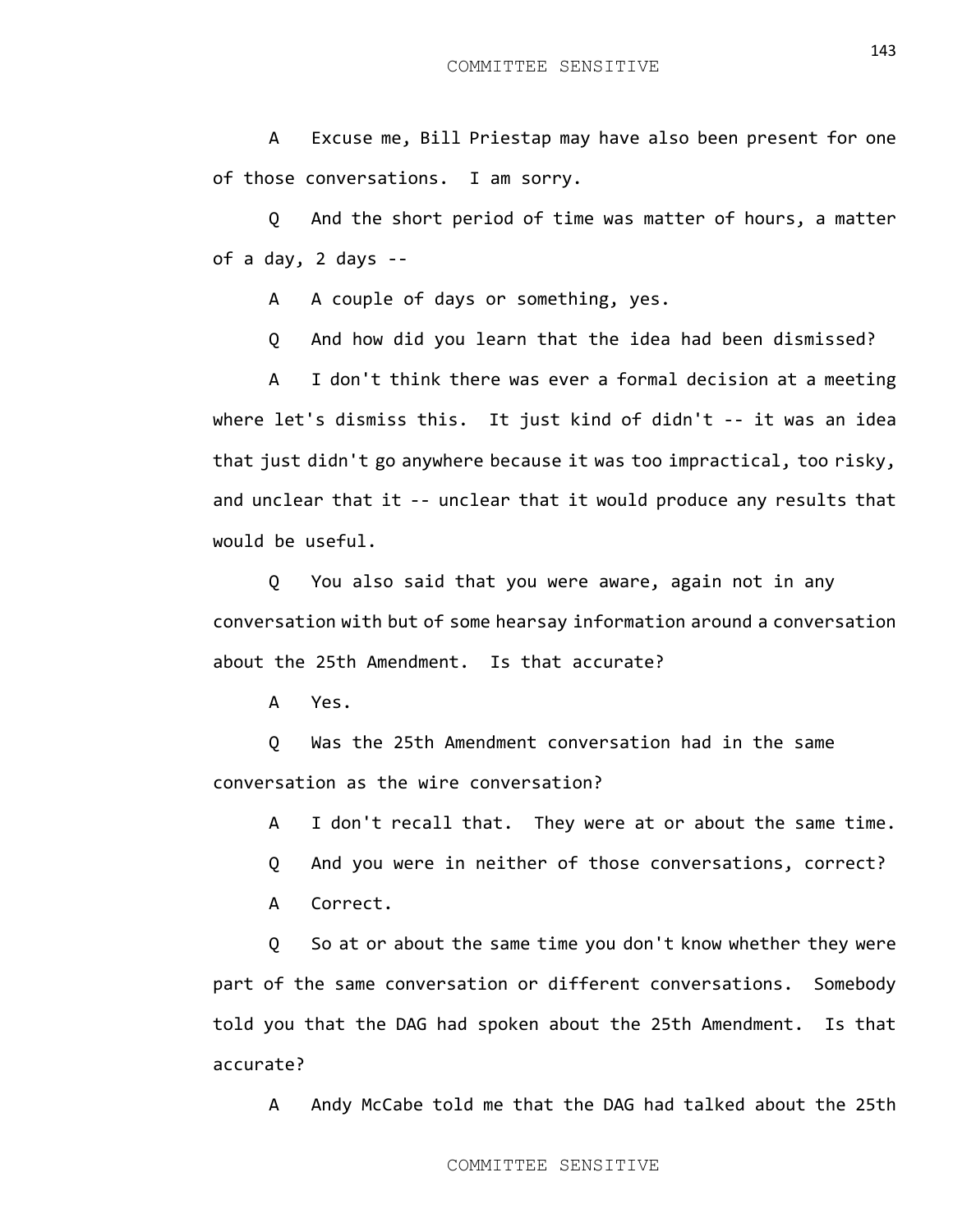A Excuse me, Bill Priestap may have also been present for one of those conversations. I am sorry.

Q And the short period of time was matter of hours, a matter of a day, 2 days --

A A couple of days or something, yes.

Q And how did you learn that the idea had been dismissed?

A I don't think there was ever a formal decision at a meeting where let's dismiss this. It just kind of didn't -- it was an idea that just didn't go anywhere because it was too impractical, too risky, and unclear that it -- unclear that it would produce any results that would be useful.

Q You also said that you were aware, again not in any conversation with but of some hearsay information around a conversation about the 25th Amendment. Is that accurate?

A Yes.

Q Was the 25th Amendment conversation had in the same conversation as the wire conversation?

A I don't recall that. They were at or about the same time.

Q And you were in neither of those conversations, correct?

A Correct.

Q So at or about the same time you don't know whether they were part of the same conversation or different conversations. Somebody told you that the DAG had spoken about the 25th Amendment. Is that accurate?

A Andy McCabe told me that the DAG had talked about the 25th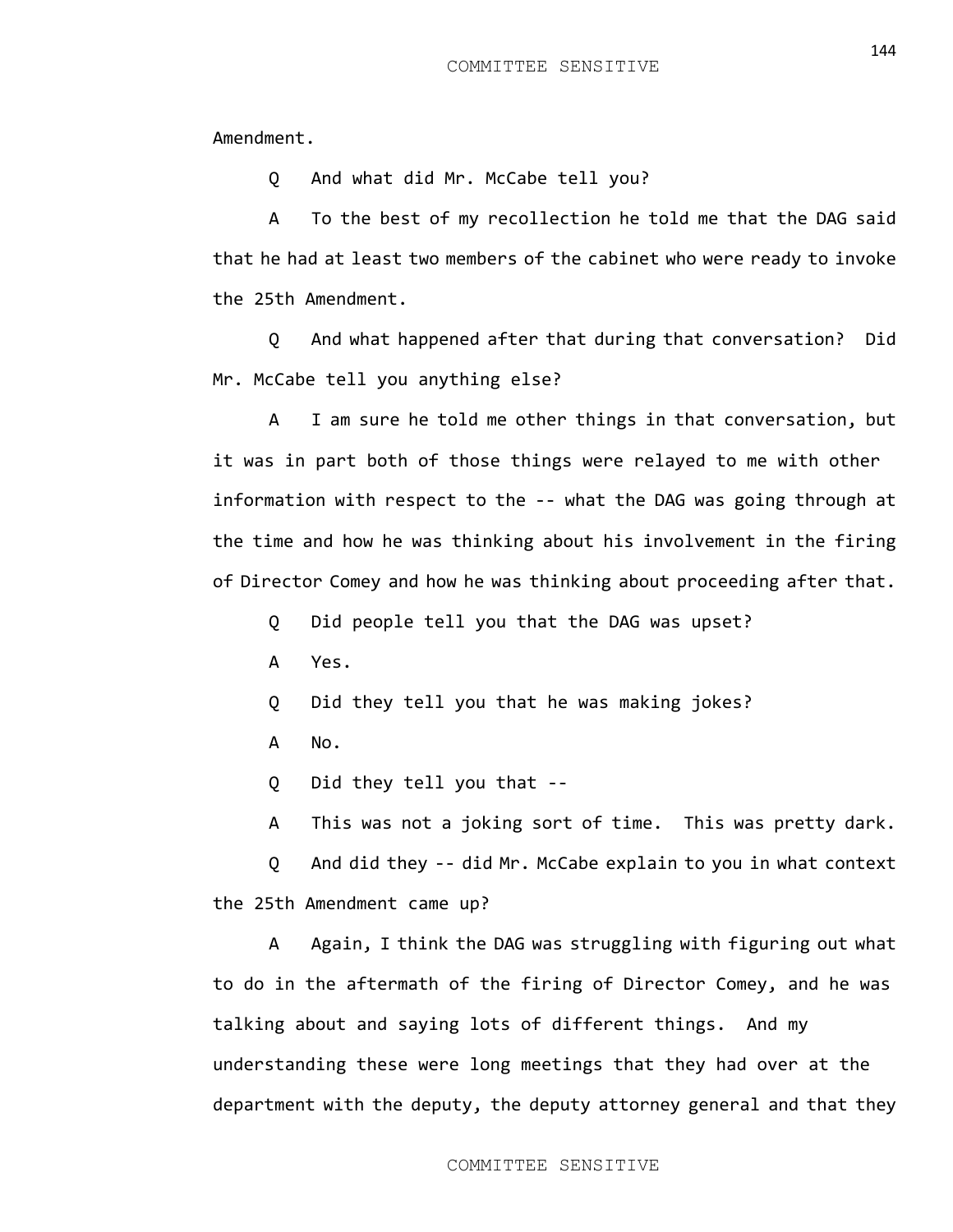Amendment.

Q And what did Mr. McCabe tell you?

A To the best of my recollection he told me that the DAG said that he had at least two members of the cabinet who were ready to invoke the 25th Amendment.

Q And what happened after that during that conversation? Did Mr. McCabe tell you anything else?

A I am sure he told me other things in that conversation, but it was in part both of those things were relayed to me with other information with respect to the -- what the DAG was going through at the time and how he was thinking about his involvement in the firing of Director Comey and how he was thinking about proceeding after that.

Q Did people tell you that the DAG was upset?

A Yes.

Q Did they tell you that he was making jokes?

A No.

Q Did they tell you that --

A This was not a joking sort of time. This was pretty dark.

Q And did they -- did Mr. McCabe explain to you in what context the 25th Amendment came up?

A Again, I think the DAG was struggling with figuring out what to do in the aftermath of the firing of Director Comey, and he was talking about and saying lots of different things. And my understanding these were long meetings that they had over at the department with the deputy, the deputy attorney general and that they

COMMITTEE SENSITIVE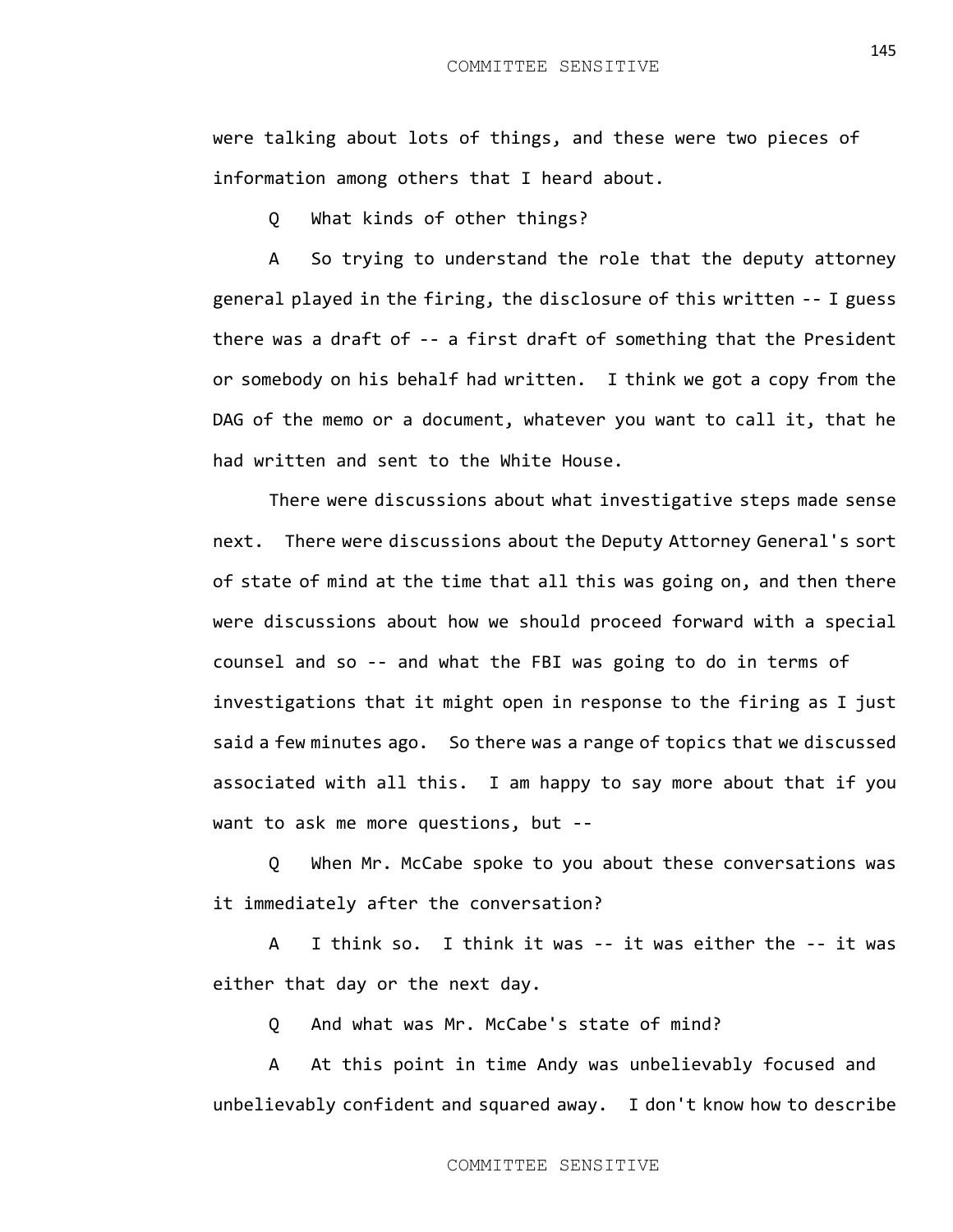were talking about lots of things, and these were two pieces of information among others that I heard about.

Q What kinds of other things?

A So trying to understand the role that the deputy attorney general played in the firing, the disclosure of this written -- I guess there was a draft of -- a first draft of something that the President or somebody on his behalf had written. I think we got a copy from the DAG of the memo or a document, whatever you want to call it, that he had written and sent to the White House.

There were discussions about what investigative steps made sense next. There were discussions about the Deputy Attorney General's sort of state of mind at the time that all this was going on, and then there were discussions about how we should proceed forward with a special counsel and so -- and what the FBI was going to do in terms of investigations that it might open in response to the firing as I just said a few minutes ago. So there was a range of topics that we discussed associated with all this. I am happy to say more about that if you want to ask me more questions, but --

Q When Mr. McCabe spoke to you about these conversations was it immediately after the conversation?

A I think so. I think it was -- it was either the -- it was either that day or the next day.

Q And what was Mr. McCabe's state of mind?

A At this point in time Andy was unbelievably focused and unbelievably confident and squared away. I don't know how to describe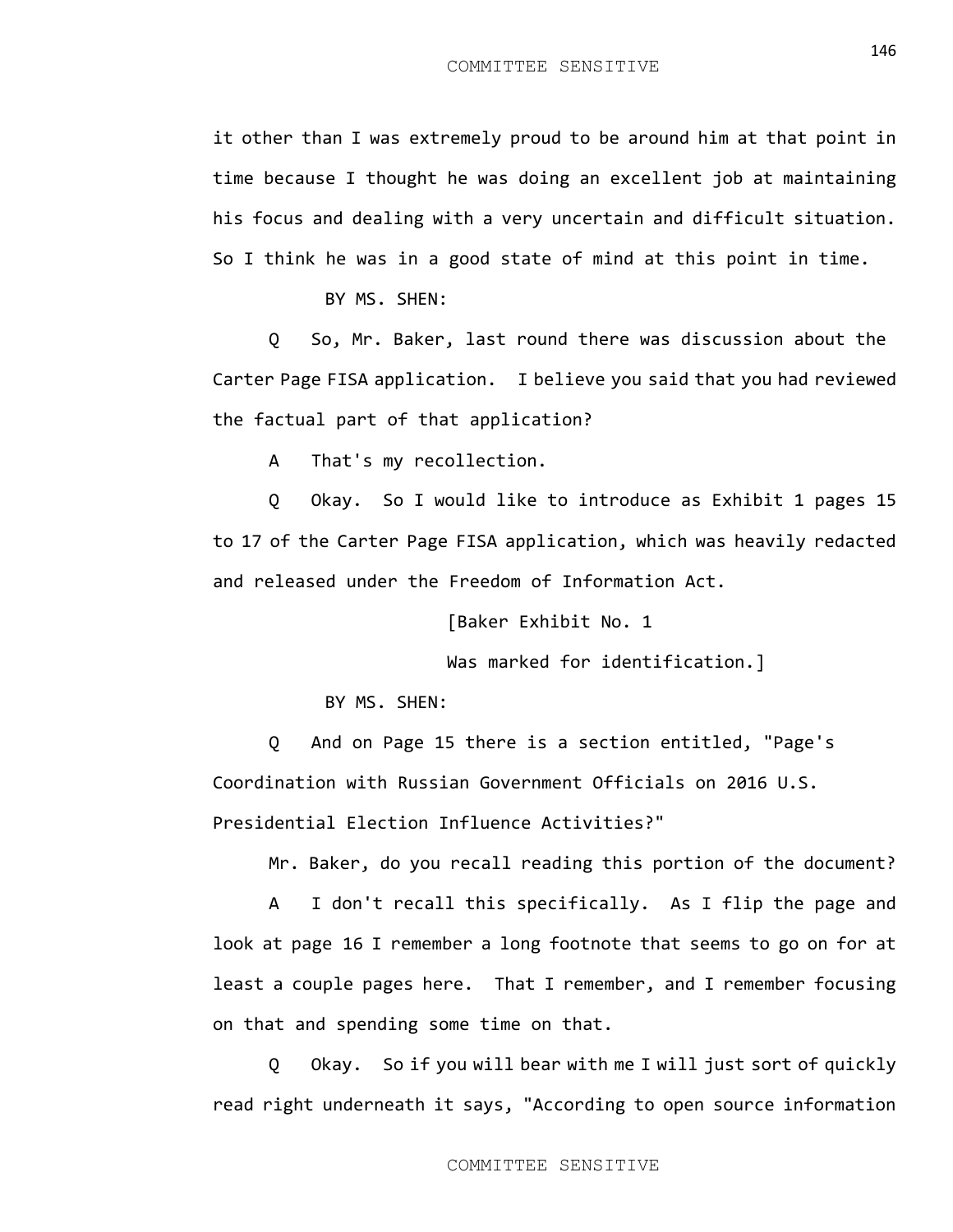it other than I was extremely proud to be around him at that point in time because I thought he was doing an excellent job at maintaining his focus and dealing with a very uncertain and difficult situation. So I think he was in a good state of mind at this point in time.

BY MS. SHEN:

Q So, Mr. Baker, last round there was discussion about the Carter Page FISA application. I believe you said that you had reviewed the factual part of that application?

A That's my recollection.

Q Okay. So I would like to introduce as Exhibit 1 pages 15 to 17 of the Carter Page FISA application, which was heavily redacted and released under the Freedom of Information Act.

[Baker Exhibit No. 1

Was marked for identification.]

BY MS. SHEN:

Q And on Page 15 there is a section entitled, "Page's Coordination with Russian Government Officials on 2016 U.S. Presidential Election Influence Activities?"

Mr. Baker, do you recall reading this portion of the document?

A I don't recall this specifically. As I flip the page and look at page 16 I remember a long footnote that seems to go on for at least a couple pages here. That I remember, and I remember focusing on that and spending some time on that.

Q Okay. So if you will bear with me I will just sort of quickly read right underneath it says, "According to open source information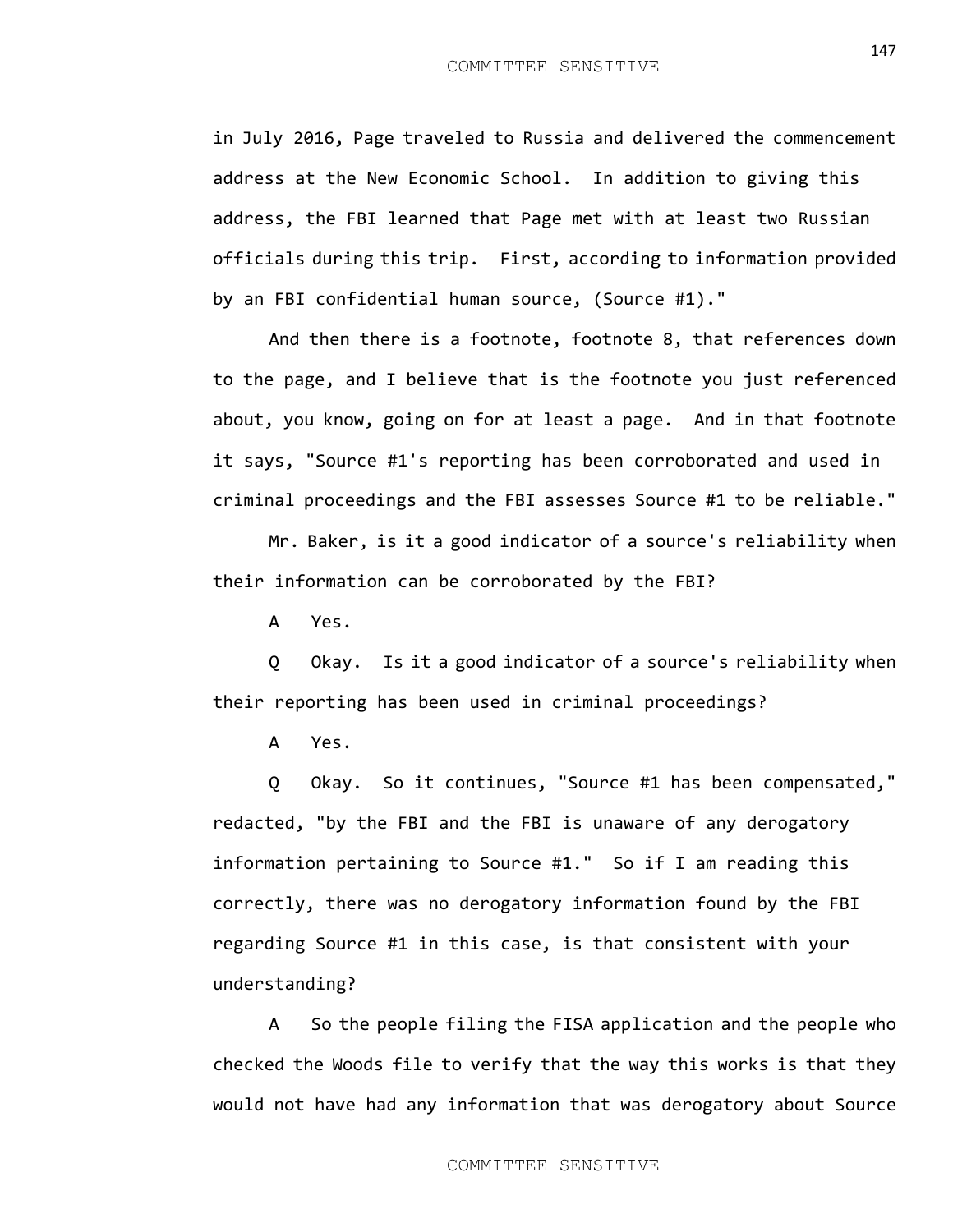in July 2016, Page traveled to Russia and delivered the commencement address at the New Economic School. In addition to giving this address, the FBI learned that Page met with at least two Russian officials during this trip. First, according to information provided by an FBI confidential human source, (Source #1)."

And then there is a footnote, footnote 8, that references down to the page, and I believe that is the footnote you just referenced about, you know, going on for at least a page. And in that footnote it says, "Source #1's reporting has been corroborated and used in criminal proceedings and the FBI assesses Source #1 to be reliable."

Mr. Baker, is it a good indicator of a source's reliability when their information can be corroborated by the FBI?

A Yes.

Q Okay. Is it a good indicator of a source's reliability when their reporting has been used in criminal proceedings?

A Yes.

Q Okay. So it continues, "Source #1 has been compensated," redacted, "by the FBI and the FBI is unaware of any derogatory information pertaining to Source #1." So if I am reading this correctly, there was no derogatory information found by the FBI regarding Source #1 in this case, is that consistent with your understanding?

A So the people filing the FISA application and the people who checked the Woods file to verify that the way this works is that they would not have had any information that was derogatory about Source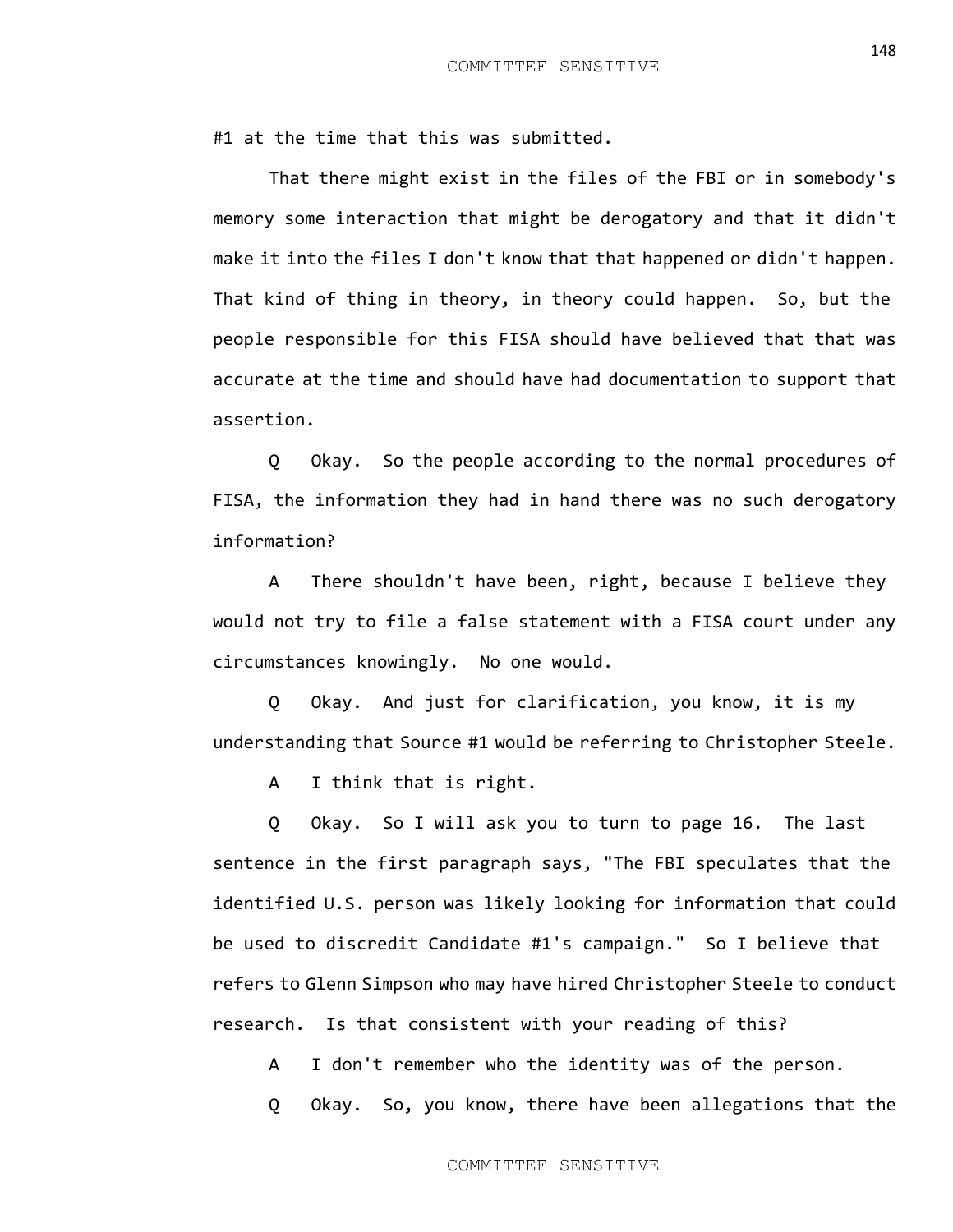#1 at the time that this was submitted.

That there might exist in the files of the FBI or in somebody's memory some interaction that might be derogatory and that it didn't make it into the files I don't know that that happened or didn't happen. That kind of thing in theory, in theory could happen. So, but the people responsible for this FISA should have believed that that was accurate at the time and should have had documentation to support that assertion.

Q Okay. So the people according to the normal procedures of FISA, the information they had in hand there was no such derogatory information?

A There shouldn't have been, right, because I believe they would not try to file a false statement with a FISA court under any circumstances knowingly. No one would.

Q Okay. And just for clarification, you know, it is my understanding that Source #1 would be referring to Christopher Steele.

A I think that is right.

Q Okay. So I will ask you to turn to page 16. The last sentence in the first paragraph says, "The FBI speculates that the identified U.S. person was likely looking for information that could be used to discredit Candidate #1's campaign." So I believe that refers to Glenn Simpson who may have hired Christopher Steele to conduct research. Is that consistent with your reading of this?

A I don't remember who the identity was of the person.

Q Okay. So, you know, there have been allegations that the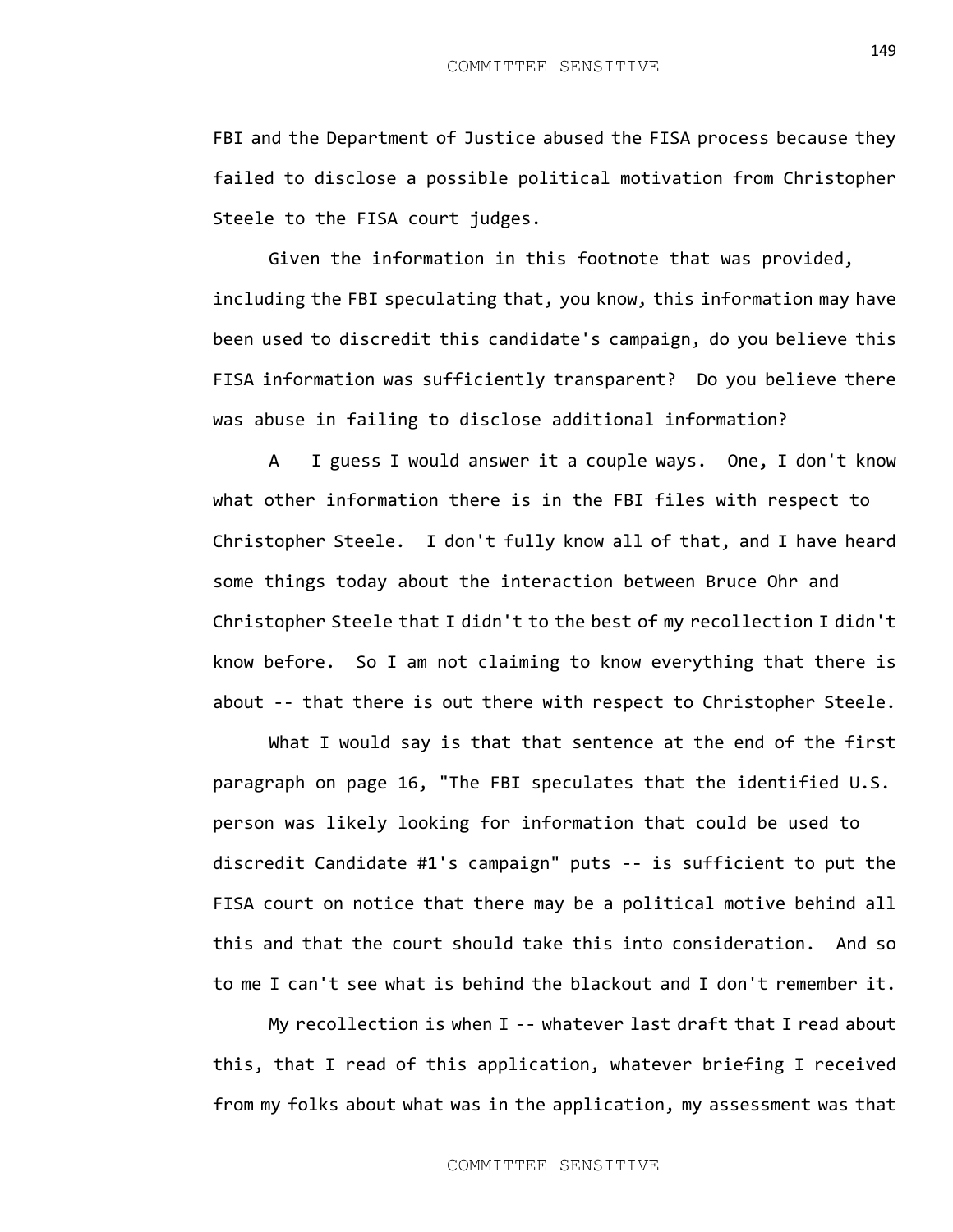FBI and the Department of Justice abused the FISA process because they failed to disclose a possible political motivation from Christopher Steele to the FISA court judges.

Given the information in this footnote that was provided, including the FBI speculating that, you know, this information may have been used to discredit this candidate's campaign, do you believe this FISA information was sufficiently transparent? Do you believe there was abuse in failing to disclose additional information?

A I guess I would answer it a couple ways. One, I don't know what other information there is in the FBI files with respect to Christopher Steele. I don't fully know all of that, and I have heard some things today about the interaction between Bruce Ohr and Christopher Steele that I didn't to the best of my recollection I didn't know before. So I am not claiming to know everything that there is about -- that there is out there with respect to Christopher Steele.

What I would say is that that sentence at the end of the first paragraph on page 16, "The FBI speculates that the identified U.S. person was likely looking for information that could be used to discredit Candidate #1's campaign" puts -- is sufficient to put the FISA court on notice that there may be a political motive behind all this and that the court should take this into consideration. And so to me I can't see what is behind the blackout and I don't remember it.

My recollection is when I -- whatever last draft that I read about this, that I read of this application, whatever briefing I received from my folks about what was in the application, my assessment was that

149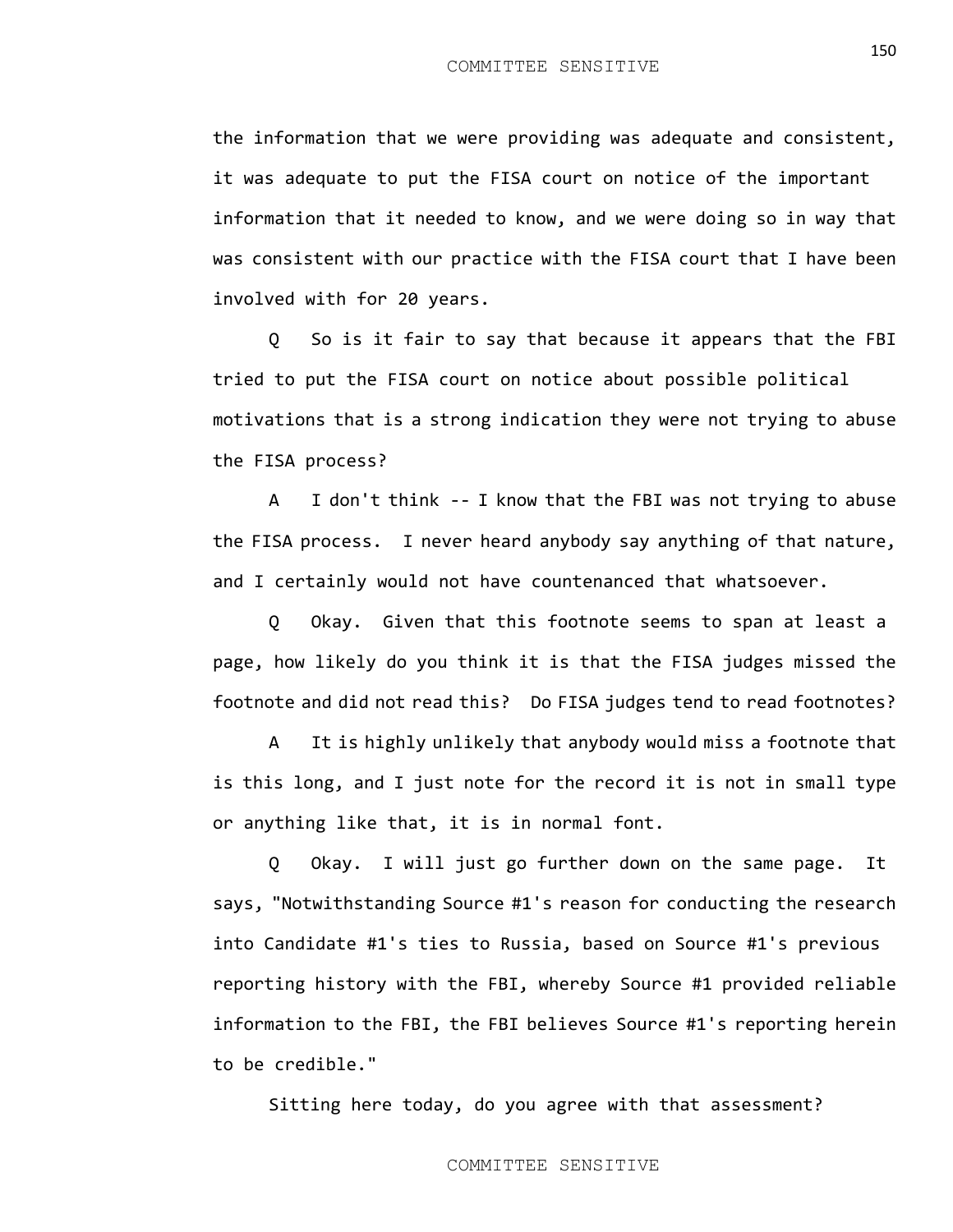the information that we were providing was adequate and consistent, it was adequate to put the FISA court on notice of the important information that it needed to know, and we were doing so in way that was consistent with our practice with the FISA court that I have been involved with for 20 years.

Q So is it fair to say that because it appears that the FBI tried to put the FISA court on notice about possible political motivations that is a strong indication they were not trying to abuse the FISA process?

A I don't think -- I know that the FBI was not trying to abuse the FISA process. I never heard anybody say anything of that nature, and I certainly would not have countenanced that whatsoever.

Q Okay. Given that this footnote seems to span at least a page, how likely do you think it is that the FISA judges missed the footnote and did not read this? Do FISA judges tend to read footnotes?

A It is highly unlikely that anybody would miss a footnote that is this long, and I just note for the record it is not in small type or anything like that, it is in normal font.

Q Okay. I will just go further down on the same page. It says, "Notwithstanding Source #1's reason for conducting the research into Candidate #1's ties to Russia, based on Source #1's previous reporting history with the FBI, whereby Source #1 provided reliable information to the FBI, the FBI believes Source #1's reporting herein to be credible."

Sitting here today, do you agree with that assessment?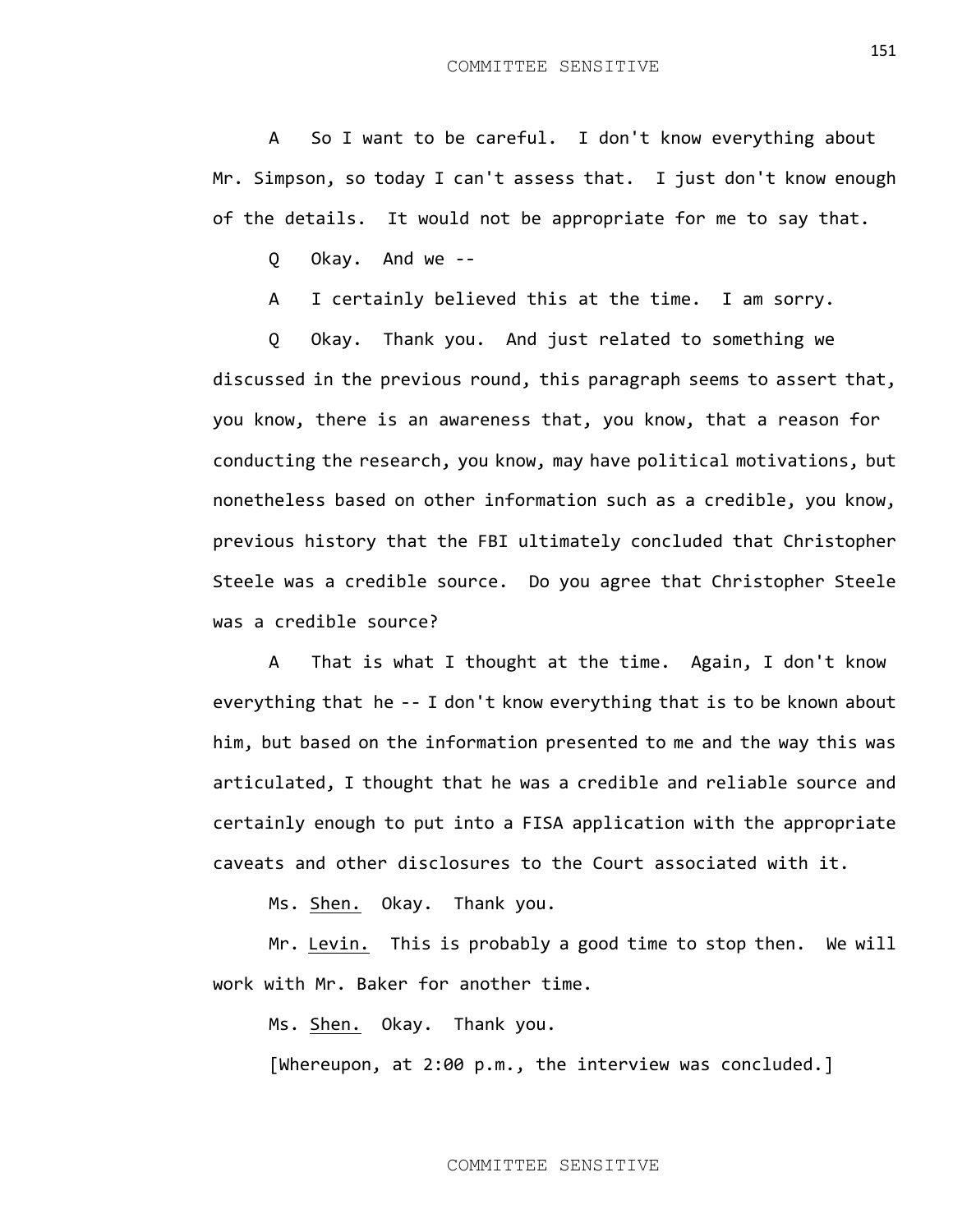A So I want to be careful. I don't know everything about Mr. Simpson, so today I can't assess that. I just don't know enough of the details. It would not be appropriate for me to say that.

Q Okay. And we --

A I certainly believed this at the time. I am sorry.

Q Okay. Thank you. And just related to something we discussed in the previous round, this paragraph seems to assert that, you know, there is an awareness that, you know, that a reason for conducting the research, you know, may have political motivations, but nonetheless based on other information such as a credible, you know, previous history that the FBI ultimately concluded that Christopher Steele was a credible source. Do you agree that Christopher Steele was a credible source?

A That is what I thought at the time. Again, I don't know everything that he -- I don't know everything that is to be known about him, but based on the information presented to me and the way this was articulated, I thought that he was a credible and reliable source and certainly enough to put into a FISA application with the appropriate caveats and other disclosures to the Court associated with it.

Ms. Shen. Okay. Thank you.

Mr. Levin. This is probably a good time to stop then. We will work with Mr. Baker for another time.

Ms. Shen. Okay. Thank you.

[Whereupon, at 2:00 p.m., the interview was concluded.]

151